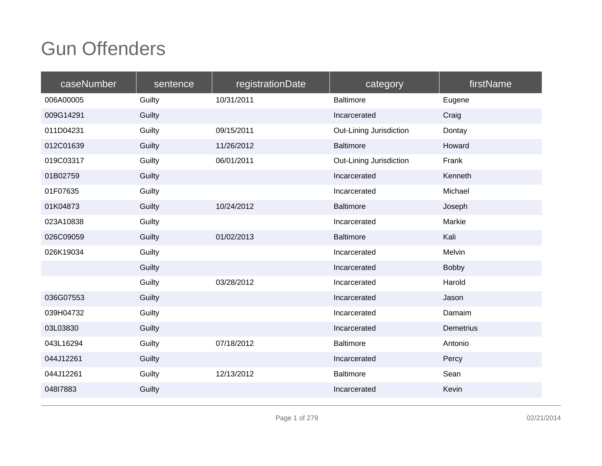| caseNumber | sentence | registrationDate | category                | firstName        |
|------------|----------|------------------|-------------------------|------------------|
| 006A00005  | Guilty   | 10/31/2011       | <b>Baltimore</b>        | Eugene           |
| 009G14291  | Guilty   |                  | Incarcerated            | Craig            |
| 011D04231  | Guilty   | 09/15/2011       | Out-Lining Jurisdiction | Dontay           |
| 012C01639  | Guilty   | 11/26/2012       | <b>Baltimore</b>        | Howard           |
| 019C03317  | Guilty   | 06/01/2011       | Out-Lining Jurisdiction | Frank            |
| 01B02759   | Guilty   |                  | Incarcerated            | Kenneth          |
| 01F07635   | Guilty   |                  | Incarcerated            | Michael          |
| 01K04873   | Guilty   | 10/24/2012       | <b>Baltimore</b>        | Joseph           |
| 023A10838  | Guilty   |                  | Incarcerated            | Markie           |
| 026C09059  | Guilty   | 01/02/2013       | <b>Baltimore</b>        | Kali             |
| 026K19034  | Guilty   |                  | Incarcerated            | Melvin           |
|            | Guilty   |                  | Incarcerated            | Bobby            |
|            | Guilty   | 03/28/2012       | Incarcerated            | Harold           |
| 036G07553  | Guilty   |                  | Incarcerated            | Jason            |
| 039H04732  | Guilty   |                  | Incarcerated            | Damaim           |
| 03L03830   | Guilty   |                  | Incarcerated            | <b>Demetrius</b> |
| 043L16294  | Guilty   | 07/18/2012       | <b>Baltimore</b>        | Antonio          |
| 044J12261  | Guilty   |                  | Incarcerated            | Percy            |
| 044J12261  | Guilty   | 12/13/2012       | <b>Baltimore</b>        | Sean             |
| 04817883   | Guilty   |                  | Incarcerated            | Kevin            |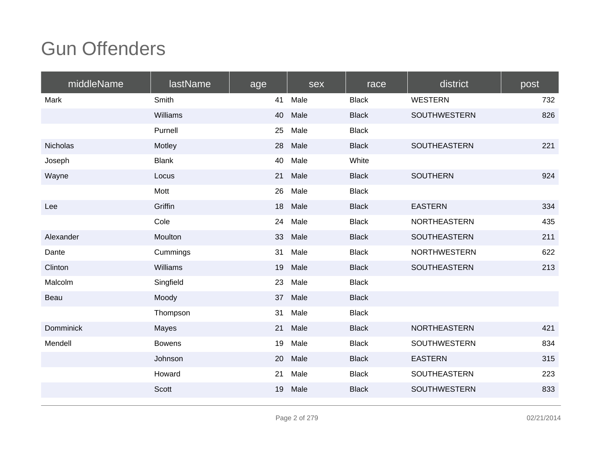| middleName       | lastName      | age | sex  | race         | district            | post |
|------------------|---------------|-----|------|--------------|---------------------|------|
| Mark             | Smith         | 41  | Male | <b>Black</b> | <b>WESTERN</b>      | 732  |
|                  | Williams      | 40  | Male | <b>Black</b> | <b>SOUTHWESTERN</b> | 826  |
|                  | Purnell       | 25  | Male | <b>Black</b> |                     |      |
| Nicholas         | Motley        | 28  | Male | <b>Black</b> | <b>SOUTHEASTERN</b> | 221  |
| Joseph           | <b>Blank</b>  | 40  | Male | White        |                     |      |
| Wayne            | Locus         | 21  | Male | <b>Black</b> | <b>SOUTHERN</b>     | 924  |
|                  | Mott          | 26  | Male | <b>Black</b> |                     |      |
| Lee              | Griffin       | 18  | Male | <b>Black</b> | <b>EASTERN</b>      | 334  |
|                  | Cole          | 24  | Male | <b>Black</b> | <b>NORTHEASTERN</b> | 435  |
| Alexander        | Moulton       | 33  | Male | <b>Black</b> | SOUTHEASTERN        | 211  |
| Dante            | Cummings      | 31  | Male | <b>Black</b> | <b>NORTHWESTERN</b> | 622  |
| Clinton          | Williams      | 19  | Male | <b>Black</b> | <b>SOUTHEASTERN</b> | 213  |
| Malcolm          | Singfield     | 23  | Male | <b>Black</b> |                     |      |
| Beau             | Moody         | 37  | Male | <b>Black</b> |                     |      |
|                  | Thompson      | 31  | Male | <b>Black</b> |                     |      |
| <b>Domminick</b> | Mayes         | 21  | Male | <b>Black</b> | <b>NORTHEASTERN</b> | 421  |
| Mendell          | <b>Bowens</b> | 19  | Male | <b>Black</b> | <b>SOUTHWESTERN</b> | 834  |
|                  | Johnson       | 20  | Male | <b>Black</b> | <b>EASTERN</b>      | 315  |
|                  | Howard        | 21  | Male | <b>Black</b> | SOUTHEASTERN        | 223  |
|                  | Scott         | 19  | Male | <b>Black</b> | SOUTHWESTERN        | 833  |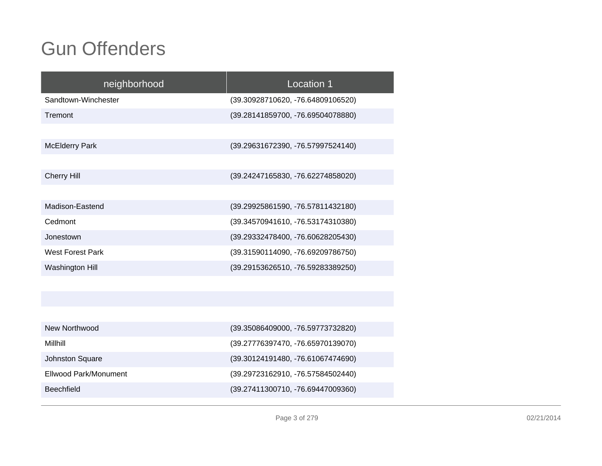Johnston Square

Beechfield

| neighborhood            | Location 1                        |
|-------------------------|-----------------------------------|
| Sandtown-Winchester     | (39.30928710620, -76.64809106520) |
| Tremont                 | (39.28141859700, -76.69504078880) |
|                         |                                   |
| <b>McElderry Park</b>   | (39.29631672390, -76.57997524140) |
|                         |                                   |
| <b>Cherry Hill</b>      | (39.24247165830, -76.62274858020) |
|                         |                                   |
| Madison-Eastend         | (39.29925861590, -76.57811432180) |
| Cedmont                 | (39.34570941610, -76.53174310380) |
| Jonestown               | (39.29332478400, -76.60628205430) |
| <b>West Forest Park</b> | (39.31590114090, -76.69209786750) |
| Washington Hill         | (39.29153626510, -76.59283389250) |
|                         |                                   |
|                         |                                   |
|                         |                                   |
| New Northwood           | (39.35086409000, -76.59773732820) |
| Millhill                | (39.27776397470, -76.65970139070) |

 (39.30124191480, -76.61067474690) Ellwood Park/Monument (39.29723162910, -76.57584502440)(39.27411300710, -76.69447009360)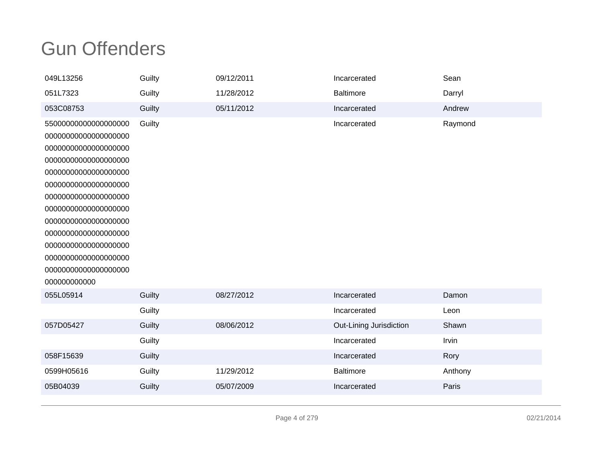| 049L13256            | Guilty | 09/12/2011 | Incarcerated            | Sean    |
|----------------------|--------|------------|-------------------------|---------|
| 051L7323             | Guilty | 11/28/2012 | <b>Baltimore</b>        | Darryl  |
| 053C08753            | Guilty | 05/11/2012 | Incarcerated            | Andrew  |
| 55000000000000000000 | Guilty |            | Incarcerated            | Raymond |
| 00000000000000000000 |        |            |                         |         |
| 00000000000000000000 |        |            |                         |         |
| 00000000000000000000 |        |            |                         |         |
| 00000000000000000000 |        |            |                         |         |
| 00000000000000000000 |        |            |                         |         |
| 00000000000000000000 |        |            |                         |         |
| 00000000000000000000 |        |            |                         |         |
| 00000000000000000000 |        |            |                         |         |
| 00000000000000000000 |        |            |                         |         |
| 00000000000000000000 |        |            |                         |         |
| 00000000000000000000 |        |            |                         |         |
| 00000000000000000000 |        |            |                         |         |
| 000000000000         |        |            |                         |         |
| 055L05914            | Guilty | 08/27/2012 | Incarcerated            | Damon   |
|                      | Guilty |            | Incarcerated            | Leon    |
| 057D05427            | Guilty | 08/06/2012 | Out-Lining Jurisdiction | Shawn   |
|                      | Guilty |            | Incarcerated            | Irvin   |
| 058F15639            | Guilty |            | Incarcerated            | Rory    |
| 0599H05616           | Guilty | 11/29/2012 | <b>Baltimore</b>        | Anthony |
| 05B04039             | Guilty | 05/07/2009 | Incarcerated            | Paris   |
|                      |        |            |                         |         |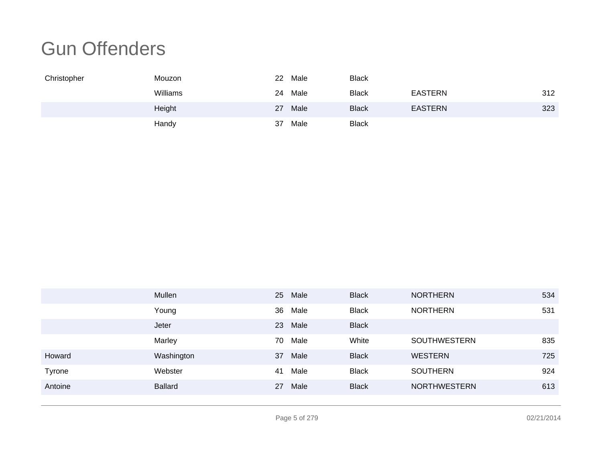| Christopher | Mouzon   | 22 | Male | <b>Black</b> |                |     |
|-------------|----------|----|------|--------------|----------------|-----|
|             | Williams | 24 | Male | <b>Black</b> | <b>EASTERN</b> | 312 |
|             | Height   | 27 | Male | <b>Black</b> | <b>EASTERN</b> | 323 |
|             | Handy    | 37 | Male | <b>Black</b> |                |     |

|               | Mullen         | 25 | Male | <b>Black</b> | <b>NORTHERN</b>     | 534 |
|---------------|----------------|----|------|--------------|---------------------|-----|
|               | Young          | 36 | Male | <b>Black</b> | <b>NORTHERN</b>     | 531 |
|               | Jeter          | 23 | Male | <b>Black</b> |                     |     |
|               | Marley         | 70 | Male | White        | <b>SOUTHWESTERN</b> | 835 |
| Howard        | Washington     | 37 | Male | <b>Black</b> | <b>WESTERN</b>      | 725 |
| <b>Tyrone</b> | Webster        | 41 | Male | <b>Black</b> | <b>SOUTHERN</b>     | 924 |
| Antoine       | <b>Ballard</b> | 27 | Male | <b>Black</b> | <b>NORTHWESTERN</b> | 613 |
|               |                |    |      |              |                     |     |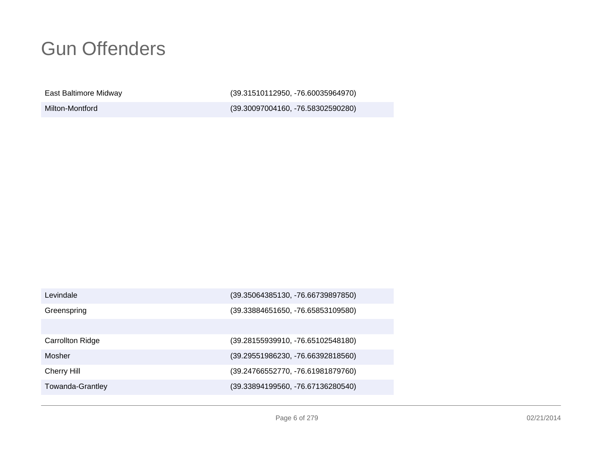East Baltimore Midway

Milton-Montford

(39.31510112950, -76.60035964970)

(39.30097004160, -76.58302590280)

| Levindale               | (39.35064385130, -76.66739897850) |
|-------------------------|-----------------------------------|
| Greenspring             | (39.33884651650, -76.65853109580) |
|                         |                                   |
| <b>Carrollton Ridge</b> | (39.28155939910, -76.65102548180) |
| Mosher                  | (39.29551986230, -76.66392818560) |
| <b>Cherry Hill</b>      | (39.24766552770, -76.61981879760) |
| <b>Towanda-Grantley</b> | (39.33894199560, -76.67136280540) |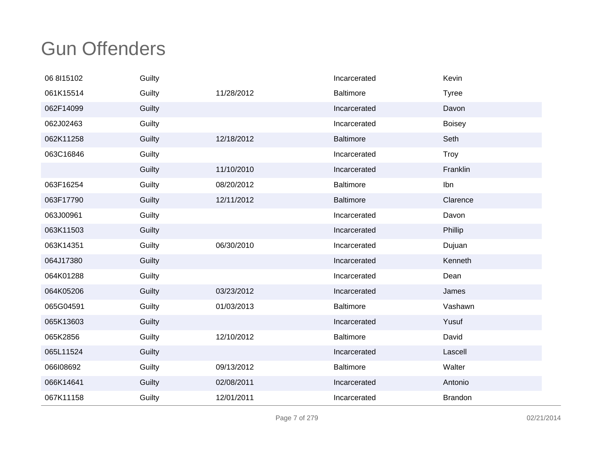| 06 8115102 | Guilty |            | Incarcerated     | Kevin          |
|------------|--------|------------|------------------|----------------|
| 061K15514  | Guilty | 11/28/2012 | <b>Baltimore</b> | <b>Tyree</b>   |
| 062F14099  | Guilty |            | Incarcerated     | Davon          |
| 062J02463  | Guilty |            | Incarcerated     | <b>Boisey</b>  |
| 062K11258  | Guilty | 12/18/2012 | <b>Baltimore</b> | Seth           |
| 063C16846  | Guilty |            | Incarcerated     | <b>Troy</b>    |
|            | Guilty | 11/10/2010 | Incarcerated     | Franklin       |
| 063F16254  | Guilty | 08/20/2012 | <b>Baltimore</b> | Ibn            |
| 063F17790  | Guilty | 12/11/2012 | <b>Baltimore</b> | Clarence       |
| 063J00961  | Guilty |            | Incarcerated     | Davon          |
| 063K11503  | Guilty |            | Incarcerated     | Phillip        |
| 063K14351  | Guilty | 06/30/2010 | Incarcerated     | Dujuan         |
| 064J17380  | Guilty |            | Incarcerated     | Kenneth        |
| 064K01288  | Guilty |            | Incarcerated     | Dean           |
| 064K05206  | Guilty | 03/23/2012 | Incarcerated     | James          |
| 065G04591  | Guilty | 01/03/2013 | <b>Baltimore</b> | Vashawn        |
| 065K13603  | Guilty |            | Incarcerated     | Yusuf          |
| 065K2856   | Guilty | 12/10/2012 | <b>Baltimore</b> | David          |
| 065L11524  | Guilty |            | Incarcerated     | Lascell        |
| 066108692  | Guilty | 09/13/2012 | <b>Baltimore</b> | Walter         |
| 066K14641  | Guilty | 02/08/2011 | Incarcerated     | Antonio        |
| 067K11158  | Guilty | 12/01/2011 | Incarcerated     | <b>Brandon</b> |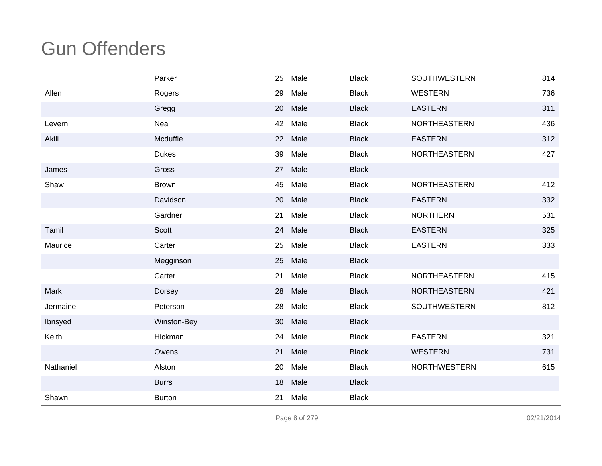|           | Parker        | 25 | Male | <b>Black</b> | SOUTHWESTERN        | 814 |
|-----------|---------------|----|------|--------------|---------------------|-----|
| Allen     | Rogers        | 29 | Male | <b>Black</b> | <b>WESTERN</b>      | 736 |
|           | Gregg         | 20 | Male | <b>Black</b> | <b>EASTERN</b>      | 311 |
| Levern    | Neal          | 42 | Male | <b>Black</b> | NORTHEASTERN        | 436 |
| Akili     | Mcduffie      | 22 | Male | <b>Black</b> | <b>EASTERN</b>      | 312 |
|           | <b>Dukes</b>  | 39 | Male | <b>Black</b> | NORTHEASTERN        | 427 |
| James     | Gross         | 27 | Male | <b>Black</b> |                     |     |
| Shaw      | <b>Brown</b>  | 45 | Male | <b>Black</b> | <b>NORTHEASTERN</b> | 412 |
|           | Davidson      | 20 | Male | <b>Black</b> | <b>EASTERN</b>      | 332 |
|           | Gardner       | 21 | Male | <b>Black</b> | <b>NORTHERN</b>     | 531 |
| Tamil     | Scott         | 24 | Male | <b>Black</b> | <b>EASTERN</b>      | 325 |
| Maurice   | Carter        | 25 | Male | <b>Black</b> | <b>EASTERN</b>      | 333 |
|           | Megginson     | 25 | Male | <b>Black</b> |                     |     |
|           | Carter        | 21 | Male | <b>Black</b> | <b>NORTHEASTERN</b> | 415 |
| Mark      | Dorsey        | 28 | Male | <b>Black</b> | NORTHEASTERN        | 421 |
| Jermaine  | Peterson      | 28 | Male | <b>Black</b> | <b>SOUTHWESTERN</b> | 812 |
| Ibnsyed   | Winston-Bey   | 30 | Male | <b>Black</b> |                     |     |
| Keith     | Hickman       | 24 | Male | <b>Black</b> | <b>EASTERN</b>      | 321 |
|           | Owens         | 21 | Male | <b>Black</b> | <b>WESTERN</b>      | 731 |
| Nathaniel | Alston        | 20 | Male | <b>Black</b> | <b>NORTHWESTERN</b> | 615 |
|           | <b>Burrs</b>  | 18 | Male | <b>Black</b> |                     |     |
| Shawn     | <b>Burton</b> | 21 | Male | <b>Black</b> |                     |     |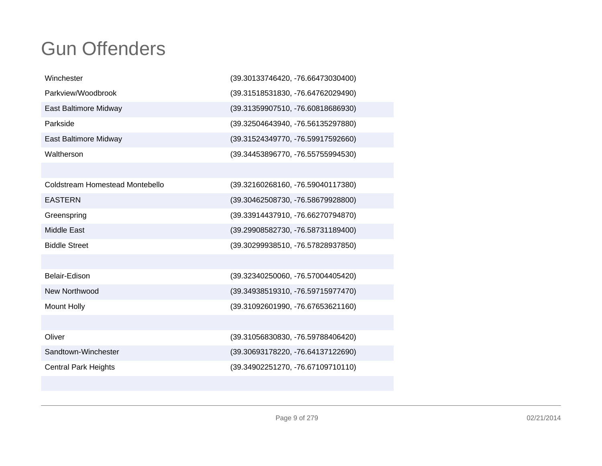| Winchester                      | (39.30133746420, -76.66473030400) |
|---------------------------------|-----------------------------------|
| Parkview/Woodbrook              | (39.31518531830, -76.64762029490) |
| East Baltimore Midway           | (39.31359907510, -76.60818686930) |
| Parkside                        | (39.32504643940, -76.56135297880) |
| East Baltimore Midway           | (39.31524349770, -76.59917592660) |
| Waltherson                      | (39.34453896770, -76.55755994530) |
|                                 |                                   |
| Coldstream Homestead Montebello | (39.32160268160, -76.59040117380) |
| <b>EASTERN</b>                  | (39.30462508730, -76.58679928800) |
| Greenspring                     | (39.33914437910, -76.66270794870) |
| <b>Middle East</b>              | (39.29908582730, -76.58731189400) |
| <b>Biddle Street</b>            | (39.30299938510, -76.57828937850) |
|                                 |                                   |
| Belair-Edison                   | (39.32340250060, -76.57004405420) |
| New Northwood                   | (39.34938519310, -76.59715977470) |
| <b>Mount Holly</b>              | (39.31092601990, -76.67653621160) |
|                                 |                                   |
| Oliver                          | (39.31056830830, -76.59788406420) |
| Sandtown-Winchester             | (39.30693178220, -76.64137122690) |
| <b>Central Park Heights</b>     | (39.34902251270, -76.67109710110) |
|                                 |                                   |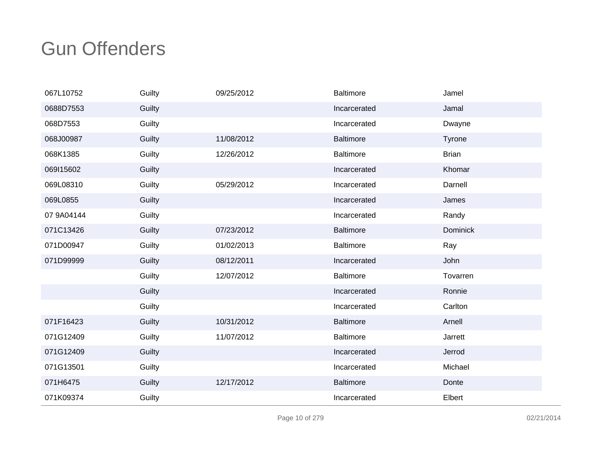| 067L10752  | Guilty | 09/25/2012 | <b>Baltimore</b> | Jamel           |
|------------|--------|------------|------------------|-----------------|
| 0688D7553  | Guilty |            | Incarcerated     | Jamal           |
| 068D7553   | Guilty |            | Incarcerated     | Dwayne          |
| 068J00987  | Guilty | 11/08/2012 | <b>Baltimore</b> | Tyrone          |
| 068K1385   | Guilty | 12/26/2012 | <b>Baltimore</b> | <b>Brian</b>    |
| 069115602  | Guilty |            | Incarcerated     | Khomar          |
| 069L08310  | Guilty | 05/29/2012 | Incarcerated     | Darnell         |
| 069L0855   | Guilty |            | Incarcerated     | James           |
| 07 9A04144 | Guilty |            | Incarcerated     | Randy           |
| 071C13426  | Guilty | 07/23/2012 | <b>Baltimore</b> | <b>Dominick</b> |
| 071D00947  | Guilty | 01/02/2013 | <b>Baltimore</b> | Ray             |
| 071D99999  | Guilty | 08/12/2011 | Incarcerated     | John            |
|            | Guilty | 12/07/2012 | <b>Baltimore</b> | Tovarren        |
|            | Guilty |            | Incarcerated     | Ronnie          |
|            | Guilty |            | Incarcerated     | Carlton         |
| 071F16423  | Guilty | 10/31/2012 | <b>Baltimore</b> | Arnell          |
| 071G12409  | Guilty | 11/07/2012 | <b>Baltimore</b> | Jarrett         |
| 071G12409  | Guilty |            | Incarcerated     | Jerrod          |
| 071G13501  | Guilty |            | Incarcerated     | Michael         |
| 071H6475   | Guilty | 12/17/2012 | <b>Baltimore</b> | Donte           |
| 071K09374  | Guilty |            | Incarcerated     | Elbert          |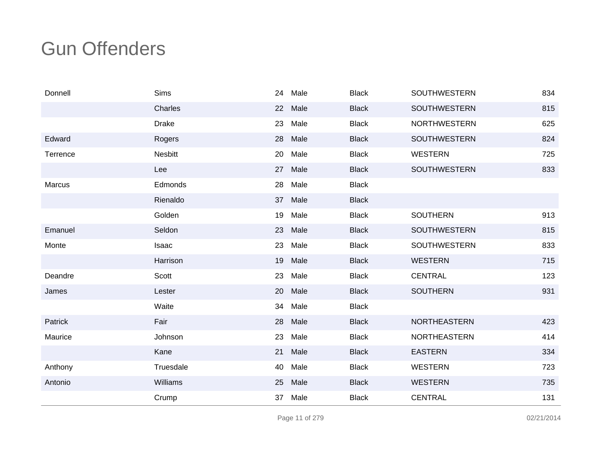| Donnell  | Sims         | 24 | Male | <b>Black</b> | <b>SOUTHWESTERN</b> | 834 |
|----------|--------------|----|------|--------------|---------------------|-----|
|          | Charles      | 22 | Male | <b>Black</b> | <b>SOUTHWESTERN</b> | 815 |
|          | <b>Drake</b> | 23 | Male | <b>Black</b> | <b>NORTHWESTERN</b> | 625 |
| Edward   | Rogers       | 28 | Male | <b>Black</b> | <b>SOUTHWESTERN</b> | 824 |
| Terrence | Nesbitt      | 20 | Male | <b>Black</b> | <b>WESTERN</b>      | 725 |
|          | Lee          | 27 | Male | <b>Black</b> | <b>SOUTHWESTERN</b> | 833 |
| Marcus   | Edmonds      | 28 | Male | <b>Black</b> |                     |     |
|          | Rienaldo     | 37 | Male | <b>Black</b> |                     |     |
|          | Golden       | 19 | Male | <b>Black</b> | <b>SOUTHERN</b>     | 913 |
| Emanuel  | Seldon       | 23 | Male | <b>Black</b> | <b>SOUTHWESTERN</b> | 815 |
| Monte    | Isaac        | 23 | Male | <b>Black</b> | <b>SOUTHWESTERN</b> | 833 |
|          | Harrison     | 19 | Male | <b>Black</b> | <b>WESTERN</b>      | 715 |
| Deandre  | Scott        | 23 | Male | <b>Black</b> | <b>CENTRAL</b>      | 123 |
| James    | Lester       | 20 | Male | <b>Black</b> | <b>SOUTHERN</b>     | 931 |
|          | Waite        | 34 | Male | <b>Black</b> |                     |     |
| Patrick  | Fair         | 28 | Male | <b>Black</b> | <b>NORTHEASTERN</b> | 423 |
| Maurice  | Johnson      | 23 | Male | <b>Black</b> | NORTHEASTERN        | 414 |
|          | Kane         | 21 | Male | <b>Black</b> | <b>EASTERN</b>      | 334 |
| Anthony  | Truesdale    | 40 | Male | <b>Black</b> | <b>WESTERN</b>      | 723 |
| Antonio  | Williams     | 25 | Male | <b>Black</b> | <b>WESTERN</b>      | 735 |
|          | Crump        | 37 | Male | <b>Black</b> | <b>CENTRAL</b>      | 131 |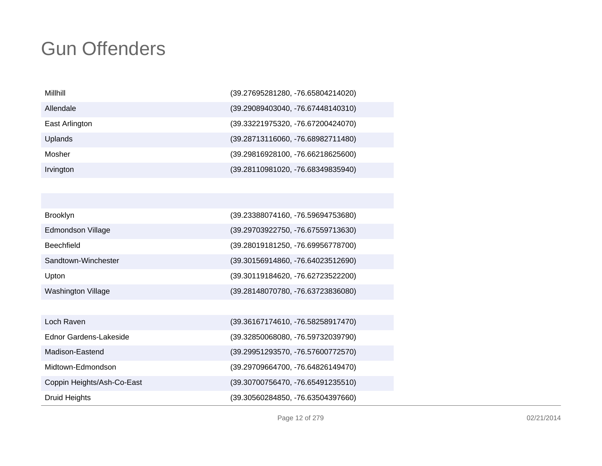| Millhill       | (39.27695281280, -76.65804214020)   |
|----------------|-------------------------------------|
| Allendale      | (39.29089403040, -76.67448140310)   |
| East Arlington | (39.33221975320, -76.67200424070)   |
| Uplands        | (39.28713116060, -76.68982711480)   |
| Mosher         | $(39.29816928100, -76.66218625600)$ |
| Irvington      | (39.28110981020, -76.68349835940)   |

| <b>Brooklyn</b>     | (39.23388074160, -76.59694753680) |
|---------------------|-----------------------------------|
| Edmondson Village   | (39.29703922750, -76.67559713630) |
| <b>Beechfield</b>   | (39.28019181250, -76.69956778700) |
| Sandtown-Winchester | (39.30156914860, -76.64023512690) |
| Upton               | (39.30119184620, -76.62723522200) |
| Washington Village  | (39.28148070780, -76.63723836080) |

| Loch Raven                 | (39.36167174610, -76.58258917470) |
|----------------------------|-----------------------------------|
| Ednor Gardens-Lakeside     | (39.32850068080, -76.59732039790) |
| Madison-Eastend            | (39.29951293570, -76.57600772570) |
| Midtown-Edmondson          | (39.29709664700, -76.64826149470) |
| Coppin Heights/Ash-Co-East | (39.30700756470, -76.65491235510) |
| <b>Druid Heights</b>       | (39.30560284850, -76.63504397660) |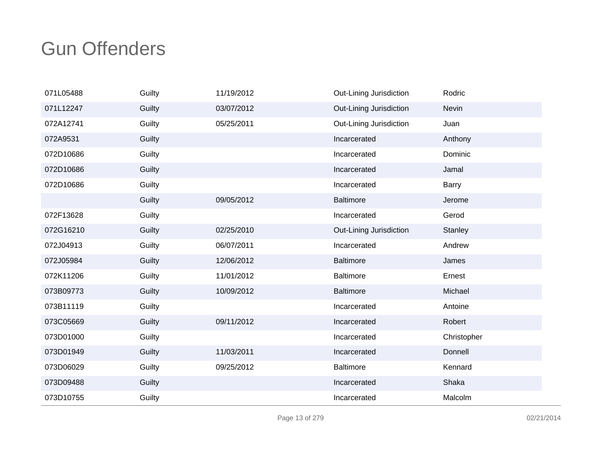| 071L05488 | Guilty | 11/19/2012 | Out-Lining Jurisdiction | Rodric         |
|-----------|--------|------------|-------------------------|----------------|
| 071L12247 | Guilty | 03/07/2012 | Out-Lining Jurisdiction | <b>Nevin</b>   |
| 072A12741 | Guilty | 05/25/2011 | Out-Lining Jurisdiction | Juan           |
| 072A9531  | Guilty |            | Incarcerated            | Anthony        |
| 072D10686 | Guilty |            | Incarcerated            | Dominic        |
| 072D10686 | Guilty |            | Incarcerated            | Jamal          |
| 072D10686 | Guilty |            | Incarcerated            | Barry          |
|           | Guilty | 09/05/2012 | <b>Baltimore</b>        | Jerome         |
| 072F13628 | Guilty |            | Incarcerated            | Gerod          |
| 072G16210 | Guilty | 02/25/2010 | Out-Lining Jurisdiction | <b>Stanley</b> |
| 072J04913 | Guilty | 06/07/2011 | Incarcerated            | Andrew         |
| 072J05984 | Guilty | 12/06/2012 | <b>Baltimore</b>        | James          |
| 072K11206 | Guilty | 11/01/2012 | <b>Baltimore</b>        | Ernest         |
| 073B09773 | Guilty | 10/09/2012 | <b>Baltimore</b>        | Michael        |
| 073B11119 | Guilty |            | Incarcerated            | Antoine        |
| 073C05669 | Guilty | 09/11/2012 | Incarcerated            | Robert         |
| 073D01000 | Guilty |            | Incarcerated            | Christopher    |
| 073D01949 | Guilty | 11/03/2011 | Incarcerated            | Donnell        |
| 073D06029 | Guilty | 09/25/2012 | <b>Baltimore</b>        | Kennard        |
| 073D09488 | Guilty |            | Incarcerated            | Shaka          |
| 073D10755 | Guilty |            | Incarcerated            | Malcolm        |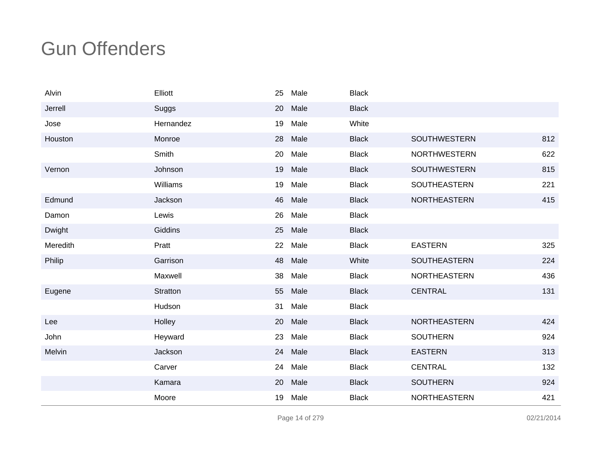| Alvin    | Elliott   | 25 | Male | <b>Black</b> |                     |     |
|----------|-----------|----|------|--------------|---------------------|-----|
| Jerrell  | Suggs     | 20 | Male | <b>Black</b> |                     |     |
| Jose     | Hernandez | 19 | Male | White        |                     |     |
| Houston  | Monroe    | 28 | Male | <b>Black</b> | SOUTHWESTERN        | 812 |
|          | Smith     | 20 | Male | <b>Black</b> | <b>NORTHWESTERN</b> | 622 |
| Vernon   | Johnson   | 19 | Male | <b>Black</b> | <b>SOUTHWESTERN</b> | 815 |
|          | Williams  | 19 | Male | <b>Black</b> | SOUTHEASTERN        | 221 |
| Edmund   | Jackson   | 46 | Male | <b>Black</b> | <b>NORTHEASTERN</b> | 415 |
| Damon    | Lewis     | 26 | Male | <b>Black</b> |                     |     |
| Dwight   | Giddins   | 25 | Male | <b>Black</b> |                     |     |
| Meredith | Pratt     | 22 | Male | <b>Black</b> | <b>EASTERN</b>      | 325 |
| Philip   | Garrison  | 48 | Male | White        | <b>SOUTHEASTERN</b> | 224 |
|          | Maxwell   | 38 | Male | <b>Black</b> | NORTHEASTERN        | 436 |
| Eugene   | Stratton  | 55 | Male | <b>Black</b> | <b>CENTRAL</b>      | 131 |
|          | Hudson    | 31 | Male | <b>Black</b> |                     |     |
| Lee      | Holley    | 20 | Male | <b>Black</b> | NORTHEASTERN        | 424 |
| John     | Heyward   | 23 | Male | <b>Black</b> | <b>SOUTHERN</b>     | 924 |
| Melvin   | Jackson   | 24 | Male | <b>Black</b> | <b>EASTERN</b>      | 313 |
|          | Carver    | 24 | Male | <b>Black</b> | <b>CENTRAL</b>      | 132 |
|          | Kamara    | 20 | Male | <b>Black</b> | <b>SOUTHERN</b>     | 924 |
|          | Moore     | 19 | Male | <b>Black</b> | NORTHEASTERN        | 421 |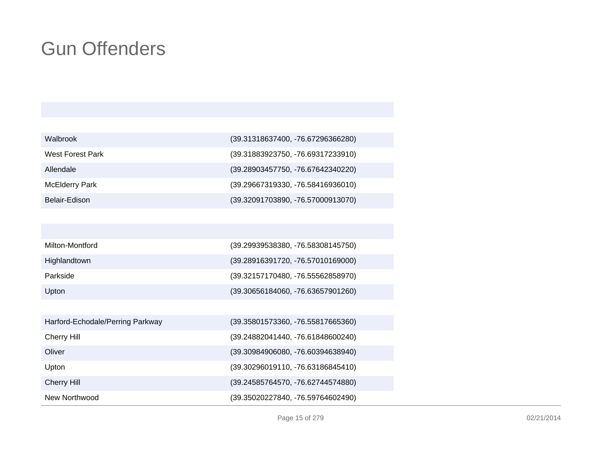| Walbrook              | (39.31318637400, -76.67296366280) |
|-----------------------|-----------------------------------|
| West Forest Park      | (39.31883923750, -76.69317233910) |
| Allendale             | (39.28903457750, -76.67642340220) |
| <b>McElderry Park</b> | (39.29667319330, -76.58416936010) |
| Belair-Edison         | (39.32091703890, -76.57000913070) |

| Milton-Montford | $(39.29939538380, -76.58308145750)$ |
|-----------------|-------------------------------------|
| Highlandtown    | (39.28916391720, -76.57010169000)   |
| Parkside        | $(39.32157170480, -76.55562858970)$ |
| Upton           | $(39.30656184060, -76.63657901260)$ |

| Harford-Echodale/Perring Parkway | (39.35801573360, -76.55817665360) |
|----------------------------------|-----------------------------------|
| <b>Cherry Hill</b>               | (39.24882041440, -76.61848600240) |
| Oliver                           | (39.30984906080, -76.60394638940) |
| Upton                            | (39.30296019110, -76.63186845410) |
| <b>Cherry Hill</b>               | (39.24585764570, -76.62744574880) |
| New Northwood                    | (39.35020227840, -76.59764602490) |

Page 15 of 279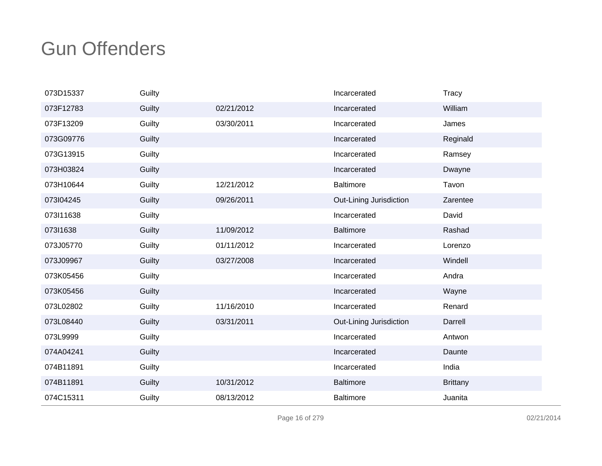| 073D15337 | Guilty |            | Incarcerated            | Tracy           |
|-----------|--------|------------|-------------------------|-----------------|
| 073F12783 | Guilty | 02/21/2012 | Incarcerated            | William         |
| 073F13209 | Guilty | 03/30/2011 | Incarcerated            | James           |
| 073G09776 | Guilty |            | Incarcerated            | Reginald        |
| 073G13915 | Guilty |            | Incarcerated            | Ramsey          |
| 073H03824 | Guilty |            | Incarcerated            | Dwayne          |
| 073H10644 | Guilty | 12/21/2012 | <b>Baltimore</b>        | Tavon           |
| 073104245 | Guilty | 09/26/2011 | Out-Lining Jurisdiction | Zarentee        |
| 073111638 | Guilty |            | Incarcerated            | David           |
| 073I1638  | Guilty | 11/09/2012 | <b>Baltimore</b>        | Rashad          |
| 073J05770 | Guilty | 01/11/2012 | Incarcerated            | Lorenzo         |
| 073J09967 | Guilty | 03/27/2008 | Incarcerated            | Windell         |
| 073K05456 | Guilty |            | Incarcerated            | Andra           |
| 073K05456 | Guilty |            | Incarcerated            | Wayne           |
| 073L02802 | Guilty | 11/16/2010 | Incarcerated            | Renard          |
| 073L08440 | Guilty | 03/31/2011 | Out-Lining Jurisdiction | Darrell         |
| 073L9999  | Guilty |            | Incarcerated            | Antwon          |
| 074A04241 | Guilty |            | Incarcerated            | Daunte          |
| 074B11891 | Guilty |            | Incarcerated            | India           |
| 074B11891 | Guilty | 10/31/2012 | <b>Baltimore</b>        | <b>Brittany</b> |
| 074C15311 | Guilty | 08/13/2012 | <b>Baltimore</b>        | Juanita         |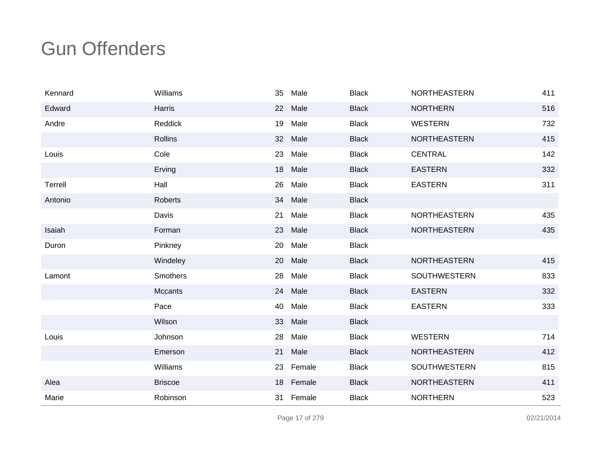| Kennard | Williams        | 35              | Male      | <b>Black</b> | <b>NORTHEASTERN</b> | 411 |
|---------|-----------------|-----------------|-----------|--------------|---------------------|-----|
| Edward  | <b>Harris</b>   | 22              | Male      | <b>Black</b> | <b>NORTHERN</b>     | 516 |
| Andre   | Reddick         | 19              | Male      | <b>Black</b> | <b>WESTERN</b>      | 732 |
|         | <b>Rollins</b>  | 32 <sup>2</sup> | Male      | <b>Black</b> | <b>NORTHEASTERN</b> | 415 |
| Louis   | Cole            | 23              | Male      | <b>Black</b> | <b>CENTRAL</b>      | 142 |
|         | Erving          | 18              | Male      | <b>Black</b> | <b>EASTERN</b>      | 332 |
| Terrell | Hall            | 26              | Male      | <b>Black</b> | <b>EASTERN</b>      | 311 |
| Antonio | <b>Roberts</b>  | 34              | Male      | <b>Black</b> |                     |     |
|         | Davis           | 21              | Male      | <b>Black</b> | NORTHEASTERN        | 435 |
| Isaiah  | Forman          | 23              | Male      | <b>Black</b> | <b>NORTHEASTERN</b> | 435 |
| Duron   | Pinkney         | 20              | Male      | <b>Black</b> |                     |     |
|         | Windeley        | 20              | Male      | <b>Black</b> | <b>NORTHEASTERN</b> | 415 |
| Lamont  | <b>Smothers</b> | 28              | Male      | <b>Black</b> | <b>SOUTHWESTERN</b> | 833 |
|         | Mccants         | 24              | Male      | <b>Black</b> | <b>EASTERN</b>      | 332 |
|         | Pace            | 40              | Male      | <b>Black</b> | <b>EASTERN</b>      | 333 |
|         | Wilson          | 33              | Male      | <b>Black</b> |                     |     |
| Louis   | Johnson         | 28              | Male      | <b>Black</b> | <b>WESTERN</b>      | 714 |
|         | Emerson         | 21              | Male      | <b>Black</b> | <b>NORTHEASTERN</b> | 412 |
|         | Williams        |                 | 23 Female | <b>Black</b> | <b>SOUTHWESTERN</b> | 815 |
| Alea    | <b>Briscoe</b>  | 18              | Female    | <b>Black</b> | <b>NORTHEASTERN</b> | 411 |
| Marie   | Robinson        |                 | 31 Female | <b>Black</b> | <b>NORTHERN</b>     | 523 |

Page 17 of 279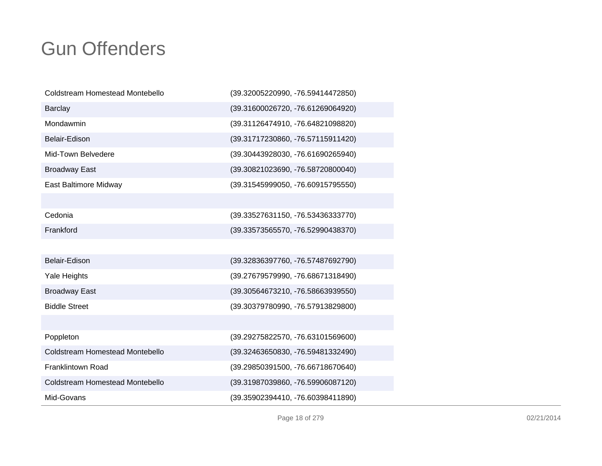| Coldstream Homestead Montebello        | (39.32005220990, -76.59414472850) |
|----------------------------------------|-----------------------------------|
| <b>Barclay</b>                         | (39.31600026720, -76.61269064920) |
| Mondawmin                              | (39.31126474910, -76.64821098820) |
| Belair-Edison                          | (39.31717230860, -76.57115911420) |
| Mid-Town Belvedere                     | (39.30443928030, -76.61690265940) |
| <b>Broadway East</b>                   | (39.30821023690, -76.58720800040) |
| East Baltimore Midway                  | (39.31545999050, -76.60915795550) |
|                                        |                                   |
| Cedonia                                | (39.33527631150, -76.53436333770) |
| Frankford                              | (39.33573565570, -76.52990438370) |
|                                        |                                   |
| Belair-Edison                          | (39.32836397760, -76.57487692790) |
| Yale Heights                           | (39.27679579990, -76.68671318490) |
| <b>Broadway East</b>                   | (39.30564673210, -76.58663939550) |
| <b>Biddle Street</b>                   | (39.30379780990, -76.57913829800) |
|                                        |                                   |
| Poppleton                              | (39.29275822570, -76.63101569600) |
| <b>Coldstream Homestead Montebello</b> | (39.32463650830, -76.59481332490) |
| <b>Franklintown Road</b>               | (39.29850391500, -76.66718670640) |
| Coldstream Homestead Montebello        | (39.31987039860, -76.59906087120) |
| Mid-Govans                             | (39.35902394410, -76.60398411890) |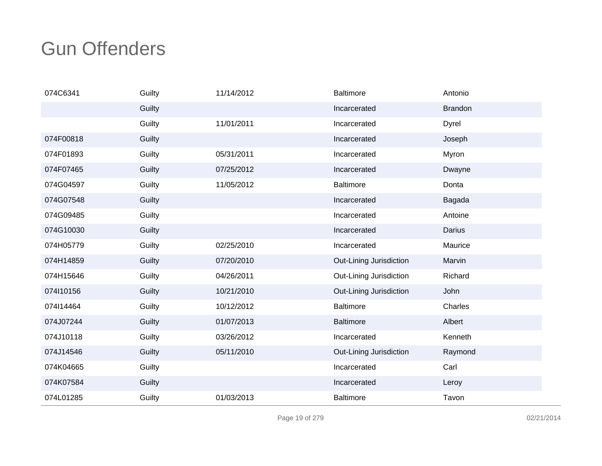| 074C6341  | Guilty | 11/14/2012 | Baltimore               | Antonio        |
|-----------|--------|------------|-------------------------|----------------|
|           | Guilty |            | Incarcerated            | <b>Brandon</b> |
|           | Guilty | 11/01/2011 | Incarcerated            | Dyrel          |
| 074F00818 | Guilty |            | Incarcerated            | Joseph         |
| 074F01893 | Guilty | 05/31/2011 | Incarcerated            | Myron          |
| 074F07465 | Guilty | 07/25/2012 | Incarcerated            | Dwayne         |
| 074G04597 | Guilty | 11/05/2012 | Baltimore               | Donta          |
| 074G07548 | Guilty |            | Incarcerated            | Bagada         |
| 074G09485 | Guilty |            | Incarcerated            | Antoine        |
| 074G10030 | Guilty |            | Incarcerated            | Darius         |
| 074H05779 | Guilty | 02/25/2010 | Incarcerated            | Maurice        |
| 074H14859 | Guilty | 07/20/2010 | Out-Lining Jurisdiction | Marvin         |
| 074H15646 | Guilty | 04/26/2011 | Out-Lining Jurisdiction | Richard        |
| 074l10156 | Guilty | 10/21/2010 | Out-Lining Jurisdiction | John           |
| 074114464 | Guilty | 10/12/2012 | <b>Baltimore</b>        | Charles        |
| 074J07244 | Guilty | 01/07/2013 | <b>Baltimore</b>        | Albert         |
| 074J10118 | Guilty | 03/26/2012 | Incarcerated            | Kenneth        |
| 074J14546 | Guilty | 05/11/2010 | Out-Lining Jurisdiction | Raymond        |
| 074K04665 | Guilty |            | Incarcerated            | Carl           |
| 074K07584 | Guilty |            | Incarcerated            | Leroy          |
| 074L01285 | Guilty | 01/03/2013 | <b>Baltimore</b>        | Tavon          |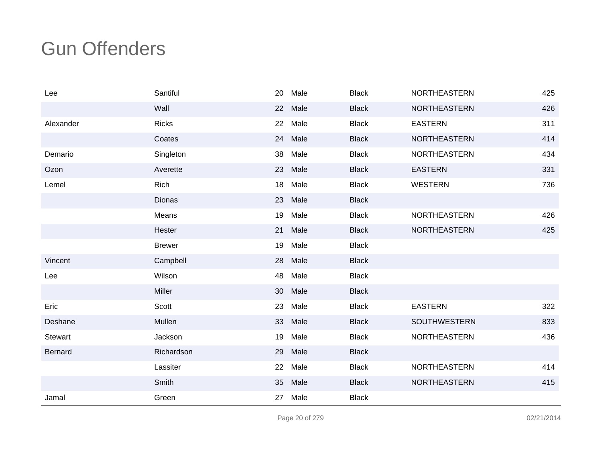| Lee            | Santiful      | 20 | Male    | <b>Black</b> | <b>NORTHEASTERN</b> | 425 |
|----------------|---------------|----|---------|--------------|---------------------|-----|
|                | Wall          | 22 | Male    | <b>Black</b> | <b>NORTHEASTERN</b> | 426 |
| Alexander      | <b>Ricks</b>  | 22 | Male    | <b>Black</b> | <b>EASTERN</b>      | 311 |
|                | Coates        | 24 | Male    | <b>Black</b> | <b>NORTHEASTERN</b> | 414 |
| Demario        | Singleton     | 38 | Male    | <b>Black</b> | <b>NORTHEASTERN</b> | 434 |
| Ozon           | Averette      | 23 | Male    | <b>Black</b> | <b>EASTERN</b>      | 331 |
| Lemel          | Rich          | 18 | Male    | <b>Black</b> | <b>WESTERN</b>      | 736 |
|                | <b>Dionas</b> |    | 23 Male | <b>Black</b> |                     |     |
|                | Means         | 19 | Male    | <b>Black</b> | NORTHEASTERN        | 426 |
|                | Hester        | 21 | Male    | <b>Black</b> | <b>NORTHEASTERN</b> | 425 |
|                | <b>Brewer</b> | 19 | Male    | <b>Black</b> |                     |     |
| Vincent        | Campbell      | 28 | Male    | <b>Black</b> |                     |     |
| Lee            | Wilson        | 48 | Male    | <b>Black</b> |                     |     |
|                | Miller        | 30 | Male    | <b>Black</b> |                     |     |
| Eric           | Scott         | 23 | Male    | <b>Black</b> | <b>EASTERN</b>      | 322 |
| Deshane        | Mullen        | 33 | Male    | <b>Black</b> | SOUTHWESTERN        | 833 |
| <b>Stewart</b> | Jackson       | 19 | Male    | <b>Black</b> | <b>NORTHEASTERN</b> | 436 |
| <b>Bernard</b> | Richardson    | 29 | Male    | <b>Black</b> |                     |     |
|                | Lassiter      | 22 | Male    | <b>Black</b> | NORTHEASTERN        | 414 |
|                | Smith         | 35 | Male    | <b>Black</b> | NORTHEASTERN        | 415 |
| Jamal          | Green         | 27 | Male    | <b>Black</b> |                     |     |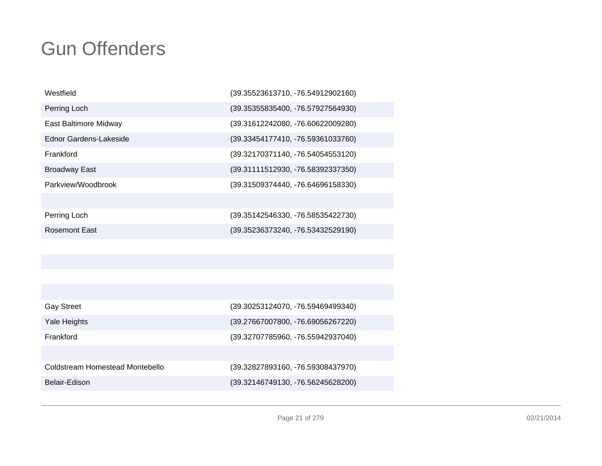| Westfield              | (39.35523613710, -76.54912902160) |
|------------------------|-----------------------------------|
| Perring Loch           | (39.35355835400, -76.57927564930) |
| East Baltimore Midway  | (39.31612242080, -76.60622009280) |
| Ednor Gardens-Lakeside | (39.33454177410, -76.59361033760) |
| Frankford              | (39.32170371140, -76.54054553120) |
| <b>Broadway East</b>   | (39.31111512930, -76.58392337350) |
| Parkview/Woodbrook     | (39.31509374440, -76.64696158330) |
|                        |                                   |
| Perring Loch           | (39.35142546330, -76.58535422730) |
| <b>Rosemont East</b>   | (39.35236373240, -76.53432529190) |

| <b>Gay Street</b>               | (39.30253124070, -76.59469499340) |
|---------------------------------|-----------------------------------|
| Yale Heights                    | (39.27667007800, -76.69056267220) |
| Frankford                       | (39.32707785960, -76.55942937040) |
|                                 |                                   |
| Coldstream Homestead Montebello | (39.32827893160, -76.59308437970) |
| Belair-Edison                   | (39.32146749130, -76.56245628200) |
|                                 |                                   |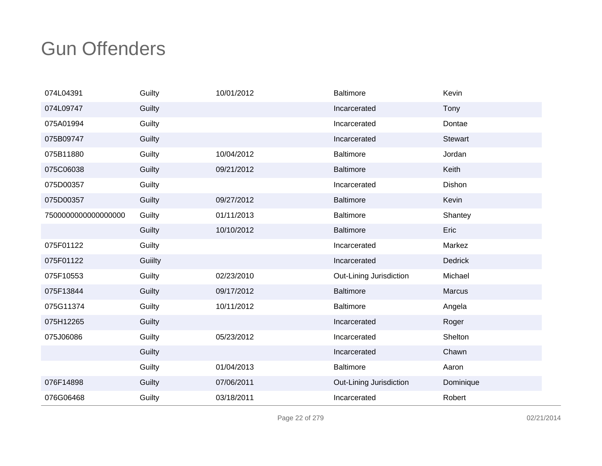| 074L04391          | Guilty  | 10/01/2012 | <b>Baltimore</b>        | Kevin          |
|--------------------|---------|------------|-------------------------|----------------|
| 074L09747          | Guilty  |            | Incarcerated            | Tony           |
| 075A01994          | Guilty  |            | Incarcerated            | Dontae         |
| 075B09747          | Guilty  |            | Incarcerated            | <b>Stewart</b> |
| 075B11880          | Guilty  | 10/04/2012 | <b>Baltimore</b>        | Jordan         |
| 075C06038          | Guilty  | 09/21/2012 | <b>Baltimore</b>        | Keith          |
| 075D00357          | Guilty  |            | Incarcerated            | Dishon         |
| 075D00357          | Guilty  | 09/27/2012 | <b>Baltimore</b>        | Kevin          |
| 750000000000000000 | Guilty  | 01/11/2013 | <b>Baltimore</b>        | Shantey        |
|                    | Guilty  | 10/10/2012 | <b>Baltimore</b>        | Eric           |
| 075F01122          | Guilty  |            | Incarcerated            | Markez         |
| 075F01122          | Guiilty |            | Incarcerated            | <b>Dedrick</b> |
| 075F10553          | Guilty  | 02/23/2010 | Out-Lining Jurisdiction | Michael        |
| 075F13844          | Guilty  | 09/17/2012 | <b>Baltimore</b>        | Marcus         |
| 075G11374          | Guilty  | 10/11/2012 | <b>Baltimore</b>        | Angela         |
| 075H12265          | Guilty  |            | Incarcerated            | Roger          |
| 075J06086          | Guilty  | 05/23/2012 | Incarcerated            | Shelton        |
|                    | Guilty  |            | Incarcerated            | Chawn          |
|                    | Guilty  | 01/04/2013 | <b>Baltimore</b>        | Aaron          |
| 076F14898          | Guilty  | 07/06/2011 | Out-Lining Jurisdiction | Dominique      |
| 076G06468          | Guilty  | 03/18/2011 | Incarcerated            | Robert         |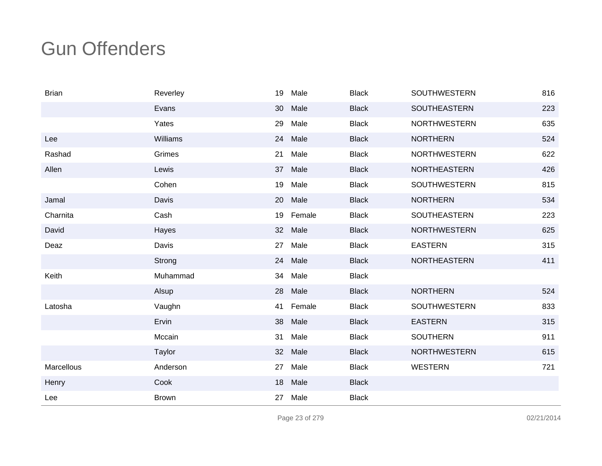| <b>Brian</b> | Reverley     | 19              | Male   | <b>Black</b> | <b>SOUTHWESTERN</b> | 816 |
|--------------|--------------|-----------------|--------|--------------|---------------------|-----|
|              | Evans        | 30              | Male   | <b>Black</b> | <b>SOUTHEASTERN</b> | 223 |
|              | Yates        | 29              | Male   | <b>Black</b> | <b>NORTHWESTERN</b> | 635 |
| Lee          | Williams     | 24              | Male   | <b>Black</b> | <b>NORTHERN</b>     | 524 |
| Rashad       | Grimes       | 21              | Male   | <b>Black</b> | <b>NORTHWESTERN</b> | 622 |
| Allen        | Lewis        | 37              | Male   | <b>Black</b> | <b>NORTHEASTERN</b> | 426 |
|              | Cohen        | 19              | Male   | <b>Black</b> | <b>SOUTHWESTERN</b> | 815 |
| Jamal        | Davis        | 20              | Male   | <b>Black</b> | <b>NORTHERN</b>     | 534 |
| Charnita     | Cash         | 19              | Female | <b>Black</b> | <b>SOUTHEASTERN</b> | 223 |
| David        | Hayes        | 32 <sup>2</sup> | Male   | <b>Black</b> | <b>NORTHWESTERN</b> | 625 |
| Deaz         | Davis        | 27              | Male   | <b>Black</b> | <b>EASTERN</b>      | 315 |
|              | Strong       | 24              | Male   | <b>Black</b> | NORTHEASTERN        | 411 |
| Keith        | Muhammad     | 34              | Male   | <b>Black</b> |                     |     |
|              | Alsup        | 28              | Male   | <b>Black</b> | <b>NORTHERN</b>     | 524 |
| Latosha      | Vaughn       | 41              | Female | <b>Black</b> | <b>SOUTHWESTERN</b> | 833 |
|              | Ervin        | 38              | Male   | <b>Black</b> | <b>EASTERN</b>      | 315 |
|              | Mccain       | 31              | Male   | <b>Black</b> | <b>SOUTHERN</b>     | 911 |
|              | Taylor       | 32              | Male   | <b>Black</b> | <b>NORTHWESTERN</b> | 615 |
| Marcellous   | Anderson     | 27              | Male   | <b>Black</b> | <b>WESTERN</b>      | 721 |
| Henry        | Cook         | 18              | Male   | <b>Black</b> |                     |     |
| Lee          | <b>Brown</b> | 27              | Male   | <b>Black</b> |                     |     |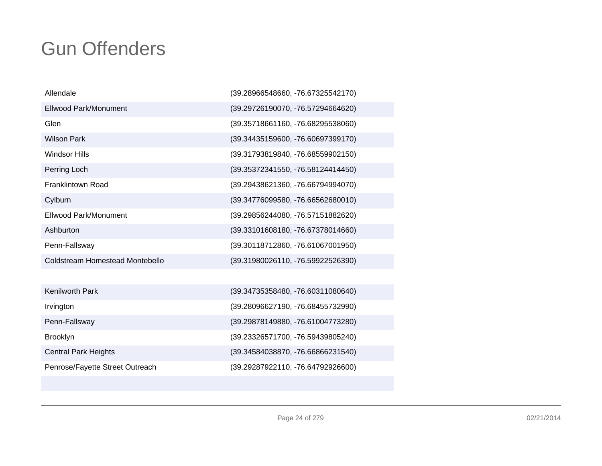| Allendale                       | (39.28966548660, -76.67325542170)   |
|---------------------------------|-------------------------------------|
| Ellwood Park/Monument           | (39.29726190070, -76.57294664620)   |
| Glen                            | (39.35718661160, -76.68295538060)   |
| <b>Wilson Park</b>              | (39.34435159600, -76.60697399170)   |
| <b>Windsor Hills</b>            | (39.31793819840, -76.68559902150)   |
| Perring Loch                    | (39.35372341550, -76.58124414450)   |
| Franklintown Road               | (39.29438621360, -76.66794994070)   |
| Cylburn                         | (39.34776099580, -76.66562680010)   |
| <b>Fllwood Park/Monument</b>    | (39.29856244080, -76.57151882620)   |
| Ashburton                       | (39.33101608180, -76.67378014660)   |
| Penn-Fallsway                   | (39.30118712860, -76.61067001950)   |
| Coldstream Homestead Montebello | (39.31980026110, -76.59922526390)   |
|                                 |                                     |
| <b>Kenilworth Park</b>          | $(39.34735358480, -76.60311080640)$ |
| Irvington                       | (39.28096627190, -76.68455732990)   |
| Penn-Fallsway                   | (39.29878149880, -76.61004773280)   |
| <b>Brooklyn</b>                 | (39.23326571700, -76.59439805240)   |

Central Park HeightsPenrose/Fayette Street Outreach (39.34584038870, -76.66866231540)

(39.29287922110, -76.64792926600)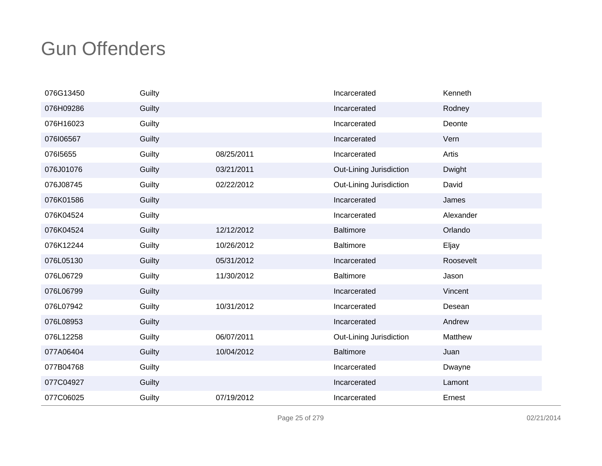| 076G13450 | Guilty |            | Incarcerated            | Kenneth   |
|-----------|--------|------------|-------------------------|-----------|
| 076H09286 | Guilty |            | Incarcerated            | Rodney    |
| 076H16023 | Guilty |            | Incarcerated            | Deonte    |
| 076106567 | Guilty |            | Incarcerated            | Vern      |
| 07615655  | Guilty | 08/25/2011 | Incarcerated            | Artis     |
| 076J01076 | Guilty | 03/21/2011 | Out-Lining Jurisdiction | Dwight    |
| 076J08745 | Guilty | 02/22/2012 | Out-Lining Jurisdiction | David     |
| 076K01586 | Guilty |            | Incarcerated            | James     |
| 076K04524 | Guilty |            | Incarcerated            | Alexander |
| 076K04524 | Guilty | 12/12/2012 | <b>Baltimore</b>        | Orlando   |
| 076K12244 | Guilty | 10/26/2012 | <b>Baltimore</b>        | Eljay     |
| 076L05130 | Guilty | 05/31/2012 | Incarcerated            | Roosevelt |
| 076L06729 | Guilty | 11/30/2012 | <b>Baltimore</b>        | Jason     |
| 076L06799 | Guilty |            | Incarcerated            | Vincent   |
| 076L07942 | Guilty | 10/31/2012 | Incarcerated            | Desean    |
| 076L08953 | Guilty |            | Incarcerated            | Andrew    |
| 076L12258 | Guilty | 06/07/2011 | Out-Lining Jurisdiction | Matthew   |
| 077A06404 | Guilty | 10/04/2012 | <b>Baltimore</b>        | Juan      |
| 077B04768 | Guilty |            | Incarcerated            | Dwayne    |
| 077C04927 | Guilty |            | Incarcerated            | Lamont    |
| 077C06025 | Guilty | 07/19/2012 | Incarcerated            | Ernest    |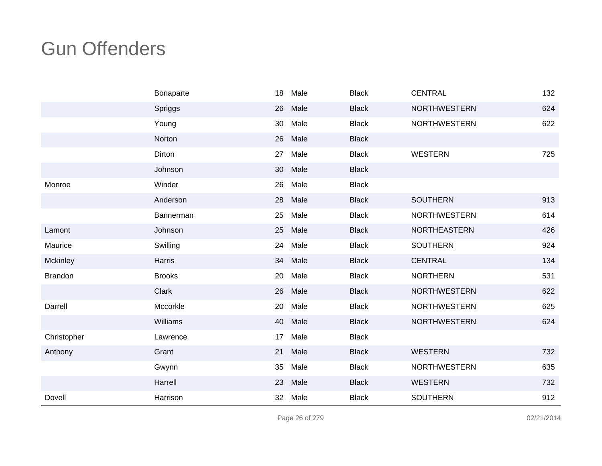|                | Bonaparte     | 18 | Male | <b>Black</b> | <b>CENTRAL</b>      | 132 |
|----------------|---------------|----|------|--------------|---------------------|-----|
|                | Spriggs       | 26 | Male | <b>Black</b> | <b>NORTHWESTERN</b> | 624 |
|                | Young         | 30 | Male | <b>Black</b> | <b>NORTHWESTERN</b> | 622 |
|                | Norton        | 26 | Male | <b>Black</b> |                     |     |
|                | Dirton        | 27 | Male | <b>Black</b> | <b>WESTERN</b>      | 725 |
|                | Johnson       | 30 | Male | <b>Black</b> |                     |     |
| Monroe         | Winder        | 26 | Male | <b>Black</b> |                     |     |
|                | Anderson      | 28 | Male | <b>Black</b> | <b>SOUTHERN</b>     | 913 |
|                | Bannerman     | 25 | Male | <b>Black</b> | <b>NORTHWESTERN</b> | 614 |
| Lamont         | Johnson       | 25 | Male | <b>Black</b> | NORTHEASTERN        | 426 |
| Maurice        | Swilling      | 24 | Male | <b>Black</b> | <b>SOUTHERN</b>     | 924 |
| Mckinley       | <b>Harris</b> | 34 | Male | <b>Black</b> | <b>CENTRAL</b>      | 134 |
| <b>Brandon</b> | <b>Brooks</b> | 20 | Male | <b>Black</b> | <b>NORTHERN</b>     | 531 |
|                | Clark         | 26 | Male | <b>Black</b> | <b>NORTHWESTERN</b> | 622 |
| Darrell        | Mccorkle      | 20 | Male | <b>Black</b> | <b>NORTHWESTERN</b> | 625 |
|                | Williams      | 40 | Male | <b>Black</b> | <b>NORTHWESTERN</b> | 624 |
| Christopher    | Lawrence      | 17 | Male | <b>Black</b> |                     |     |
| Anthony        | Grant         | 21 | Male | <b>Black</b> | <b>WESTERN</b>      | 732 |
|                | Gwynn         | 35 | Male | <b>Black</b> | <b>NORTHWESTERN</b> | 635 |
|                | Harrell       | 23 | Male | <b>Black</b> | <b>WESTERN</b>      | 732 |
| Dovell         | Harrison      | 32 | Male | <b>Black</b> | <b>SOUTHERN</b>     | 912 |

Page 26 of 279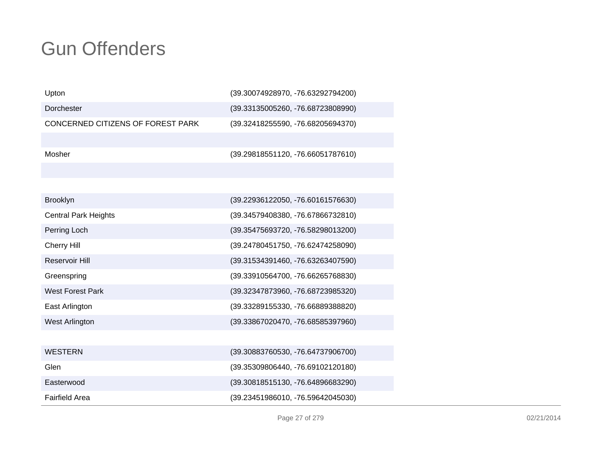| Upton                             | (39.30074928970, -76.63292794200) |
|-----------------------------------|-----------------------------------|
| Dorchester                        | (39.33135005260, -76.68723808990) |
| CONCERNED CITIZENS OF FOREST PARK | (39.32418255590, -76.68205694370) |
|                                   |                                   |
| Mosher                            | (39.29818551120, -76.66051787610) |
|                                   |                                   |
|                                   |                                   |
| <b>Brooklyn</b>                   | (39.22936122050, -76.60161576630) |
| <b>Central Park Heights</b>       | (39.34579408380, -76.67866732810) |
| Perring Loch                      | (39.35475693720, -76.58298013200) |
| <b>Cherry Hill</b>                | (39.24780451750, -76.62474258090) |
| <b>Reservoir Hill</b>             | (39.31534391460, -76.63263407590) |
| Greenspring                       | (39.33910564700, -76.66265768830) |
| <b>West Forest Park</b>           | (39.32347873960, -76.68723985320) |
| East Arlington                    | (39.33289155330, -76.66889388820) |
| West Arlington                    | (39.33867020470, -76.68585397960) |
|                                   |                                   |
| <b>WESTERN</b>                    | (39.30883760530, -76.64737906700) |
| Glen                              | (39.35309806440, -76.69102120180) |
| Easterwood                        | (39.30818515130, -76.64896683290) |
| <b>Fairfield Area</b>             | (39.23451986010, -76.59642045030) |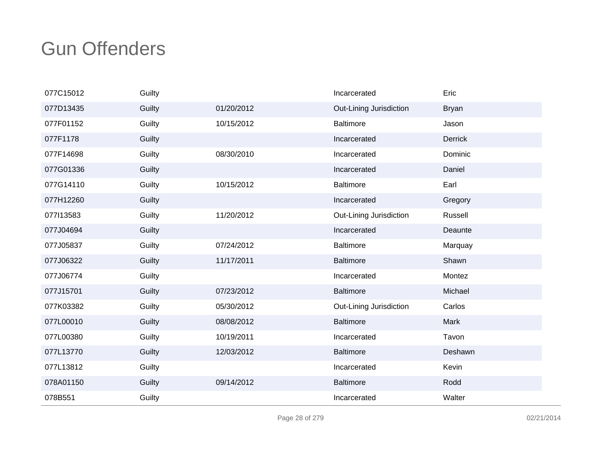| 077C15012 | Guilty |            | Incarcerated            | Eric           |
|-----------|--------|------------|-------------------------|----------------|
| 077D13435 | Guilty | 01/20/2012 | Out-Lining Jurisdiction | <b>Bryan</b>   |
| 077F01152 | Guilty | 10/15/2012 | <b>Baltimore</b>        | Jason          |
| 077F1178  | Guilty |            | Incarcerated            | <b>Derrick</b> |
| 077F14698 | Guilty | 08/30/2010 | Incarcerated            | Dominic        |
| 077G01336 | Guilty |            | Incarcerated            | Daniel         |
| 077G14110 | Guilty | 10/15/2012 | <b>Baltimore</b>        | Earl           |
| 077H12260 | Guilty |            | Incarcerated            | Gregory        |
| 077113583 | Guilty | 11/20/2012 | Out-Lining Jurisdiction | Russell        |
| 077J04694 | Guilty |            | Incarcerated            | Deaunte        |
| 077J05837 | Guilty | 07/24/2012 | <b>Baltimore</b>        | Marquay        |
| 077J06322 | Guilty | 11/17/2011 | <b>Baltimore</b>        | Shawn          |
| 077J06774 | Guilty |            | Incarcerated            | Montez         |
| 077J15701 | Guilty | 07/23/2012 | <b>Baltimore</b>        | Michael        |
| 077K03382 | Guilty | 05/30/2012 | Out-Lining Jurisdiction | Carlos         |
| 077L00010 | Guilty | 08/08/2012 | <b>Baltimore</b>        | Mark           |
| 077L00380 | Guilty | 10/19/2011 | Incarcerated            | Tavon          |
| 077L13770 | Guilty | 12/03/2012 | <b>Baltimore</b>        | Deshawn        |
| 077L13812 | Guilty |            | Incarcerated            | Kevin          |
| 078A01150 | Guilty | 09/14/2012 | <b>Baltimore</b>        | Rodd           |
| 078B551   | Guilty |            | Incarcerated            | Walter         |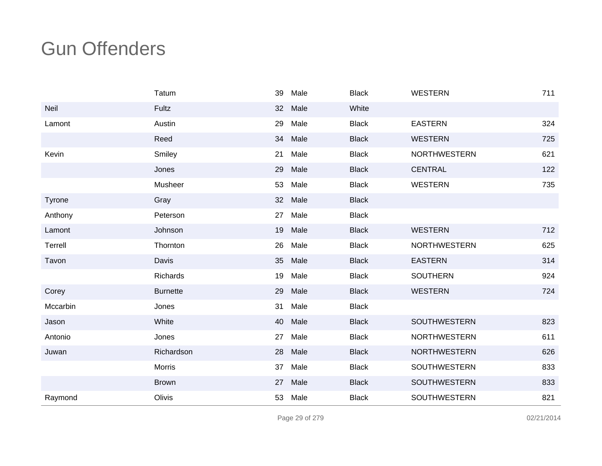|          | Tatum           | 39 | Male | <b>Black</b> | <b>WESTERN</b>      | 711 |
|----------|-----------------|----|------|--------------|---------------------|-----|
| Neil     | Fultz           | 32 | Male | White        |                     |     |
| Lamont   | Austin          | 29 | Male | <b>Black</b> | <b>EASTERN</b>      | 324 |
|          | Reed            | 34 | Male | <b>Black</b> | <b>WESTERN</b>      | 725 |
| Kevin    | Smiley          | 21 | Male | <b>Black</b> | <b>NORTHWESTERN</b> | 621 |
|          | Jones           | 29 | Male | <b>Black</b> | <b>CENTRAL</b>      | 122 |
|          | Musheer         | 53 | Male | <b>Black</b> | WESTERN             | 735 |
| Tyrone   | Gray            | 32 | Male | <b>Black</b> |                     |     |
| Anthony  | Peterson        | 27 | Male | <b>Black</b> |                     |     |
| Lamont   | Johnson         | 19 | Male | <b>Black</b> | <b>WESTERN</b>      | 712 |
| Terrell  | Thornton        | 26 | Male | <b>Black</b> | <b>NORTHWESTERN</b> | 625 |
| Tavon    | Davis           | 35 | Male | <b>Black</b> | <b>EASTERN</b>      | 314 |
|          | Richards        | 19 | Male | <b>Black</b> | <b>SOUTHERN</b>     | 924 |
| Corey    | <b>Burnette</b> | 29 | Male | <b>Black</b> | <b>WESTERN</b>      | 724 |
| Mccarbin | Jones           | 31 | Male | <b>Black</b> |                     |     |
| Jason    | White           | 40 | Male | <b>Black</b> | <b>SOUTHWESTERN</b> | 823 |
| Antonio  | Jones           | 27 | Male | <b>Black</b> | <b>NORTHWESTERN</b> | 611 |
| Juwan    | Richardson      | 28 | Male | <b>Black</b> | <b>NORTHWESTERN</b> | 626 |
|          | Morris          | 37 | Male | <b>Black</b> | <b>SOUTHWESTERN</b> | 833 |
|          | <b>Brown</b>    | 27 | Male | <b>Black</b> | SOUTHWESTERN        | 833 |
| Raymond  | Olivis          | 53 | Male | <b>Black</b> | SOUTHWESTERN        | 821 |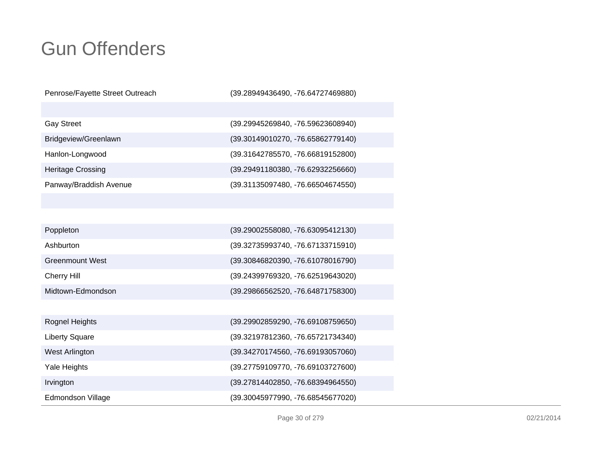Penrose/Fayette Street Outreach

Irvington

Edmondson Village

(39.28949436490, -76.64727469880)

| <b>Gay Street</b>        | (39.29945269840, -76.59623608940) |
|--------------------------|-----------------------------------|
| Bridgeview/Greenlawn     | (39.30149010270, -76.65862779140) |
| Hanlon-Longwood          | (39.31642785570, -76.66819152800) |
| <b>Heritage Crossing</b> | (39.29491180380, -76.62932256660) |
| Panway/Braddish Avenue   | (39.31135097480, -76.66504674550) |

| Poppleton              | (39.29002558080, -76.63095412130) |
|------------------------|-----------------------------------|
| Ashburton              | (39.32735993740, -76.67133715910) |
| <b>Greenmount West</b> | (39.30846820390, -76.61078016790) |
| <b>Cherry Hill</b>     | (39.24399769320, -76.62519643020) |
| Midtown-Edmondson      | (39.29866562520, -76.64871758300) |
|                        |                                   |
| Rognel Heights         | (39.29902859290, -76.69108759650) |
| <b>Liberty Square</b>  | (39.32197812360, -76.65721734340) |
| West Arlington         | (39.34270174560, -76.69193057060) |
| Yale Heights           | (39.27759109770, -76.69103727600) |

(39.30045977990, -76.68545677020)

(39.27814402850, -76.68394964550)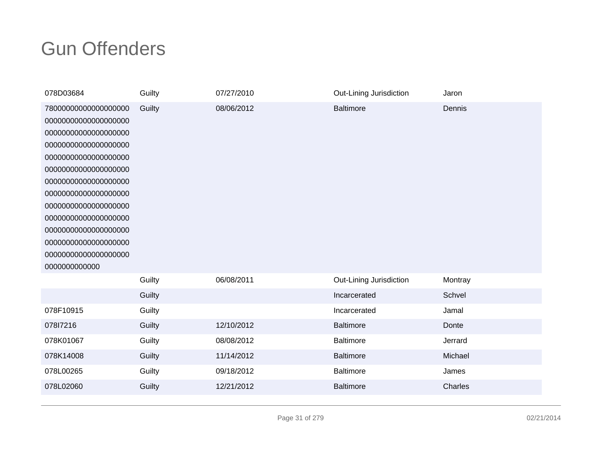| 078D03684                                                                                                                                                                                                                                                                                                                            | Guilty | 07/27/2010 | Out-Lining Jurisdiction | Jaron   |
|--------------------------------------------------------------------------------------------------------------------------------------------------------------------------------------------------------------------------------------------------------------------------------------------------------------------------------------|--------|------------|-------------------------|---------|
| 78000000000000000000<br>00000000000000000000<br>00000000000000000000<br>00000000000000000000<br>00000000000000000000<br>00000000000000000000<br>00000000000000000000<br>00000000000000000000<br>00000000000000000000<br>00000000000000000000<br>00000000000000000000<br>00000000000000000000<br>00000000000000000000<br>000000000000 | Guilty | 08/06/2012 | <b>Baltimore</b>        | Dennis  |
|                                                                                                                                                                                                                                                                                                                                      | Guilty | 06/08/2011 | Out-Lining Jurisdiction | Montray |
|                                                                                                                                                                                                                                                                                                                                      | Guilty |            | Incarcerated            | Schvel  |
| 078F10915                                                                                                                                                                                                                                                                                                                            | Guilty |            | Incarcerated            | Jamal   |
| 07817216                                                                                                                                                                                                                                                                                                                             | Guilty | 12/10/2012 | <b>Baltimore</b>        | Donte   |
| 078K01067                                                                                                                                                                                                                                                                                                                            | Guilty | 08/08/2012 | <b>Baltimore</b>        | Jerrard |
| 078K14008                                                                                                                                                                                                                                                                                                                            | Guilty | 11/14/2012 | <b>Baltimore</b>        | Michael |
| 078L00265                                                                                                                                                                                                                                                                                                                            | Guilty | 09/18/2012 | <b>Baltimore</b>        | James   |
| 078L02060                                                                                                                                                                                                                                                                                                                            | Guilty | 12/21/2012 | <b>Baltimore</b>        | Charles |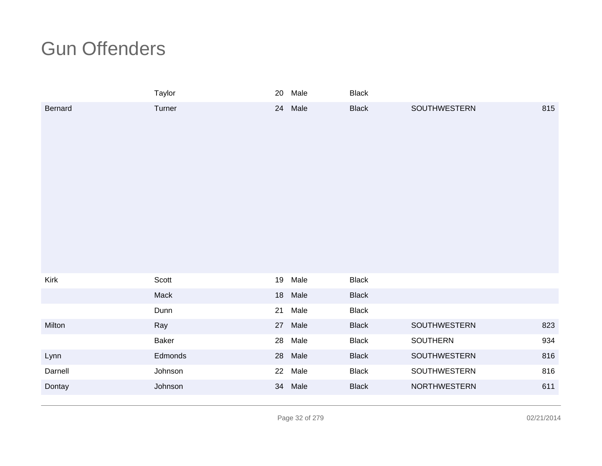|                | Taylor  |    | 20 Male | <b>Black</b> |              |     |
|----------------|---------|----|---------|--------------|--------------|-----|
| <b>Bernard</b> | Turner  | 24 | Male    | <b>Black</b> | SOUTHWESTERN | 815 |
| Kirk           | Scott   | 19 | Male    | <b>Black</b> |              |     |
|                | Mack    | 18 | Male    | <b>Black</b> |              |     |
|                | Dunn    | 21 | Male    | <b>Black</b> |              |     |
| Milton         | Ray     | 27 | Male    | <b>Black</b> | SOUTHWESTERN | 823 |
|                | Baker   | 28 | Male    | <b>Black</b> | SOUTHERN     | 934 |
| Lynn           | Edmonds | 28 | Male    | <b>Black</b> | SOUTHWESTERN | 816 |
| Darnell        | Johnson | 22 | Male    | <b>Black</b> | SOUTHWESTERN | 816 |
| Dontay         | Johnson | 34 | Male    | <b>Black</b> | NORTHWESTERN | 611 |
|                |         |    |         |              |              |     |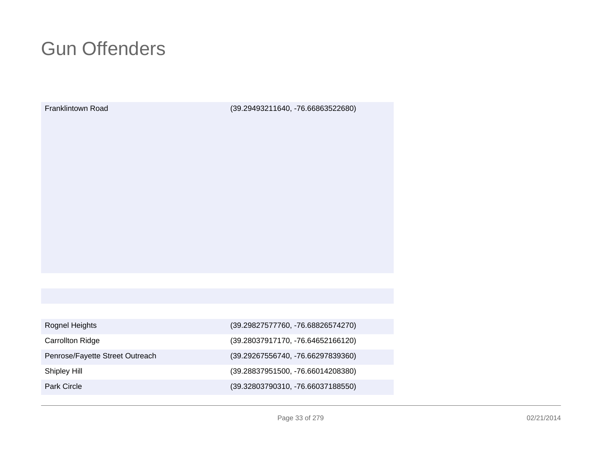Franklintown Road

(39.29493211640, -76.66863522680)

| Rognel Heights                  | (39.29827577760, -76.68826574270) |
|---------------------------------|-----------------------------------|
| <b>Carrollton Ridge</b>         | (39.28037917170, -76.64652166120) |
| Penrose/Fayette Street Outreach | (39.29267556740, -76.66297839360) |
| Shipley Hill                    | (39.28837951500, -76.66014208380) |
| Park Circle                     | (39.32803790310, -76.66037188550) |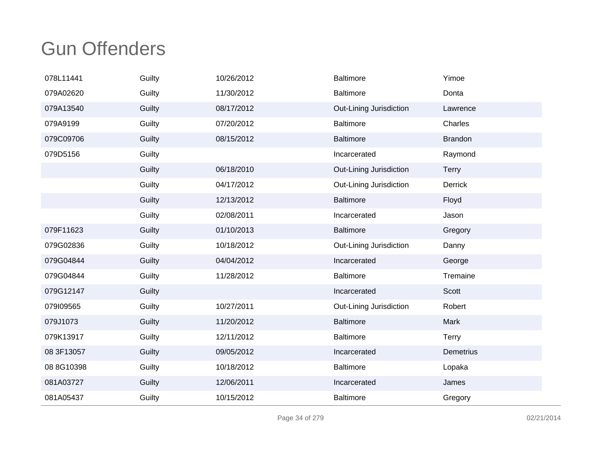| 078L11441  | Guilty | 10/26/2012 | Baltimore               | Yimoe          |
|------------|--------|------------|-------------------------|----------------|
| 079A02620  | Guilty | 11/30/2012 | <b>Baltimore</b>        | Donta          |
| 079A13540  | Guilty | 08/17/2012 | Out-Lining Jurisdiction | Lawrence       |
| 079A9199   | Guilty | 07/20/2012 | <b>Baltimore</b>        | Charles        |
| 079C09706  | Guilty | 08/15/2012 | <b>Baltimore</b>        | <b>Brandon</b> |
| 079D5156   | Guilty |            | Incarcerated            | Raymond        |
|            | Guilty | 06/18/2010 | Out-Lining Jurisdiction | <b>Terry</b>   |
|            | Guilty | 04/17/2012 | Out-Lining Jurisdiction | Derrick        |
|            | Guilty | 12/13/2012 | <b>Baltimore</b>        | Floyd          |
|            | Guilty | 02/08/2011 | Incarcerated            | Jason          |
| 079F11623  | Guilty | 01/10/2013 | <b>Baltimore</b>        | Gregory        |
| 079G02836  | Guilty | 10/18/2012 | Out-Lining Jurisdiction | Danny          |
| 079G04844  | Guilty | 04/04/2012 | Incarcerated            | George         |
| 079G04844  | Guilty | 11/28/2012 | Baltimore               | Tremaine       |
| 079G12147  | Guilty |            | Incarcerated            | Scott          |
| 079109565  | Guilty | 10/27/2011 | Out-Lining Jurisdiction | Robert         |
| 079J1073   | Guilty | 11/20/2012 | <b>Baltimore</b>        | Mark           |
| 079K13917  | Guilty | 12/11/2012 | Baltimore               | <b>Terry</b>   |
| 08 3F13057 | Guilty | 09/05/2012 | Incarcerated            | Demetrius      |
| 08 8G10398 | Guilty | 10/18/2012 | <b>Baltimore</b>        | Lopaka         |
| 081A03727  | Guilty | 12/06/2011 | Incarcerated            | James          |
| 081A05437  | Guilty | 10/15/2012 | <b>Baltimore</b>        | Gregory        |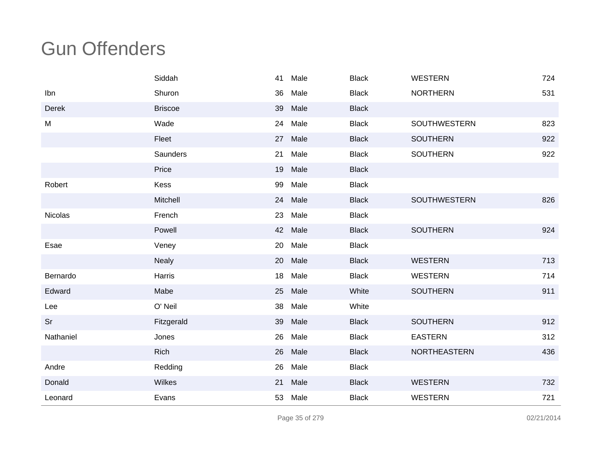|                | Siddah          | 41 | Male    | <b>Black</b> | <b>WESTERN</b>  | 724 |
|----------------|-----------------|----|---------|--------------|-----------------|-----|
| Ibn            | Shuron          | 36 | Male    | <b>Black</b> | <b>NORTHERN</b> | 531 |
| Derek          | <b>Briscoe</b>  | 39 | Male    | <b>Black</b> |                 |     |
| M              | Wade            | 24 | Male    | <b>Black</b> | SOUTHWESTERN    | 823 |
|                | Fleet           | 27 | Male    | <b>Black</b> | <b>SOUTHERN</b> | 922 |
|                | <b>Saunders</b> | 21 | Male    | <b>Black</b> | <b>SOUTHERN</b> | 922 |
|                | Price           |    | 19 Male | <b>Black</b> |                 |     |
| Robert         | Kess            | 99 | Male    | <b>Black</b> |                 |     |
|                | Mitchell        |    | 24 Male | <b>Black</b> | SOUTHWESTERN    | 826 |
| <b>Nicolas</b> | French          | 23 | Male    | <b>Black</b> |                 |     |
|                | Powell          |    | 42 Male | <b>Black</b> | <b>SOUTHERN</b> | 924 |
| Esae           | Veney           | 20 | Male    | <b>Black</b> |                 |     |
|                | <b>Nealy</b>    | 20 | Male    | <b>Black</b> | <b>WESTERN</b>  | 713 |
| Bernardo       | Harris          |    | 18 Male | <b>Black</b> | <b>WESTERN</b>  | 714 |
| Edward         | Mabe            | 25 | Male    | White        | <b>SOUTHERN</b> | 911 |
| Lee            | O' Neil         | 38 | Male    | White        |                 |     |
| Sr             | Fitzgerald      | 39 | Male    | <b>Black</b> | <b>SOUTHERN</b> | 912 |
| Nathaniel      | Jones           | 26 | Male    | <b>Black</b> | <b>EASTERN</b>  | 312 |
|                | <b>Rich</b>     |    | 26 Male | <b>Black</b> | NORTHEASTERN    | 436 |
| Andre          | Redding         | 26 | Male    | <b>Black</b> |                 |     |
| Donald         | Wilkes          |    | 21 Male | <b>Black</b> | <b>WESTERN</b>  | 732 |
| Leonard        | Evans           | 53 | Male    | <b>Black</b> | <b>WESTERN</b>  | 721 |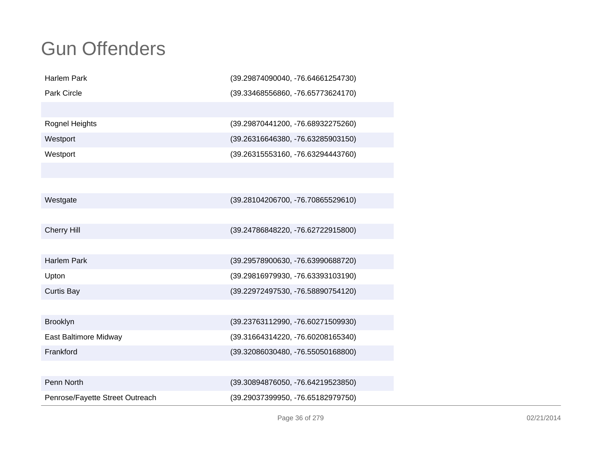| <b>Harlem Park</b>              | (39.29874090040, -76.64661254730) |
|---------------------------------|-----------------------------------|
| <b>Park Circle</b>              | (39.33468556860, -76.65773624170) |
|                                 |                                   |
| Rognel Heights                  | (39.29870441200, -76.68932275260) |
| Westport                        | (39.26316646380, -76.63285903150) |
| Westport                        | (39.26315553160, -76.63294443760) |
|                                 |                                   |
|                                 |                                   |
| Westgate                        | (39.28104206700, -76.70865529610) |
|                                 |                                   |
| <b>Cherry Hill</b>              | (39.24786848220, -76.62722915800) |
|                                 |                                   |
| <b>Harlem Park</b>              | (39.29578900630, -76.63990688720) |
| Upton                           | (39.29816979930, -76.63393103190) |
| <b>Curtis Bay</b>               | (39.22972497530, -76.58890754120) |
|                                 |                                   |
| Brooklyn                        | (39.23763112990, -76.60271509930) |
| East Baltimore Midway           | (39.31664314220, -76.60208165340) |
| Frankford                       | (39.32086030480, -76.55050168800) |
|                                 |                                   |
| Penn North                      | (39.30894876050, -76.64219523850) |
| Penrose/Fayette Street Outreach | (39.29037399950, -76.65182979750) |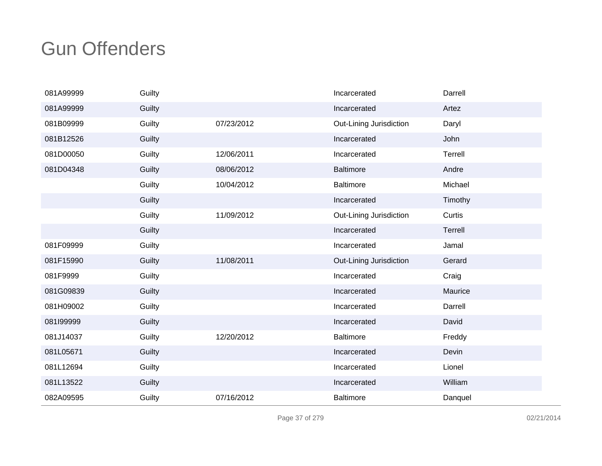| 081A99999 | Guilty |            | Incarcerated            | Darrell |
|-----------|--------|------------|-------------------------|---------|
| 081A99999 | Guilty |            | Incarcerated            | Artez   |
| 081B09999 | Guilty | 07/23/2012 | Out-Lining Jurisdiction | Daryl   |
| 081B12526 | Guilty |            | Incarcerated            | John    |
| 081D00050 | Guilty | 12/06/2011 | Incarcerated            | Terrell |
| 081D04348 | Guilty | 08/06/2012 | <b>Baltimore</b>        | Andre   |
|           | Guilty | 10/04/2012 | Baltimore               | Michael |
|           | Guilty |            | Incarcerated            | Timothy |
|           | Guilty | 11/09/2012 | Out-Lining Jurisdiction | Curtis  |
|           | Guilty |            | Incarcerated            | Terrell |
| 081F09999 | Guilty |            | Incarcerated            | Jamal   |
| 081F15990 | Guilty | 11/08/2011 | Out-Lining Jurisdiction | Gerard  |
| 081F9999  | Guilty |            | Incarcerated            | Craig   |
| 081G09839 | Guilty |            | Incarcerated            | Maurice |
| 081H09002 | Guilty |            | Incarcerated            | Darrell |
| 081I99999 | Guilty |            | Incarcerated            | David   |
| 081J14037 | Guilty | 12/20/2012 | <b>Baltimore</b>        | Freddy  |
| 081L05671 | Guilty |            | Incarcerated            | Devin   |
| 081L12694 | Guilty |            | Incarcerated            | Lionel  |
| 081L13522 | Guilty |            | Incarcerated            | William |
| 082A09595 | Guilty | 07/16/2012 | <b>Baltimore</b>        | Danquel |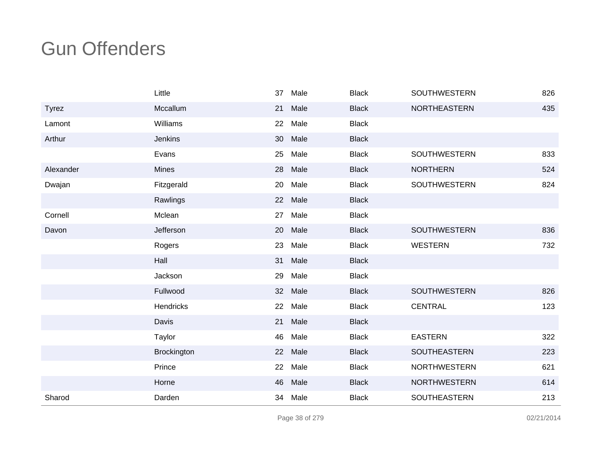|              | Little       | 37              | Male | <b>Black</b> | <b>SOUTHWESTERN</b> | 826 |
|--------------|--------------|-----------------|------|--------------|---------------------|-----|
| <b>Tyrez</b> | Mccallum     | 21              | Male | <b>Black</b> | NORTHEASTERN        | 435 |
| Lamont       | Williams     | 22              | Male | <b>Black</b> |                     |     |
| Arthur       | Jenkins      | 30              | Male | <b>Black</b> |                     |     |
|              | Evans        | 25              | Male | <b>Black</b> | SOUTHWESTERN        | 833 |
| Alexander    | <b>Mines</b> | 28              | Male | <b>Black</b> | <b>NORTHERN</b>     | 524 |
| Dwajan       | Fitzgerald   | 20              | Male | <b>Black</b> | SOUTHWESTERN        | 824 |
|              | Rawlings     | 22              | Male | <b>Black</b> |                     |     |
| Cornell      | Mclean       | 27              | Male | <b>Black</b> |                     |     |
| Davon        | Jefferson    | 20              | Male | <b>Black</b> | <b>SOUTHWESTERN</b> | 836 |
|              | Rogers       | 23              | Male | <b>Black</b> | <b>WESTERN</b>      | 732 |
|              | Hall         | 31              | Male | <b>Black</b> |                     |     |
|              | Jackson      | 29              | Male | <b>Black</b> |                     |     |
|              | Fullwood     | 32 <sup>°</sup> | Male | <b>Black</b> | SOUTHWESTERN        | 826 |
|              | Hendricks    | 22              | Male | <b>Black</b> | <b>CENTRAL</b>      | 123 |
|              | Davis        | 21              | Male | <b>Black</b> |                     |     |
|              | Taylor       | 46              | Male | <b>Black</b> | <b>EASTERN</b>      | 322 |
|              | Brockington  | 22              | Male | <b>Black</b> | SOUTHEASTERN        | 223 |
|              | Prince       | 22              | Male | <b>Black</b> | <b>NORTHWESTERN</b> | 621 |
|              | Horne        | 46              | Male | <b>Black</b> | <b>NORTHWESTERN</b> | 614 |
| Sharod       | Darden       | 34              | Male | <b>Black</b> | SOUTHEASTERN        | 213 |

Page 38 of 279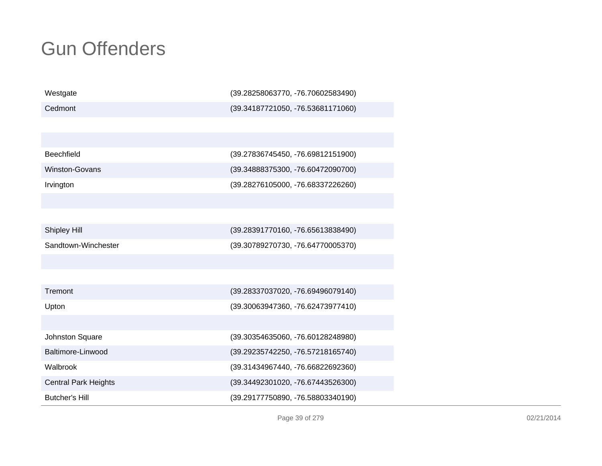| Westgate                    | (39.28258063770, -76.70602583490) |
|-----------------------------|-----------------------------------|
| Cedmont                     | (39.34187721050, -76.53681171060) |
|                             |                                   |
|                             |                                   |
| <b>Beechfield</b>           | (39.27836745450, -76.69812151900) |
| Winston-Govans              | (39.34888375300, -76.60472090700) |
| Irvington                   | (39.28276105000, -76.68337226260) |
|                             |                                   |
|                             |                                   |
| Shipley Hill                | (39.28391770160, -76.65613838490) |
| Sandtown-Winchester         | (39.30789270730, -76.64770005370) |
|                             |                                   |
|                             |                                   |
| Tremont                     | (39.28337037020, -76.69496079140) |
| Upton                       | (39.30063947360, -76.62473977410) |
|                             |                                   |
| Johnston Square             | (39.30354635060, -76.60128248980) |
| Baltimore-Linwood           | (39.29235742250, -76.57218165740) |
| Walbrook                    | (39.31434967440, -76.66822692360) |
| <b>Central Park Heights</b> | (39.34492301020, -76.67443526300) |
| <b>Butcher's Hill</b>       | (39.29177750890, -76.58803340190) |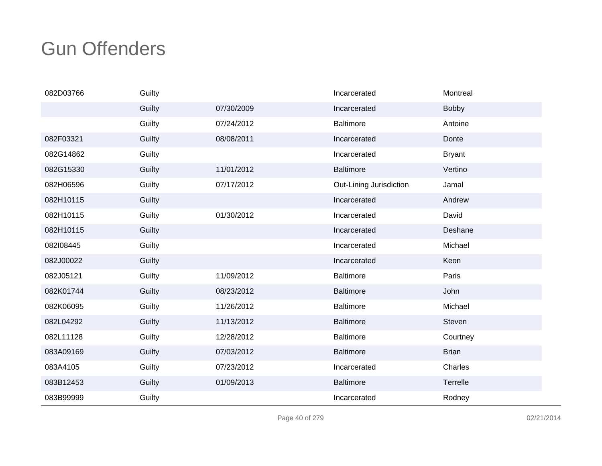| 082D03766 | Guilty |            | Incarcerated            | Montreal      |
|-----------|--------|------------|-------------------------|---------------|
|           | Guilty | 07/30/2009 | Incarcerated            | <b>Bobby</b>  |
|           | Guilty | 07/24/2012 | <b>Baltimore</b>        | Antoine       |
| 082F03321 | Guilty | 08/08/2011 | Incarcerated            | Donte         |
| 082G14862 | Guilty |            | Incarcerated            | <b>Bryant</b> |
| 082G15330 | Guilty | 11/01/2012 | <b>Baltimore</b>        | Vertino       |
| 082H06596 | Guilty | 07/17/2012 | Out-Lining Jurisdiction | Jamal         |
| 082H10115 | Guilty |            | Incarcerated            | Andrew        |
| 082H10115 | Guilty | 01/30/2012 | Incarcerated            | David         |
| 082H10115 | Guilty |            | Incarcerated            | Deshane       |
| 082108445 | Guilty |            | Incarcerated            | Michael       |
| 082J00022 | Guilty |            | Incarcerated            | Keon          |
| 082J05121 | Guilty | 11/09/2012 | <b>Baltimore</b>        | Paris         |
| 082K01744 | Guilty | 08/23/2012 | <b>Baltimore</b>        | John          |
| 082K06095 | Guilty | 11/26/2012 | <b>Baltimore</b>        | Michael       |
| 082L04292 | Guilty | 11/13/2012 | <b>Baltimore</b>        | Steven        |
| 082L11128 | Guilty | 12/28/2012 | <b>Baltimore</b>        | Courtney      |
| 083A09169 | Guilty | 07/03/2012 | <b>Baltimore</b>        | <b>Brian</b>  |
| 083A4105  | Guilty | 07/23/2012 | Incarcerated            | Charles       |
| 083B12453 | Guilty | 01/09/2013 | <b>Baltimore</b>        | Terrelle      |
| 083B99999 | Guilty |            | Incarcerated            | Rodney        |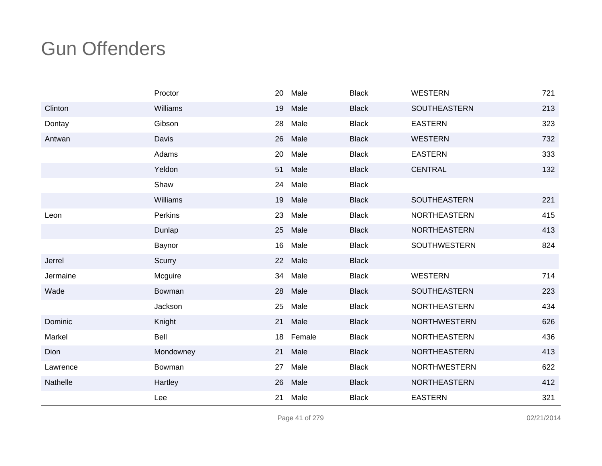|          | Proctor   | 20 | Male   | <b>Black</b> | <b>WESTERN</b>      | 721 |
|----------|-----------|----|--------|--------------|---------------------|-----|
| Clinton  | Williams  | 19 | Male   | <b>Black</b> | SOUTHEASTERN        | 213 |
| Dontay   | Gibson    | 28 | Male   | <b>Black</b> | <b>EASTERN</b>      | 323 |
| Antwan   | Davis     | 26 | Male   | <b>Black</b> | <b>WESTERN</b>      | 732 |
|          | Adams     | 20 | Male   | <b>Black</b> | <b>EASTERN</b>      | 333 |
|          | Yeldon    | 51 | Male   | <b>Black</b> | <b>CENTRAL</b>      | 132 |
|          | Shaw      | 24 | Male   | <b>Black</b> |                     |     |
|          | Williams  | 19 | Male   | <b>Black</b> | SOUTHEASTERN        | 221 |
| Leon     | Perkins   | 23 | Male   | <b>Black</b> | <b>NORTHEASTERN</b> | 415 |
|          | Dunlap    | 25 | Male   | <b>Black</b> | <b>NORTHEASTERN</b> | 413 |
|          | Baynor    | 16 | Male   | <b>Black</b> | <b>SOUTHWESTERN</b> | 824 |
| Jerrel   | Scurry    | 22 | Male   | <b>Black</b> |                     |     |
| Jermaine | Mcguire   | 34 | Male   | <b>Black</b> | <b>WESTERN</b>      | 714 |
| Wade     | Bowman    | 28 | Male   | <b>Black</b> | SOUTHEASTERN        | 223 |
|          | Jackson   | 25 | Male   | <b>Black</b> | <b>NORTHEASTERN</b> | 434 |
| Dominic  | Knight    | 21 | Male   | <b>Black</b> | <b>NORTHWESTERN</b> | 626 |
| Markel   | Bell      | 18 | Female | <b>Black</b> | NORTHEASTERN        | 436 |
| Dion     | Mondowney | 21 | Male   | <b>Black</b> | NORTHEASTERN        | 413 |
| Lawrence | Bowman    | 27 | Male   | <b>Black</b> | <b>NORTHWESTERN</b> | 622 |
| Nathelle | Hartley   | 26 | Male   | <b>Black</b> | <b>NORTHEASTERN</b> | 412 |
|          | Lee       | 21 | Male   | <b>Black</b> | <b>EASTERN</b>      | 321 |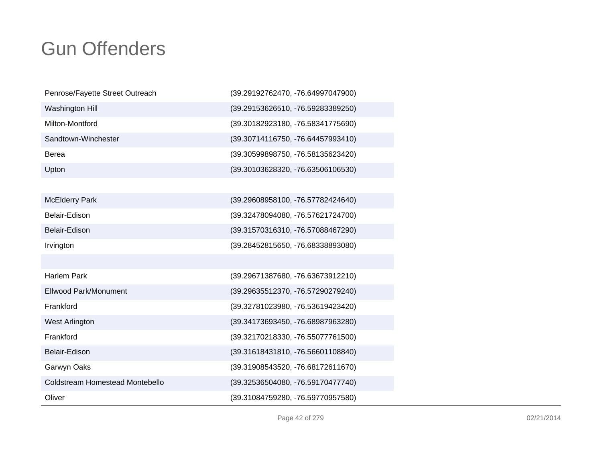| Penrose/Fayette Street Outreach | (39.29192762470, -76.64997047900) |
|---------------------------------|-----------------------------------|
| Washington Hill                 | (39.29153626510, -76.59283389250) |
| Milton-Montford                 | (39.30182923180, -76.58341775690) |
| Sandtown-Winchester             | (39.30714116750, -76.64457993410) |
| <b>Berea</b>                    | (39.30599898750, -76.58135623420) |
| Upton                           | (39.30103628320, -76.63506106530) |
|                                 |                                   |
| <b>McElderry Park</b>           | (39.29608958100, -76.57782424640) |
| Belair-Edison                   | (39.32478094080, -76.57621724700) |
| Belair-Edison                   | (39.31570316310, -76.57088467290) |
| Irvington                       | (39.28452815650, -76.68338893080) |
|                                 |                                   |
| <b>Harlem Park</b>              | (39.29671387680, -76.63673912210) |
| <b>Ellwood Park/Monument</b>    | (39.29635512370, -76.57290279240) |
| Frankford                       | (39.32781023980, -76.53619423420) |
| West Arlington                  | (39.34173693450, -76.68987963280) |
| Frankford                       | (39.32170218330, -76.55077761500) |
| Belair-Edison                   | (39.31618431810, -76.56601108840) |
| Garwyn Oaks                     | (39.31908543520, -76.68172611670) |
| Coldstream Homestead Montebello | (39.32536504080, -76.59170477740) |
| Oliver                          | (39.31084759280, -76.59770957580) |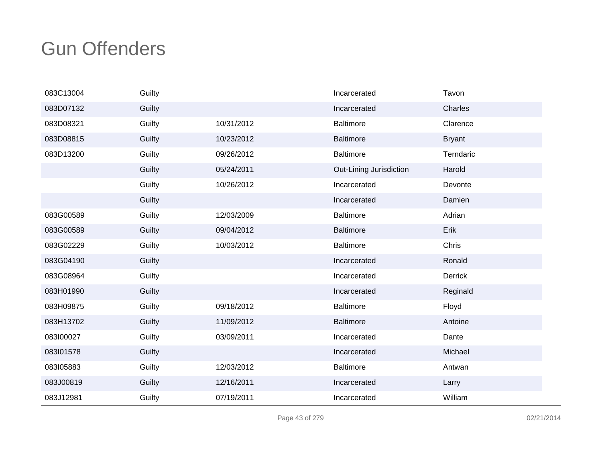| 083C13004 | Guilty |            | Incarcerated            | Tavon         |
|-----------|--------|------------|-------------------------|---------------|
| 083D07132 | Guilty |            | Incarcerated            | Charles       |
| 083D08321 | Guilty | 10/31/2012 | <b>Baltimore</b>        | Clarence      |
| 083D08815 | Guilty | 10/23/2012 | <b>Baltimore</b>        | <b>Bryant</b> |
| 083D13200 | Guilty | 09/26/2012 | Baltimore               | Terndaric     |
|           | Guilty | 05/24/2011 | Out-Lining Jurisdiction | Harold        |
|           | Guilty | 10/26/2012 | Incarcerated            | Devonte       |
|           | Guilty |            | Incarcerated            | Damien        |
| 083G00589 | Guilty | 12/03/2009 | <b>Baltimore</b>        | Adrian        |
| 083G00589 | Guilty | 09/04/2012 | <b>Baltimore</b>        | Erik          |
| 083G02229 | Guilty | 10/03/2012 | Baltimore               | Chris         |
| 083G04190 | Guilty |            | Incarcerated            | Ronald        |
| 083G08964 | Guilty |            | Incarcerated            | Derrick       |
| 083H01990 | Guilty |            | Incarcerated            | Reginald      |
| 083H09875 | Guilty | 09/18/2012 | <b>Baltimore</b>        | Floyd         |
| 083H13702 | Guilty | 11/09/2012 | <b>Baltimore</b>        | Antoine       |
| 083100027 | Guilty | 03/09/2011 | Incarcerated            | Dante         |
| 083l01578 | Guilty |            | Incarcerated            | Michael       |
| 083105883 | Guilty | 12/03/2012 | <b>Baltimore</b>        | Antwan        |
| 083J00819 | Guilty | 12/16/2011 | Incarcerated            | Larry         |
| 083J12981 | Guilty | 07/19/2011 | Incarcerated            | William       |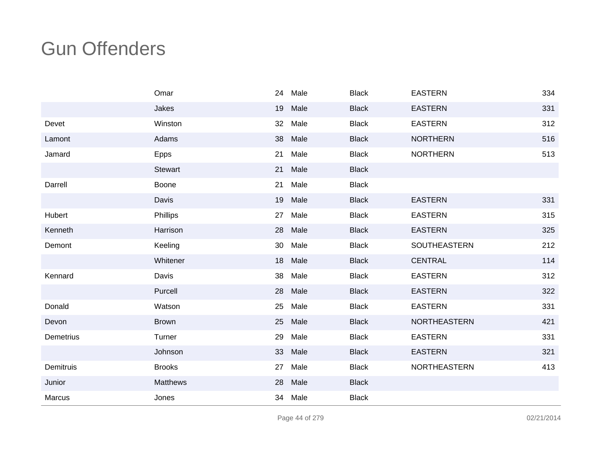|           | Omar          | 24 | Male    | <b>Black</b> | <b>EASTERN</b>      | 334 |
|-----------|---------------|----|---------|--------------|---------------------|-----|
|           | Jakes         | 19 | Male    | <b>Black</b> | <b>EASTERN</b>      | 331 |
| Devet     | Winston       | 32 | Male    | <b>Black</b> | <b>EASTERN</b>      | 312 |
| Lamont    | Adams         | 38 | Male    | <b>Black</b> | <b>NORTHERN</b>     | 516 |
| Jamard    | Epps          | 21 | Male    | <b>Black</b> | <b>NORTHERN</b>     | 513 |
|           | Stewart       | 21 | Male    | <b>Black</b> |                     |     |
| Darrell   | Boone         | 21 | Male    | <b>Black</b> |                     |     |
|           | Davis         | 19 | Male    | <b>Black</b> | <b>EASTERN</b>      | 331 |
| Hubert    | Phillips      | 27 | Male    | <b>Black</b> | <b>EASTERN</b>      | 315 |
| Kenneth   | Harrison      | 28 | Male    | <b>Black</b> | <b>EASTERN</b>      | 325 |
| Demont    | Keeling       | 30 | Male    | <b>Black</b> | SOUTHEASTERN        | 212 |
|           | Whitener      | 18 | Male    | <b>Black</b> | <b>CENTRAL</b>      | 114 |
| Kennard   | Davis         | 38 | Male    | <b>Black</b> | <b>EASTERN</b>      | 312 |
|           | Purcell       | 28 | Male    | <b>Black</b> | <b>EASTERN</b>      | 322 |
| Donald    | Watson        | 25 | Male    | <b>Black</b> | <b>EASTERN</b>      | 331 |
| Devon     | <b>Brown</b>  | 25 | Male    | <b>Black</b> | <b>NORTHEASTERN</b> | 421 |
| Demetrius | Turner        | 29 | Male    | <b>Black</b> | <b>EASTERN</b>      | 331 |
|           | Johnson       | 33 | Male    | <b>Black</b> | <b>EASTERN</b>      | 321 |
| Demitruis | <b>Brooks</b> | 27 | Male    | <b>Black</b> | <b>NORTHEASTERN</b> | 413 |
| Junior    | Matthews      | 28 | Male    | <b>Black</b> |                     |     |
| Marcus    | Jones         |    | 34 Male | <b>Black</b> |                     |     |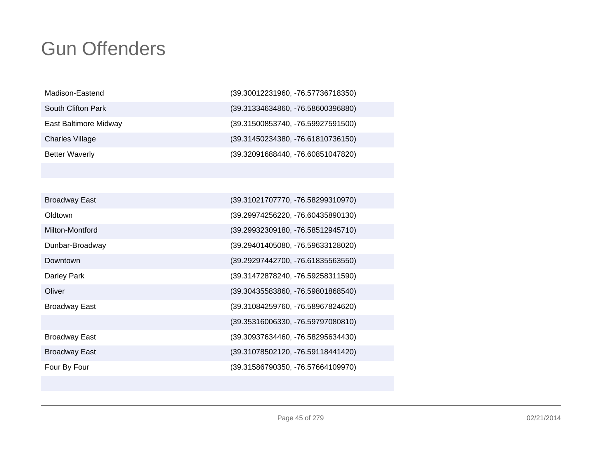| Madison-Eastend        | (39.30012231960, -76.57736718350) |
|------------------------|-----------------------------------|
| South Clifton Park     | (39.31334634860, -76.58600396880) |
| East Baltimore Midway  | (39.31500853740, -76.59927591500) |
| <b>Charles Village</b> | (39.31450234380, -76.61810736150) |
| <b>Better Waverly</b>  | (39.32091688440, -76.60851047820) |

| <b>Broadway East</b> | (39.31021707770, -76.58299310970) |
|----------------------|-----------------------------------|
| Oldtown              | (39.29974256220, -76.60435890130) |
| Milton-Montford      | (39.29932309180, -76.58512945710) |
| Dunbar-Broadway      | (39.29401405080, -76.59633128020) |
| Downtown             | (39.29297442700, -76.61835563550) |
| Darley Park          | (39.31472878240, -76.59258311590) |
| Oliver               | (39.30435583860, -76.59801868540) |
| <b>Broadway East</b> | (39.31084259760, -76.58967824620) |
|                      | (39.35316006330, -76.59797080810) |
| <b>Broadway East</b> | (39.30937634460, -76.58295634430) |
| <b>Broadway East</b> | (39.31078502120, -76.59118441420) |
| Four By Four         | (39.31586790350, -76.57664109970) |

Page 45 of 279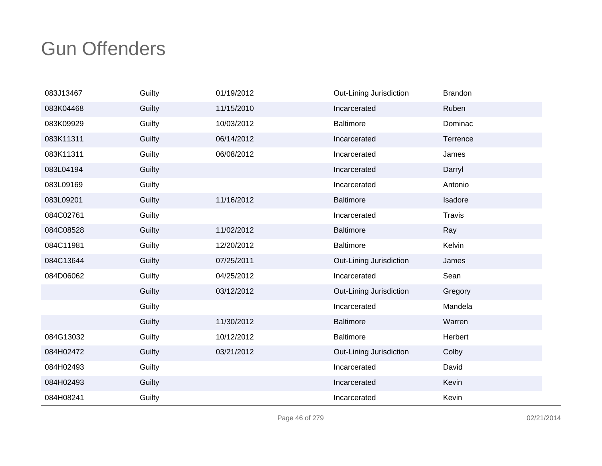| 083J13467 | Guilty | 01/19/2012 | Out-Lining Jurisdiction | <b>Brandon</b> |
|-----------|--------|------------|-------------------------|----------------|
| 083K04468 | Guilty | 11/15/2010 | Incarcerated            | Ruben          |
| 083K09929 | Guilty | 10/03/2012 | <b>Baltimore</b>        | Dominac        |
| 083K11311 | Guilty | 06/14/2012 | Incarcerated            | Terrence       |
| 083K11311 | Guilty | 06/08/2012 | Incarcerated            | James          |
| 083L04194 | Guilty |            | Incarcerated            | Darryl         |
| 083L09169 | Guilty |            | Incarcerated            | Antonio        |
| 083L09201 | Guilty | 11/16/2012 | <b>Baltimore</b>        | Isadore        |
| 084C02761 | Guilty |            | Incarcerated            | <b>Travis</b>  |
| 084C08528 | Guilty | 11/02/2012 | <b>Baltimore</b>        | Ray            |
| 084C11981 | Guilty | 12/20/2012 | <b>Baltimore</b>        | Kelvin         |
| 084C13644 | Guilty | 07/25/2011 | Out-Lining Jurisdiction | James          |
| 084D06062 | Guilty | 04/25/2012 | Incarcerated            | Sean           |
|           | Guilty | 03/12/2012 | Out-Lining Jurisdiction | Gregory        |
|           | Guilty |            | Incarcerated            | Mandela        |
|           | Guilty | 11/30/2012 | <b>Baltimore</b>        | Warren         |
| 084G13032 | Guilty | 10/12/2012 | <b>Baltimore</b>        | Herbert        |
| 084H02472 | Guilty | 03/21/2012 | Out-Lining Jurisdiction | Colby          |
| 084H02493 | Guilty |            | Incarcerated            | David          |
| 084H02493 | Guilty |            | Incarcerated            | Kevin          |
| 084H08241 | Guilty |            | Incarcerated            | Kevin          |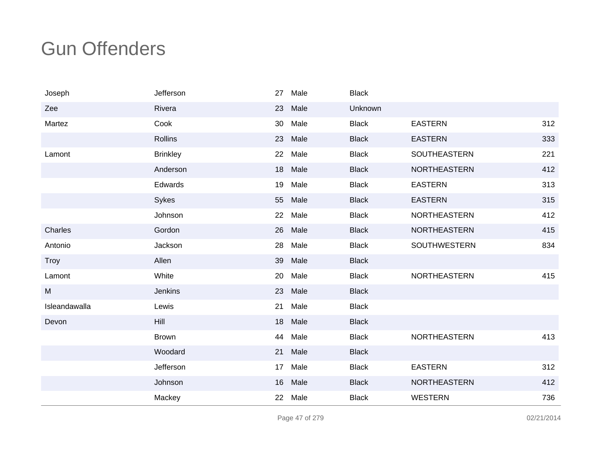| Joseph        | Jefferson       | 27 | Male | <b>Black</b> |                     |     |
|---------------|-----------------|----|------|--------------|---------------------|-----|
| Zee           | Rivera          | 23 | Male | Unknown      |                     |     |
| Martez        | Cook            | 30 | Male | <b>Black</b> | <b>EASTERN</b>      | 312 |
|               | <b>Rollins</b>  | 23 | Male | <b>Black</b> | <b>EASTERN</b>      | 333 |
| Lamont        | <b>Brinkley</b> | 22 | Male | <b>Black</b> | <b>SOUTHEASTERN</b> | 221 |
|               | Anderson        | 18 | Male | <b>Black</b> | NORTHEASTERN        | 412 |
|               | Edwards         | 19 | Male | <b>Black</b> | <b>EASTERN</b>      | 313 |
|               | Sykes           | 55 | Male | <b>Black</b> | <b>EASTERN</b>      | 315 |
|               | Johnson         | 22 | Male | <b>Black</b> | <b>NORTHEASTERN</b> | 412 |
| Charles       | Gordon          | 26 | Male | <b>Black</b> | <b>NORTHEASTERN</b> | 415 |
| Antonio       | Jackson         | 28 | Male | <b>Black</b> | SOUTHWESTERN        | 834 |
| <b>Troy</b>   | Allen           | 39 | Male | <b>Black</b> |                     |     |
| Lamont        | White           | 20 | Male | <b>Black</b> | <b>NORTHEASTERN</b> | 415 |
| M             | Jenkins         | 23 | Male | <b>Black</b> |                     |     |
| Isleandawalla | Lewis           | 21 | Male | <b>Black</b> |                     |     |
| Devon         | Hill            | 18 | Male | <b>Black</b> |                     |     |
|               | <b>Brown</b>    | 44 | Male | <b>Black</b> | NORTHEASTERN        | 413 |
|               | Woodard         | 21 | Male | <b>Black</b> |                     |     |
|               | Jefferson       | 17 | Male | <b>Black</b> | <b>EASTERN</b>      | 312 |
|               | Johnson         | 16 | Male | <b>Black</b> | <b>NORTHEASTERN</b> | 412 |
|               | Mackey          | 22 | Male | <b>Black</b> | <b>WESTERN</b>      | 736 |

Page 47 of 279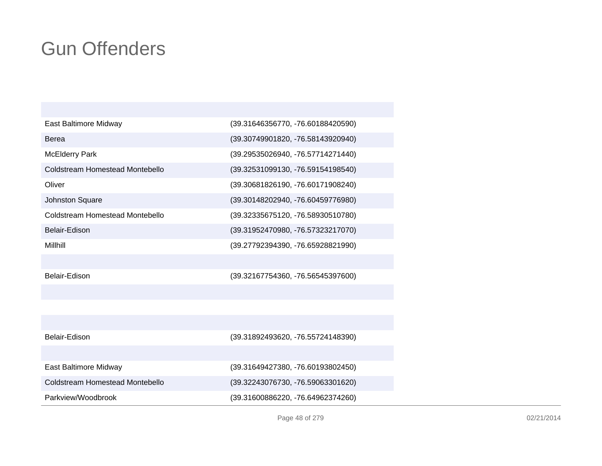| East Baltimore Midway                  | (39.31646356770, -76.60188420590) |
|----------------------------------------|-----------------------------------|
| Berea                                  | (39.30749901820, -76.58143920940) |
| <b>McElderry Park</b>                  | (39.29535026940, -76.57714271440) |
| Coldstream Homestead Montebello        | (39.32531099130, -76.59154198540) |
| Oliver                                 | (39.30681826190, -76.60171908240) |
| <b>Johnston Square</b>                 | (39.30148202940, -76.60459776980) |
| Coldstream Homestead Montebello        | (39.32335675120, -76.58930510780) |
| Belair-Edison                          | (39.31952470980, -76.57323217070) |
| Millhill                               | (39.27792394390, -76.65928821990) |
|                                        |                                   |
| Belair-Edison                          | (39.32167754360, -76.56545397600) |
|                                        |                                   |
|                                        |                                   |
|                                        |                                   |
| Belair-Edison                          | (39.31892493620, -76.55724148390) |
|                                        |                                   |
| East Baltimore Midway                  | (39.31649427380, -76.60193802450) |
| <b>Coldstream Homestead Montebello</b> | (39.32243076730, -76.59063301620) |
| Parkview/Woodbrook                     | (39.31600886220, -76.64962374260) |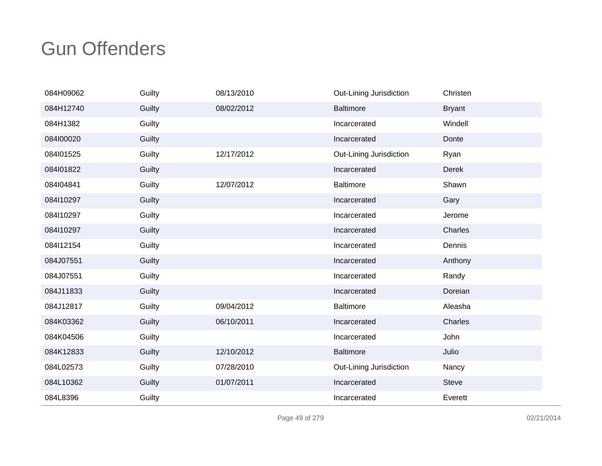| 084H09062 | Guilty | 08/13/2010 | Out-Lining Jurisdiction | Christen      |
|-----------|--------|------------|-------------------------|---------------|
| 084H12740 | Guilty | 08/02/2012 | <b>Baltimore</b>        | <b>Bryant</b> |
| 084H1382  | Guilty |            | Incarcerated            | Windell       |
| 084100020 | Guilty |            | Incarcerated            | Donte         |
| 084l01525 | Guilty | 12/17/2012 | Out-Lining Jurisdiction | Ryan          |
| 084l01822 | Guilty |            | Incarcerated            | <b>Derek</b>  |
| 084104841 | Guilty | 12/07/2012 | <b>Baltimore</b>        | Shawn         |
| 084l10297 | Guilty |            | Incarcerated            | Gary          |
| 084l10297 | Guilty |            | Incarcerated            | Jerome        |
| 084l10297 | Guilty |            | Incarcerated            | Charles       |
| 084l12154 | Guilty |            | Incarcerated            | Dennis        |
| 084J07551 | Guilty |            | Incarcerated            | Anthony       |
| 084J07551 | Guilty |            | Incarcerated            | Randy         |
| 084J11833 | Guilty |            | Incarcerated            | Doreian       |
| 084J12817 | Guilty | 09/04/2012 | <b>Baltimore</b>        | Aleasha       |
| 084K03362 | Guilty | 06/10/2011 | Incarcerated            | Charles       |
| 084K04506 | Guilty |            | Incarcerated            | John          |
| 084K12833 | Guilty | 12/10/2012 | <b>Baltimore</b>        | Julio         |
| 084L02573 | Guilty | 07/28/2010 | Out-Lining Jurisdiction | Nancy         |
| 084L10362 | Guilty | 01/07/2011 | Incarcerated            | <b>Steve</b>  |
| 084L8396  | Guilty |            | Incarcerated            | Everett       |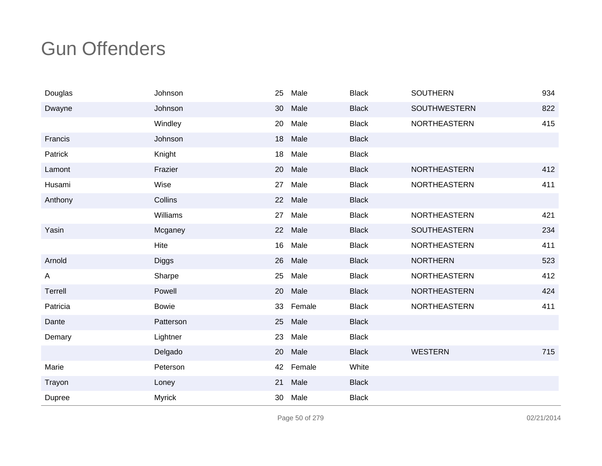| Douglas      | Johnson       | 25 | Male    | <b>Black</b> | <b>SOUTHERN</b>     | 934 |
|--------------|---------------|----|---------|--------------|---------------------|-----|
| Dwayne       | Johnson       | 30 | Male    | <b>Black</b> | SOUTHWESTERN        | 822 |
|              | Windley       | 20 | Male    | <b>Black</b> | NORTHEASTERN        | 415 |
| Francis      | Johnson       | 18 | Male    | <b>Black</b> |                     |     |
| Patrick      | Knight        | 18 | Male    | <b>Black</b> |                     |     |
| Lamont       | Frazier       | 20 | Male    | <b>Black</b> | <b>NORTHEASTERN</b> | 412 |
| Husami       | Wise          | 27 | Male    | <b>Black</b> | NORTHEASTERN        | 411 |
| Anthony      | Collins       |    | 22 Male | <b>Black</b> |                     |     |
|              | Williams      | 27 | Male    | <b>Black</b> | NORTHEASTERN        | 421 |
| Yasin        | Mcganey       |    | 22 Male | <b>Black</b> | SOUTHEASTERN        | 234 |
|              | Hite          | 16 | Male    | <b>Black</b> | NORTHEASTERN        | 411 |
| Arnold       | Diggs         | 26 | Male    | <b>Black</b> | <b>NORTHERN</b>     | 523 |
| $\mathsf{A}$ | Sharpe        | 25 | Male    | <b>Black</b> | NORTHEASTERN        | 412 |
| Terrell      | Powell        | 20 | Male    | <b>Black</b> | NORTHEASTERN        | 424 |
| Patricia     | <b>Bowie</b>  | 33 | Female  | <b>Black</b> | NORTHEASTERN        | 411 |
| Dante        | Patterson     | 25 | Male    | <b>Black</b> |                     |     |
| Demary       | Lightner      | 23 | Male    | <b>Black</b> |                     |     |
|              | Delgado       | 20 | Male    | <b>Black</b> | <b>WESTERN</b>      | 715 |
| Marie        | Peterson      | 42 | Female  | White        |                     |     |
| Trayon       | Loney         | 21 | Male    | <b>Black</b> |                     |     |
| Dupree       | <b>Myrick</b> | 30 | Male    | <b>Black</b> |                     |     |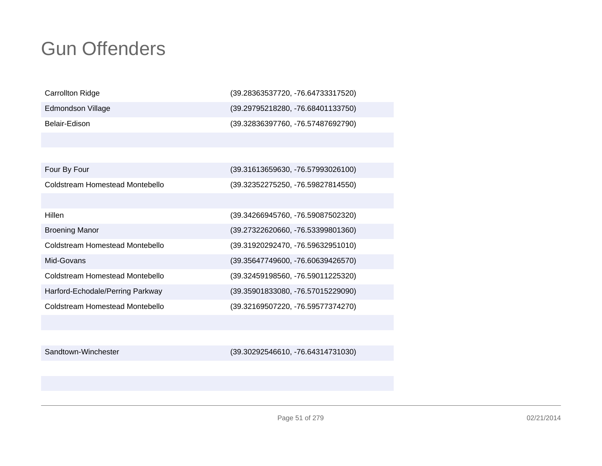| <b>Carrollton Ridge</b>          | (39.28363537720, -76.64733317520) |
|----------------------------------|-----------------------------------|
| Edmondson Village                | (39.29795218280, -76.68401133750) |
| Belair-Edison                    | (39.32836397760, -76.57487692790) |
|                                  |                                   |
|                                  |                                   |
| Four By Four                     | (39.31613659630, -76.57993026100) |
| Coldstream Homestead Montebello  | (39.32352275250, -76.59827814550) |
|                                  |                                   |
| Hillen                           | (39.34266945760, -76.59087502320) |
| <b>Broening Manor</b>            | (39.27322620660, -76.53399801360) |
| Coldstream Homestead Montebello  | (39.31920292470, -76.59632951010) |
| Mid-Govans                       | (39.35647749600, -76.60639426570) |
| Coldstream Homestead Montebello  | (39.32459198560, -76.59011225320) |
| Harford-Echodale/Perring Parkway | (39.35901833080, -76.57015229090) |
| Coldstream Homestead Montebello  | (39.32169507220, -76.59577374270) |
|                                  |                                   |
|                                  |                                   |
| Sandtown-Winchester              | (39.30292546610, -76.64314731030) |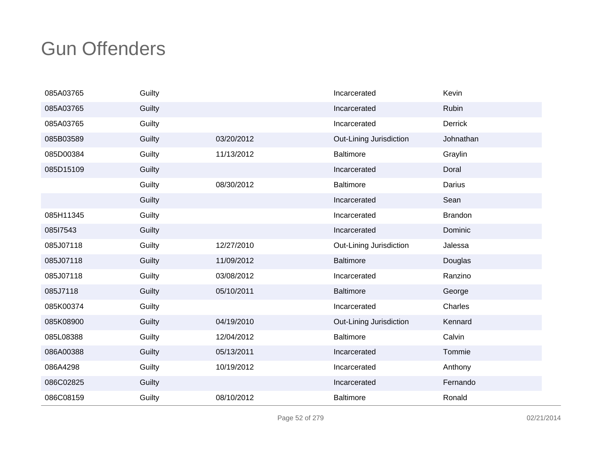| 085A03765 | Guilty |            | Incarcerated            | Kevin          |
|-----------|--------|------------|-------------------------|----------------|
| 085A03765 | Guilty |            | Incarcerated            | <b>Rubin</b>   |
| 085A03765 | Guilty |            | Incarcerated            | <b>Derrick</b> |
| 085B03589 | Guilty | 03/20/2012 | Out-Lining Jurisdiction | Johnathan      |
| 085D00384 | Guilty | 11/13/2012 | <b>Baltimore</b>        | Graylin        |
| 085D15109 | Guilty |            | Incarcerated            | Doral          |
|           | Guilty | 08/30/2012 | <b>Baltimore</b>        | Darius         |
|           | Guilty |            | Incarcerated            | Sean           |
| 085H11345 | Guilty |            | Incarcerated            | <b>Brandon</b> |
| 08517543  | Guilty |            | Incarcerated            | Dominic        |
| 085J07118 | Guilty | 12/27/2010 | Out-Lining Jurisdiction | Jalessa        |
| 085J07118 | Guilty | 11/09/2012 | <b>Baltimore</b>        | Douglas        |
| 085J07118 | Guilty | 03/08/2012 | Incarcerated            | Ranzino        |
| 085J7118  | Guilty | 05/10/2011 | <b>Baltimore</b>        | George         |
| 085K00374 | Guilty |            | Incarcerated            | Charles        |
| 085K08900 | Guilty | 04/19/2010 | Out-Lining Jurisdiction | Kennard        |
| 085L08388 | Guilty | 12/04/2012 | <b>Baltimore</b>        | Calvin         |
| 086A00388 | Guilty | 05/13/2011 | Incarcerated            | Tommie         |
| 086A4298  | Guilty | 10/19/2012 | Incarcerated            | Anthony        |
| 086C02825 | Guilty |            | Incarcerated            | Fernando       |
| 086C08159 | Guilty | 08/10/2012 | <b>Baltimore</b>        | Ronald         |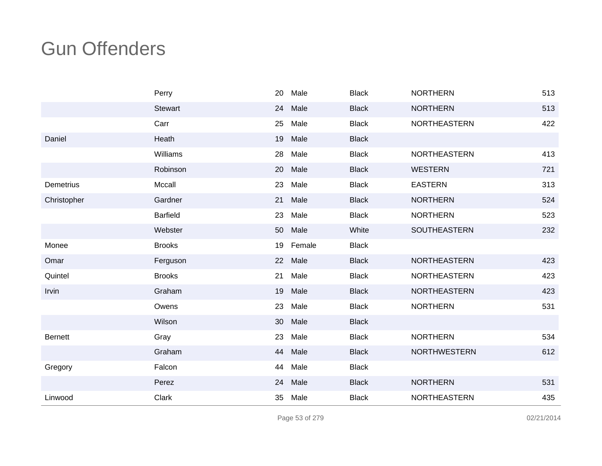|                | Perry           | 20 | Male   | <b>Black</b> | <b>NORTHERN</b>     | 513 |
|----------------|-----------------|----|--------|--------------|---------------------|-----|
|                | <b>Stewart</b>  | 24 | Male   | <b>Black</b> | <b>NORTHERN</b>     | 513 |
|                | Carr            | 25 | Male   | <b>Black</b> | NORTHEASTERN        | 422 |
| Daniel         | Heath           | 19 | Male   | <b>Black</b> |                     |     |
|                | Williams        | 28 | Male   | <b>Black</b> | NORTHEASTERN        | 413 |
|                | Robinson        | 20 | Male   | <b>Black</b> | <b>WESTERN</b>      | 721 |
| Demetrius      | Mccall          | 23 | Male   | <b>Black</b> | <b>EASTERN</b>      | 313 |
| Christopher    | Gardner         | 21 | Male   | <b>Black</b> | <b>NORTHERN</b>     | 524 |
|                | <b>Barfield</b> | 23 | Male   | <b>Black</b> | <b>NORTHERN</b>     | 523 |
|                | Webster         | 50 | Male   | White        | <b>SOUTHEASTERN</b> | 232 |
| Monee          | <b>Brooks</b>   | 19 | Female | <b>Black</b> |                     |     |
| Omar           | Ferguson        | 22 | Male   | <b>Black</b> | NORTHEASTERN        | 423 |
| Quintel        | <b>Brooks</b>   | 21 | Male   | <b>Black</b> | <b>NORTHEASTERN</b> | 423 |
| Irvin          | Graham          | 19 | Male   | <b>Black</b> | NORTHEASTERN        | 423 |
|                | Owens           | 23 | Male   | <b>Black</b> | <b>NORTHERN</b>     | 531 |
|                | Wilson          | 30 | Male   | <b>Black</b> |                     |     |
| <b>Bernett</b> | Gray            | 23 | Male   | <b>Black</b> | <b>NORTHERN</b>     | 534 |
|                | Graham          | 44 | Male   | <b>Black</b> | <b>NORTHWESTERN</b> | 612 |
| Gregory        | Falcon          | 44 | Male   | <b>Black</b> |                     |     |
|                | Perez           | 24 | Male   | <b>Black</b> | <b>NORTHERN</b>     | 531 |
| Linwood        | Clark           | 35 | Male   | <b>Black</b> | <b>NORTHEASTERN</b> | 435 |

Page 53 of 279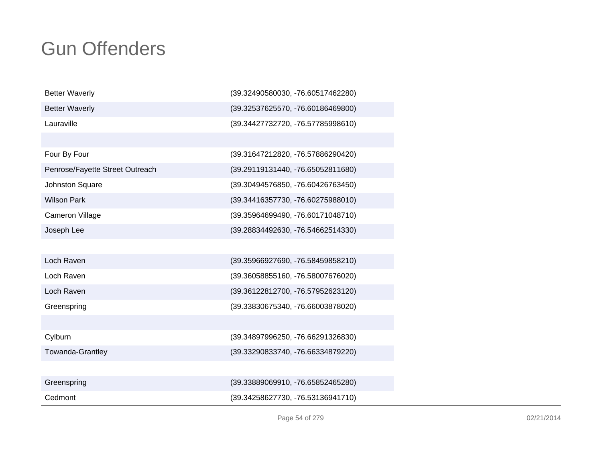| <b>Better Waverly</b>           | (39.32490580030, -76.60517462280) |
|---------------------------------|-----------------------------------|
| <b>Better Waverly</b>           | (39.32537625570, -76.60186469800) |
| Lauraville                      | (39.34427732720, -76.57785998610) |
|                                 |                                   |
| Four By Four                    | (39.31647212820, -76.57886290420) |
| Penrose/Fayette Street Outreach | (39.29119131440, -76.65052811680) |
| Johnston Square                 | (39.30494576850, -76.60426763450) |
| <b>Wilson Park</b>              | (39.34416357730, -76.60275988010) |
| <b>Cameron Village</b>          | (39.35964699490, -76.60171048710) |
| Joseph Lee                      | (39.28834492630, -76.54662514330) |
|                                 |                                   |
| Loch Raven                      | (39.35966927690, -76.58459858210) |
| Loch Raven                      | (39.36058855160, -76.58007676020) |
| Loch Raven                      | (39.36122812700, -76.57952623120) |
| Greenspring                     | (39.33830675340, -76.66003878020) |
|                                 |                                   |
| Cylburn                         | (39.34897996250, -76.66291326830) |
| Towanda-Grantley                | (39.33290833740, -76.66334879220) |
|                                 |                                   |
| Greenspring                     | (39.33889069910, -76.65852465280) |
| Cedmont                         | (39.34258627730, -76.53136941710) |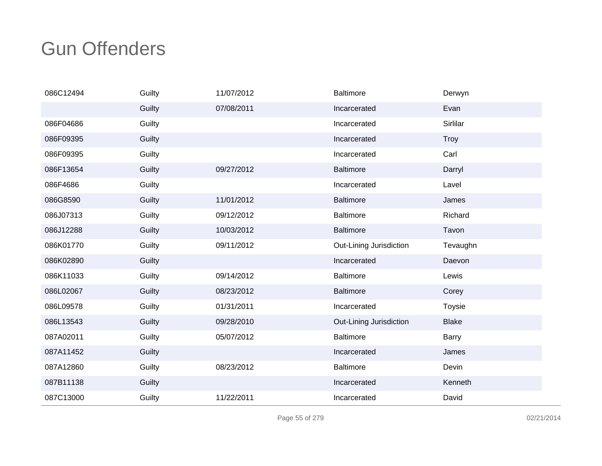| 086C12494 | Guilty | 11/07/2012 | <b>Baltimore</b>        | Derwyn        |
|-----------|--------|------------|-------------------------|---------------|
|           | Guilty | 07/08/2011 | Incarcerated            | Evan          |
| 086F04686 | Guilty |            | Incarcerated            | Sirlilar      |
| 086F09395 | Guilty |            | Incarcerated            | <b>Troy</b>   |
| 086F09395 | Guilty |            | Incarcerated            | Carl          |
| 086F13654 | Guilty | 09/27/2012 | <b>Baltimore</b>        | Darryl        |
| 086F4686  | Guilty |            | Incarcerated            | Lavel         |
| 086G8590  | Guilty | 11/01/2012 | <b>Baltimore</b>        | James         |
| 086J07313 | Guilty | 09/12/2012 | <b>Baltimore</b>        | Richard       |
| 086J12288 | Guilty | 10/03/2012 | <b>Baltimore</b>        | Tavon         |
| 086K01770 | Guilty | 09/11/2012 | Out-Lining Jurisdiction | Tevaughn      |
| 086K02890 | Guilty |            | Incarcerated            | Daevon        |
| 086K11033 | Guilty | 09/14/2012 | <b>Baltimore</b>        | Lewis         |
| 086L02067 | Guilty | 08/23/2012 | <b>Baltimore</b>        | Corey         |
| 086L09578 | Guilty | 01/31/2011 | Incarcerated            | <b>Toysie</b> |
| 086L13543 | Guilty | 09/28/2010 | Out-Lining Jurisdiction | <b>Blake</b>  |
| 087A02011 | Guilty | 05/07/2012 | <b>Baltimore</b>        | <b>Barry</b>  |
| 087A11452 | Guilty |            | Incarcerated            | James         |
| 087A12860 | Guilty | 08/23/2012 | <b>Baltimore</b>        | Devin         |
| 087B11138 | Guilty |            | Incarcerated            | Kenneth       |
| 087C13000 | Guilty | 11/22/2011 | Incarcerated            | David         |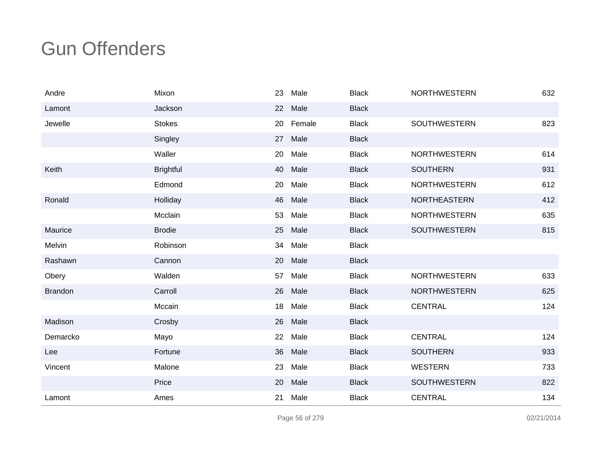| Andre          | Mixon            | 23 | Male   | <b>Black</b> | <b>NORTHWESTERN</b> | 632 |
|----------------|------------------|----|--------|--------------|---------------------|-----|
| Lamont         | Jackson          | 22 | Male   | <b>Black</b> |                     |     |
| Jewelle        | <b>Stokes</b>    | 20 | Female | <b>Black</b> | SOUTHWESTERN        | 823 |
|                | Singley          | 27 | Male   | <b>Black</b> |                     |     |
|                | Waller           | 20 | Male   | <b>Black</b> | <b>NORTHWESTERN</b> | 614 |
| Keith          | <b>Brightful</b> | 40 | Male   | <b>Black</b> | <b>SOUTHERN</b>     | 931 |
|                | Edmond           | 20 | Male   | <b>Black</b> | <b>NORTHWESTERN</b> | 612 |
| Ronald         | Holliday         | 46 | Male   | <b>Black</b> | <b>NORTHEASTERN</b> | 412 |
|                | Mcclain          | 53 | Male   | <b>Black</b> | <b>NORTHWESTERN</b> | 635 |
| Maurice        | <b>Brodie</b>    | 25 | Male   | <b>Black</b> | <b>SOUTHWESTERN</b> | 815 |
| Melvin         | Robinson         | 34 | Male   | <b>Black</b> |                     |     |
| Rashawn        | Cannon           | 20 | Male   | <b>Black</b> |                     |     |
| Obery          | Walden           | 57 | Male   | <b>Black</b> | <b>NORTHWESTERN</b> | 633 |
| <b>Brandon</b> | Carroll          | 26 | Male   | <b>Black</b> | <b>NORTHWESTERN</b> | 625 |
|                | Mccain           | 18 | Male   | <b>Black</b> | <b>CENTRAL</b>      | 124 |
| Madison        | Crosby           | 26 | Male   | <b>Black</b> |                     |     |
| Demarcko       | Mayo             | 22 | Male   | <b>Black</b> | <b>CENTRAL</b>      | 124 |
| Lee            | Fortune          | 36 | Male   | <b>Black</b> | <b>SOUTHERN</b>     | 933 |
| Vincent        | Malone           | 23 | Male   | <b>Black</b> | <b>WESTERN</b>      | 733 |
|                | Price            | 20 | Male   | <b>Black</b> | SOUTHWESTERN        | 822 |
| Lamont         | Ames             | 21 | Male   | <b>Black</b> | <b>CENTRAL</b>      | 134 |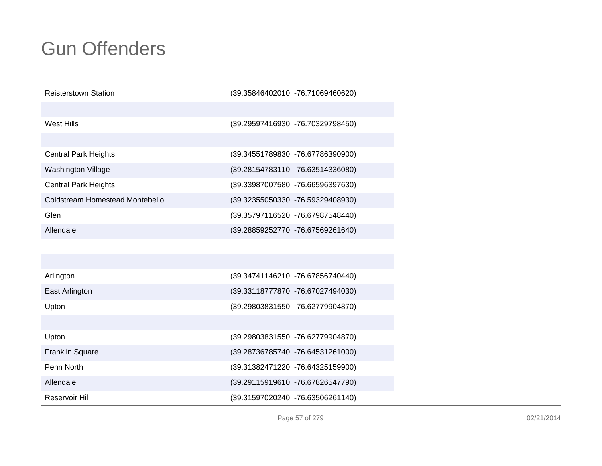| <b>Reisterstown Station</b>     | (39.35846402010, -76.71069460620) |
|---------------------------------|-----------------------------------|
|                                 |                                   |
| <b>West Hills</b>               | (39.29597416930, -76.70329798450) |
|                                 |                                   |
| <b>Central Park Heights</b>     | (39.34551789830, -76.67786390900) |
| Washington Village              | (39.28154783110, -76.63514336080) |
| <b>Central Park Heights</b>     | (39.33987007580, -76.66596397630) |
| Coldstream Homestead Montebello | (39.32355050330, -76.59329408930) |
| Glen                            | (39.35797116520, -76.67987548440) |
| Allendale                       | (39.28859252770, -76.67569261640) |
|                                 |                                   |
|                                 |                                   |
| Arlington                       | (39.34741146210, -76.67856740440) |
| East Arlington                  | (39.33118777870, -76.67027494030) |
| Upton                           | (39.29803831550, -76.62779904870) |
|                                 |                                   |
| Upton                           | (39.29803831550, -76.62779904870) |
| <b>Franklin Square</b>          | (39.28736785740, -76.64531261000) |
| Penn North                      | (39.31382471220, -76.64325159900) |
| Allendale                       | (39.29115919610, -76.67826547790) |
| Reservoir Hill                  | (39.31597020240, -76.63506261140) |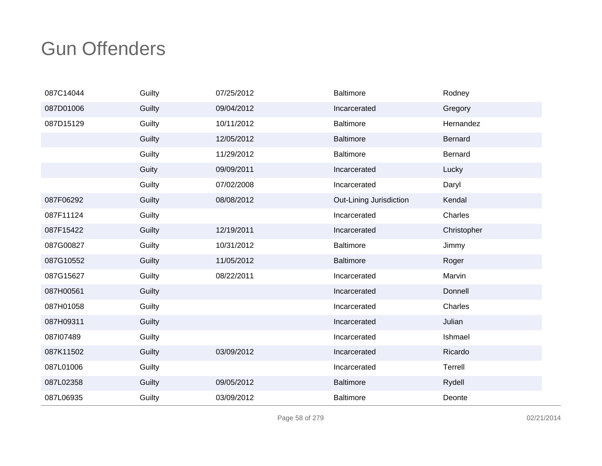| 087C14044 | Guilty | 07/25/2012 | <b>Baltimore</b>        | Rodney      |
|-----------|--------|------------|-------------------------|-------------|
| 087D01006 | Guilty | 09/04/2012 | Incarcerated            | Gregory     |
| 087D15129 | Guilty | 10/11/2012 | <b>Baltimore</b>        | Hernandez   |
|           | Guilty | 12/05/2012 | <b>Baltimore</b>        | Bernard     |
|           | Guilty | 11/29/2012 | <b>Baltimore</b>        | Bernard     |
|           | Guity  | 09/09/2011 | Incarcerated            | Lucky       |
|           | Guilty | 07/02/2008 | Incarcerated            | Daryl       |
| 087F06292 | Guilty | 08/08/2012 | Out-Lining Jurisdiction | Kendal      |
| 087F11124 | Guilty |            | Incarcerated            | Charles     |
| 087F15422 | Guilty | 12/19/2011 | Incarcerated            | Christopher |
| 087G00827 | Guilty | 10/31/2012 | <b>Baltimore</b>        | Jimmy       |
| 087G10552 | Guilty | 11/05/2012 | <b>Baltimore</b>        | Roger       |
| 087G15627 | Guilty | 08/22/2011 | Incarcerated            | Marvin      |
| 087H00561 | Guilty |            | Incarcerated            | Donnell     |
| 087H01058 | Guilty |            | Incarcerated            | Charles     |
| 087H09311 | Guilty |            | Incarcerated            | Julian      |
| 087107489 | Guilty |            | Incarcerated            | Ishmael     |
| 087K11502 | Guilty | 03/09/2012 | Incarcerated            | Ricardo     |
| 087L01006 | Guilty |            | Incarcerated            | Terrell     |
| 087L02358 | Guilty | 09/05/2012 | <b>Baltimore</b>        | Rydell      |
| 087L06935 | Guilty | 03/09/2012 | <b>Baltimore</b>        | Deonte      |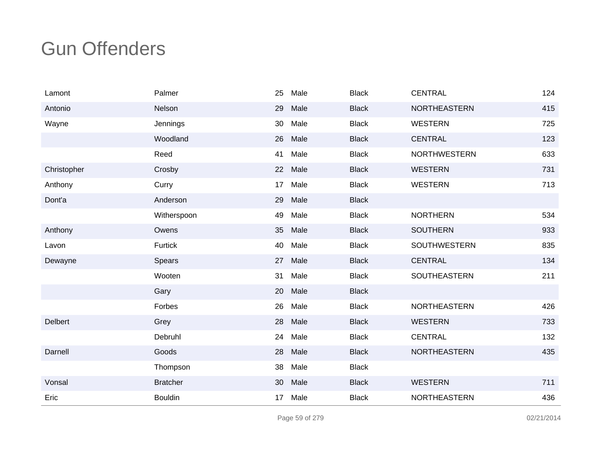| Lamont         | Palmer          | 25 | Male | <b>Black</b> | <b>CENTRAL</b>      | 124 |
|----------------|-----------------|----|------|--------------|---------------------|-----|
| Antonio        | Nelson          | 29 | Male | <b>Black</b> | <b>NORTHEASTERN</b> | 415 |
| Wayne          | Jennings        | 30 | Male | <b>Black</b> | <b>WESTERN</b>      | 725 |
|                | Woodland        | 26 | Male | <b>Black</b> | <b>CENTRAL</b>      | 123 |
|                | Reed            | 41 | Male | <b>Black</b> | <b>NORTHWESTERN</b> | 633 |
| Christopher    | Crosby          | 22 | Male | <b>Black</b> | <b>WESTERN</b>      | 731 |
| Anthony        | Curry           | 17 | Male | <b>Black</b> | <b>WESTERN</b>      | 713 |
| Dont'a         | Anderson        | 29 | Male | <b>Black</b> |                     |     |
|                | Witherspoon     | 49 | Male | <b>Black</b> | <b>NORTHERN</b>     | 534 |
| Anthony        | Owens           | 35 | Male | <b>Black</b> | <b>SOUTHERN</b>     | 933 |
| Lavon          | Furtick         | 40 | Male | <b>Black</b> | <b>SOUTHWESTERN</b> | 835 |
| Dewayne        | Spears          | 27 | Male | <b>Black</b> | <b>CENTRAL</b>      | 134 |
|                | Wooten          | 31 | Male | <b>Black</b> | SOUTHEASTERN        | 211 |
|                | Gary            | 20 | Male | <b>Black</b> |                     |     |
|                | Forbes          | 26 | Male | <b>Black</b> | NORTHEASTERN        | 426 |
| <b>Delbert</b> | Grey            | 28 | Male | <b>Black</b> | <b>WESTERN</b>      | 733 |
|                | Debruhl         | 24 | Male | <b>Black</b> | <b>CENTRAL</b>      | 132 |
| Darnell        | Goods           | 28 | Male | <b>Black</b> | <b>NORTHEASTERN</b> | 435 |
|                | Thompson        | 38 | Male | <b>Black</b> |                     |     |
| Vonsal         | <b>Bratcher</b> | 30 | Male | <b>Black</b> | <b>WESTERN</b>      | 711 |
| Eric           | <b>Bouldin</b>  | 17 | Male | <b>Black</b> | <b>NORTHEASTERN</b> | 436 |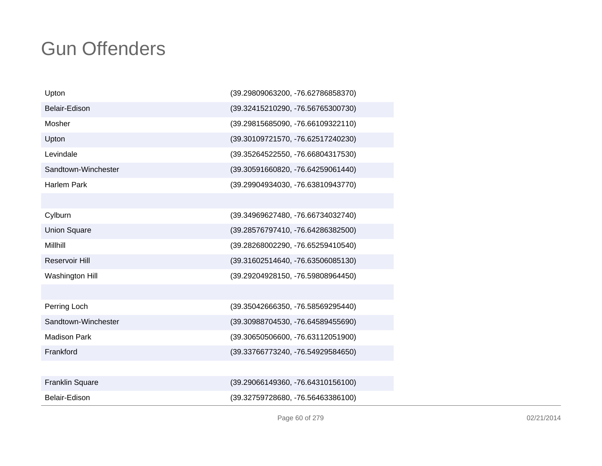| Upton                  | (39.29809063200, -76.62786858370) |
|------------------------|-----------------------------------|
| Belair-Edison          | (39.32415210290, -76.56765300730) |
| Mosher                 | (39.29815685090, -76.66109322110) |
| Upton                  | (39.30109721570, -76.62517240230) |
| Levindale              | (39.35264522550, -76.66804317530) |
| Sandtown-Winchester    | (39.30591660820, -76.64259061440) |
| <b>Harlem Park</b>     | (39.29904934030, -76.63810943770) |
|                        |                                   |
| Cylburn                | (39.34969627480, -76.66734032740) |
| <b>Union Square</b>    | (39.28576797410, -76.64286382500) |
| Millhill               | (39.28268002290, -76.65259410540) |
| Reservoir Hill         | (39.31602514640, -76.63506085130) |
| Washington Hill        | (39.29204928150, -76.59808964450) |
|                        |                                   |
| Perring Loch           | (39.35042666350, -76.58569295440) |
| Sandtown-Winchester    | (39.30988704530, -76.64589455690) |
| <b>Madison Park</b>    | (39.30650506600, -76.63112051900) |
| Frankford              | (39.33766773240, -76.54929584650) |
|                        |                                   |
| <b>Franklin Square</b> | (39.29066149360, -76.64310156100) |
| Belair-Edison          | (39.32759728680, -76.56463386100) |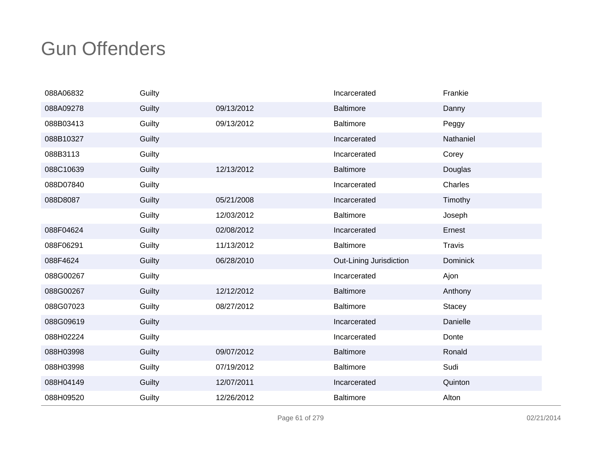| 088A06832 | Guilty |            | Incarcerated            | Frankie         |
|-----------|--------|------------|-------------------------|-----------------|
| 088A09278 | Guilty | 09/13/2012 | <b>Baltimore</b>        | Danny           |
| 088B03413 | Guilty | 09/13/2012 | <b>Baltimore</b>        | Peggy           |
| 088B10327 | Guilty |            | Incarcerated            | Nathaniel       |
| 088B3113  | Guilty |            | Incarcerated            | Corey           |
| 088C10639 | Guilty | 12/13/2012 | <b>Baltimore</b>        | Douglas         |
| 088D07840 | Guilty |            | Incarcerated            | Charles         |
| 088D8087  | Guilty | 05/21/2008 | Incarcerated            | Timothy         |
|           | Guilty | 12/03/2012 | Baltimore               | Joseph          |
| 088F04624 | Guilty | 02/08/2012 | Incarcerated            | Ernest          |
| 088F06291 | Guilty | 11/13/2012 | <b>Baltimore</b>        | Travis          |
| 088F4624  | Guilty | 06/28/2010 | Out-Lining Jurisdiction | <b>Dominick</b> |
| 088G00267 | Guilty |            | Incarcerated            | Ajon            |
| 088G00267 | Guilty | 12/12/2012 | <b>Baltimore</b>        | Anthony         |
| 088G07023 | Guilty | 08/27/2012 | <b>Baltimore</b>        | <b>Stacey</b>   |
| 088G09619 | Guilty |            | Incarcerated            | Danielle        |
| 088H02224 | Guilty |            | Incarcerated            | Donte           |
| 088H03998 | Guilty | 09/07/2012 | <b>Baltimore</b>        | Ronald          |
| 088H03998 | Guilty | 07/19/2012 | <b>Baltimore</b>        | Sudi            |
| 088H04149 | Guilty | 12/07/2011 | Incarcerated            | Quinton         |
| 088H09520 | Guilty | 12/26/2012 | <b>Baltimore</b>        | Alton           |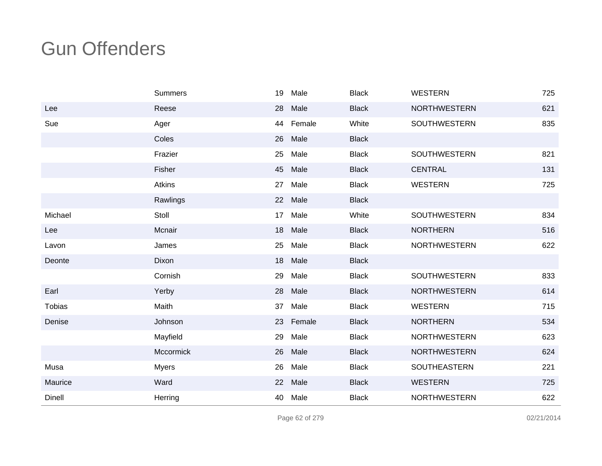|               | Summers          | 19 | Male   | <b>Black</b> | <b>WESTERN</b>      | 725 |
|---------------|------------------|----|--------|--------------|---------------------|-----|
| Lee           | Reese            | 28 | Male   | <b>Black</b> | <b>NORTHWESTERN</b> | 621 |
| Sue           | Ager             | 44 | Female | White        | <b>SOUTHWESTERN</b> | 835 |
|               | Coles            | 26 | Male   | <b>Black</b> |                     |     |
|               | Frazier          | 25 | Male   | <b>Black</b> | SOUTHWESTERN        | 821 |
|               | Fisher           | 45 | Male   | <b>Black</b> | <b>CENTRAL</b>      | 131 |
|               | Atkins           | 27 | Male   | <b>Black</b> | <b>WESTERN</b>      | 725 |
|               | Rawlings         | 22 | Male   | <b>Black</b> |                     |     |
| Michael       | Stoll            | 17 | Male   | White        | <b>SOUTHWESTERN</b> | 834 |
| Lee           | Mcnair           | 18 | Male   | <b>Black</b> | <b>NORTHERN</b>     | 516 |
| Lavon         | James            | 25 | Male   | <b>Black</b> | <b>NORTHWESTERN</b> | 622 |
| Deonte        | Dixon            | 18 | Male   | <b>Black</b> |                     |     |
|               | Cornish          | 29 | Male   | <b>Black</b> | <b>SOUTHWESTERN</b> | 833 |
| Earl          | Yerby            | 28 | Male   | <b>Black</b> | <b>NORTHWESTERN</b> | 614 |
| <b>Tobias</b> | Maith            | 37 | Male   | <b>Black</b> | <b>WESTERN</b>      | 715 |
| Denise        | Johnson          | 23 | Female | <b>Black</b> | <b>NORTHERN</b>     | 534 |
|               | Mayfield         | 29 | Male   | <b>Black</b> | <b>NORTHWESTERN</b> | 623 |
|               | <b>Mccormick</b> | 26 | Male   | <b>Black</b> | <b>NORTHWESTERN</b> | 624 |
| Musa          | <b>Myers</b>     | 26 | Male   | <b>Black</b> | SOUTHEASTERN        | 221 |
| Maurice       | Ward             | 22 | Male   | <b>Black</b> | <b>WESTERN</b>      | 725 |
| Dinell        | Herring          | 40 | Male   | <b>Black</b> | <b>NORTHWESTERN</b> | 622 |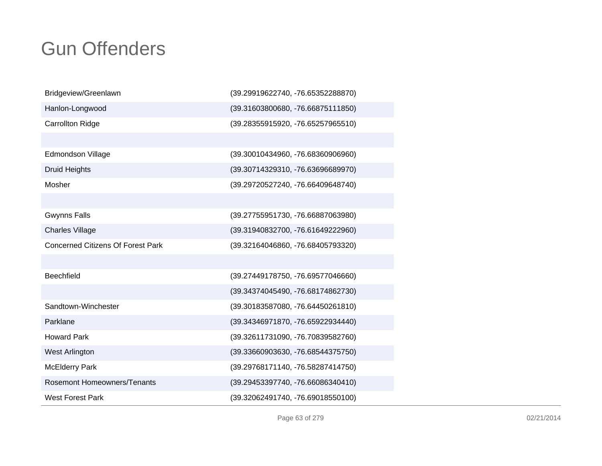| Bridgeview/Greenlawn                     | (39.29919622740, -76.65352288870) |
|------------------------------------------|-----------------------------------|
| Hanlon-Longwood                          | (39.31603800680, -76.66875111850) |
| <b>Carrollton Ridge</b>                  | (39.28355915920, -76.65257965510) |
|                                          |                                   |
| Edmondson Village                        | (39.30010434960, -76.68360906960) |
| <b>Druid Heights</b>                     | (39.30714329310, -76.63696689970) |
| Mosher                                   | (39.29720527240, -76.66409648740) |
|                                          |                                   |
| <b>Gwynns Falls</b>                      | (39.27755951730, -76.66887063980) |
| <b>Charles Village</b>                   | (39.31940832700, -76.61649222960) |
| <b>Concerned Citizens Of Forest Park</b> | (39.32164046860, -76.68405793320) |
|                                          |                                   |
| Beechfield                               | (39.27449178750, -76.69577046660) |
|                                          | (39.34374045490, -76.68174862730) |
| Sandtown-Winchester                      | (39.30183587080, -76.64450261810) |
| Parklane                                 | (39.34346971870, -76.65922934440) |
| <b>Howard Park</b>                       | (39.32611731090, -76.70839582760) |
| West Arlington                           | (39.33660903630, -76.68544375750) |
| <b>McElderry Park</b>                    | (39.29768171140, -76.58287414750) |
| Rosemont Homeowners/Tenants              | (39.29453397740, -76.66086340410) |
| <b>West Forest Park</b>                  | (39.32062491740, -76.69018550100) |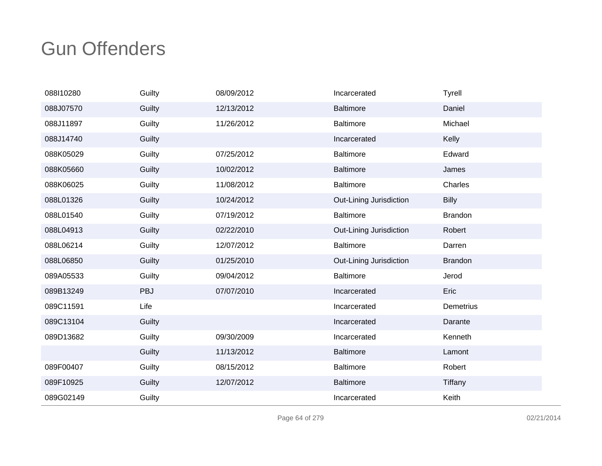| 088110280 | Guilty | 08/09/2012 | Incarcerated            | <b>Tyrell</b>  |
|-----------|--------|------------|-------------------------|----------------|
| 088J07570 | Guilty | 12/13/2012 | <b>Baltimore</b>        | Daniel         |
| 088J11897 | Guilty | 11/26/2012 | Baltimore               | Michael        |
| 088J14740 | Guilty |            | Incarcerated            | Kelly          |
| 088K05029 | Guilty | 07/25/2012 | <b>Baltimore</b>        | Edward         |
| 088K05660 | Guilty | 10/02/2012 | <b>Baltimore</b>        | James          |
| 088K06025 | Guilty | 11/08/2012 | Baltimore               | Charles        |
| 088L01326 | Guilty | 10/24/2012 | Out-Lining Jurisdiction | <b>Billy</b>   |
| 088L01540 | Guilty | 07/19/2012 | <b>Baltimore</b>        | <b>Brandon</b> |
| 088L04913 | Guilty | 02/22/2010 | Out-Lining Jurisdiction | Robert         |
| 088L06214 | Guilty | 12/07/2012 | <b>Baltimore</b>        | Darren         |
| 088L06850 | Guilty | 01/25/2010 | Out-Lining Jurisdiction | <b>Brandon</b> |
| 089A05533 | Guilty | 09/04/2012 | <b>Baltimore</b>        | Jerod          |
| 089B13249 | PBJ    | 07/07/2010 | Incarcerated            | Eric           |
| 089C11591 | Life   |            | Incarcerated            | Demetrius      |
| 089C13104 | Guilty |            | Incarcerated            | Darante        |
| 089D13682 | Guilty | 09/30/2009 | Incarcerated            | Kenneth        |
|           | Guilty | 11/13/2012 | <b>Baltimore</b>        | Lamont         |
| 089F00407 | Guilty | 08/15/2012 | <b>Baltimore</b>        | Robert         |
| 089F10925 | Guilty | 12/07/2012 | <b>Baltimore</b>        | Tiffany        |
| 089G02149 | Guilty |            | Incarcerated            | Keith          |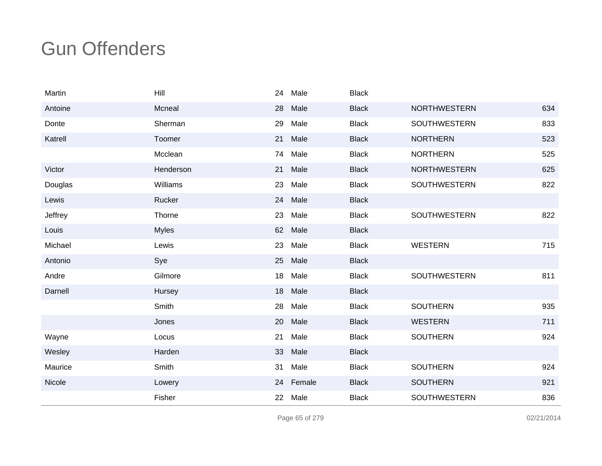| Martin  | Hill         | 24 | Male   | <b>Black</b> |                     |     |
|---------|--------------|----|--------|--------------|---------------------|-----|
| Antoine | Mcneal       | 28 | Male   | <b>Black</b> | <b>NORTHWESTERN</b> | 634 |
| Donte   | Sherman      | 29 | Male   | <b>Black</b> | <b>SOUTHWESTERN</b> | 833 |
| Katrell | Toomer       | 21 | Male   | <b>Black</b> | <b>NORTHERN</b>     | 523 |
|         | Mcclean      | 74 | Male   | <b>Black</b> | <b>NORTHERN</b>     | 525 |
| Victor  | Henderson    | 21 | Male   | <b>Black</b> | <b>NORTHWESTERN</b> | 625 |
| Douglas | Williams     | 23 | Male   | <b>Black</b> | SOUTHWESTERN        | 822 |
| Lewis   | Rucker       | 24 | Male   | <b>Black</b> |                     |     |
| Jeffrey | Thorne       | 23 | Male   | <b>Black</b> | SOUTHWESTERN        | 822 |
| Louis   | <b>Myles</b> | 62 | Male   | <b>Black</b> |                     |     |
| Michael | Lewis        | 23 | Male   | <b>Black</b> | <b>WESTERN</b>      | 715 |
| Antonio | Sye          | 25 | Male   | <b>Black</b> |                     |     |
| Andre   | Gilmore      | 18 | Male   | <b>Black</b> | SOUTHWESTERN        | 811 |
| Darnell | Hursey       | 18 | Male   | <b>Black</b> |                     |     |
|         | Smith        | 28 | Male   | <b>Black</b> | <b>SOUTHERN</b>     | 935 |
|         | Jones        | 20 | Male   | <b>Black</b> | <b>WESTERN</b>      | 711 |
| Wayne   | Locus        | 21 | Male   | <b>Black</b> | <b>SOUTHERN</b>     | 924 |
| Wesley  | Harden       | 33 | Male   | <b>Black</b> |                     |     |
| Maurice | Smith        | 31 | Male   | <b>Black</b> | <b>SOUTHERN</b>     | 924 |
| Nicole  | Lowery       | 24 | Female | <b>Black</b> | <b>SOUTHERN</b>     | 921 |
|         | Fisher       | 22 | Male   | <b>Black</b> | SOUTHWESTERN        | 836 |

Page 65 of 279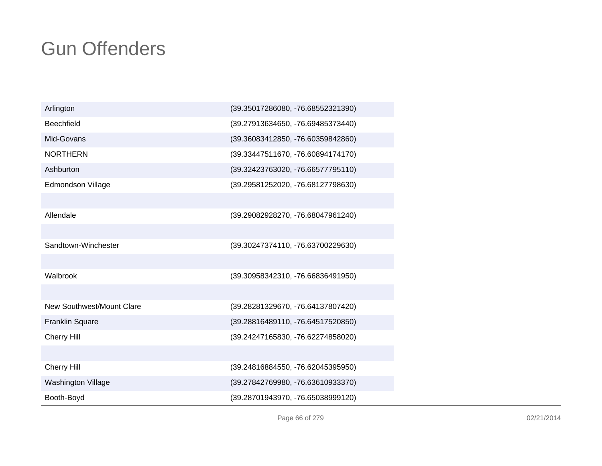| Arlington                 | (39.35017286080, -76.68552321390) |
|---------------------------|-----------------------------------|
| <b>Beechfield</b>         | (39.27913634650, -76.69485373440) |
| Mid-Govans                | (39.36083412850, -76.60359842860) |
| <b>NORTHERN</b>           | (39.33447511670, -76.60894174170) |
| Ashburton                 | (39.32423763020, -76.66577795110) |
| Edmondson Village         | (39.29581252020, -76.68127798630) |
|                           |                                   |
| Allendale                 | (39.29082928270, -76.68047961240) |
|                           |                                   |
| Sandtown-Winchester       | (39.30247374110, -76.63700229630) |
|                           |                                   |
| Walbrook                  | (39.30958342310, -76.66836491950) |
|                           |                                   |
| New Southwest/Mount Clare | (39.28281329670, -76.64137807420) |
| <b>Franklin Square</b>    | (39.28816489110, -76.64517520850) |
| Cherry Hill               | (39.24247165830, -76.62274858020) |
|                           |                                   |
| Cherry Hill               | (39.24816884550, -76.62045395950) |
| <b>Washington Village</b> | (39.27842769980, -76.63610933370) |
| Booth-Boyd                | (39.28701943970, -76.65038999120) |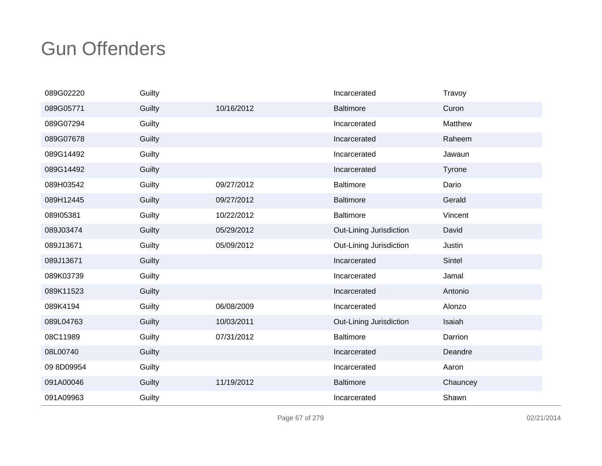| 089G02220  | Guilty |            | Incarcerated            | Travoy   |
|------------|--------|------------|-------------------------|----------|
| 089G05771  | Guilty | 10/16/2012 | Baltimore               | Curon    |
| 089G07294  | Guilty |            | Incarcerated            | Matthew  |
| 089G07678  | Guilty |            | Incarcerated            | Raheem   |
| 089G14492  | Guilty |            | Incarcerated            | Jawaun   |
| 089G14492  | Guilty |            | Incarcerated            | Tyrone   |
| 089H03542  | Guilty | 09/27/2012 | <b>Baltimore</b>        | Dario    |
| 089H12445  | Guilty | 09/27/2012 | <b>Baltimore</b>        | Gerald   |
| 089105381  | Guilty | 10/22/2012 | <b>Baltimore</b>        | Vincent  |
| 089J03474  | Guilty | 05/29/2012 | Out-Lining Jurisdiction | David    |
| 089J13671  | Guilty | 05/09/2012 | Out-Lining Jurisdiction | Justin   |
| 089J13671  | Guilty |            | Incarcerated            | Sintel   |
| 089K03739  | Guilty |            | Incarcerated            | Jamal    |
| 089K11523  | Guilty |            | Incarcerated            | Antonio  |
| 089K4194   | Guilty | 06/08/2009 | Incarcerated            | Alonzo   |
| 089L04763  | Guilty | 10/03/2011 | Out-Lining Jurisdiction | Isaiah   |
| 08C11989   | Guilty | 07/31/2012 | <b>Baltimore</b>        | Darrion  |
| 08L00740   | Guilty |            | Incarcerated            | Deandre  |
| 09 8D09954 | Guilty |            | Incarcerated            | Aaron    |
| 091A00046  | Guilty | 11/19/2012 | <b>Baltimore</b>        | Chauncey |
| 091A09963  | Guilty |            | Incarcerated            | Shawn    |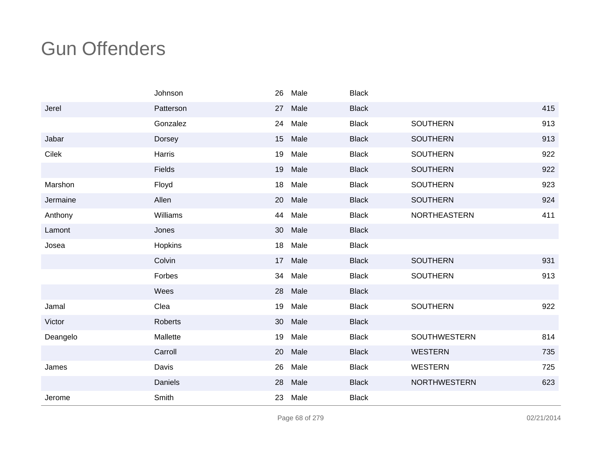|          | Johnson   | 26 | Male | <b>Black</b> |                     |     |
|----------|-----------|----|------|--------------|---------------------|-----|
| Jerel    | Patterson | 27 | Male | <b>Black</b> |                     | 415 |
|          | Gonzalez  | 24 | Male | <b>Black</b> | <b>SOUTHERN</b>     | 913 |
| Jabar    | Dorsey    | 15 | Male | <b>Black</b> | <b>SOUTHERN</b>     | 913 |
| Cilek    | Harris    | 19 | Male | <b>Black</b> | <b>SOUTHERN</b>     | 922 |
|          | Fields    | 19 | Male | <b>Black</b> | <b>SOUTHERN</b>     | 922 |
| Marshon  | Floyd     | 18 | Male | <b>Black</b> | <b>SOUTHERN</b>     | 923 |
| Jermaine | Allen     | 20 | Male | <b>Black</b> | <b>SOUTHERN</b>     | 924 |
| Anthony  | Williams  | 44 | Male | <b>Black</b> | NORTHEASTERN        | 411 |
| Lamont   | Jones     | 30 | Male | <b>Black</b> |                     |     |
| Josea    | Hopkins   | 18 | Male | <b>Black</b> |                     |     |
|          | Colvin    | 17 | Male | <b>Black</b> | <b>SOUTHERN</b>     | 931 |
|          | Forbes    | 34 | Male | <b>Black</b> | <b>SOUTHERN</b>     | 913 |
|          | Wees      | 28 | Male | <b>Black</b> |                     |     |
| Jamal    | Clea      | 19 | Male | <b>Black</b> | <b>SOUTHERN</b>     | 922 |
| Victor   | Roberts   | 30 | Male | <b>Black</b> |                     |     |
| Deangelo | Mallette  | 19 | Male | <b>Black</b> | <b>SOUTHWESTERN</b> | 814 |
|          | Carroll   | 20 | Male | <b>Black</b> | <b>WESTERN</b>      | 735 |
| James    | Davis     | 26 | Male | <b>Black</b> | <b>WESTERN</b>      | 725 |
|          | Daniels   | 28 | Male | <b>Black</b> | <b>NORTHWESTERN</b> | 623 |
| Jerome   | Smith     | 23 | Male | <b>Black</b> |                     |     |

Page 68 of 279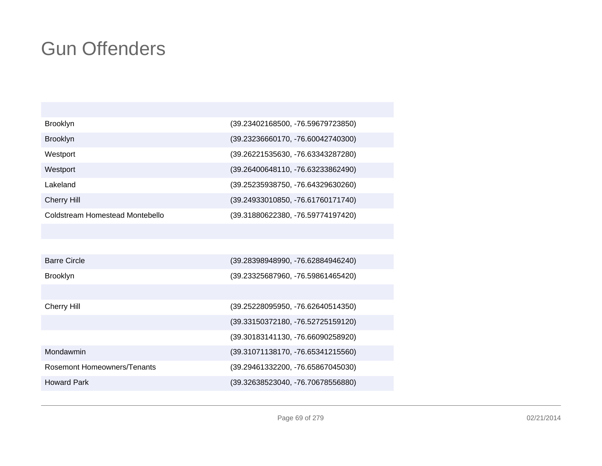| Brooklyn                           | (39.23402168500, -76.59679723850) |
|------------------------------------|-----------------------------------|
| <b>Brooklyn</b>                    | (39.23236660170, -76.60042740300) |
| Westport                           | (39.26221535630, -76.63343287280) |
| Westport                           | (39.26400648110, -76.63233862490) |
| Lakeland                           | (39.25235938750, -76.64329630260) |
| <b>Cherry Hill</b>                 | (39.24933010850, -76.61760171740) |
| Coldstream Homestead Montebello    | (39.31880622380, -76.59774197420) |
|                                    |                                   |
|                                    |                                   |
| <b>Barre Circle</b>                | (39.28398948990, -76.62884946240) |
| Brooklyn                           | (39.23325687960, -76.59861465420) |
|                                    |                                   |
| <b>Cherry Hill</b>                 | (39.25228095950, -76.62640514350) |
|                                    | (39.33150372180, -76.52725159120) |
|                                    | (39.30183141130, -76.66090258920) |
| Mondawmin                          | (39.31071138170, -76.65341215560) |
| <b>Rosemont Homeowners/Tenants</b> | (39.29461332200, -76.65867045030) |
| <b>Howard Park</b>                 | (39.32638523040, -76.70678556880) |
|                                    |                                   |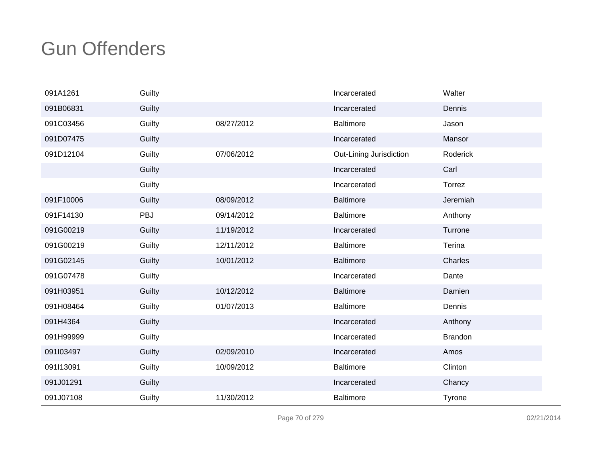| 091A1261  | Guilty |            | Incarcerated            | Walter         |
|-----------|--------|------------|-------------------------|----------------|
| 091B06831 | Guilty |            | Incarcerated            | Dennis         |
| 091C03456 | Guilty | 08/27/2012 | <b>Baltimore</b>        | Jason          |
| 091D07475 | Guilty |            | Incarcerated            | Mansor         |
| 091D12104 | Guilty | 07/06/2012 | Out-Lining Jurisdiction | Roderick       |
|           | Guilty |            | Incarcerated            | Carl           |
|           | Guilty |            | Incarcerated            | Torrez         |
| 091F10006 | Guilty | 08/09/2012 | <b>Baltimore</b>        | Jeremiah       |
| 091F14130 | PBJ    | 09/14/2012 | <b>Baltimore</b>        | Anthony        |
| 091G00219 | Guilty | 11/19/2012 | Incarcerated            | Turrone        |
| 091G00219 | Guilty | 12/11/2012 | <b>Baltimore</b>        | Terina         |
| 091G02145 | Guilty | 10/01/2012 | <b>Baltimore</b>        | Charles        |
| 091G07478 | Guilty |            | Incarcerated            | Dante          |
| 091H03951 | Guilty | 10/12/2012 | <b>Baltimore</b>        | Damien         |
| 091H08464 | Guilty | 01/07/2013 | <b>Baltimore</b>        | Dennis         |
| 091H4364  | Guilty |            | Incarcerated            | Anthony        |
| 091H99999 | Guilty |            | Incarcerated            | <b>Brandon</b> |
| 091l03497 | Guilty | 02/09/2010 | Incarcerated            | Amos           |
| 091l13091 | Guilty | 10/09/2012 | <b>Baltimore</b>        | Clinton        |
| 091J01291 | Guilty |            | Incarcerated            | Chancy         |
| 091J07108 | Guilty | 11/30/2012 | <b>Baltimore</b>        | Tyrone         |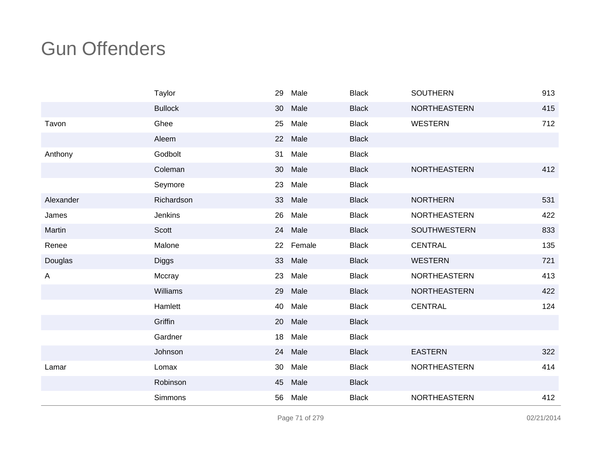|              | Taylor         | 29 | Male   | <b>Black</b> | <b>SOUTHERN</b>     | 913 |
|--------------|----------------|----|--------|--------------|---------------------|-----|
|              | <b>Bullock</b> | 30 | Male   | <b>Black</b> | NORTHEASTERN        | 415 |
| Tavon        | Ghee           | 25 | Male   | <b>Black</b> | <b>WESTERN</b>      | 712 |
|              | Aleem          | 22 | Male   | <b>Black</b> |                     |     |
| Anthony      | Godbolt        | 31 | Male   | <b>Black</b> |                     |     |
|              | Coleman        | 30 | Male   | <b>Black</b> | <b>NORTHEASTERN</b> | 412 |
|              | Seymore        | 23 | Male   | <b>Black</b> |                     |     |
| Alexander    | Richardson     | 33 | Male   | <b>Black</b> | <b>NORTHERN</b>     | 531 |
| James        | Jenkins        | 26 | Male   | <b>Black</b> | <b>NORTHEASTERN</b> | 422 |
| Martin       | Scott          | 24 | Male   | <b>Black</b> | <b>SOUTHWESTERN</b> | 833 |
| Renee        | Malone         | 22 | Female | <b>Black</b> | <b>CENTRAL</b>      | 135 |
| Douglas      | <b>Diggs</b>   | 33 | Male   | <b>Black</b> | <b>WESTERN</b>      | 721 |
| $\mathsf{A}$ | Mccray         | 23 | Male   | <b>Black</b> | <b>NORTHEASTERN</b> | 413 |
|              | Williams       | 29 | Male   | <b>Black</b> | NORTHEASTERN        | 422 |
|              | Hamlett        | 40 | Male   | <b>Black</b> | <b>CENTRAL</b>      | 124 |
|              | Griffin        | 20 | Male   | <b>Black</b> |                     |     |
|              | Gardner        | 18 | Male   | <b>Black</b> |                     |     |
|              | Johnson        | 24 | Male   | <b>Black</b> | <b>EASTERN</b>      | 322 |
| Lamar        | Lomax          | 30 | Male   | <b>Black</b> | NORTHEASTERN        | 414 |
|              | Robinson       | 45 | Male   | <b>Black</b> |                     |     |
|              | Simmons        | 56 | Male   | <b>Black</b> | NORTHEASTERN        | 412 |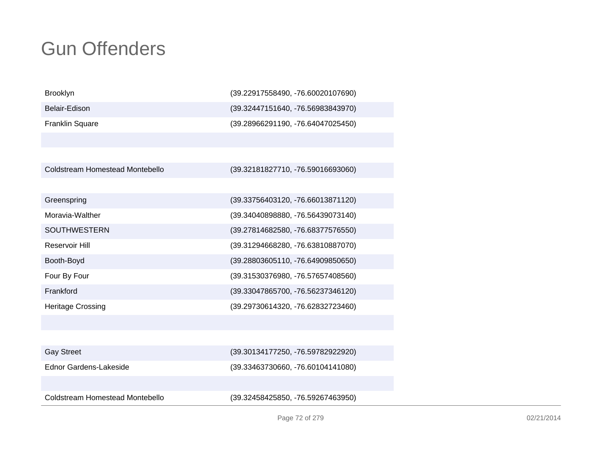| <b>Brooklyn</b>                 | (39.22917558490, -76.60020107690) |
|---------------------------------|-----------------------------------|
| Belair-Edison                   | (39.32447151640, -76.56983843970) |
| Franklin Square                 | (39.28966291190, -76.64047025450) |
|                                 |                                   |
|                                 |                                   |
| Coldstream Homestead Montebello | (39.32181827710, -76.59016693060) |
|                                 |                                   |
| Greenspring                     | (39.33756403120, -76.66013871120) |
| Moravia-Walther                 | (39.34040898880, -76.56439073140) |
| <b>SOUTHWESTERN</b>             | (39.27814682580, -76.68377576550) |
| Reservoir Hill                  | (39.31294668280, -76.63810887070) |
| Booth-Boyd                      | (39.28803605110, -76.64909850650) |
| Four By Four                    | (39.31530376980, -76.57657408560) |
| Frankford                       | (39.33047865700, -76.56237346120) |
| <b>Heritage Crossing</b>        | (39.29730614320, -76.62832723460) |
|                                 |                                   |
|                                 |                                   |
| <b>Gay Street</b>               | (39.30134177250, -76.59782922920) |
| Ednor Gardens-Lakeside          | (39.33463730660, -76.60104141080) |
|                                 |                                   |
| Coldstream Homestead Montebello | (39.32458425850, -76.59267463950) |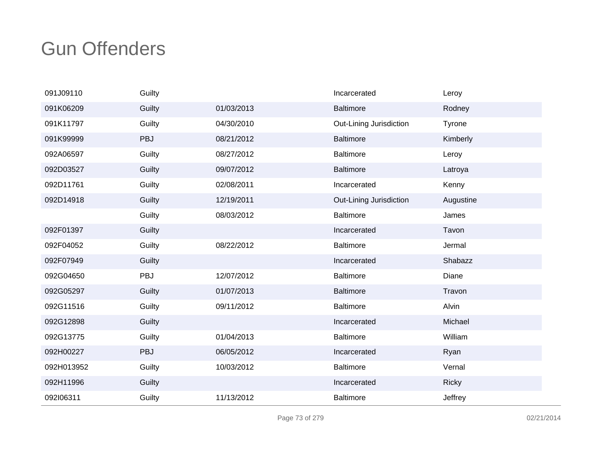| 091J09110  | Guilty |            | Incarcerated            | Leroy         |
|------------|--------|------------|-------------------------|---------------|
| 091K06209  | Guilty | 01/03/2013 | <b>Baltimore</b>        | Rodney        |
| 091K11797  | Guilty | 04/30/2010 | Out-Lining Jurisdiction | <b>Tyrone</b> |
| 091K99999  | PBJ    | 08/21/2012 | <b>Baltimore</b>        | Kimberly      |
| 092A06597  | Guilty | 08/27/2012 | <b>Baltimore</b>        | Leroy         |
| 092D03527  | Guilty | 09/07/2012 | <b>Baltimore</b>        | Latroya       |
| 092D11761  | Guilty | 02/08/2011 | Incarcerated            | Kenny         |
| 092D14918  | Guilty | 12/19/2011 | Out-Lining Jurisdiction | Augustine     |
|            | Guilty | 08/03/2012 | <b>Baltimore</b>        | James         |
| 092F01397  | Guilty |            | Incarcerated            | Tavon         |
| 092F04052  | Guilty | 08/22/2012 | <b>Baltimore</b>        | Jermal        |
| 092F07949  | Guilty |            | Incarcerated            | Shabazz       |
| 092G04650  | PBJ    | 12/07/2012 | <b>Baltimore</b>        | Diane         |
| 092G05297  | Guilty | 01/07/2013 | <b>Baltimore</b>        | Travon        |
| 092G11516  | Guilty | 09/11/2012 | <b>Baltimore</b>        | Alvin         |
| 092G12898  | Guilty |            | Incarcerated            | Michael       |
| 092G13775  | Guilty | 01/04/2013 | <b>Baltimore</b>        | William       |
| 092H00227  | PBJ    | 06/05/2012 | Incarcerated            | Ryan          |
| 092H013952 | Guilty | 10/03/2012 | <b>Baltimore</b>        | Vernal        |
| 092H11996  | Guilty |            | Incarcerated            | <b>Ricky</b>  |
| 092106311  | Guilty | 11/13/2012 | <b>Baltimore</b>        | Jeffrey       |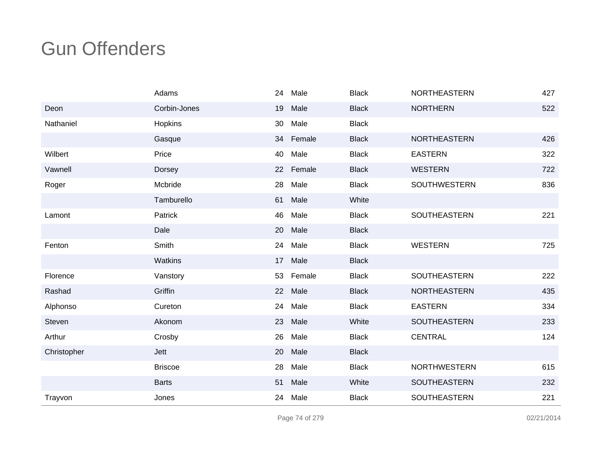|             | Adams          | 24 | Male   | <b>Black</b> | <b>NORTHEASTERN</b> | 427 |
|-------------|----------------|----|--------|--------------|---------------------|-----|
| Deon        | Corbin-Jones   | 19 | Male   | <b>Black</b> | <b>NORTHERN</b>     | 522 |
| Nathaniel   | Hopkins        | 30 | Male   | <b>Black</b> |                     |     |
|             | Gasque         | 34 | Female | <b>Black</b> | <b>NORTHEASTERN</b> | 426 |
| Wilbert     | Price          | 40 | Male   | <b>Black</b> | <b>EASTERN</b>      | 322 |
| Vawnell     | Dorsey         | 22 | Female | <b>Black</b> | <b>WESTERN</b>      | 722 |
| Roger       | Mcbride        | 28 | Male   | <b>Black</b> | SOUTHWESTERN        | 836 |
|             | Tamburello     | 61 | Male   | White        |                     |     |
| Lamont      | Patrick        | 46 | Male   | <b>Black</b> | SOUTHEASTERN        | 221 |
|             | Dale           | 20 | Male   | <b>Black</b> |                     |     |
| Fenton      | Smith          | 24 | Male   | <b>Black</b> | <b>WESTERN</b>      | 725 |
|             | Watkins        | 17 | Male   | <b>Black</b> |                     |     |
| Florence    | Vanstory       | 53 | Female | <b>Black</b> | SOUTHEASTERN        | 222 |
| Rashad      | Griffin        | 22 | Male   | <b>Black</b> | <b>NORTHEASTERN</b> | 435 |
| Alphonso    | Cureton        | 24 | Male   | <b>Black</b> | <b>EASTERN</b>      | 334 |
| Steven      | Akonom         | 23 | Male   | White        | <b>SOUTHEASTERN</b> | 233 |
| Arthur      | Crosby         | 26 | Male   | <b>Black</b> | <b>CENTRAL</b>      | 124 |
| Christopher | Jett           | 20 | Male   | <b>Black</b> |                     |     |
|             | <b>Briscoe</b> | 28 | Male   | <b>Black</b> | <b>NORTHWESTERN</b> | 615 |
|             | <b>Barts</b>   | 51 | Male   | White        | <b>SOUTHEASTERN</b> | 232 |
| Trayvon     | Jones          | 24 | Male   | <b>Black</b> | SOUTHEASTERN        | 221 |

Page 74 of 279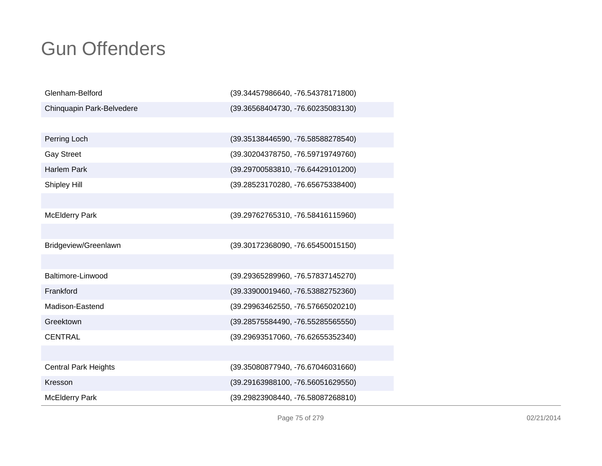| Glenham-Belford             | (39.34457986640, -76.54378171800) |
|-----------------------------|-----------------------------------|
| Chinquapin Park-Belvedere   | (39.36568404730, -76.60235083130) |
|                             |                                   |
| Perring Loch                | (39.35138446590, -76.58588278540) |
| <b>Gay Street</b>           | (39.30204378750, -76.59719749760) |
| <b>Harlem Park</b>          | (39.29700583810, -76.64429101200) |
| Shipley Hill                | (39.28523170280, -76.65675338400) |
|                             |                                   |
| <b>McElderry Park</b>       | (39.29762765310, -76.58416115960) |
|                             |                                   |
| Bridgeview/Greenlawn        | (39.30172368090, -76.65450015150) |
|                             |                                   |
| Baltimore-Linwood           | (39.29365289960, -76.57837145270) |
| Frankford                   | (39.33900019460, -76.53882752360) |
| Madison-Eastend             | (39.29963462550, -76.57665020210) |
| Greektown                   | (39.28575584490, -76.55285565550) |
| <b>CENTRAL</b>              | (39.29693517060, -76.62655352340) |
|                             |                                   |
| <b>Central Park Heights</b> | (39.35080877940, -76.67046031660) |
| Kresson                     | (39.29163988100, -76.56051629550) |
| <b>McElderry Park</b>       | (39.29823908440, -76.58087268810) |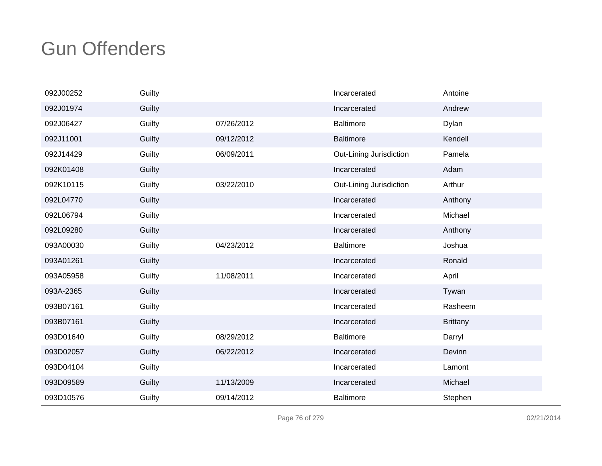| 092J00252 | Guilty |            | Incarcerated            | Antoine         |
|-----------|--------|------------|-------------------------|-----------------|
| 092J01974 | Guilty |            | Incarcerated            | Andrew          |
| 092J06427 | Guilty | 07/26/2012 | <b>Baltimore</b>        | Dylan           |
| 092J11001 | Guilty | 09/12/2012 | <b>Baltimore</b>        | Kendell         |
| 092J14429 | Guilty | 06/09/2011 | Out-Lining Jurisdiction | Pamela          |
| 092K01408 | Guilty |            | Incarcerated            | Adam            |
| 092K10115 | Guilty | 03/22/2010 | Out-Lining Jurisdiction | Arthur          |
| 092L04770 | Guilty |            | Incarcerated            | Anthony         |
| 092L06794 | Guilty |            | Incarcerated            | Michael         |
| 092L09280 | Guilty |            | Incarcerated            | Anthony         |
| 093A00030 | Guilty | 04/23/2012 | <b>Baltimore</b>        | Joshua          |
| 093A01261 | Guilty |            | Incarcerated            | Ronald          |
| 093A05958 | Guilty | 11/08/2011 | Incarcerated            | April           |
| 093A-2365 | Guilty |            | Incarcerated            | Tywan           |
| 093B07161 | Guilty |            | Incarcerated            | Rasheem         |
| 093B07161 | Guilty |            | Incarcerated            | <b>Brittany</b> |
| 093D01640 | Guilty | 08/29/2012 | <b>Baltimore</b>        | Darryl          |
| 093D02057 | Guilty | 06/22/2012 | Incarcerated            | Devinn          |
| 093D04104 | Guilty |            | Incarcerated            | Lamont          |
| 093D09589 | Guilty | 11/13/2009 | Incarcerated            | Michael         |
| 093D10576 | Guilty | 09/14/2012 | <b>Baltimore</b>        | Stephen         |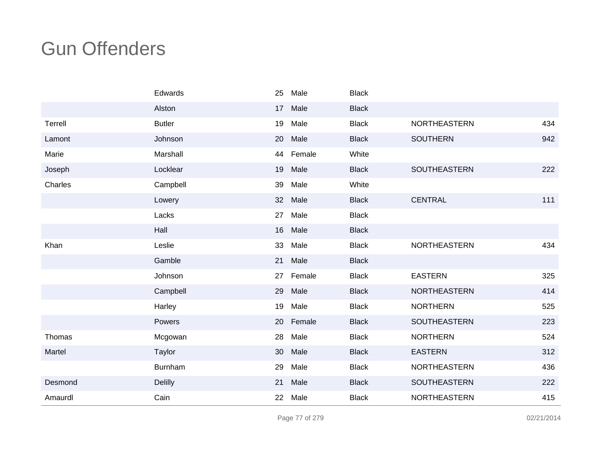|         | Edwards        | 25 | Male   | <b>Black</b> |                     |     |
|---------|----------------|----|--------|--------------|---------------------|-----|
|         | Alston         | 17 | Male   | <b>Black</b> |                     |     |
| Terrell | <b>Butler</b>  | 19 | Male   | <b>Black</b> | NORTHEASTERN        | 434 |
| Lamont  | Johnson        | 20 | Male   | <b>Black</b> | <b>SOUTHERN</b>     | 942 |
| Marie   | Marshall       | 44 | Female | White        |                     |     |
| Joseph  | Locklear       | 19 | Male   | <b>Black</b> | SOUTHEASTERN        | 222 |
| Charles | Campbell       | 39 | Male   | White        |                     |     |
|         | Lowery         | 32 | Male   | <b>Black</b> | <b>CENTRAL</b>      | 111 |
|         | Lacks          | 27 | Male   | <b>Black</b> |                     |     |
|         | Hall           | 16 | Male   | <b>Black</b> |                     |     |
| Khan    | Leslie         | 33 | Male   | <b>Black</b> | NORTHEASTERN        | 434 |
|         | Gamble         | 21 | Male   | <b>Black</b> |                     |     |
|         | Johnson        | 27 | Female | <b>Black</b> | <b>EASTERN</b>      | 325 |
|         | Campbell       | 29 | Male   | <b>Black</b> | NORTHEASTERN        | 414 |
|         | Harley         | 19 | Male   | <b>Black</b> | <b>NORTHERN</b>     | 525 |
|         | Powers         | 20 | Female | <b>Black</b> | SOUTHEASTERN        | 223 |
| Thomas  | Mcgowan        | 28 | Male   | <b>Black</b> | <b>NORTHERN</b>     | 524 |
| Martel  | Taylor         | 30 | Male   | <b>Black</b> | <b>EASTERN</b>      | 312 |
|         | Burnham        | 29 | Male   | <b>Black</b> | <b>NORTHEASTERN</b> | 436 |
| Desmond | <b>Delilly</b> | 21 | Male   | <b>Black</b> | SOUTHEASTERN        | 222 |
| Amaurdl | Cain           | 22 | Male   | <b>Black</b> | NORTHEASTERN        | 415 |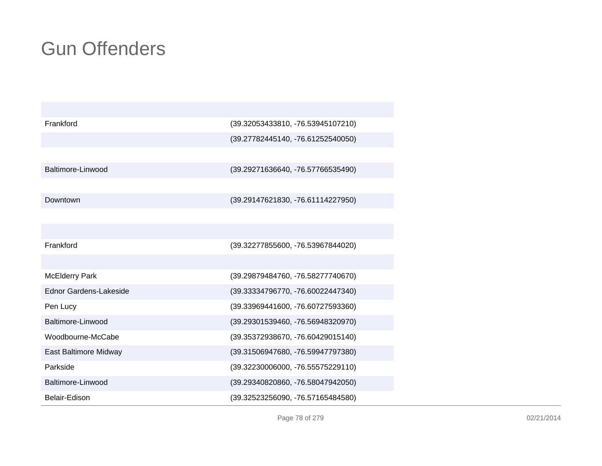| Frankford                     | (39.32053433810, -76.53945107210) |
|-------------------------------|-----------------------------------|
|                               | (39.27782445140, -76.61252540050) |
|                               |                                   |
| Baltimore-Linwood             | (39.29271636640, -76.57766535490) |
|                               |                                   |
| Downtown                      | (39.29147621830, -76.61114227950) |
|                               |                                   |
|                               |                                   |
| Frankford                     | (39.32277855600, -76.53967844020) |
|                               |                                   |
| <b>McElderry Park</b>         | (39.29879484760, -76.58277740670) |
| <b>Ednor Gardens-Lakeside</b> | (39.33334796770, -76.60022447340) |
| Pen Lucy                      | (39.33969441600, -76.60727593360) |
| Baltimore-Linwood             | (39.29301539460, -76.56948320970) |
| Woodbourne-McCabe             | (39.35372938670, -76.60429015140) |
| East Baltimore Midway         | (39.31506947680, -76.59947797380) |
| Parkside                      | (39.32230006000, -76.55575229110) |
| Baltimore-Linwood             | (39.29340820860, -76.58047942050) |
| Belair-Edison                 | (39.32523256090, -76.57165484580) |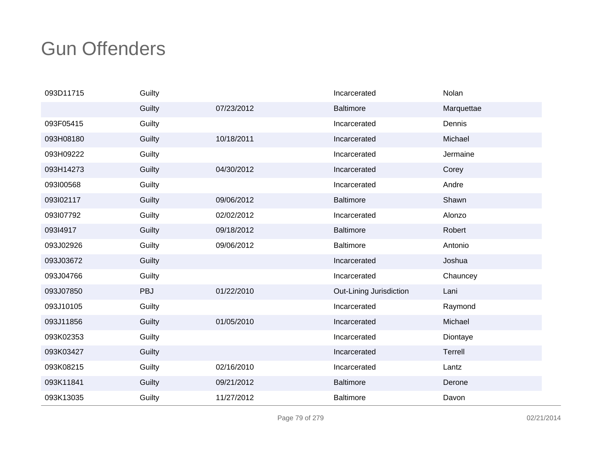| 093D11715 | Guilty     |            | Incarcerated            | Nolan      |
|-----------|------------|------------|-------------------------|------------|
|           | Guilty     | 07/23/2012 | <b>Baltimore</b>        | Marquettae |
| 093F05415 | Guilty     |            | Incarcerated            | Dennis     |
| 093H08180 | Guilty     | 10/18/2011 | Incarcerated            | Michael    |
| 093H09222 | Guilty     |            | Incarcerated            | Jermaine   |
| 093H14273 | Guilty     | 04/30/2012 | Incarcerated            | Corey      |
| 093100568 | Guilty     |            | Incarcerated            | Andre      |
| 093l02117 | Guilty     | 09/06/2012 | <b>Baltimore</b>        | Shawn      |
| 093l07792 | Guilty     | 02/02/2012 | Incarcerated            | Alonzo     |
| 093I4917  | Guilty     | 09/18/2012 | <b>Baltimore</b>        | Robert     |
| 093J02926 | Guilty     | 09/06/2012 | <b>Baltimore</b>        | Antonio    |
| 093J03672 | Guilty     |            | Incarcerated            | Joshua     |
| 093J04766 | Guilty     |            | Incarcerated            | Chauncey   |
| 093J07850 | <b>PBJ</b> | 01/22/2010 | Out-Lining Jurisdiction | Lani       |
| 093J10105 | Guilty     |            | Incarcerated            | Raymond    |
| 093J11856 | Guilty     | 01/05/2010 | Incarcerated            | Michael    |
| 093K02353 | Guilty     |            | Incarcerated            | Diontaye   |
| 093K03427 | Guilty     |            | Incarcerated            | Terrell    |
| 093K08215 | Guilty     | 02/16/2010 | Incarcerated            | Lantz      |
| 093K11841 | Guilty     | 09/21/2012 | <b>Baltimore</b>        | Derone     |
| 093K13035 | Guilty     | 11/27/2012 | <b>Baltimore</b>        | Davon      |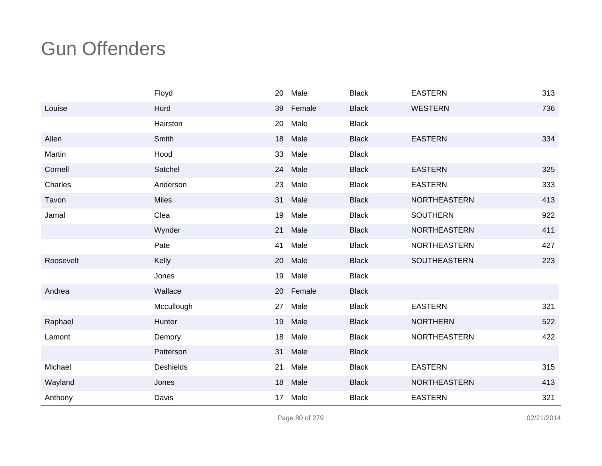|           | Floyd            | 20              | Male      | <b>Black</b> | <b>EASTERN</b>      | 313 |
|-----------|------------------|-----------------|-----------|--------------|---------------------|-----|
| Louise    | Hurd             | 39              | Female    | <b>Black</b> | <b>WESTERN</b>      | 736 |
|           | Hairston         | 20              | Male      | <b>Black</b> |                     |     |
| Allen     | Smith            | 18              | Male      | <b>Black</b> | <b>EASTERN</b>      | 334 |
| Martin    | Hood             | 33              | Male      | <b>Black</b> |                     |     |
| Cornell   | Satchel          | 24              | Male      | <b>Black</b> | <b>EASTERN</b>      | 325 |
| Charles   | Anderson         | 23              | Male      | <b>Black</b> | <b>EASTERN</b>      | 333 |
| Tavon     | Miles            | 31              | Male      | <b>Black</b> | NORTHEASTERN        | 413 |
| Jamal     | Clea             | 19              | Male      | <b>Black</b> | <b>SOUTHERN</b>     | 922 |
|           | Wynder           | 21              | Male      | <b>Black</b> | <b>NORTHEASTERN</b> | 411 |
|           | Pate             | 41              | Male      | <b>Black</b> | <b>NORTHEASTERN</b> | 427 |
| Roosevelt | Kelly            | 20              | Male      | <b>Black</b> | SOUTHEASTERN        | 223 |
|           | Jones            | 19              | Male      | <b>Black</b> |                     |     |
| Andrea    | Wallace          |                 | 20 Female | <b>Black</b> |                     |     |
|           | Mccullough       | 27              | Male      | <b>Black</b> | <b>EASTERN</b>      | 321 |
| Raphael   | Hunter           | 19              | Male      | <b>Black</b> | <b>NORTHERN</b>     | 522 |
| Lamont    | Demory           | 18              | Male      | <b>Black</b> | NORTHEASTERN        | 422 |
|           | Patterson        | 31              | Male      | <b>Black</b> |                     |     |
| Michael   | <b>Deshields</b> | 21              | Male      | <b>Black</b> | <b>EASTERN</b>      | 315 |
| Wayland   | Jones            | 18              | Male      | <b>Black</b> | <b>NORTHEASTERN</b> | 413 |
| Anthony   | Davis            | 17 <sub>2</sub> | Male      | <b>Black</b> | <b>EASTERN</b>      | 321 |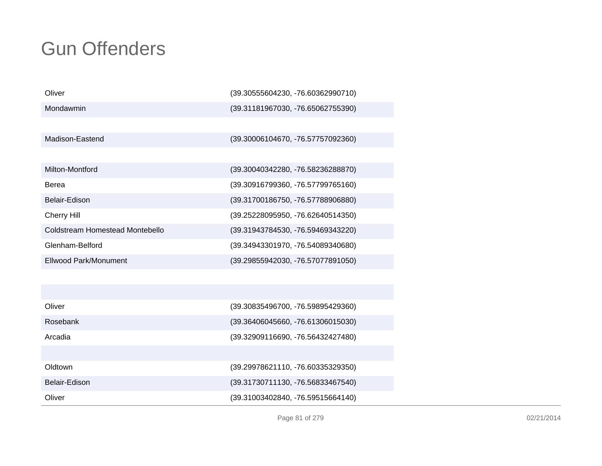| Oliver                          | (39.30555604230, -76.60362990710) |
|---------------------------------|-----------------------------------|
| Mondawmin                       | (39.31181967030, -76.65062755390) |
|                                 |                                   |
| Madison-Eastend                 | (39.30006104670, -76.57757092360) |
|                                 |                                   |
| Milton-Montford                 | (39.30040342280, -76.58236288870) |
| Berea                           | (39.30916799360, -76.57799765160) |
| Belair-Edison                   | (39.31700186750, -76.57788906880) |
| <b>Cherry Hill</b>              | (39.25228095950, -76.62640514350) |
| Coldstream Homestead Montebello | (39.31943784530, -76.59469343220) |
| Glenham-Belford                 | (39.34943301970, -76.54089340680) |
| <b>Ellwood Park/Monument</b>    | (39.29855942030, -76.57077891050) |
|                                 |                                   |
|                                 |                                   |
| Oliver                          | (39.30835496700, -76.59895429360) |
| Rosebank                        | (39.36406045660, -76.61306015030) |
| Arcadia                         | (39.32909116690, -76.56432427480) |
|                                 |                                   |
| Oldtown                         | (39.29978621110, -76.60335329350) |
| Belair-Edison                   | (39.31730711130, -76.56833467540) |
| Oliver                          | (39.31003402840, -76.59515664140) |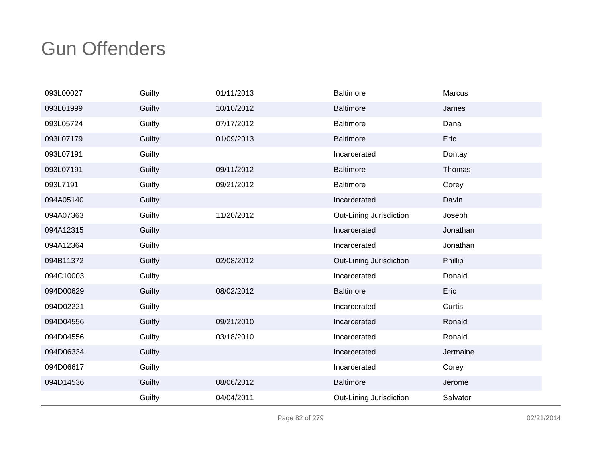| 093L00027 | Guilty | 01/11/2013 | <b>Baltimore</b>        | Marcus   |
|-----------|--------|------------|-------------------------|----------|
| 093L01999 | Guilty | 10/10/2012 | <b>Baltimore</b>        | James    |
| 093L05724 | Guilty | 07/17/2012 | <b>Baltimore</b>        | Dana     |
| 093L07179 | Guilty | 01/09/2013 | <b>Baltimore</b>        | Eric     |
| 093L07191 | Guilty |            | Incarcerated            | Dontay   |
| 093L07191 | Guilty | 09/11/2012 | <b>Baltimore</b>        | Thomas   |
| 093L7191  | Guilty | 09/21/2012 | <b>Baltimore</b>        | Corey    |
| 094A05140 | Guilty |            | Incarcerated            | Davin    |
| 094A07363 | Guilty | 11/20/2012 | Out-Lining Jurisdiction | Joseph   |
| 094A12315 | Guilty |            | Incarcerated            | Jonathan |
| 094A12364 | Guilty |            | Incarcerated            | Jonathan |
| 094B11372 | Guilty | 02/08/2012 | Out-Lining Jurisdiction | Phillip  |
| 094C10003 | Guilty |            | Incarcerated            | Donald   |
| 094D00629 | Guilty | 08/02/2012 | <b>Baltimore</b>        | Eric     |
| 094D02221 | Guilty |            | Incarcerated            | Curtis   |
| 094D04556 | Guilty | 09/21/2010 | Incarcerated            | Ronald   |
| 094D04556 | Guilty | 03/18/2010 | Incarcerated            | Ronald   |
| 094D06334 | Guilty |            | Incarcerated            | Jermaine |
| 094D06617 | Guilty |            | Incarcerated            | Corey    |
| 094D14536 | Guilty | 08/06/2012 | <b>Baltimore</b>        | Jerome   |
|           | Guilty | 04/04/2011 | Out-Lining Jurisdiction | Salvator |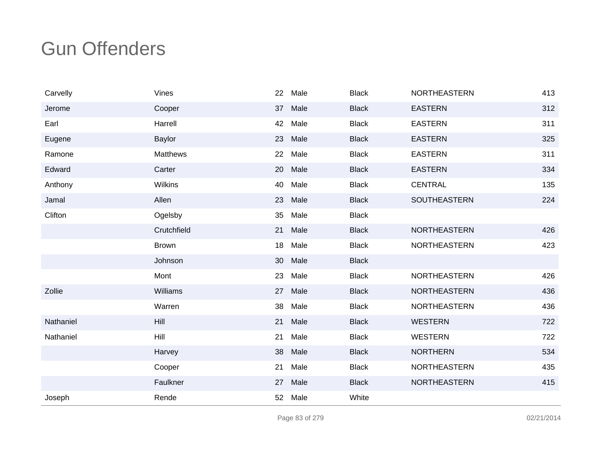| Carvelly  | Vines           | 22 | Male | <b>Black</b> | <b>NORTHEASTERN</b> | 413 |
|-----------|-----------------|----|------|--------------|---------------------|-----|
| Jerome    | Cooper          | 37 | Male | <b>Black</b> | <b>EASTERN</b>      | 312 |
| Earl      | Harrell         | 42 | Male | <b>Black</b> | <b>EASTERN</b>      | 311 |
| Eugene    | Baylor          | 23 | Male | <b>Black</b> | <b>EASTERN</b>      | 325 |
| Ramone    | <b>Matthews</b> | 22 | Male | <b>Black</b> | <b>EASTERN</b>      | 311 |
| Edward    | Carter          | 20 | Male | <b>Black</b> | <b>EASTERN</b>      | 334 |
| Anthony   | <b>Wilkins</b>  | 40 | Male | <b>Black</b> | <b>CENTRAL</b>      | 135 |
| Jamal     | Allen           | 23 | Male | <b>Black</b> | <b>SOUTHEASTERN</b> | 224 |
| Clifton   | Ogelsby         | 35 | Male | <b>Black</b> |                     |     |
|           | Crutchfield     | 21 | Male | <b>Black</b> | NORTHEASTERN        | 426 |
|           | <b>Brown</b>    | 18 | Male | <b>Black</b> | NORTHEASTERN        | 423 |
|           | Johnson         | 30 | Male | <b>Black</b> |                     |     |
|           | Mont            | 23 | Male | <b>Black</b> | <b>NORTHEASTERN</b> | 426 |
| Zollie    | Williams        | 27 | Male | <b>Black</b> | <b>NORTHEASTERN</b> | 436 |
|           | Warren          | 38 | Male | <b>Black</b> | NORTHEASTERN        | 436 |
| Nathaniel | Hill            | 21 | Male | <b>Black</b> | <b>WESTERN</b>      | 722 |
| Nathaniel | Hill            | 21 | Male | <b>Black</b> | <b>WESTERN</b>      | 722 |
|           | Harvey          | 38 | Male | <b>Black</b> | <b>NORTHERN</b>     | 534 |
|           | Cooper          | 21 | Male | <b>Black</b> | <b>NORTHEASTERN</b> | 435 |
|           | Faulkner        | 27 | Male | <b>Black</b> | NORTHEASTERN        | 415 |
| Joseph    | Rende           | 52 | Male | White        |                     |     |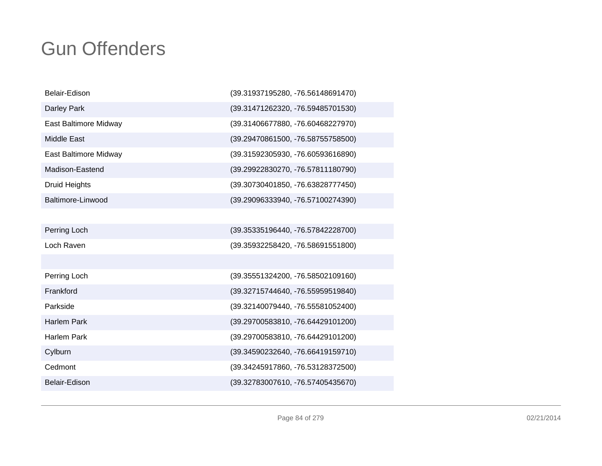| Belair-Edison         | (39.31937195280, -76.56148691470) |
|-----------------------|-----------------------------------|
| Darley Park           | (39.31471262320, -76.59485701530) |
| East Baltimore Midway | (39.31406677880, -76.60468227970) |
| <b>Middle East</b>    | (39.29470861500, -76.58755758500) |
| East Baltimore Midway | (39.31592305930, -76.60593616890) |
| Madison-Eastend       | (39.29922830270, -76.57811180790) |
| Druid Heights         | (39.30730401850, -76.63828777450) |
| Baltimore-Linwood     | (39.29096333940, -76.57100274390) |
|                       |                                   |
| Perring Loch          | (39.35335196440, -76.57842228700) |
| Loch Raven            | (39.35932258420, -76.58691551800) |
|                       |                                   |
| Perring Loch          | (39.35551324200, -76.58502109160) |
| Frankford             | (39.32715744640, -76.55959519840) |
| Parkside              | (39.32140079440, -76.55581052400) |
| <b>Harlem Park</b>    | (39.29700583810, -76.64429101200) |
| <b>Harlem Park</b>    | (39.29700583810, -76.64429101200) |
| Cylburn               | (39.34590232640, -76.66419159710) |
| Cedmont               | (39.34245917860, -76.53128372500) |
| Belair-Edison         | (39.32783007610, -76.57405435670) |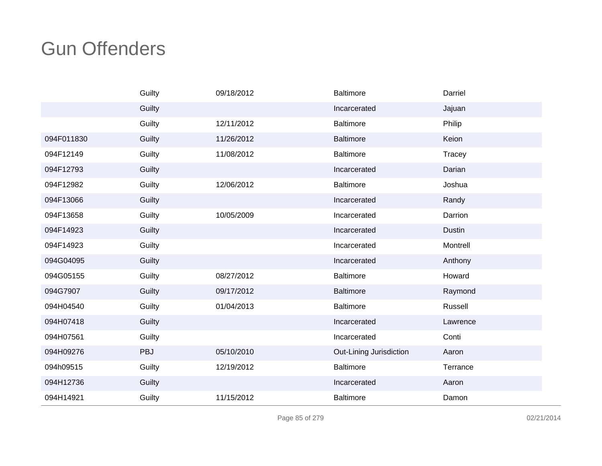|            | Guilty     | 09/18/2012 | <b>Baltimore</b>        | Darriel       |
|------------|------------|------------|-------------------------|---------------|
|            | Guilty     |            | Incarcerated            | Jajuan        |
|            | Guilty     | 12/11/2012 | <b>Baltimore</b>        | Philip        |
| 094F011830 | Guilty     | 11/26/2012 | <b>Baltimore</b>        | Keion         |
| 094F12149  | Guilty     | 11/08/2012 | Baltimore               | Tracey        |
| 094F12793  | Guilty     |            | Incarcerated            | Darian        |
| 094F12982  | Guilty     | 12/06/2012 | <b>Baltimore</b>        | Joshua        |
| 094F13066  | Guilty     |            | Incarcerated            | Randy         |
| 094F13658  | Guilty     | 10/05/2009 | Incarcerated            | Darrion       |
| 094F14923  | Guilty     |            | Incarcerated            | <b>Dustin</b> |
| 094F14923  | Guilty     |            | Incarcerated            | Montrell      |
| 094G04095  | Guilty     |            | Incarcerated            | Anthony       |
| 094G05155  | Guilty     | 08/27/2012 | <b>Baltimore</b>        | Howard        |
| 094G7907   | Guilty     | 09/17/2012 | <b>Baltimore</b>        | Raymond       |
| 094H04540  | Guilty     | 01/04/2013 | <b>Baltimore</b>        | Russell       |
| 094H07418  | Guilty     |            | Incarcerated            | Lawrence      |
| 094H07561  | Guilty     |            | Incarcerated            | Conti         |
| 094H09276  | <b>PBJ</b> | 05/10/2010 | Out-Lining Jurisdiction | Aaron         |
| 094h09515  | Guilty     | 12/19/2012 | <b>Baltimore</b>        | Terrance      |
| 094H12736  | Guilty     |            | Incarcerated            | Aaron         |
| 094H14921  | Guilty     | 11/15/2012 | <b>Baltimore</b>        | Damon         |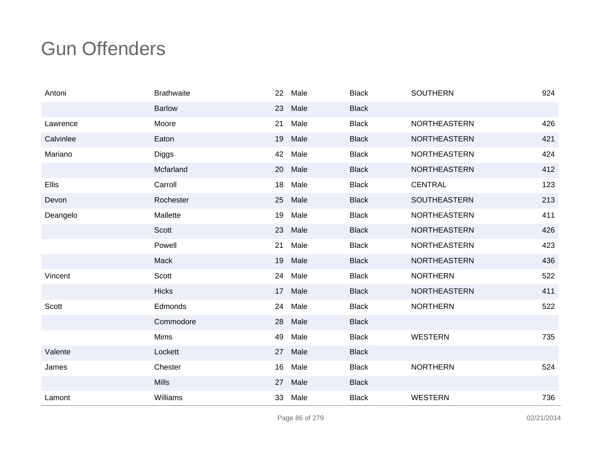| Antoni    | <b>Brathwaite</b> | 22 | Male | <b>Black</b> | <b>SOUTHERN</b>     | 924 |
|-----------|-------------------|----|------|--------------|---------------------|-----|
|           | <b>Barlow</b>     | 23 | Male | <b>Black</b> |                     |     |
| Lawrence  | Moore             | 21 | Male | <b>Black</b> | <b>NORTHEASTERN</b> | 426 |
| Calvinlee | Eaton             | 19 | Male | <b>Black</b> | <b>NORTHEASTERN</b> | 421 |
| Mariano   | <b>Diggs</b>      | 42 | Male | <b>Black</b> | NORTHEASTERN        | 424 |
|           | Mcfarland         | 20 | Male | <b>Black</b> | <b>NORTHEASTERN</b> | 412 |
| Ellis     | Carroll           | 18 | Male | <b>Black</b> | <b>CENTRAL</b>      | 123 |
| Devon     | Rochester         | 25 | Male | <b>Black</b> | SOUTHEASTERN        | 213 |
| Deangelo  | Mallette          | 19 | Male | <b>Black</b> | <b>NORTHEASTERN</b> | 411 |
|           | Scott             | 23 | Male | <b>Black</b> | NORTHEASTERN        | 426 |
|           | Powell            | 21 | Male | <b>Black</b> | <b>NORTHEASTERN</b> | 423 |
|           | Mack              | 19 | Male | <b>Black</b> | NORTHEASTERN        | 436 |
| Vincent   | Scott             | 24 | Male | <b>Black</b> | <b>NORTHERN</b>     | 522 |
|           | <b>Hicks</b>      | 17 | Male | <b>Black</b> | <b>NORTHEASTERN</b> | 411 |
| Scott     | Edmonds           | 24 | Male | <b>Black</b> | <b>NORTHERN</b>     | 522 |
|           | Commodore         | 28 | Male | <b>Black</b> |                     |     |
|           | Mims              | 49 | Male | <b>Black</b> | <b>WESTERN</b>      | 735 |
| Valente   | Lockett           | 27 | Male | <b>Black</b> |                     |     |
| James     | Chester           | 16 | Male | <b>Black</b> | <b>NORTHERN</b>     | 524 |
|           | <b>Mills</b>      | 27 | Male | <b>Black</b> |                     |     |
| Lamont    | Williams          | 33 | Male | <b>Black</b> | <b>WESTERN</b>      | 736 |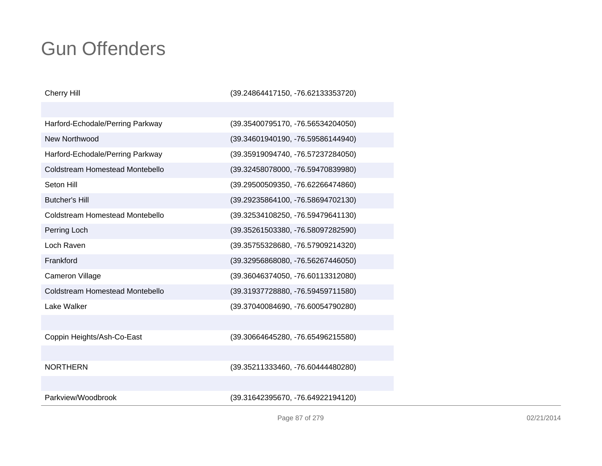| <b>Cherry Hill</b>                     | (39.24864417150, -76.62133353720) |
|----------------------------------------|-----------------------------------|
|                                        |                                   |
| Harford-Echodale/Perring Parkway       | (39.35400795170, -76.56534204050) |
| New Northwood                          | (39.34601940190, -76.59586144940) |
| Harford-Echodale/Perring Parkway       | (39.35919094740, -76.57237284050) |
| <b>Coldstream Homestead Montebello</b> | (39.32458078000, -76.59470839980) |
| Seton Hill                             | (39.29500509350, -76.62266474860) |
| <b>Butcher's Hill</b>                  | (39.29235864100, -76.58694702130) |
| Coldstream Homestead Montebello        | (39.32534108250, -76.59479641130) |
| Perring Loch                           | (39.35261503380, -76.58097282590) |
| Loch Raven                             | (39.35755328680, -76.57909214320) |
| Frankford                              | (39.32956868080, -76.56267446050) |
| <b>Cameron Village</b>                 | (39.36046374050, -76.60113312080) |
| <b>Coldstream Homestead Montebello</b> | (39.31937728880, -76.59459711580) |
| Lake Walker                            | (39.37040084690, -76.60054790280) |
|                                        |                                   |
| Coppin Heights/Ash-Co-East             | (39.30664645280, -76.65496215580) |
|                                        |                                   |
| <b>NORTHERN</b>                        | (39.35211333460, -76.60444480280) |
|                                        |                                   |
| Parkview/Woodbrook                     | (39.31642395670, -76.64922194120) |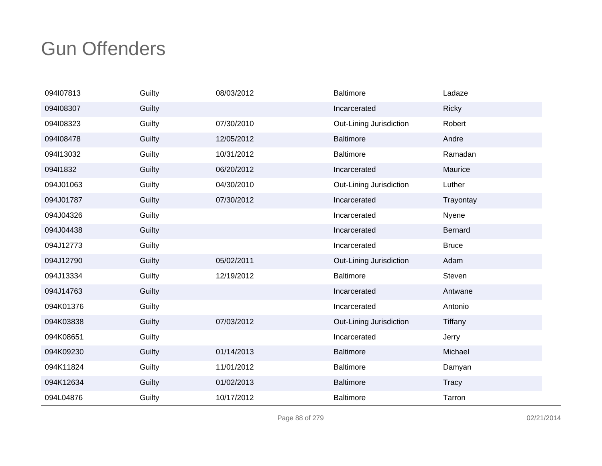| 094107813 | Guilty | 08/03/2012 | <b>Baltimore</b>        | Ladaze         |
|-----------|--------|------------|-------------------------|----------------|
| 094108307 | Guilty |            | Incarcerated            | <b>Ricky</b>   |
| 094108323 | Guilty | 07/30/2010 | Out-Lining Jurisdiction | Robert         |
| 094l08478 | Guilty | 12/05/2012 | <b>Baltimore</b>        | Andre          |
| 094113032 | Guilty | 10/31/2012 | Baltimore               | Ramadan        |
| 09411832  | Guilty | 06/20/2012 | Incarcerated            | Maurice        |
| 094J01063 | Guilty | 04/30/2010 | Out-Lining Jurisdiction | Luther         |
| 094J01787 | Guilty | 07/30/2012 | Incarcerated            | Trayontay      |
| 094J04326 | Guilty |            | Incarcerated            | Nyene          |
| 094J04438 | Guilty |            | Incarcerated            | Bernard        |
| 094J12773 | Guilty |            | Incarcerated            | <b>Bruce</b>   |
| 094J12790 | Guilty | 05/02/2011 | Out-Lining Jurisdiction | Adam           |
| 094J13334 | Guilty | 12/19/2012 | <b>Baltimore</b>        | Steven         |
| 094J14763 | Guilty |            | Incarcerated            | Antwane        |
| 094K01376 | Guilty |            | Incarcerated            | Antonio        |
| 094K03838 | Guilty | 07/03/2012 | Out-Lining Jurisdiction | <b>Tiffany</b> |
| 094K08651 | Guilty |            | Incarcerated            | Jerry          |
| 094K09230 | Guilty | 01/14/2013 | <b>Baltimore</b>        | Michael        |
| 094K11824 | Guilty | 11/01/2012 | <b>Baltimore</b>        | Damyan         |
| 094K12634 | Guilty | 01/02/2013 | <b>Baltimore</b>        | <b>Tracy</b>   |
| 094L04876 | Guilty | 10/17/2012 | <b>Baltimore</b>        | Tarron         |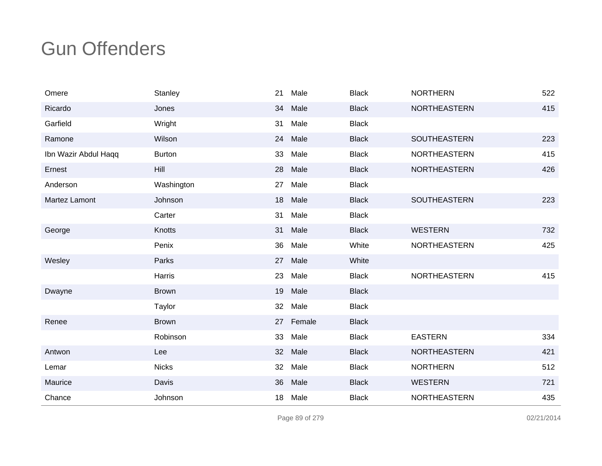| Omere                | Stanley       | 21              | Male      | <b>Black</b> | <b>NORTHERN</b>     | 522 |
|----------------------|---------------|-----------------|-----------|--------------|---------------------|-----|
| Ricardo              | Jones         | 34              | Male      | <b>Black</b> | <b>NORTHEASTERN</b> | 415 |
| Garfield             | Wright        | 31              | Male      | <b>Black</b> |                     |     |
| Ramone               | Wilson        | 24              | Male      | <b>Black</b> | <b>SOUTHEASTERN</b> | 223 |
| Ibn Wazir Abdul Haqq | <b>Burton</b> | 33              | Male      | <b>Black</b> | <b>NORTHEASTERN</b> | 415 |
| Ernest               | Hill          | 28              | Male      | <b>Black</b> | <b>NORTHEASTERN</b> | 426 |
| Anderson             | Washington    | 27              | Male      | <b>Black</b> |                     |     |
| Martez Lamont        | Johnson       | 18              | Male      | <b>Black</b> | <b>SOUTHEASTERN</b> | 223 |
|                      | Carter        | 31              | Male      | <b>Black</b> |                     |     |
| George               | Knotts        | 31              | Male      | <b>Black</b> | <b>WESTERN</b>      | 732 |
|                      | Penix         | 36              | Male      | White        | <b>NORTHEASTERN</b> | 425 |
| Wesley               | Parks         | 27              | Male      | White        |                     |     |
|                      | Harris        | 23              | Male      | <b>Black</b> | NORTHEASTERN        | 415 |
| Dwayne               | <b>Brown</b>  | 19              | Male      | <b>Black</b> |                     |     |
|                      | Taylor        | 32 <sup>2</sup> | Male      | <b>Black</b> |                     |     |
| Renee                | <b>Brown</b>  |                 | 27 Female | <b>Black</b> |                     |     |
|                      | Robinson      | 33              | Male      | <b>Black</b> | <b>EASTERN</b>      | 334 |
| Antwon               | Lee           | 32              | Male      | <b>Black</b> | <b>NORTHEASTERN</b> | 421 |
| Lemar                | <b>Nicks</b>  | 32              | Male      | <b>Black</b> | <b>NORTHERN</b>     | 512 |
| Maurice              | Davis         | 36              | Male      | <b>Black</b> | <b>WESTERN</b>      | 721 |
| Chance               | Johnson       | 18              | Male      | <b>Black</b> | <b>NORTHEASTERN</b> | 435 |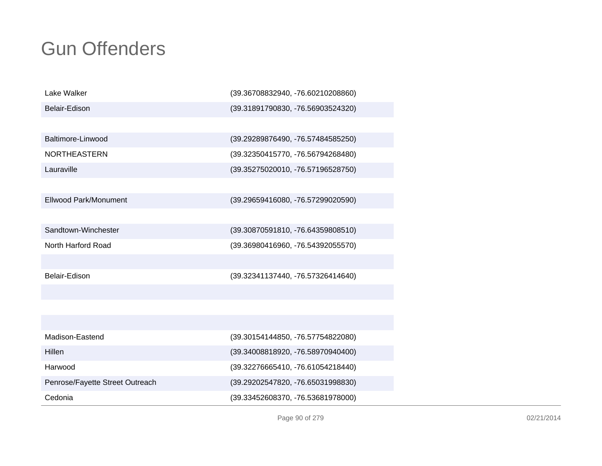| Lake Walker                     | (39.36708832940, -76.60210208860) |
|---------------------------------|-----------------------------------|
| Belair-Edison                   | (39.31891790830, -76.56903524320) |
|                                 |                                   |
| Baltimore-Linwood               | (39.29289876490, -76.57484585250) |
| <b>NORTHEASTERN</b>             | (39.32350415770, -76.56794268480) |
| Lauraville                      | (39.35275020010, -76.57196528750) |
|                                 |                                   |
| Ellwood Park/Monument           | (39.29659416080, -76.57299020590) |
|                                 |                                   |
| Sandtown-Winchester             | (39.30870591810, -76.64359808510) |
| North Harford Road              | (39.36980416960, -76.54392055570) |
|                                 |                                   |
| Belair-Edison                   | (39.32341137440, -76.57326414640) |
|                                 |                                   |
|                                 |                                   |
|                                 |                                   |
| Madison-Eastend                 | (39.30154144850, -76.57754822080) |
| Hillen                          | (39.34008818920, -76.58970940400) |
| Harwood                         | (39.32276665410, -76.61054218440) |
| Penrose/Fayette Street Outreach | (39.29202547820, -76.65031998830) |
| Cedonia                         | (39.33452608370, -76.53681978000) |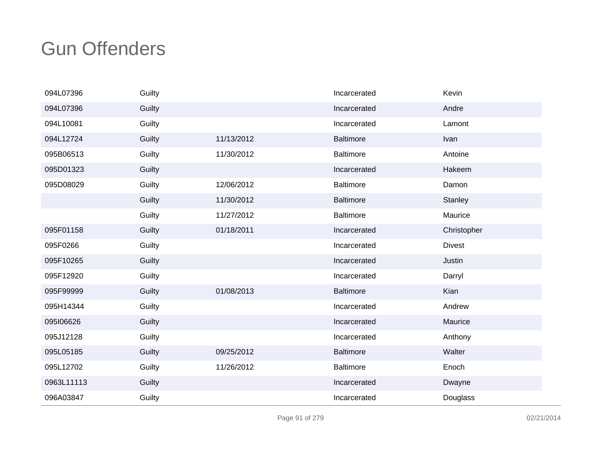| 094L07396  | Guilty |            | Incarcerated     | Kevin         |
|------------|--------|------------|------------------|---------------|
| 094L07396  | Guilty |            | Incarcerated     | Andre         |
| 094L10081  | Guilty |            | Incarcerated     | Lamont        |
| 094L12724  | Guilty | 11/13/2012 | <b>Baltimore</b> | Ivan          |
| 095B06513  | Guilty | 11/30/2012 | Baltimore        | Antoine       |
| 095D01323  | Guilty |            | Incarcerated     | Hakeem        |
| 095D08029  | Guilty | 12/06/2012 | Baltimore        | Damon         |
|            | Guilty | 11/30/2012 | <b>Baltimore</b> | Stanley       |
|            | Guilty | 11/27/2012 | <b>Baltimore</b> | Maurice       |
| 095F01158  | Guilty | 01/18/2011 | Incarcerated     | Christopher   |
| 095F0266   | Guilty |            | Incarcerated     | <b>Divest</b> |
| 095F10265  | Guilty |            | Incarcerated     | Justin        |
| 095F12920  | Guilty |            | Incarcerated     | Darryl        |
| 095F99999  | Guilty | 01/08/2013 | <b>Baltimore</b> | Kian          |
| 095H14344  | Guilty |            | Incarcerated     | Andrew        |
| 095106626  | Guilty |            | Incarcerated     | Maurice       |
| 095J12128  | Guilty |            | Incarcerated     | Anthony       |
| 095L05185  | Guilty | 09/25/2012 | <b>Baltimore</b> | Walter        |
| 095L12702  | Guilty | 11/26/2012 | <b>Baltimore</b> | Enoch         |
| 0963L11113 | Guilty |            | Incarcerated     | Dwayne        |
| 096A03847  | Guilty |            | Incarcerated     | Douglass      |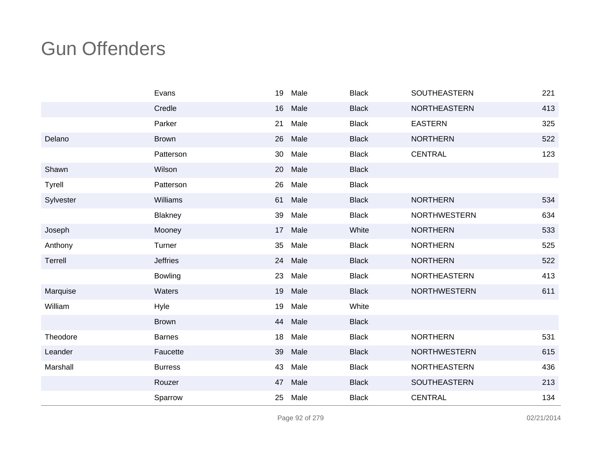|               | Evans           | 19 | Male | <b>Black</b> | SOUTHEASTERN        | 221 |
|---------------|-----------------|----|------|--------------|---------------------|-----|
|               | Credle          | 16 | Male | <b>Black</b> | NORTHEASTERN        | 413 |
|               | Parker          | 21 | Male | <b>Black</b> | <b>EASTERN</b>      | 325 |
| Delano        | <b>Brown</b>    | 26 | Male | <b>Black</b> | <b>NORTHERN</b>     | 522 |
|               | Patterson       | 30 | Male | <b>Black</b> | <b>CENTRAL</b>      | 123 |
| Shawn         | Wilson          | 20 | Male | <b>Black</b> |                     |     |
| <b>Tyrell</b> | Patterson       | 26 | Male | <b>Black</b> |                     |     |
| Sylvester     | Williams        | 61 | Male | <b>Black</b> | <b>NORTHERN</b>     | 534 |
|               | Blakney         | 39 | Male | <b>Black</b> | <b>NORTHWESTERN</b> | 634 |
| Joseph        | Mooney          | 17 | Male | White        | <b>NORTHERN</b>     | 533 |
| Anthony       | Turner          | 35 | Male | <b>Black</b> | <b>NORTHERN</b>     | 525 |
| Terrell       | <b>Jeffries</b> | 24 | Male | <b>Black</b> | <b>NORTHERN</b>     | 522 |
|               | <b>Bowling</b>  | 23 | Male | <b>Black</b> | NORTHEASTERN        | 413 |
| Marquise      | Waters          | 19 | Male | <b>Black</b> | <b>NORTHWESTERN</b> | 611 |
| William       | Hyle            | 19 | Male | White        |                     |     |
|               | <b>Brown</b>    | 44 | Male | <b>Black</b> |                     |     |
| Theodore      | <b>Barnes</b>   | 18 | Male | <b>Black</b> | <b>NORTHERN</b>     | 531 |
| Leander       | Faucette        | 39 | Male | <b>Black</b> | <b>NORTHWESTERN</b> | 615 |
| Marshall      | <b>Burress</b>  | 43 | Male | <b>Black</b> | <b>NORTHEASTERN</b> | 436 |
|               | Rouzer          | 47 | Male | <b>Black</b> | SOUTHEASTERN        | 213 |
|               | Sparrow         | 25 | Male | <b>Black</b> | <b>CENTRAL</b>      | 134 |

Page 92 of 279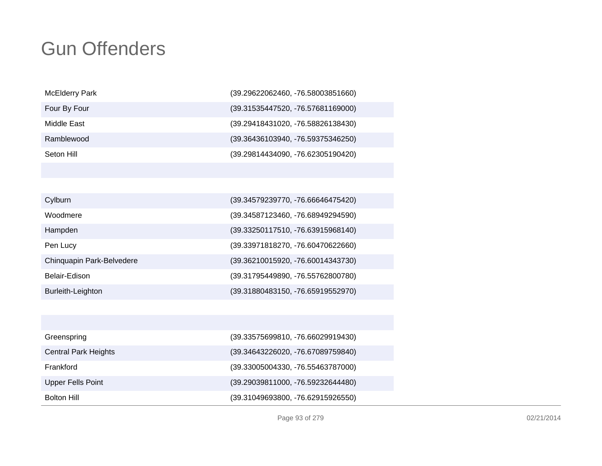| $(39.29622062460, -76.58003851660)$ |
|-------------------------------------|
| (39.31535447520, -76.57681169000)   |
| (39.29418431020, -76.58826138430)   |
| (39.36436103940, -76.59375346250)   |
| (39.29814434090, -76.62305190420)   |
|                                     |

| Cylburn                   | (39.34579239770, -76.66646475420) |
|---------------------------|-----------------------------------|
| Woodmere                  | (39.34587123460, -76.68949294590) |
| Hampden                   | (39.33250117510, -76.63915968140) |
| Pen Lucy                  | (39.33971818270, -76.60470622660) |
| Chinquapin Park-Belvedere | (39.36210015920, -76.60014343730) |
| Belair-Edison             | (39.31795449890, -76.55762800780) |
| Burleith-Leighton         | (39.31880483150, -76.65919552970) |

| Greenspring                 | (39.33575699810, -76.66029919430) |
|-----------------------------|-----------------------------------|
| <b>Central Park Heights</b> | (39.34643226020, -76.67089759840) |
| Frankford                   | (39.33005004330, -76.55463787000) |
| <b>Upper Fells Point</b>    | (39.29039811000, -76.59232644480) |
| <b>Bolton Hill</b>          | (39.31049693800, -76.62915926550) |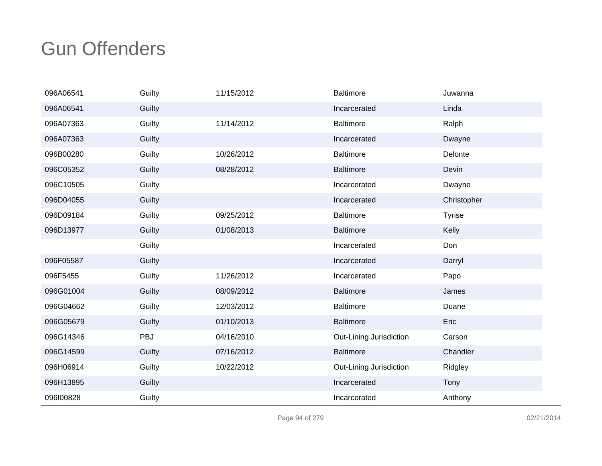| 096A06541 | Guilty | 11/15/2012 | <b>Baltimore</b>        | Juwanna       |
|-----------|--------|------------|-------------------------|---------------|
| 096A06541 | Guilty |            | Incarcerated            | Linda         |
| 096A07363 | Guilty | 11/14/2012 | <b>Baltimore</b>        | Ralph         |
| 096A07363 | Guilty |            | Incarcerated            | Dwayne        |
| 096B00280 | Guilty | 10/26/2012 | <b>Baltimore</b>        | Delonte       |
| 096C05352 | Guilty | 08/28/2012 | <b>Baltimore</b>        | Devin         |
| 096C10505 | Guilty |            | Incarcerated            | Dwayne        |
| 096D04055 | Guilty |            | Incarcerated            | Christopher   |
| 096D09184 | Guilty | 09/25/2012 | <b>Baltimore</b>        | <b>Tyrise</b> |
| 096D13977 | Guilty | 01/08/2013 | <b>Baltimore</b>        | Kelly         |
|           | Guilty |            | Incarcerated            | Don           |
| 096F05587 | Guilty |            | Incarcerated            | Darryl        |
| 096F5455  | Guilty | 11/26/2012 | Incarcerated            | Papo          |
| 096G01004 | Guilty | 08/09/2012 | <b>Baltimore</b>        | James         |
| 096G04662 | Guilty | 12/03/2012 | <b>Baltimore</b>        | Duane         |
| 096G05679 | Guilty | 01/10/2013 | <b>Baltimore</b>        | Eric          |
| 096G14346 | PBJ    | 04/16/2010 | Out-Lining Jurisdiction | Carson        |
| 096G14599 | Guilty | 07/16/2012 | Baltimore               | Chandler      |
| 096H06914 | Guilty | 10/22/2012 | Out-Lining Jurisdiction | Ridgley       |
| 096H13895 | Guilty |            | Incarcerated            | Tony          |
| 096100828 | Guilty |            | Incarcerated            | Anthony       |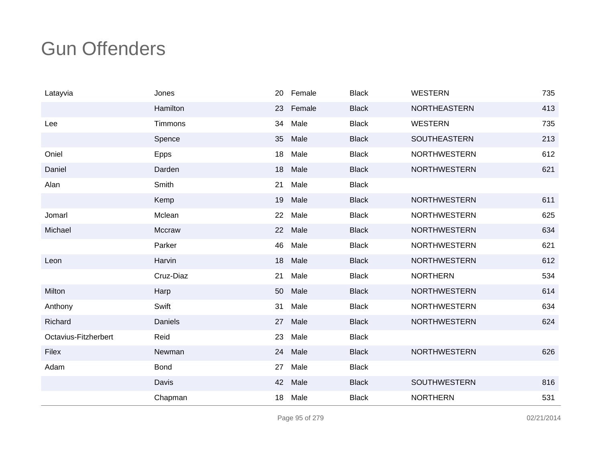| Latayvia             | Jones       |    | 20 Female | <b>Black</b> | <b>WESTERN</b>      | 735 |
|----------------------|-------------|----|-----------|--------------|---------------------|-----|
|                      | Hamilton    | 23 | Female    | <b>Black</b> | <b>NORTHEASTERN</b> | 413 |
| Lee                  | Timmons     | 34 | Male      | <b>Black</b> | <b>WESTERN</b>      | 735 |
|                      | Spence      | 35 | Male      | <b>Black</b> | SOUTHEASTERN        | 213 |
| Oniel                | Epps        | 18 | Male      | <b>Black</b> | <b>NORTHWESTERN</b> | 612 |
| Daniel               | Darden      | 18 | Male      | <b>Black</b> | <b>NORTHWESTERN</b> | 621 |
| Alan                 | Smith       | 21 | Male      | <b>Black</b> |                     |     |
|                      | Kemp        | 19 | Male      | <b>Black</b> | <b>NORTHWESTERN</b> | 611 |
| Jomarl               | Mclean      | 22 | Male      | <b>Black</b> | <b>NORTHWESTERN</b> | 625 |
| Michael              | Mccraw      | 22 | Male      | <b>Black</b> | <b>NORTHWESTERN</b> | 634 |
|                      | Parker      | 46 | Male      | <b>Black</b> | <b>NORTHWESTERN</b> | 621 |
| Leon                 | Harvin      | 18 | Male      | <b>Black</b> | <b>NORTHWESTERN</b> | 612 |
|                      | Cruz-Diaz   | 21 | Male      | <b>Black</b> | <b>NORTHERN</b>     | 534 |
| Milton               | Harp        | 50 | Male      | <b>Black</b> | <b>NORTHWESTERN</b> | 614 |
| Anthony              | Swift       | 31 | Male      | <b>Black</b> | <b>NORTHWESTERN</b> | 634 |
| Richard              | Daniels     | 27 | Male      | <b>Black</b> | <b>NORTHWESTERN</b> | 624 |
| Octavius-Fitzherbert | Reid        | 23 | Male      | <b>Black</b> |                     |     |
| Filex                | Newman      | 24 | Male      | <b>Black</b> | <b>NORTHWESTERN</b> | 626 |
| Adam                 | <b>Bond</b> | 27 | Male      | <b>Black</b> |                     |     |
|                      | Davis       | 42 | Male      | <b>Black</b> | SOUTHWESTERN        | 816 |
|                      | Chapman     | 18 | Male      | <b>Black</b> | <b>NORTHERN</b>     | 531 |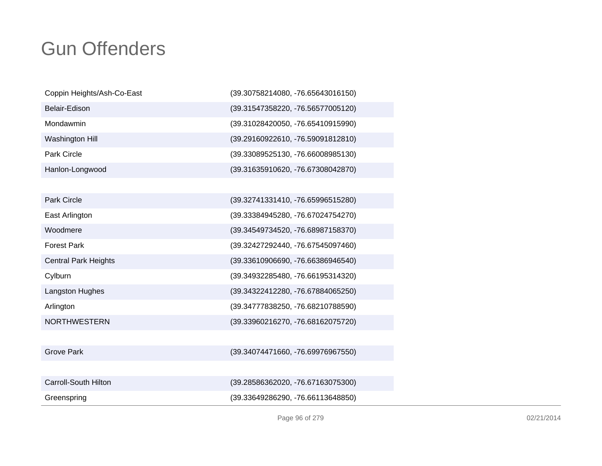| Coppin Heights/Ash-Co-East  | (39.30758214080, -76.65643016150) |
|-----------------------------|-----------------------------------|
| Belair-Edison               | (39.31547358220, -76.56577005120) |
| Mondawmin                   | (39.31028420050, -76.65410915990) |
| Washington Hill             | (39.29160922610, -76.59091812810) |
| <b>Park Circle</b>          | (39.33089525130, -76.66008985130) |
| Hanlon-Longwood             | (39.31635910620, -76.67308042870) |
|                             |                                   |
| <b>Park Circle</b>          | (39.32741331410, -76.65996515280) |
| East Arlington              | (39.33384945280, -76.67024754270) |
| Woodmere                    | (39.34549734520, -76.68987158370) |
| <b>Forest Park</b>          | (39.32427292440, -76.67545097460) |
| <b>Central Park Heights</b> | (39.33610906690, -76.66386946540) |
| Cylburn                     | (39.34932285480, -76.66195314320) |
| Langston Hughes             | (39.34322412280, -76.67884065250) |
| Arlington                   | (39.34777838250, -76.68210788590) |
| <b>NORTHWESTERN</b>         | (39.33960216270, -76.68162075720) |
|                             |                                   |
| <b>Grove Park</b>           | (39.34074471660, -76.69976967550) |
|                             |                                   |

| Carroll-South Hilton | (39.28586362020, -76.67163075300)   |
|----------------------|-------------------------------------|
| Greenspring          | $(39.33649286290, -76.66113648850)$ |

Page 96 of 279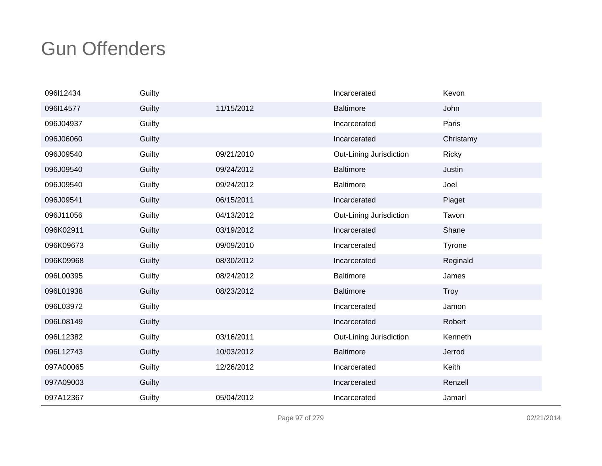| 096112434 | Guilty |            | Incarcerated            | Kevon        |
|-----------|--------|------------|-------------------------|--------------|
| 096114577 | Guilty | 11/15/2012 | <b>Baltimore</b>        | John         |
| 096J04937 | Guilty |            | Incarcerated            | Paris        |
| 096J06060 | Guilty |            | Incarcerated            | Christamy    |
| 096J09540 | Guilty | 09/21/2010 | Out-Lining Jurisdiction | <b>Ricky</b> |
| 096J09540 | Guilty | 09/24/2012 | <b>Baltimore</b>        | Justin       |
| 096J09540 | Guilty | 09/24/2012 | <b>Baltimore</b>        | Joel         |
| 096J09541 | Guilty | 06/15/2011 | Incarcerated            | Piaget       |
| 096J11056 | Guilty | 04/13/2012 | Out-Lining Jurisdiction | Tavon        |
| 096K02911 | Guilty | 03/19/2012 | Incarcerated            | Shane        |
| 096K09673 | Guilty | 09/09/2010 | Incarcerated            | Tyrone       |
| 096K09968 | Guilty | 08/30/2012 | Incarcerated            | Reginald     |
| 096L00395 | Guilty | 08/24/2012 | <b>Baltimore</b>        | James        |
| 096L01938 | Guilty | 08/23/2012 | <b>Baltimore</b>        | <b>Troy</b>  |
| 096L03972 | Guilty |            | Incarcerated            | Jamon        |
| 096L08149 | Guilty |            | Incarcerated            | Robert       |
| 096L12382 | Guilty | 03/16/2011 | Out-Lining Jurisdiction | Kenneth      |
| 096L12743 | Guilty | 10/03/2012 | <b>Baltimore</b>        | Jerrod       |
| 097A00065 | Guilty | 12/26/2012 | Incarcerated            | Keith        |
| 097A09003 | Guilty |            | Incarcerated            | Renzell      |
| 097A12367 | Guilty | 05/04/2012 | Incarcerated            | Jamarl       |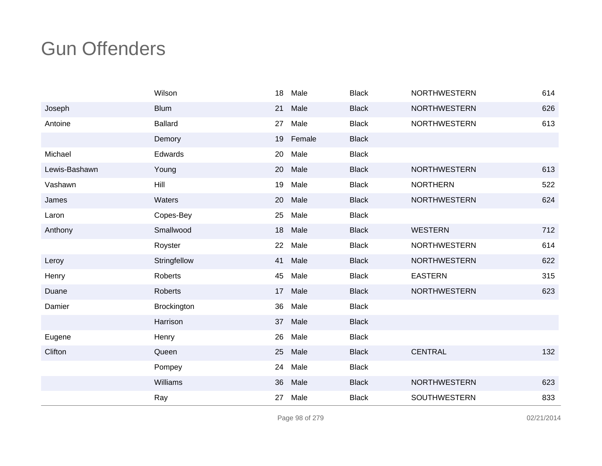|               | Wilson         | 18 | Male   | <b>Black</b> | <b>NORTHWESTERN</b> | 614 |
|---------------|----------------|----|--------|--------------|---------------------|-----|
| Joseph        | <b>Blum</b>    | 21 | Male   | <b>Black</b> | <b>NORTHWESTERN</b> | 626 |
| Antoine       | <b>Ballard</b> | 27 | Male   | <b>Black</b> | <b>NORTHWESTERN</b> | 613 |
|               | Demory         | 19 | Female | <b>Black</b> |                     |     |
| Michael       | Edwards        | 20 | Male   | <b>Black</b> |                     |     |
| Lewis-Bashawn | Young          | 20 | Male   | <b>Black</b> | <b>NORTHWESTERN</b> | 613 |
| Vashawn       | Hill           | 19 | Male   | <b>Black</b> | <b>NORTHERN</b>     | 522 |
| James         | Waters         | 20 | Male   | <b>Black</b> | <b>NORTHWESTERN</b> | 624 |
| Laron         | Copes-Bey      | 25 | Male   | <b>Black</b> |                     |     |
| Anthony       | Smallwood      | 18 | Male   | <b>Black</b> | <b>WESTERN</b>      | 712 |
|               | Royster        | 22 | Male   | <b>Black</b> | <b>NORTHWESTERN</b> | 614 |
| Leroy         | Stringfellow   | 41 | Male   | <b>Black</b> | <b>NORTHWESTERN</b> | 622 |
| Henry         | Roberts        | 45 | Male   | <b>Black</b> | <b>EASTERN</b>      | 315 |
| Duane         | <b>Roberts</b> | 17 | Male   | <b>Black</b> | <b>NORTHWESTERN</b> | 623 |
| Damier        | Brockington    | 36 | Male   | <b>Black</b> |                     |     |
|               | Harrison       | 37 | Male   | <b>Black</b> |                     |     |
| Eugene        | Henry          | 26 | Male   | <b>Black</b> |                     |     |
| Clifton       | Queen          | 25 | Male   | <b>Black</b> | <b>CENTRAL</b>      | 132 |
|               | Pompey         | 24 | Male   | <b>Black</b> |                     |     |
|               | Williams       | 36 | Male   | <b>Black</b> | <b>NORTHWESTERN</b> | 623 |
|               | Ray            | 27 | Male   | <b>Black</b> | SOUTHWESTERN        | 833 |

Page 98 of 279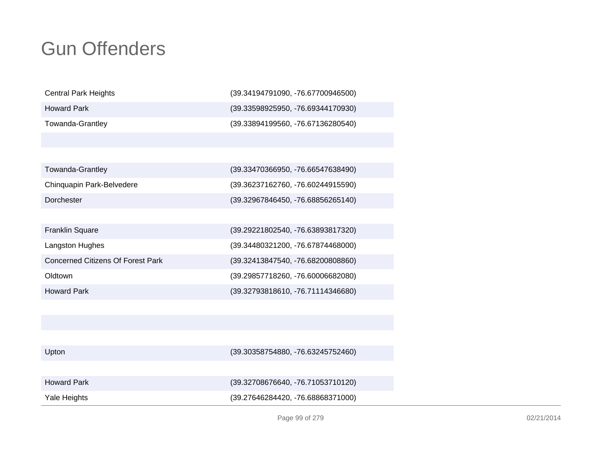| <b>Central Park Heights</b>              | (39.34194791090, -76.67700946500) |
|------------------------------------------|-----------------------------------|
| <b>Howard Park</b>                       | (39.33598925950, -76.69344170930) |
| <b>Towanda-Grantley</b>                  | (39.33894199560, -76.67136280540) |
|                                          |                                   |
|                                          |                                   |
| <b>Towanda-Grantley</b>                  | (39.33470366950, -76.66547638490) |
| Chinquapin Park-Belvedere                | (39.36237162760, -76.60244915590) |
| Dorchester                               | (39.32967846450, -76.68856265140) |
|                                          |                                   |
| <b>Franklin Square</b>                   | (39.29221802540, -76.63893817320) |
| Langston Hughes                          | (39.34480321200, -76.67874468000) |
| <b>Concerned Citizens Of Forest Park</b> | (39.32413847540, -76.68200808860) |
| Oldtown                                  | (39.29857718260, -76.60006682080) |
| <b>Howard Park</b>                       | (39.32793818610, -76.71114346680) |

| <b>Howard Park</b><br>Yale Heights | (39.32708676640, -76.71053710120)<br>(39.27646284420, -76.68868371000) |
|------------------------------------|------------------------------------------------------------------------|
|                                    |                                                                        |
| Upton                              | (39.30358754880, -76.63245752460)                                      |
|                                    |                                                                        |
|                                    |                                                                        |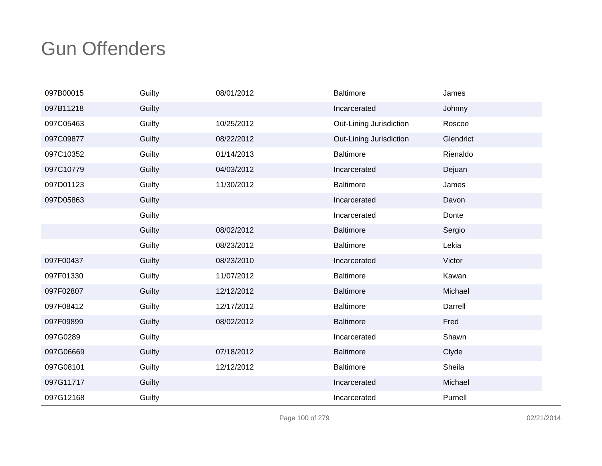| 097B00015 | Guilty | 08/01/2012 | <b>Baltimore</b>        | James     |
|-----------|--------|------------|-------------------------|-----------|
| 097B11218 | Guilty |            | Incarcerated            | Johnny    |
| 097C05463 | Guilty | 10/25/2012 | Out-Lining Jurisdiction | Roscoe    |
| 097C09877 | Guilty | 08/22/2012 | Out-Lining Jurisdiction | Glendrict |
| 097C10352 | Guilty | 01/14/2013 | <b>Baltimore</b>        | Rienaldo  |
| 097C10779 | Guilty | 04/03/2012 | Incarcerated            | Dejuan    |
| 097D01123 | Guilty | 11/30/2012 | <b>Baltimore</b>        | James     |
| 097D05863 | Guilty |            | Incarcerated            | Davon     |
|           | Guilty |            | Incarcerated            | Donte     |
|           | Guilty | 08/02/2012 | <b>Baltimore</b>        | Sergio    |
|           | Guilty | 08/23/2012 | <b>Baltimore</b>        | Lekia     |
| 097F00437 | Guilty | 08/23/2010 | Incarcerated            | Victor    |
| 097F01330 | Guilty | 11/07/2012 | <b>Baltimore</b>        | Kawan     |
| 097F02807 | Guilty | 12/12/2012 | <b>Baltimore</b>        | Michael   |
| 097F08412 | Guilty | 12/17/2012 | <b>Baltimore</b>        | Darrell   |
| 097F09899 | Guilty | 08/02/2012 | <b>Baltimore</b>        | Fred      |
| 097G0289  | Guilty |            | Incarcerated            | Shawn     |
| 097G06669 | Guilty | 07/18/2012 | <b>Baltimore</b>        | Clyde     |
| 097G08101 | Guilty | 12/12/2012 | <b>Baltimore</b>        | Sheila    |
| 097G11717 | Guilty |            | Incarcerated            | Michael   |
| 097G12168 | Guilty |            | Incarcerated            | Purnell   |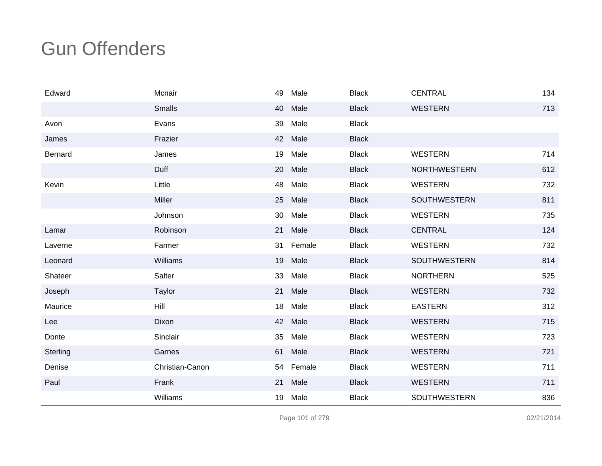| Edward         | Mcnair          | 49 | Male      | <b>Black</b> | <b>CENTRAL</b>      | 134 |
|----------------|-----------------|----|-----------|--------------|---------------------|-----|
|                | <b>Smalls</b>   | 40 | Male      | <b>Black</b> | <b>WESTERN</b>      | 713 |
| Avon           | Evans           | 39 | Male      | <b>Black</b> |                     |     |
| James          | Frazier         | 42 | Male      | <b>Black</b> |                     |     |
| <b>Bernard</b> | James           | 19 | Male      | <b>Black</b> | <b>WESTERN</b>      | 714 |
|                | Duff            | 20 | Male      | <b>Black</b> | <b>NORTHWESTERN</b> | 612 |
| Kevin          | Little          | 48 | Male      | <b>Black</b> | <b>WESTERN</b>      | 732 |
|                | Miller          | 25 | Male      | <b>Black</b> | <b>SOUTHWESTERN</b> | 811 |
|                | Johnson         | 30 | Male      | <b>Black</b> | <b>WESTERN</b>      | 735 |
| Lamar          | Robinson        | 21 | Male      | <b>Black</b> | <b>CENTRAL</b>      | 124 |
| Laverne        | Farmer          | 31 | Female    | <b>Black</b> | <b>WESTERN</b>      | 732 |
| Leonard        | Williams        | 19 | Male      | <b>Black</b> | SOUTHWESTERN        | 814 |
| Shateer        | Salter          | 33 | Male      | <b>Black</b> | <b>NORTHERN</b>     | 525 |
| Joseph         | Taylor          | 21 | Male      | <b>Black</b> | <b>WESTERN</b>      | 732 |
| Maurice        | Hill            | 18 | Male      | <b>Black</b> | <b>EASTERN</b>      | 312 |
| Lee            | Dixon           | 42 | Male      | <b>Black</b> | <b>WESTERN</b>      | 715 |
| Donte          | Sinclair        | 35 | Male      | <b>Black</b> | <b>WESTERN</b>      | 723 |
| Sterling       | Garnes          | 61 | Male      | <b>Black</b> | <b>WESTERN</b>      | 721 |
| Denise         | Christian-Canon |    | 54 Female | <b>Black</b> | <b>WESTERN</b>      | 711 |
| Paul           | Frank           | 21 | Male      | <b>Black</b> | <b>WESTERN</b>      | 711 |
|                | Williams        | 19 | Male      | <b>Black</b> | SOUTHWESTERN        | 836 |

Page 101 of 279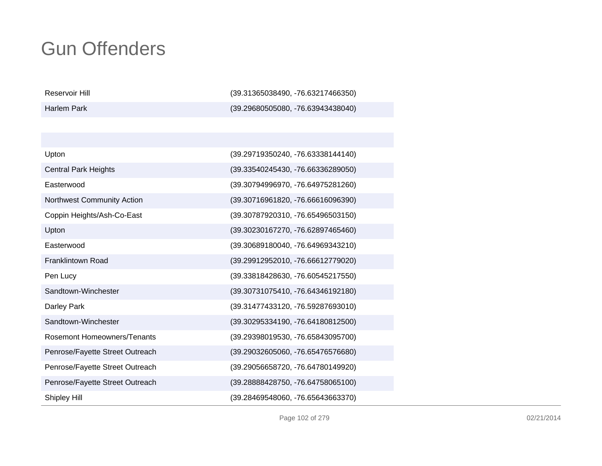| Reservoir Hill                     | (39.31365038490, -76.63217466350) |
|------------------------------------|-----------------------------------|
| <b>Harlem Park</b>                 | (39.29680505080, -76.63943438040) |
|                                    |                                   |
|                                    |                                   |
| Upton                              | (39.29719350240, -76.63338144140) |
| <b>Central Park Heights</b>        | (39.33540245430, -76.66336289050) |
| Easterwood                         | (39.30794996970, -76.64975281260) |
| Northwest Community Action         | (39.30716961820, -76.66616096390) |
| Coppin Heights/Ash-Co-East         | (39.30787920310, -76.65496503150) |
| Upton                              | (39.30230167270, -76.62897465460) |
| Easterwood                         | (39.30689180040, -76.64969343210) |
| <b>Franklintown Road</b>           | (39.29912952010, -76.66612779020) |
| Pen Lucy                           | (39.33818428630, -76.60545217550) |
| Sandtown-Winchester                | (39.30731075410, -76.64346192180) |
| Darley Park                        | (39.31477433120, -76.59287693010) |
| Sandtown-Winchester                | (39.30295334190, -76.64180812500) |
| <b>Rosemont Homeowners/Tenants</b> | (39.29398019530, -76.65843095700) |
| Penrose/Fayette Street Outreach    | (39.29032605060, -76.65476576680) |
| Penrose/Fayette Street Outreach    | (39.29056658720, -76.64780149920) |
| Penrose/Fayette Street Outreach    | (39.28888428750, -76.64758065100) |
| Shipley Hill                       | (39.28469548060, -76.65643663370) |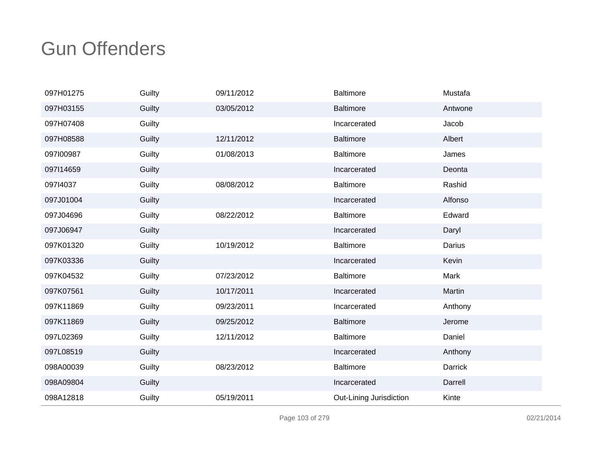| 097H01275 | Guilty | 09/11/2012 | <b>Baltimore</b>        | Mustafa |
|-----------|--------|------------|-------------------------|---------|
| 097H03155 | Guilty | 03/05/2012 | <b>Baltimore</b>        | Antwone |
| 097H07408 | Guilty |            | Incarcerated            | Jacob   |
| 097H08588 | Guilty | 12/11/2012 | <b>Baltimore</b>        | Albert  |
| 097100987 | Guilty | 01/08/2013 | <b>Baltimore</b>        | James   |
| 097114659 | Guilty |            | Incarcerated            | Deonta  |
| 09714037  | Guilty | 08/08/2012 | <b>Baltimore</b>        | Rashid  |
| 097J01004 | Guilty |            | Incarcerated            | Alfonso |
| 097J04696 | Guilty | 08/22/2012 | <b>Baltimore</b>        | Edward  |
| 097J06947 | Guilty |            | Incarcerated            | Daryl   |
| 097K01320 | Guilty | 10/19/2012 | <b>Baltimore</b>        | Darius  |
| 097K03336 | Guilty |            | Incarcerated            | Kevin   |
| 097K04532 | Guilty | 07/23/2012 | Baltimore               | Mark    |
| 097K07561 | Guilty | 10/17/2011 | Incarcerated            | Martin  |
| 097K11869 | Guilty | 09/23/2011 | Incarcerated            | Anthony |
| 097K11869 | Guilty | 09/25/2012 | <b>Baltimore</b>        | Jerome  |
| 097L02369 | Guilty | 12/11/2012 | <b>Baltimore</b>        | Daniel  |
| 097L08519 | Guilty |            | Incarcerated            | Anthony |
| 098A00039 | Guilty | 08/23/2012 | <b>Baltimore</b>        | Darrick |
| 098A09804 | Guilty |            | Incarcerated            | Darrell |
| 098A12818 | Guilty | 05/19/2011 | Out-Lining Jurisdiction | Kinte   |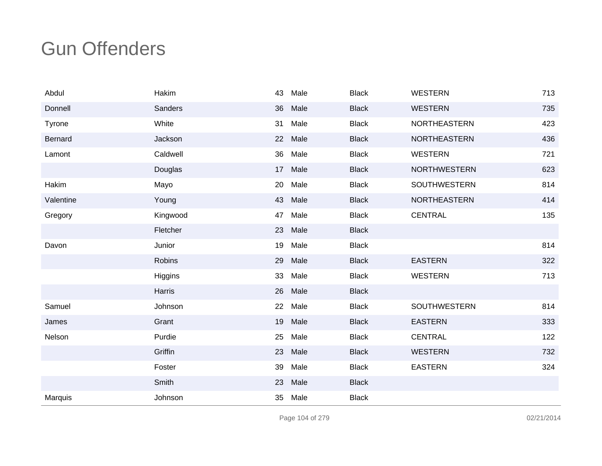| Abdul     | Hakim    | 43 | Male | <b>Black</b> | <b>WESTERN</b>      | 713 |
|-----------|----------|----|------|--------------|---------------------|-----|
| Donnell   | Sanders  | 36 | Male | <b>Black</b> | <b>WESTERN</b>      | 735 |
| Tyrone    | White    | 31 | Male | <b>Black</b> | NORTHEASTERN        | 423 |
| Bernard   | Jackson  | 22 | Male | <b>Black</b> | <b>NORTHEASTERN</b> | 436 |
| Lamont    | Caldwell | 36 | Male | <b>Black</b> | <b>WESTERN</b>      | 721 |
|           | Douglas  | 17 | Male | <b>Black</b> | <b>NORTHWESTERN</b> | 623 |
| Hakim     | Mayo     | 20 | Male | <b>Black</b> | <b>SOUTHWESTERN</b> | 814 |
| Valentine | Young    | 43 | Male | <b>Black</b> | <b>NORTHEASTERN</b> | 414 |
| Gregory   | Kingwood | 47 | Male | <b>Black</b> | <b>CENTRAL</b>      | 135 |
|           | Fletcher | 23 | Male | <b>Black</b> |                     |     |
| Davon     | Junior   | 19 | Male | <b>Black</b> |                     | 814 |
|           | Robins   | 29 | Male | <b>Black</b> | <b>EASTERN</b>      | 322 |
|           | Higgins  | 33 | Male | <b>Black</b> | <b>WESTERN</b>      | 713 |
|           | Harris   | 26 | Male | <b>Black</b> |                     |     |
| Samuel    | Johnson  | 22 | Male | <b>Black</b> | <b>SOUTHWESTERN</b> | 814 |
| James     | Grant    | 19 | Male | <b>Black</b> | <b>EASTERN</b>      | 333 |
| Nelson    | Purdie   | 25 | Male | <b>Black</b> | <b>CENTRAL</b>      | 122 |
|           | Griffin  | 23 | Male | <b>Black</b> | <b>WESTERN</b>      | 732 |
|           | Foster   | 39 | Male | <b>Black</b> | <b>EASTERN</b>      | 324 |
|           | Smith    | 23 | Male | <b>Black</b> |                     |     |
| Marquis   | Johnson  | 35 | Male | <b>Black</b> |                     |     |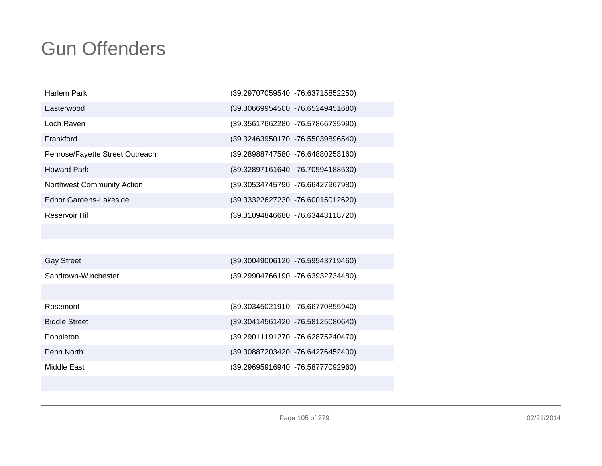| Harlem Park                     | (39.29707059540, -76.63715852250) |
|---------------------------------|-----------------------------------|
| Easterwood                      | (39.30669954500, -76.65249451680) |
| Loch Raven                      | (39.35617662280, -76.57866735990) |
| Frankford                       | (39.32463950170, -76.55039896540) |
| Penrose/Fayette Street Outreach | (39.28988747580, -76.64880258160) |
| <b>Howard Park</b>              | (39.32897161640, -76.70594188530) |
| Northwest Community Action      | (39.30534745790, -76.66427967980) |
| Ednor Gardens-Lakeside          | (39.33322627230, -76.60015012620) |
| Reservoir Hill                  | (39.31094846680, -76.63443118720) |
|                                 |                                   |
|                                 |                                   |
| <b>Gay Street</b>               | (39.30049006120, -76.59543719460) |
| Sandtown-Winchester             | (39.29904766190, -76.63932734480) |
|                                 |                                   |
| Rosemont                        | (39.30345021910, -76.66770855940) |
| <b>Biddle Street</b>            | (39.30414561420, -76.58125080640) |
| Poppleton                       | (39.29011191270, -76.62875240470) |
| Penn North                      | (39.30887203420, -76.64276452400) |

Middle East

(39.29695916940, -76.58777092960)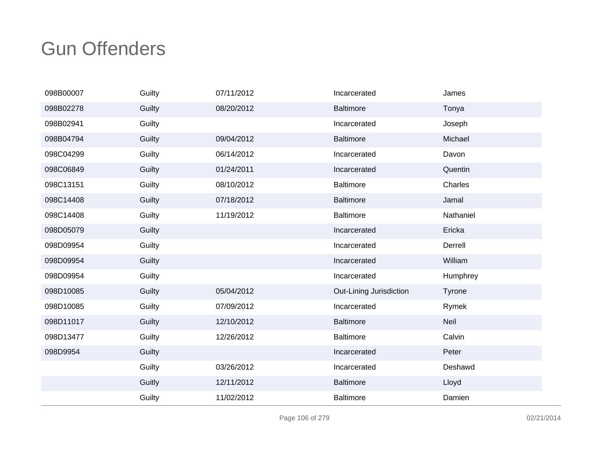| 098B00007 | Guilty | 07/11/2012 | Incarcerated            | James     |
|-----------|--------|------------|-------------------------|-----------|
| 098B02278 | Guilty | 08/20/2012 | <b>Baltimore</b>        | Tonya     |
| 098B02941 | Guilty |            | Incarcerated            | Joseph    |
| 098B04794 | Guilty | 09/04/2012 | <b>Baltimore</b>        | Michael   |
| 098C04299 | Guilty | 06/14/2012 | Incarcerated            | Davon     |
| 098C06849 | Guilty | 01/24/2011 | Incarcerated            | Quentin   |
| 098C13151 | Guilty | 08/10/2012 | <b>Baltimore</b>        | Charles   |
| 098C14408 | Guilty | 07/18/2012 | <b>Baltimore</b>        | Jamal     |
| 098C14408 | Guilty | 11/19/2012 | <b>Baltimore</b>        | Nathaniel |
| 098D05079 | Guilty |            | Incarcerated            | Ericka    |
| 098D09954 | Guilty |            | Incarcerated            | Derrell   |
| 098D09954 | Guilty |            | Incarcerated            | William   |
| 098D09954 | Guilty |            | Incarcerated            | Humphrey  |
| 098D10085 | Guilty | 05/04/2012 | Out-Lining Jurisdiction | Tyrone    |
| 098D10085 | Guilty | 07/09/2012 | Incarcerated            | Rymek     |
| 098D11017 | Guilty | 12/10/2012 | <b>Baltimore</b>        | Neil      |
| 098D13477 | Guilty | 12/26/2012 | <b>Baltimore</b>        | Calvin    |
| 098D9954  | Guilty |            | Incarcerated            | Peter     |
|           | Guilty | 03/26/2012 | Incarcerated            | Deshawd   |
|           | Guitly | 12/11/2012 | <b>Baltimore</b>        | Lloyd     |
|           | Guilty | 11/02/2012 | <b>Baltimore</b>        | Damien    |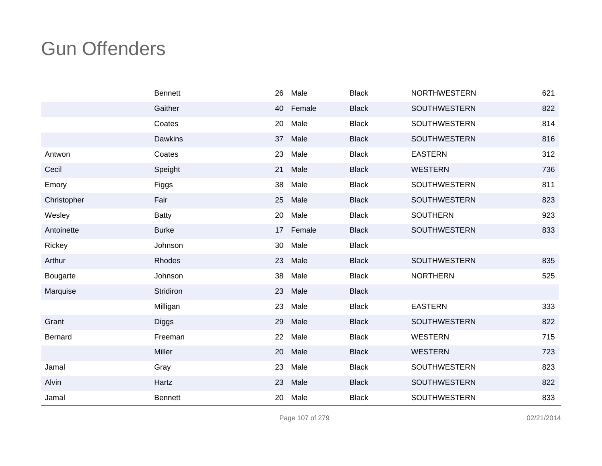|             | <b>Bennett</b> | 26 | Male   | <b>Black</b> | <b>NORTHWESTERN</b> | 621 |
|-------------|----------------|----|--------|--------------|---------------------|-----|
|             | Gaither        | 40 | Female | <b>Black</b> | SOUTHWESTERN        | 822 |
|             | Coates         | 20 | Male   | <b>Black</b> | <b>SOUTHWESTERN</b> | 814 |
|             | <b>Dawkins</b> | 37 | Male   | <b>Black</b> | <b>SOUTHWESTERN</b> | 816 |
| Antwon      | Coates         | 23 | Male   | <b>Black</b> | <b>EASTERN</b>      | 312 |
| Cecil       | Speight        | 21 | Male   | <b>Black</b> | <b>WESTERN</b>      | 736 |
| Emory       | Figgs          | 38 | Male   | <b>Black</b> | <b>SOUTHWESTERN</b> | 811 |
| Christopher | Fair           | 25 | Male   | <b>Black</b> | <b>SOUTHWESTERN</b> | 823 |
| Wesley      | <b>Batty</b>   | 20 | Male   | <b>Black</b> | <b>SOUTHERN</b>     | 923 |
| Antoinette  | <b>Burke</b>   | 17 | Female | <b>Black</b> | <b>SOUTHWESTERN</b> | 833 |
| Rickey      | Johnson        | 30 | Male   | <b>Black</b> |                     |     |
| Arthur      | Rhodes         | 23 | Male   | <b>Black</b> | <b>SOUTHWESTERN</b> | 835 |
| Bougarte    | Johnson        | 38 | Male   | <b>Black</b> | <b>NORTHERN</b>     | 525 |
| Marquise    | Stridiron      | 23 | Male   | <b>Black</b> |                     |     |
|             | Milligan       | 23 | Male   | <b>Black</b> | <b>EASTERN</b>      | 333 |
| Grant       | <b>Diggs</b>   | 29 | Male   | <b>Black</b> | <b>SOUTHWESTERN</b> | 822 |
| Bernard     | Freeman        | 22 | Male   | <b>Black</b> | <b>WESTERN</b>      | 715 |
|             | <b>Miller</b>  | 20 | Male   | <b>Black</b> | <b>WESTERN</b>      | 723 |
| Jamal       | Gray           | 23 | Male   | <b>Black</b> | <b>SOUTHWESTERN</b> | 823 |
| Alvin       | Hartz          | 23 | Male   | <b>Black</b> | SOUTHWESTERN        | 822 |
| Jamal       | <b>Bennett</b> | 20 | Male   | <b>Black</b> | SOUTHWESTERN        | 833 |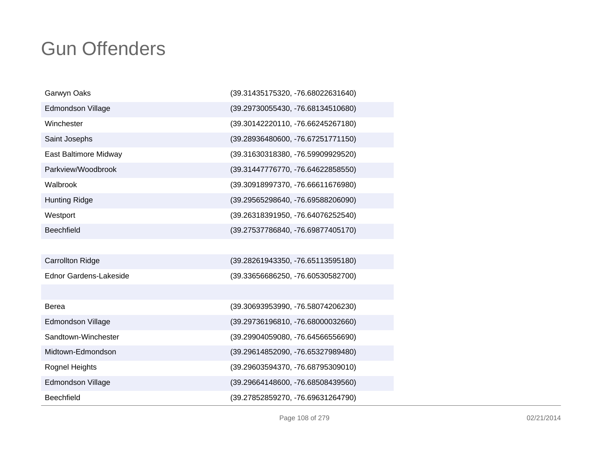| Garwyn Oaks                   | (39.31435175320, -76.68022631640) |
|-------------------------------|-----------------------------------|
| <b>Edmondson Village</b>      | (39.29730055430, -76.68134510680) |
| Winchester                    | (39.30142220110, -76.66245267180) |
| Saint Josephs                 | (39.28936480600, -76.67251771150) |
| East Baltimore Midway         | (39.31630318380, -76.59909929520) |
| Parkview/Woodbrook            | (39.31447776770, -76.64622858550) |
| Walbrook                      | (39.30918997370, -76.66611676980) |
| <b>Hunting Ridge</b>          | (39.29565298640, -76.69588206090) |
| Westport                      | (39.26318391950, -76.64076252540) |
| <b>Beechfield</b>             | (39.27537786840, -76.69877405170) |
|                               |                                   |
| <b>Carrollton Ridge</b>       | (39.28261943350, -76.65113595180) |
| <b>Ednor Gardens-Lakeside</b> | (39.33656686250, -76.60530582700) |
|                               |                                   |
| Berea                         | (39.30693953990, -76.58074206230) |
| <b>Edmondson Village</b>      | (39.29736196810, -76.68000032660) |
| Sandtown-Winchester           | (39.29904059080, -76.64566556690) |
| Midtown-Edmondson             | (39.29614852090, -76.65327989480) |
| Rognel Heights                | (39.29603594370, -76.68795309010) |
| <b>Edmondson Village</b>      | (39.29664148600, -76.68508439560) |
| <b>Beechfield</b>             | (39.27852859270, -76.69631264790) |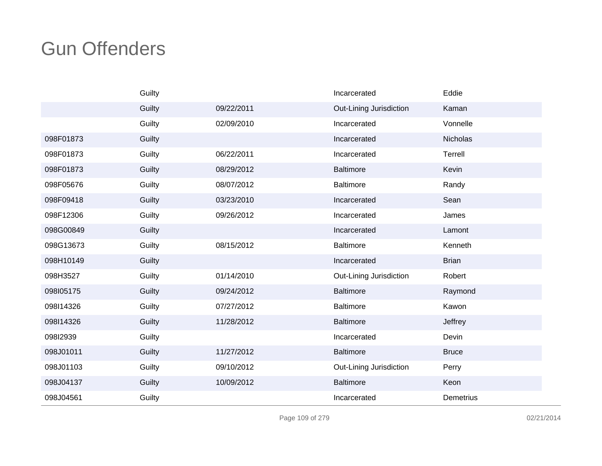|           | Guilty |            | Incarcerated            | Eddie        |
|-----------|--------|------------|-------------------------|--------------|
|           | Guilty | 09/22/2011 | Out-Lining Jurisdiction | Kaman        |
|           | Guilty | 02/09/2010 | Incarcerated            | Vonnelle     |
| 098F01873 | Guilty |            | Incarcerated            | Nicholas     |
| 098F01873 | Guilty | 06/22/2011 | Incarcerated            | Terrell      |
| 098F01873 | Guilty | 08/29/2012 | <b>Baltimore</b>        | Kevin        |
| 098F05676 | Guilty | 08/07/2012 | Baltimore               | Randy        |
| 098F09418 | Guilty | 03/23/2010 | Incarcerated            | Sean         |
| 098F12306 | Guilty | 09/26/2012 | Incarcerated            | James        |
| 098G00849 | Guilty |            | Incarcerated            | Lamont       |
| 098G13673 | Guilty | 08/15/2012 | <b>Baltimore</b>        | Kenneth      |
| 098H10149 | Guilty |            | Incarcerated            | <b>Brian</b> |
| 098H3527  | Guilty | 01/14/2010 | Out-Lining Jurisdiction | Robert       |
| 098105175 | Guilty | 09/24/2012 | <b>Baltimore</b>        | Raymond      |
| 098114326 | Guilty | 07/27/2012 | Baltimore               | Kawon        |
| 098114326 | Guilty | 11/28/2012 | <b>Baltimore</b>        | Jeffrey      |
| 098I2939  | Guilty |            | Incarcerated            | Devin        |
| 098J01011 | Guilty | 11/27/2012 | <b>Baltimore</b>        | <b>Bruce</b> |
| 098J01103 | Guilty | 09/10/2012 | Out-Lining Jurisdiction | Perry        |
| 098J04137 | Guilty | 10/09/2012 | <b>Baltimore</b>        | Keon         |
| 098J04561 | Guilty |            | Incarcerated            | Demetrius    |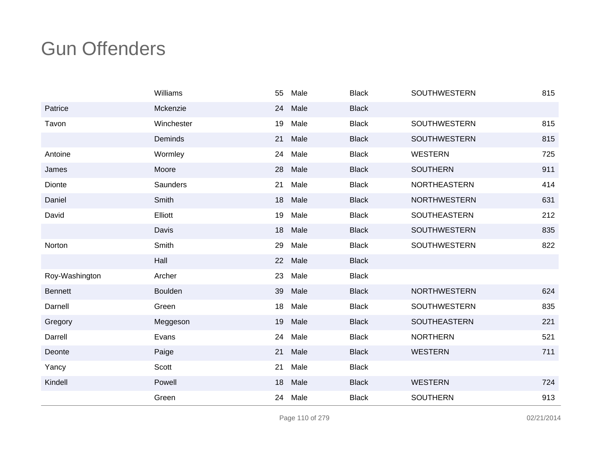|                | Williams        | 55 | Male | <b>Black</b> | <b>SOUTHWESTERN</b> | 815 |
|----------------|-----------------|----|------|--------------|---------------------|-----|
| Patrice        | Mckenzie        | 24 | Male | <b>Black</b> |                     |     |
| Tavon          | Winchester      | 19 | Male | <b>Black</b> | SOUTHWESTERN        | 815 |
|                | Deminds         | 21 | Male | <b>Black</b> | <b>SOUTHWESTERN</b> | 815 |
| Antoine        | Wormley         | 24 | Male | <b>Black</b> | <b>WESTERN</b>      | 725 |
| James          | Moore           | 28 | Male | <b>Black</b> | <b>SOUTHERN</b>     | 911 |
| Dionte         | <b>Saunders</b> | 21 | Male | <b>Black</b> | NORTHEASTERN        | 414 |
| Daniel         | Smith           | 18 | Male | <b>Black</b> | <b>NORTHWESTERN</b> | 631 |
| David          | Elliott         | 19 | Male | <b>Black</b> | SOUTHEASTERN        | 212 |
|                | Davis           | 18 | Male | <b>Black</b> | <b>SOUTHWESTERN</b> | 835 |
| Norton         | Smith           | 29 | Male | <b>Black</b> | <b>SOUTHWESTERN</b> | 822 |
|                | Hall            | 22 | Male | <b>Black</b> |                     |     |
| Roy-Washington | Archer          | 23 | Male | <b>Black</b> |                     |     |
| <b>Bennett</b> | Boulden         | 39 | Male | <b>Black</b> | <b>NORTHWESTERN</b> | 624 |
| Darnell        | Green           | 18 | Male | <b>Black</b> | <b>SOUTHWESTERN</b> | 835 |
| Gregory        | Meggeson        | 19 | Male | <b>Black</b> | SOUTHEASTERN        | 221 |
| Darrell        | Evans           | 24 | Male | <b>Black</b> | <b>NORTHERN</b>     | 521 |
| Deonte         | Paige           | 21 | Male | <b>Black</b> | <b>WESTERN</b>      | 711 |
| Yancy          | Scott           | 21 | Male | <b>Black</b> |                     |     |
| Kindell        | Powell          | 18 | Male | <b>Black</b> | <b>WESTERN</b>      | 724 |
|                | Green           | 24 | Male | <b>Black</b> | <b>SOUTHERN</b>     | 913 |

Page 110 of 279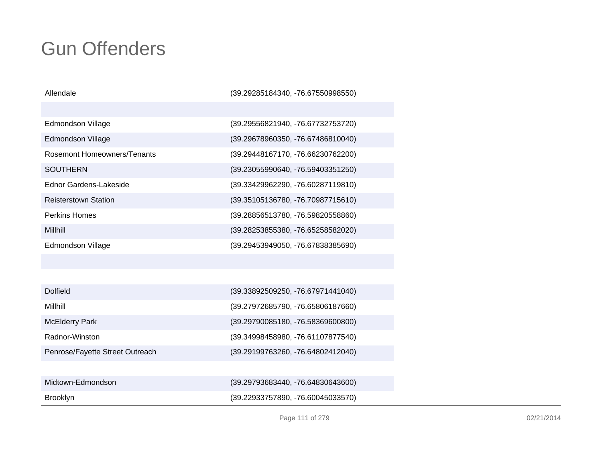| Allendale                   | $(39.29285184340, -76.67550998550)$ |
|-----------------------------|-------------------------------------|
|                             |                                     |
| Edmondson Village           | (39.29556821940, -76.67732753720)   |
| Edmondson Village           | (39.29678960350, -76.67486810040)   |
| Rosemont Homeowners/Tenants | (39.29448167170, -76.66230762200)   |
| SOUTHERN                    | $(39.23055990640, -76.59403351250)$ |
| Ednor Gardens-Lakeside      | (39.33429962290, -76.60287119810)   |
| <b>Reisterstown Station</b> | (39.35105136780, -76.70987715610)   |
| <b>Perkins Homes</b>        | (39.28856513780, -76.59820558860)   |
| Millhill                    | $(39.28253855380, -76.65258582020)$ |
| <b>Edmondson Village</b>    | (39.29453949050, -76.67838385690)   |
|                             |                                     |
|                             |                                     |

| <b>Dolfield</b>                 | (39.33892509250, -76.67971441040) |
|---------------------------------|-----------------------------------|
| Millhill                        | (39.27972685790, -76.65806187660) |
| <b>McElderry Park</b>           | (39.29790085180, -76.58369600800) |
| Radnor-Winston                  | (39.34998458980, -76.61107877540) |
| Penrose/Fayette Street Outreach | (39.29199763260, -76.64802412040) |
|                                 |                                   |
| Midtown-Edmondson               | (39.29793683440, -76.64830643600) |
| <b>Brooklyn</b>                 | (39.22933757890, -76.60045033570) |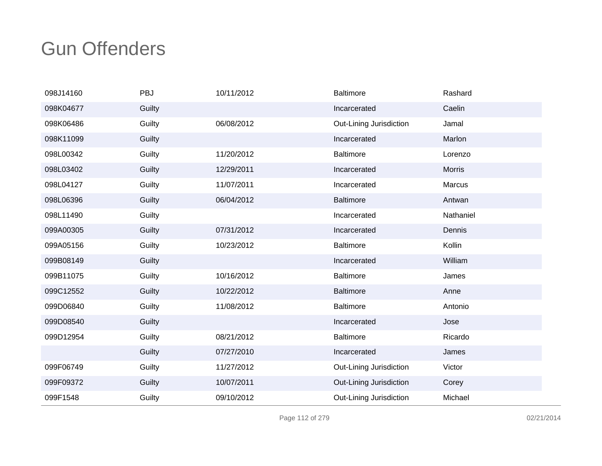| 098J14160 | PBJ    | 10/11/2012 | <b>Baltimore</b>        | Rashard       |
|-----------|--------|------------|-------------------------|---------------|
| 098K04677 | Guilty |            | Incarcerated            | Caelin        |
| 098K06486 | Guilty | 06/08/2012 | Out-Lining Jurisdiction | Jamal         |
| 098K11099 | Guilty |            | Incarcerated            | Marlon        |
| 098L00342 | Guilty | 11/20/2012 | Baltimore               | Lorenzo       |
| 098L03402 | Guilty | 12/29/2011 | Incarcerated            | <b>Morris</b> |
| 098L04127 | Guilty | 11/07/2011 | Incarcerated            | Marcus        |
| 098L06396 | Guilty | 06/04/2012 | <b>Baltimore</b>        | Antwan        |
| 098L11490 | Guilty |            | Incarcerated            | Nathaniel     |
| 099A00305 | Guilty | 07/31/2012 | Incarcerated            | Dennis        |
| 099A05156 | Guilty | 10/23/2012 | <b>Baltimore</b>        | Kollin        |
| 099B08149 | Guilty |            | Incarcerated            | William       |
| 099B11075 | Guilty | 10/16/2012 | <b>Baltimore</b>        | James         |
| 099C12552 | Guilty | 10/22/2012 | <b>Baltimore</b>        | Anne          |
| 099D06840 | Guilty | 11/08/2012 | <b>Baltimore</b>        | Antonio       |
| 099D08540 | Guilty |            | Incarcerated            | Jose          |
| 099D12954 | Guilty | 08/21/2012 | <b>Baltimore</b>        | Ricardo       |
|           | Guilty | 07/27/2010 | Incarcerated            | James         |
| 099F06749 | Guilty | 11/27/2012 | Out-Lining Jurisdiction | Victor        |
| 099F09372 | Guilty | 10/07/2011 | Out-Lining Jurisdiction | Corey         |
| 099F1548  | Guilty | 09/10/2012 | Out-Lining Jurisdiction | Michael       |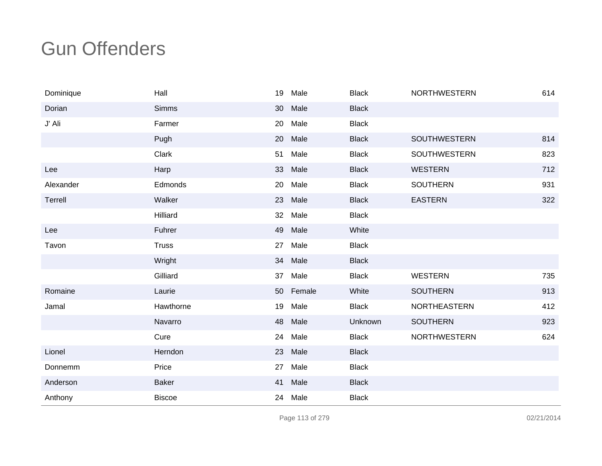| Dominique | Hall          | 19 | Male   | <b>Black</b> | <b>NORTHWESTERN</b> | 614 |
|-----------|---------------|----|--------|--------------|---------------------|-----|
| Dorian    | <b>Simms</b>  | 30 | Male   | <b>Black</b> |                     |     |
| J' Ali    | Farmer        | 20 | Male   | <b>Black</b> |                     |     |
|           | Pugh          | 20 | Male   | <b>Black</b> | <b>SOUTHWESTERN</b> | 814 |
|           | Clark         | 51 | Male   | <b>Black</b> | <b>SOUTHWESTERN</b> | 823 |
| Lee       | Harp          | 33 | Male   | <b>Black</b> | <b>WESTERN</b>      | 712 |
| Alexander | Edmonds       | 20 | Male   | <b>Black</b> | <b>SOUTHERN</b>     | 931 |
| Terrell   | Walker        | 23 | Male   | <b>Black</b> | <b>EASTERN</b>      | 322 |
|           | Hilliard      | 32 | Male   | <b>Black</b> |                     |     |
| Lee       | Fuhrer        | 49 | Male   | White        |                     |     |
| Tavon     | <b>Truss</b>  | 27 | Male   | <b>Black</b> |                     |     |
|           | Wright        | 34 | Male   | <b>Black</b> |                     |     |
|           | Gilliard      | 37 | Male   | <b>Black</b> | <b>WESTERN</b>      | 735 |
| Romaine   | Laurie        | 50 | Female | White        | <b>SOUTHERN</b>     | 913 |
| Jamal     | Hawthorne     | 19 | Male   | <b>Black</b> | <b>NORTHEASTERN</b> | 412 |
|           | Navarro       | 48 | Male   | Unknown      | <b>SOUTHERN</b>     | 923 |
|           | Cure          | 24 | Male   | <b>Black</b> | <b>NORTHWESTERN</b> | 624 |
| Lionel    | Herndon       | 23 | Male   | <b>Black</b> |                     |     |
| Donnemm   | Price         | 27 | Male   | <b>Black</b> |                     |     |
| Anderson  | <b>Baker</b>  | 41 | Male   | <b>Black</b> |                     |     |
| Anthony   | <b>Biscoe</b> | 24 | Male   | <b>Black</b> |                     |     |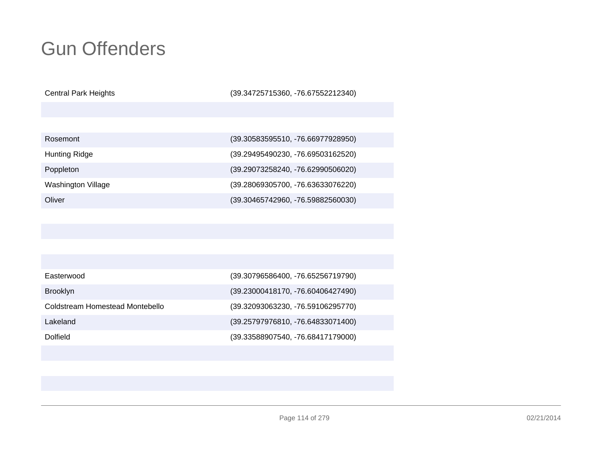Central Park Heights

(39.34725715360, -76.67552212340)

| Rosemont           | (39.30583595510, -76.66977928950) |
|--------------------|-----------------------------------|
| Hunting Ridge      | (39.29495490230, -76.69503162520) |
| Poppleton          | (39.29073258240, -76.62990506020) |
| Washington Village | (39.28069305700, -76.63633076220) |
| Oliver             | (39.30465742960, -76.59882560030) |

| Easterwood                      | (39.30796586400, -76.65256719790) |
|---------------------------------|-----------------------------------|
| <b>Brooklyn</b>                 | (39.23000418170, -76.60406427490) |
| Coldstream Homestead Montebello | (39.32093063230, -76.59106295770) |
| Lakeland                        | (39.25797976810, -76.64833071400) |
| Dolfield                        | (39.33588907540, -76.68417179000) |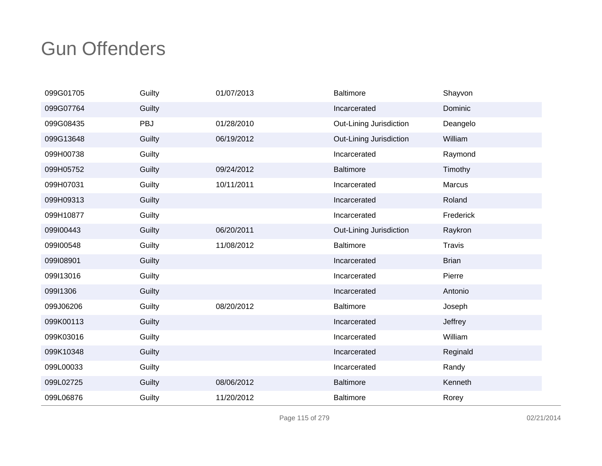| 099G01705 | Guilty | 01/07/2013 | <b>Baltimore</b>        | Shayvon       |
|-----------|--------|------------|-------------------------|---------------|
| 099G07764 | Guilty |            | Incarcerated            | Dominic       |
| 099G08435 | PBJ    | 01/28/2010 | Out-Lining Jurisdiction | Deangelo      |
| 099G13648 | Guilty | 06/19/2012 | Out-Lining Jurisdiction | William       |
| 099H00738 | Guilty |            | Incarcerated            | Raymond       |
| 099H05752 | Guilty | 09/24/2012 | <b>Baltimore</b>        | Timothy       |
| 099H07031 | Guilty | 10/11/2011 | Incarcerated            | Marcus        |
| 099H09313 | Guilty |            | Incarcerated            | Roland        |
| 099H10877 | Guilty |            | Incarcerated            | Frederick     |
| 099100443 | Guilty | 06/20/2011 | Out-Lining Jurisdiction | Raykron       |
| 099100548 | Guilty | 11/08/2012 | Baltimore               | <b>Travis</b> |
| 099108901 | Guilty |            | Incarcerated            | <b>Brian</b>  |
| 099113016 | Guilty |            | Incarcerated            | Pierre        |
| 09911306  | Guilty |            | Incarcerated            | Antonio       |
| 099J06206 | Guilty | 08/20/2012 | <b>Baltimore</b>        | Joseph        |
| 099K00113 | Guilty |            | Incarcerated            | Jeffrey       |
| 099K03016 | Guilty |            | Incarcerated            | William       |
| 099K10348 | Guilty |            | Incarcerated            | Reginald      |
| 099L00033 | Guilty |            | Incarcerated            | Randy         |
| 099L02725 | Guilty | 08/06/2012 | <b>Baltimore</b>        | Kenneth       |
| 099L06876 | Guilty | 11/20/2012 | <b>Baltimore</b>        | Rorey         |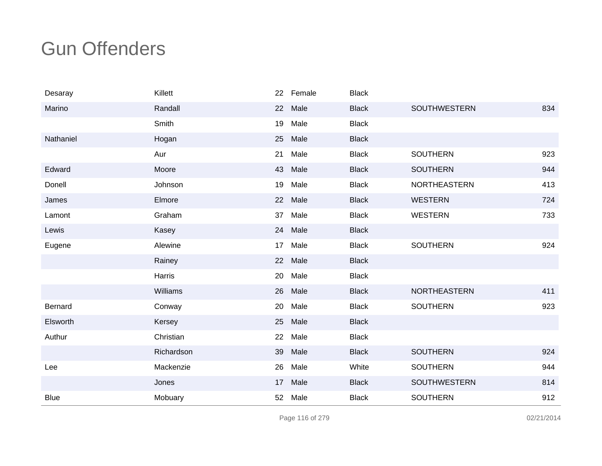| Desaray        | Killett    |    | 22 Female | <b>Black</b> |                     |     |
|----------------|------------|----|-----------|--------------|---------------------|-----|
| Marino         | Randall    | 22 | Male      | <b>Black</b> | SOUTHWESTERN        | 834 |
|                | Smith      | 19 | Male      | <b>Black</b> |                     |     |
| Nathaniel      | Hogan      | 25 | Male      | <b>Black</b> |                     |     |
|                | Aur        | 21 | Male      | <b>Black</b> | <b>SOUTHERN</b>     | 923 |
| Edward         | Moore      | 43 | Male      | <b>Black</b> | <b>SOUTHERN</b>     | 944 |
| Donell         | Johnson    | 19 | Male      | <b>Black</b> | <b>NORTHEASTERN</b> | 413 |
| James          | Elmore     | 22 | Male      | <b>Black</b> | <b>WESTERN</b>      | 724 |
| Lamont         | Graham     | 37 | Male      | <b>Black</b> | <b>WESTERN</b>      | 733 |
| Lewis          | Kasey      | 24 | Male      | <b>Black</b> |                     |     |
| Eugene         | Alewine    | 17 | Male      | <b>Black</b> | <b>SOUTHERN</b>     | 924 |
|                | Rainey     |    | 22 Male   | <b>Black</b> |                     |     |
|                | Harris     | 20 | Male      | <b>Black</b> |                     |     |
|                | Williams   |    | 26 Male   | <b>Black</b> | NORTHEASTERN        | 411 |
| <b>Bernard</b> | Conway     | 20 | Male      | <b>Black</b> | <b>SOUTHERN</b>     | 923 |
| Elsworth       | Kersey     | 25 | Male      | <b>Black</b> |                     |     |
| Authur         | Christian  | 22 | Male      | <b>Black</b> |                     |     |
|                | Richardson | 39 | Male      | <b>Black</b> | <b>SOUTHERN</b>     | 924 |
| Lee            | Mackenzie  | 26 | Male      | White        | <b>SOUTHERN</b>     | 944 |
|                | Jones      | 17 | Male      | <b>Black</b> | <b>SOUTHWESTERN</b> | 814 |
| <b>Blue</b>    | Mobuary    | 52 | Male      | <b>Black</b> | <b>SOUTHERN</b>     | 912 |

Page 116 of 279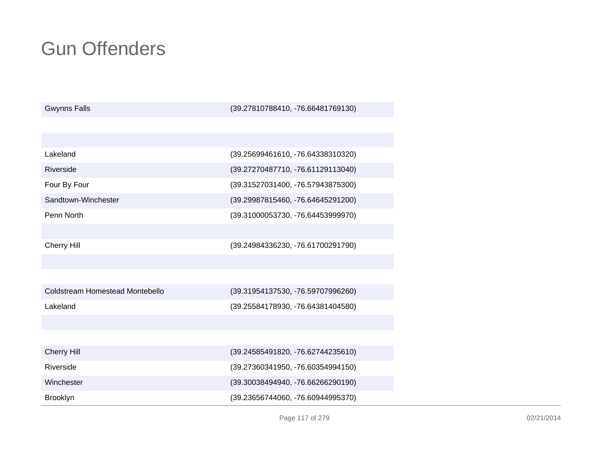| <b>Gwynns Falls</b>             | (39.27810788410, -76.66481769130) |
|---------------------------------|-----------------------------------|
|                                 |                                   |
|                                 |                                   |
| Lakeland                        | (39.25699461610, -76.64338310320) |
| Riverside                       | (39.27270487710, -76.61129113040) |
| Four By Four                    | (39.31527031400, -76.57943875300) |
| Sandtown-Winchester             | (39.29987815460, -76.64645291200) |
| Penn North                      | (39.31000053730, -76.64453999970) |
|                                 |                                   |
| <b>Cherry Hill</b>              | (39.24984336230, -76.61700291790) |
|                                 |                                   |
|                                 |                                   |
| Coldstream Homestead Montebello | (39.31954137530, -76.59707996260) |
| Lakeland                        | (39.25584178930, -76.64381404580) |
|                                 |                                   |
|                                 |                                   |
| <b>Cherry Hill</b>              | (39.24585491820, -76.62744235610) |
| Riverside                       | (39.27360341950, -76.60354994150) |
| Winchester                      | (39.30038494940, -76.66266290190) |
| <b>Brooklyn</b>                 | (39.23656744060, -76.60944995370) |

Page 117 of 279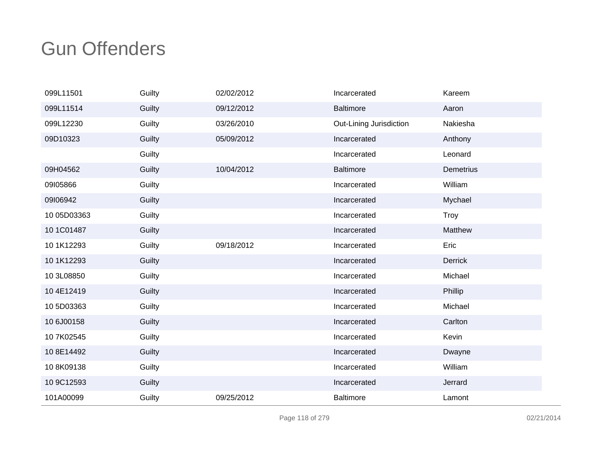| 099L11501   | Guilty | 02/02/2012 | Incarcerated            | Kareem         |
|-------------|--------|------------|-------------------------|----------------|
| 099L11514   | Guilty | 09/12/2012 | <b>Baltimore</b>        | Aaron          |
| 099L12230   | Guilty | 03/26/2010 | Out-Lining Jurisdiction | Nakiesha       |
| 09D10323    | Guilty | 05/09/2012 | Incarcerated            | Anthony        |
|             | Guilty |            | Incarcerated            | Leonard        |
| 09H04562    | Guilty | 10/04/2012 | <b>Baltimore</b>        | Demetrius      |
| 09I05866    | Guilty |            | Incarcerated            | William        |
| 09I06942    | Guilty |            | Incarcerated            | Mychael        |
| 10 05D03363 | Guilty |            | Incarcerated            | <b>Troy</b>    |
| 10 1C01487  | Guilty |            | Incarcerated            | Matthew        |
| 10 1K12293  | Guilty | 09/18/2012 | Incarcerated            | Eric           |
| 10 1K12293  | Guilty |            | Incarcerated            | <b>Derrick</b> |
| 10 3L08850  | Guilty |            | Incarcerated            | Michael        |
| 104E12419   | Guilty |            | Incarcerated            | Phillip        |
| 10 5D03363  | Guilty |            | Incarcerated            | Michael        |
| 10 6J00158  | Guilty |            | Incarcerated            | Carlton        |
| 10 7K02545  | Guilty |            | Incarcerated            | Kevin          |
| 10 8E14492  | Guilty |            | Incarcerated            | Dwayne         |
| 108K09138   | Guilty |            | Incarcerated            | William        |
| 10 9C12593  | Guilty |            | Incarcerated            | Jerrard        |
| 101A00099   | Guilty | 09/25/2012 | <b>Baltimore</b>        | Lamont         |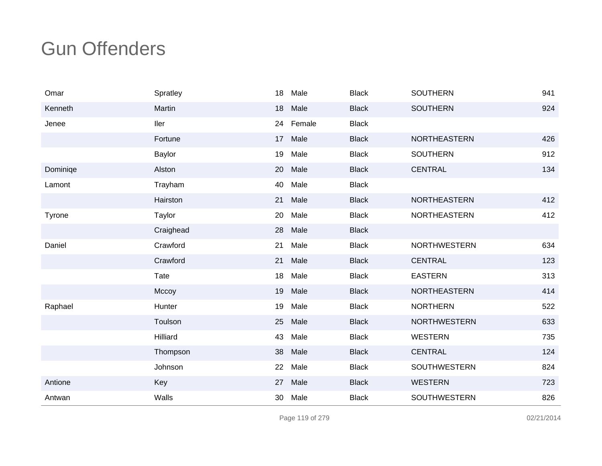| Omar     | Spratley  | 18 | Male   | <b>Black</b> | <b>SOUTHERN</b>     | 941 |
|----------|-----------|----|--------|--------------|---------------------|-----|
| Kenneth  | Martin    | 18 | Male   | <b>Black</b> | <b>SOUTHERN</b>     | 924 |
| Jenee    | ller      | 24 | Female | <b>Black</b> |                     |     |
|          | Fortune   | 17 | Male   | <b>Black</b> | <b>NORTHEASTERN</b> | 426 |
|          | Baylor    | 19 | Male   | <b>Black</b> | <b>SOUTHERN</b>     | 912 |
| Dominiqe | Alston    | 20 | Male   | <b>Black</b> | <b>CENTRAL</b>      | 134 |
| Lamont   | Trayham   | 40 | Male   | <b>Black</b> |                     |     |
|          | Hairston  | 21 | Male   | <b>Black</b> | <b>NORTHEASTERN</b> | 412 |
| Tyrone   | Taylor    | 20 | Male   | <b>Black</b> | <b>NORTHEASTERN</b> | 412 |
|          | Craighead | 28 | Male   | <b>Black</b> |                     |     |
| Daniel   | Crawford  | 21 | Male   | <b>Black</b> | <b>NORTHWESTERN</b> | 634 |
|          | Crawford  | 21 | Male   | <b>Black</b> | <b>CENTRAL</b>      | 123 |
|          | Tate      | 18 | Male   | <b>Black</b> | <b>EASTERN</b>      | 313 |
|          | Mccoy     | 19 | Male   | <b>Black</b> | NORTHEASTERN        | 414 |
| Raphael  | Hunter    | 19 | Male   | <b>Black</b> | <b>NORTHERN</b>     | 522 |
|          | Toulson   | 25 | Male   | <b>Black</b> | <b>NORTHWESTERN</b> | 633 |
|          | Hilliard  | 43 | Male   | <b>Black</b> | <b>WESTERN</b>      | 735 |
|          | Thompson  | 38 | Male   | <b>Black</b> | <b>CENTRAL</b>      | 124 |
|          | Johnson   | 22 | Male   | <b>Black</b> | <b>SOUTHWESTERN</b> | 824 |
| Antione  | Key       | 27 | Male   | <b>Black</b> | <b>WESTERN</b>      | 723 |
| Antwan   | Walls     | 30 | Male   | <b>Black</b> | SOUTHWESTERN        | 826 |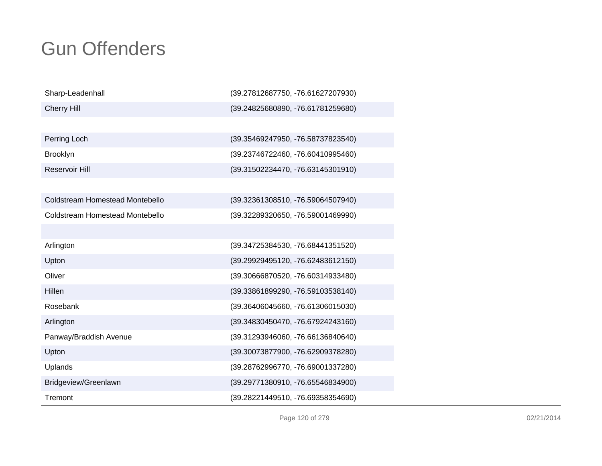| Sharp-Leadenhall                | (39.27812687750, -76.61627207930) |
|---------------------------------|-----------------------------------|
| <b>Cherry Hill</b>              | (39.24825680890, -76.61781259680) |
|                                 |                                   |
| Perring Loch                    | (39.35469247950, -76.58737823540) |
| <b>Brooklyn</b>                 | (39.23746722460, -76.60410995460) |
| Reservoir Hill                  | (39.31502234470, -76.63145301910) |
|                                 |                                   |
| Coldstream Homestead Montebello | (39.32361308510, -76.59064507940) |
| Coldstream Homestead Montebello | (39.32289320650, -76.59001469990) |
|                                 |                                   |
| Arlington                       | (39.34725384530, -76.68441351520) |
| Upton                           | (39.29929495120, -76.62483612150) |
| Oliver                          | (39.30666870520, -76.60314933480) |
| Hillen                          | (39.33861899290, -76.59103538140) |
| Rosebank                        | (39.36406045660, -76.61306015030) |
| Arlington                       | (39.34830450470, -76.67924243160) |
| Panway/Braddish Avenue          | (39.31293946060, -76.66136840640) |
| Upton                           | (39.30073877900, -76.62909378280) |
| Uplands                         | (39.28762996770, -76.69001337280) |
| Bridgeview/Greenlawn            | (39.29771380910, -76.65546834900) |
| Tremont                         | (39.28221449510, -76.69358354690) |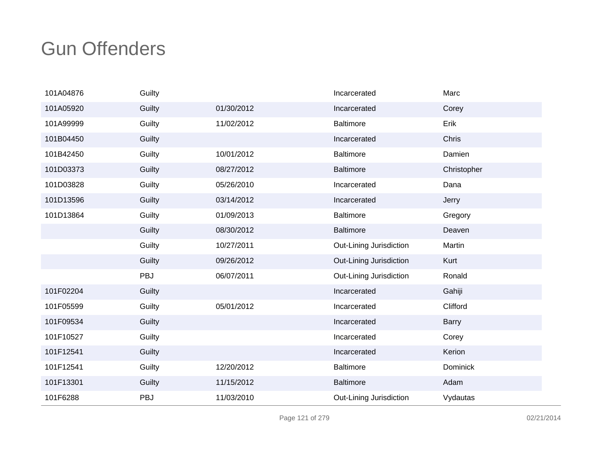| 101A04876 | Guilty |            | Incarcerated            | Marc         |
|-----------|--------|------------|-------------------------|--------------|
| 101A05920 | Guilty | 01/30/2012 | Incarcerated            | Corey        |
| 101A99999 | Guilty | 11/02/2012 | <b>Baltimore</b>        | Erik         |
| 101B04450 | Guilty |            | Incarcerated            | Chris        |
| 101B42450 | Guilty | 10/01/2012 | Baltimore               | Damien       |
| 101D03373 | Guilty | 08/27/2012 | <b>Baltimore</b>        | Christopher  |
| 101D03828 | Guilty | 05/26/2010 | Incarcerated            | Dana         |
| 101D13596 | Guilty | 03/14/2012 | Incarcerated            | Jerry        |
| 101D13864 | Guilty | 01/09/2013 | <b>Baltimore</b>        | Gregory      |
|           | Guilty | 08/30/2012 | <b>Baltimore</b>        | Deaven       |
|           | Guilty | 10/27/2011 | Out-Lining Jurisdiction | Martin       |
|           | Guilty | 09/26/2012 | Out-Lining Jurisdiction | Kurt         |
|           | PBJ    | 06/07/2011 | Out-Lining Jurisdiction | Ronald       |
| 101F02204 | Guilty |            | Incarcerated            | Gahiji       |
| 101F05599 | Guilty | 05/01/2012 | Incarcerated            | Clifford     |
| 101F09534 | Guilty |            | Incarcerated            | <b>Barry</b> |
| 101F10527 | Guilty |            | Incarcerated            | Corey        |
| 101F12541 | Guilty |            | Incarcerated            | Kerion       |
| 101F12541 | Guilty | 12/20/2012 | <b>Baltimore</b>        | Dominick     |
| 101F13301 | Guilty | 11/15/2012 | <b>Baltimore</b>        | Adam         |
| 101F6288  | PBJ    | 11/03/2010 | Out-Lining Jurisdiction | Vydautas     |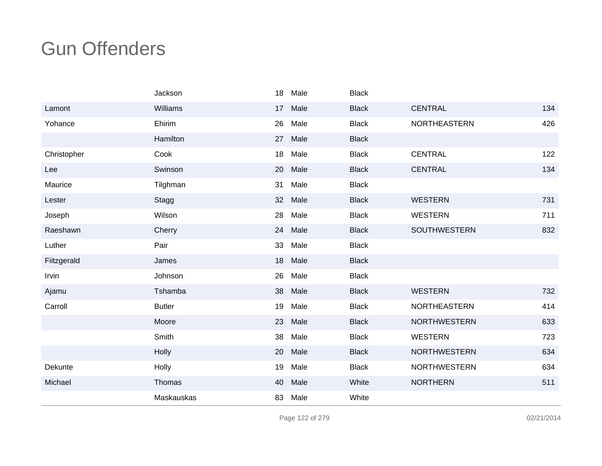|             | Jackson       | 18 | Male | <b>Black</b> |                     |     |
|-------------|---------------|----|------|--------------|---------------------|-----|
| Lamont      | Williams      | 17 | Male | <b>Black</b> | <b>CENTRAL</b>      | 134 |
| Yohance     | Ehirim        | 26 | Male | <b>Black</b> | NORTHEASTERN        | 426 |
|             | Hamilton      | 27 | Male | <b>Black</b> |                     |     |
| Christopher | Cook          | 18 | Male | <b>Black</b> | <b>CENTRAL</b>      | 122 |
| Lee         | Swinson       | 20 | Male | <b>Black</b> | <b>CENTRAL</b>      | 134 |
| Maurice     | Tilghman      | 31 | Male | <b>Black</b> |                     |     |
| Lester      | Stagg         | 32 | Male | <b>Black</b> | <b>WESTERN</b>      | 731 |
| Joseph      | Wilson        | 28 | Male | <b>Black</b> | <b>WESTERN</b>      | 711 |
| Raeshawn    | Cherry        | 24 | Male | <b>Black</b> | <b>SOUTHWESTERN</b> | 832 |
| Luther      | Pair          | 33 | Male | <b>Black</b> |                     |     |
| Fiitzgerald | James         | 18 | Male | <b>Black</b> |                     |     |
| Irvin       | Johnson       | 26 | Male | <b>Black</b> |                     |     |
| Ajamu       | Tshamba       | 38 | Male | <b>Black</b> | <b>WESTERN</b>      | 732 |
| Carroll     | <b>Butler</b> | 19 | Male | <b>Black</b> | <b>NORTHEASTERN</b> | 414 |
|             | Moore         | 23 | Male | <b>Black</b> | <b>NORTHWESTERN</b> | 633 |
|             | Smith         | 38 | Male | <b>Black</b> | <b>WESTERN</b>      | 723 |
|             | Holly         | 20 | Male | <b>Black</b> | <b>NORTHWESTERN</b> | 634 |
| Dekunte     | Holly         | 19 | Male | <b>Black</b> | <b>NORTHWESTERN</b> | 634 |
| Michael     | Thomas        | 40 | Male | White        | <b>NORTHERN</b>     | 511 |
|             | Maskauskas    | 83 | Male | White        |                     |     |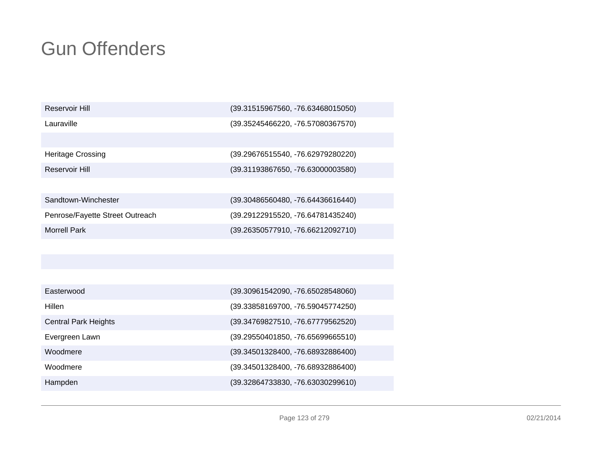| Reservoir Hill |  |
|----------------|--|
|----------------|--|

Lauraville

Heritage Crossing

Reservoir Hill

(39.31515967560, -76.63468015050)

(39.35245466220, -76.57080367570)

 (39.29676515540, -76.62979280220) (39.31193867650, -76.63000003580)

| Sandtown-Winchester             | (39.30486560480, -76.64436616440) |
|---------------------------------|-----------------------------------|
| Penrose/Fayette Street Outreach | (39.29122915520, -76.64781435240) |
| Morrell Park                    | (39.26350577910, -76.66212092710) |

| Easterwood                  | (39.30961542090, -76.65028548060) |
|-----------------------------|-----------------------------------|
| Hillen                      | (39.33858169700, -76.59045774250) |
| <b>Central Park Heights</b> | (39.34769827510, -76.67779562520) |
| Evergreen Lawn              | (39.29550401850, -76.65699665510) |
| Woodmere                    | (39.34501328400, -76.68932886400) |
| Woodmere                    | (39.34501328400, -76.68932886400) |
| Hampden                     | (39.32864733830, -76.63030299610) |
|                             |                                   |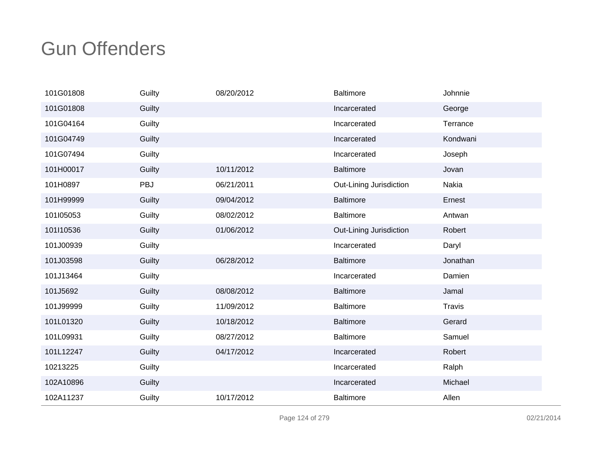| 101G01808 | Guilty     | 08/20/2012 | <b>Baltimore</b>        | Johnnie       |
|-----------|------------|------------|-------------------------|---------------|
| 101G01808 | Guilty     |            | Incarcerated            | George        |
| 101G04164 | Guilty     |            | Incarcerated            | Terrance      |
| 101G04749 | Guilty     |            | Incarcerated            | Kondwani      |
| 101G07494 | Guilty     |            | Incarcerated            | Joseph        |
| 101H00017 | Guilty     | 10/11/2012 | <b>Baltimore</b>        | Jovan         |
| 101H0897  | <b>PBJ</b> | 06/21/2011 | Out-Lining Jurisdiction | Nakia         |
| 101H99999 | Guilty     | 09/04/2012 | <b>Baltimore</b>        | Ernest        |
| 101l05053 | Guilty     | 08/02/2012 | <b>Baltimore</b>        | Antwan        |
| 101I10536 | Guilty     | 01/06/2012 | Out-Lining Jurisdiction | Robert        |
| 101J00939 | Guilty     |            | Incarcerated            | Daryl         |
| 101J03598 | Guilty     | 06/28/2012 | <b>Baltimore</b>        | Jonathan      |
| 101J13464 | Guilty     |            | Incarcerated            | Damien        |
| 101J5692  | Guilty     | 08/08/2012 | <b>Baltimore</b>        | Jamal         |
| 101J99999 | Guilty     | 11/09/2012 | <b>Baltimore</b>        | <b>Travis</b> |
| 101L01320 | Guilty     | 10/18/2012 | <b>Baltimore</b>        | Gerard        |
| 101L09931 | Guilty     | 08/27/2012 | <b>Baltimore</b>        | Samuel        |
| 101L12247 | Guilty     | 04/17/2012 | Incarcerated            | Robert        |
| 10213225  | Guilty     |            | Incarcerated            | Ralph         |
| 102A10896 | Guilty     |            | Incarcerated            | Michael       |
| 102A11237 | Guilty     | 10/17/2012 | <b>Baltimore</b>        | Allen         |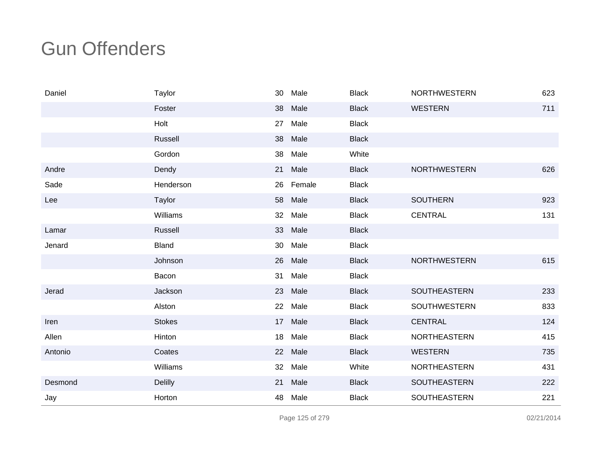| Daniel  | Taylor         | 30 | Male    | <b>Black</b> | <b>NORTHWESTERN</b> | 623 |
|---------|----------------|----|---------|--------------|---------------------|-----|
|         | Foster         | 38 | Male    | <b>Black</b> | <b>WESTERN</b>      | 711 |
|         | Holt           | 27 | Male    | <b>Black</b> |                     |     |
|         | Russell        | 38 | Male    | <b>Black</b> |                     |     |
|         | Gordon         | 38 | Male    | White        |                     |     |
| Andre   | Dendy          | 21 | Male    | <b>Black</b> | <b>NORTHWESTERN</b> | 626 |
| Sade    | Henderson      | 26 | Female  | <b>Black</b> |                     |     |
| Lee     | Taylor         |    | 58 Male | <b>Black</b> | <b>SOUTHERN</b>     | 923 |
|         | Williams       | 32 | Male    | <b>Black</b> | <b>CENTRAL</b>      | 131 |
| Lamar   | Russell        | 33 | Male    | <b>Black</b> |                     |     |
| Jenard  | <b>Bland</b>   | 30 | Male    | <b>Black</b> |                     |     |
|         | Johnson        | 26 | Male    | <b>Black</b> | <b>NORTHWESTERN</b> | 615 |
|         | Bacon          | 31 | Male    | <b>Black</b> |                     |     |
| Jerad   | Jackson        | 23 | Male    | <b>Black</b> | <b>SOUTHEASTERN</b> | 233 |
|         | Alston         | 22 | Male    | <b>Black</b> | <b>SOUTHWESTERN</b> | 833 |
| Iren    | <b>Stokes</b>  | 17 | Male    | <b>Black</b> | <b>CENTRAL</b>      | 124 |
| Allen   | Hinton         | 18 | Male    | <b>Black</b> | <b>NORTHEASTERN</b> | 415 |
| Antonio | Coates         | 22 | Male    | <b>Black</b> | <b>WESTERN</b>      | 735 |
|         | Williams       | 32 | Male    | White        | NORTHEASTERN        | 431 |
| Desmond | <b>Delilly</b> | 21 | Male    | <b>Black</b> | SOUTHEASTERN        | 222 |
| Jay     | Horton         | 48 | Male    | <b>Black</b> | SOUTHEASTERN        | 221 |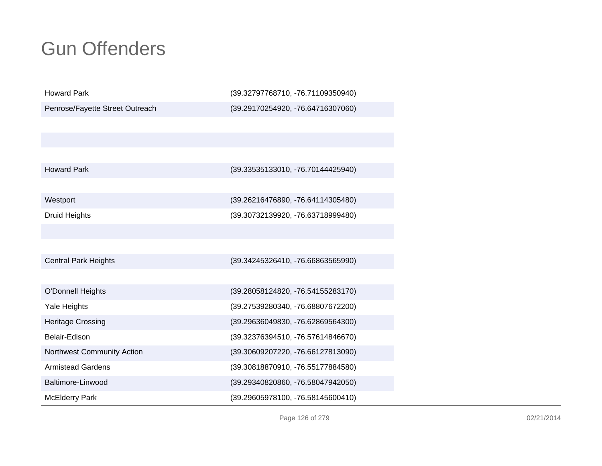| <b>Howard Park</b>              | (39.32797768710, -76.71109350940) |
|---------------------------------|-----------------------------------|
| Penrose/Fayette Street Outreach | (39.29170254920, -76.64716307060) |
|                                 |                                   |
|                                 |                                   |
|                                 |                                   |
| <b>Howard Park</b>              | (39.33535133010, -76.70144425940) |
|                                 |                                   |
| Westport                        | (39.26216476890, -76.64114305480) |
| <b>Druid Heights</b>            | (39.30732139920, -76.63718999480) |
|                                 |                                   |
|                                 |                                   |
| <b>Central Park Heights</b>     | (39.34245326410, -76.66863565990) |
|                                 |                                   |
| <b>O'Donnell Heights</b>        | (39.28058124820, -76.54155283170) |
| Yale Heights                    | (39.27539280340, -76.68807672200) |
| <b>Heritage Crossing</b>        | (39.29636049830, -76.62869564300) |
| Belair-Edison                   | (39.32376394510, -76.57614846670) |
| Northwest Community Action      | (39.30609207220, -76.66127813090) |
| <b>Armistead Gardens</b>        | (39.30818870910, -76.55177884580) |
| Baltimore-Linwood               | (39.29340820860, -76.58047942050) |
| <b>McElderry Park</b>           | (39.29605978100, -76.58145600410) |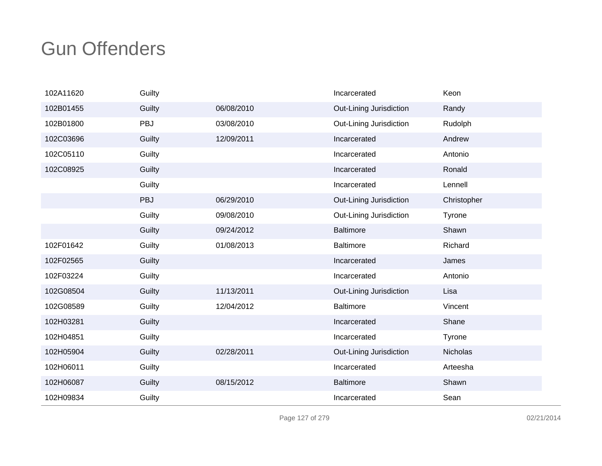| 102A11620 | Guilty |            | Incarcerated            | Keon        |
|-----------|--------|------------|-------------------------|-------------|
| 102B01455 | Guilty | 06/08/2010 | Out-Lining Jurisdiction | Randy       |
| 102B01800 | PBJ    | 03/08/2010 | Out-Lining Jurisdiction | Rudolph     |
| 102C03696 | Guilty | 12/09/2011 | Incarcerated            | Andrew      |
| 102C05110 | Guilty |            | Incarcerated            | Antonio     |
| 102C08925 | Guilty |            | Incarcerated            | Ronald      |
|           | Guilty |            | Incarcerated            | Lennell     |
|           | PBJ    | 06/29/2010 | Out-Lining Jurisdiction | Christopher |
|           | Guilty | 09/08/2010 | Out-Lining Jurisdiction | Tyrone      |
|           | Guilty | 09/24/2012 | <b>Baltimore</b>        | Shawn       |
| 102F01642 | Guilty | 01/08/2013 | <b>Baltimore</b>        | Richard     |
| 102F02565 | Guilty |            | Incarcerated            | James       |
| 102F03224 | Guilty |            | Incarcerated            | Antonio     |
| 102G08504 | Guilty | 11/13/2011 | Out-Lining Jurisdiction | Lisa        |
| 102G08589 | Guilty | 12/04/2012 | <b>Baltimore</b>        | Vincent     |
| 102H03281 | Guilty |            | Incarcerated            | Shane       |
| 102H04851 | Guilty |            | Incarcerated            | Tyrone      |
| 102H05904 | Guilty | 02/28/2011 | Out-Lining Jurisdiction | Nicholas    |
| 102H06011 | Guilty |            | Incarcerated            | Arteesha    |
| 102H06087 | Guilty | 08/15/2012 | <b>Baltimore</b>        | Shawn       |
| 102H09834 | Guilty |            | Incarcerated            | Sean        |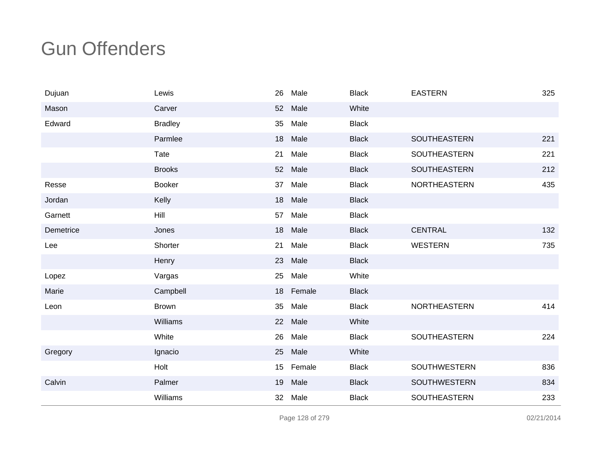| Dujuan    | Lewis          | 26 | Male      | <b>Black</b> | <b>EASTERN</b>      | 325 |
|-----------|----------------|----|-----------|--------------|---------------------|-----|
| Mason     | Carver         | 52 | Male      | White        |                     |     |
| Edward    | <b>Bradley</b> | 35 | Male      | <b>Black</b> |                     |     |
|           | Parmlee        | 18 | Male      | <b>Black</b> | <b>SOUTHEASTERN</b> | 221 |
|           | Tate           | 21 | Male      | <b>Black</b> | SOUTHEASTERN        | 221 |
|           | <b>Brooks</b>  | 52 | Male      | <b>Black</b> | <b>SOUTHEASTERN</b> | 212 |
| Resse     | <b>Booker</b>  | 37 | Male      | <b>Black</b> | NORTHEASTERN        | 435 |
| Jordan    | Kelly          | 18 | Male      | <b>Black</b> |                     |     |
| Garnett   | Hill           | 57 | Male      | <b>Black</b> |                     |     |
| Demetrice | Jones          | 18 | Male      | <b>Black</b> | <b>CENTRAL</b>      | 132 |
| Lee       | Shorter        | 21 | Male      | <b>Black</b> | <b>WESTERN</b>      | 735 |
|           | Henry          | 23 | Male      | <b>Black</b> |                     |     |
| Lopez     | Vargas         | 25 | Male      | White        |                     |     |
| Marie     | Campbell       |    | 18 Female | <b>Black</b> |                     |     |
| Leon      | <b>Brown</b>   | 35 | Male      | <b>Black</b> | NORTHEASTERN        | 414 |
|           | Williams       | 22 | Male      | White        |                     |     |
|           | White          | 26 | Male      | <b>Black</b> | SOUTHEASTERN        | 224 |
| Gregory   | Ignacio        | 25 | Male      | White        |                     |     |
|           | Holt           | 15 | Female    | <b>Black</b> | SOUTHWESTERN        | 836 |
| Calvin    | Palmer         | 19 | Male      | <b>Black</b> | SOUTHWESTERN        | 834 |
|           | Williams       | 32 | Male      | <b>Black</b> | SOUTHEASTERN        | 233 |

Page 128 of 279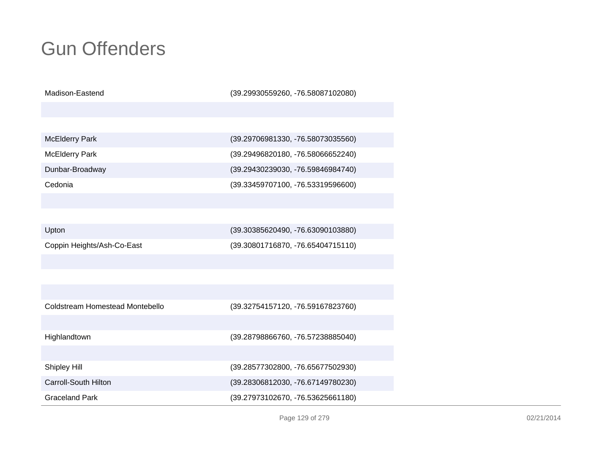Madison-Eastend

(39.29930559260, -76.58087102080)

| <b>McElderry Park</b> |  |
|-----------------------|--|
|-----------------------|--|

McElderry Park

Dunbar-Broadway

Cedonia

 (39.29706981330, -76.58073035560) (39.29496820180, -76.58066652240) (39.29430239030, -76.59846984740) (39.33459707100, -76.53319596600)

| Upton                      | (39.30385620490, -76.63090103880) |
|----------------------------|-----------------------------------|
| Coppin Heights/Ash-Co-East | (39.30801716870, -76.65404715110) |

| Graceland Park                  | (39.27973102670, -76.53625661180) |
|---------------------------------|-----------------------------------|
| Carroll-South Hilton            | (39.28306812030, -76.67149780230) |
| Shipley Hill                    | (39.28577302800, -76.65677502930) |
|                                 |                                   |
| Highlandtown                    | (39.28798866760, -76.57238885040) |
|                                 |                                   |
| Coldstream Homestead Montebello | (39.32754157120, -76.59167823760) |
|                                 |                                   |
|                                 |                                   |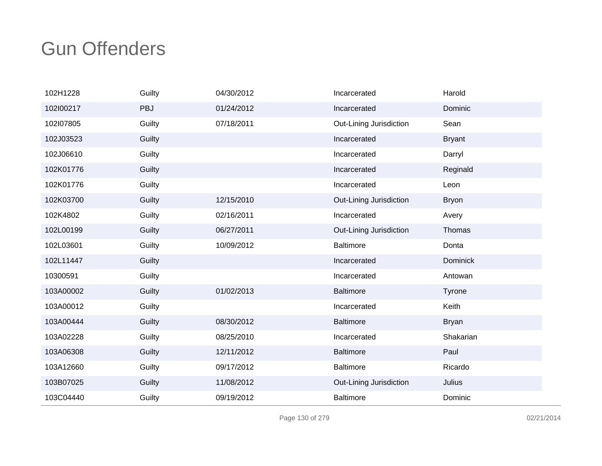| 102H1228  | Guilty     | 04/30/2012 | Incarcerated            | Harold          |
|-----------|------------|------------|-------------------------|-----------------|
| 102l00217 | <b>PBJ</b> | 01/24/2012 | Incarcerated            | Dominic         |
| 102l07805 | Guilty     | 07/18/2011 | Out-Lining Jurisdiction | Sean            |
| 102J03523 | Guilty     |            | Incarcerated            | <b>Bryant</b>   |
| 102J06610 | Guilty     |            | Incarcerated            | Darryl          |
| 102K01776 | Guilty     |            | Incarcerated            | Reginald        |
| 102K01776 | Guilty     |            | Incarcerated            | Leon            |
| 102K03700 | Guilty     | 12/15/2010 | Out-Lining Jurisdiction | <b>Bryon</b>    |
| 102K4802  | Guilty     | 02/16/2011 | Incarcerated            | Avery           |
| 102L00199 | Guilty     | 06/27/2011 | Out-Lining Jurisdiction | Thomas          |
| 102L03601 | Guilty     | 10/09/2012 | <b>Baltimore</b>        | Donta           |
| 102L11447 | Guilty     |            | Incarcerated            | <b>Dominick</b> |
| 10300591  | Guilty     |            | Incarcerated            | Antowan         |
| 103A00002 | Guilty     | 01/02/2013 | <b>Baltimore</b>        | Tyrone          |
| 103A00012 | Guilty     |            | Incarcerated            | Keith           |
| 103A00444 | Guilty     | 08/30/2012 | <b>Baltimore</b>        | <b>Bryan</b>    |
| 103A02228 | Guilty     | 08/25/2010 | Incarcerated            | Shakarian       |
| 103A06308 | Guilty     | 12/11/2012 | <b>Baltimore</b>        | Paul            |
| 103A12660 | Guilty     | 09/17/2012 | <b>Baltimore</b>        | Ricardo         |
| 103B07025 | Guilty     | 11/08/2012 | Out-Lining Jurisdiction | Julius          |
| 103C04440 | Guilty     | 09/19/2012 | <b>Baltimore</b>        | Dominic         |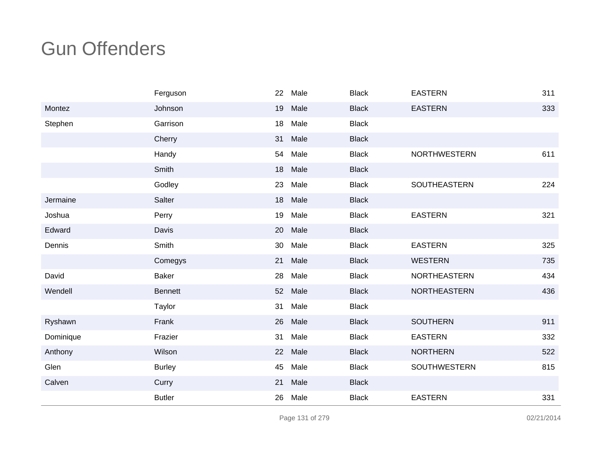|           | Ferguson       | 22 | Male | <b>Black</b> | <b>EASTERN</b>      | 311 |
|-----------|----------------|----|------|--------------|---------------------|-----|
| Montez    | Johnson        | 19 | Male | <b>Black</b> | <b>EASTERN</b>      | 333 |
| Stephen   | Garrison       | 18 | Male | <b>Black</b> |                     |     |
|           | Cherry         | 31 | Male | <b>Black</b> |                     |     |
|           | Handy          | 54 | Male | <b>Black</b> | <b>NORTHWESTERN</b> | 611 |
|           | Smith          | 18 | Male | <b>Black</b> |                     |     |
|           | Godley         | 23 | Male | <b>Black</b> | SOUTHEASTERN        | 224 |
| Jermaine  | Salter         | 18 | Male | <b>Black</b> |                     |     |
| Joshua    | Perry          | 19 | Male | <b>Black</b> | <b>EASTERN</b>      | 321 |
| Edward    | Davis          | 20 | Male | <b>Black</b> |                     |     |
| Dennis    | Smith          | 30 | Male | <b>Black</b> | <b>EASTERN</b>      | 325 |
|           | Comegys        | 21 | Male | <b>Black</b> | <b>WESTERN</b>      | 735 |
| David     | <b>Baker</b>   | 28 | Male | <b>Black</b> | <b>NORTHEASTERN</b> | 434 |
| Wendell   | <b>Bennett</b> | 52 | Male | <b>Black</b> | <b>NORTHEASTERN</b> | 436 |
|           | Taylor         | 31 | Male | <b>Black</b> |                     |     |
| Ryshawn   | Frank          | 26 | Male | <b>Black</b> | <b>SOUTHERN</b>     | 911 |
| Dominique | Frazier        | 31 | Male | <b>Black</b> | <b>EASTERN</b>      | 332 |
| Anthony   | Wilson         | 22 | Male | <b>Black</b> | <b>NORTHERN</b>     | 522 |
| Glen      | <b>Burley</b>  | 45 | Male | <b>Black</b> | SOUTHWESTERN        | 815 |
| Calven    | Curry          | 21 | Male | <b>Black</b> |                     |     |
|           | <b>Butler</b>  | 26 | Male | <b>Black</b> | <b>EASTERN</b>      | 331 |

Page 131 of 279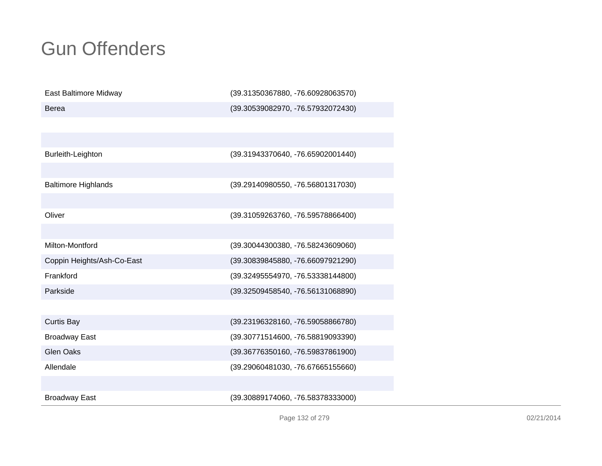| East Baltimore Midway      | (39.31350367880, -76.60928063570) |
|----------------------------|-----------------------------------|
| <b>Berea</b>               | (39.30539082970, -76.57932072430) |
|                            |                                   |
|                            |                                   |
| Burleith-Leighton          | (39.31943370640, -76.65902001440) |
|                            |                                   |
| <b>Baltimore Highlands</b> | (39.29140980550, -76.56801317030) |
|                            |                                   |
| Oliver                     | (39.31059263760, -76.59578866400) |
|                            |                                   |
| Milton-Montford            | (39.30044300380, -76.58243609060) |
| Coppin Heights/Ash-Co-East | (39.30839845880, -76.66097921290) |
| Frankford                  | (39.32495554970, -76.53338144800) |
| Parkside                   | (39.32509458540, -76.56131068890) |
|                            |                                   |
| <b>Curtis Bay</b>          | (39.23196328160, -76.59058866780) |
| <b>Broadway East</b>       | (39.30771514600, -76.58819093390) |
| <b>Glen Oaks</b>           | (39.36776350160, -76.59837861900) |
| Allendale                  | (39.29060481030, -76.67665155660) |
|                            |                                   |
| <b>Broadway East</b>       | (39.30889174060, -76.58378333000) |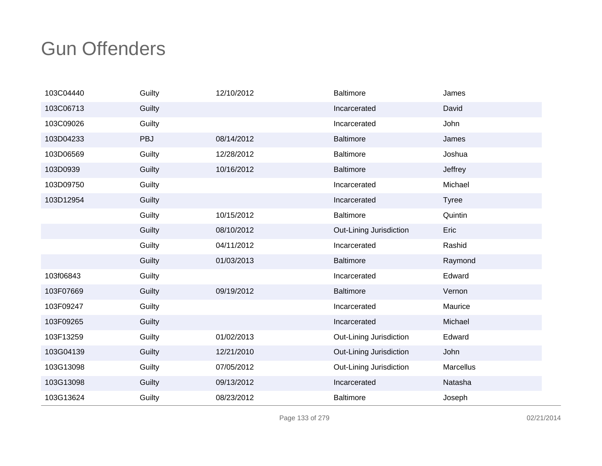| 103C04440 | Guilty     | 12/10/2012 | <b>Baltimore</b>        | James        |
|-----------|------------|------------|-------------------------|--------------|
| 103C06713 | Guilty     |            | Incarcerated            | David        |
| 103C09026 | Guilty     |            | Incarcerated            | John         |
| 103D04233 | <b>PBJ</b> | 08/14/2012 | <b>Baltimore</b>        | James        |
| 103D06569 | Guilty     | 12/28/2012 | <b>Baltimore</b>        | Joshua       |
| 103D0939  | Guilty     | 10/16/2012 | <b>Baltimore</b>        | Jeffrey      |
| 103D09750 | Guilty     |            | Incarcerated            | Michael      |
| 103D12954 | Guilty     |            | Incarcerated            | <b>Tyree</b> |
|           | Guilty     | 10/15/2012 | <b>Baltimore</b>        | Quintin      |
|           | Guilty     | 08/10/2012 | Out-Lining Jurisdiction | Eric         |
|           | Guilty     | 04/11/2012 | Incarcerated            | Rashid       |
|           | Guilty     | 01/03/2013 | <b>Baltimore</b>        | Raymond      |
| 103f06843 | Guilty     |            | Incarcerated            | Edward       |
| 103F07669 | Guilty     | 09/19/2012 | <b>Baltimore</b>        | Vernon       |
| 103F09247 | Guilty     |            | Incarcerated            | Maurice      |
| 103F09265 | Guilty     |            | Incarcerated            | Michael      |
| 103F13259 | Guilty     | 01/02/2013 | Out-Lining Jurisdiction | Edward       |
| 103G04139 | Guilty     | 12/21/2010 | Out-Lining Jurisdiction | John         |
| 103G13098 | Guilty     | 07/05/2012 | Out-Lining Jurisdiction | Marcellus    |
| 103G13098 | Guilty     | 09/13/2012 | Incarcerated            | Natasha      |
| 103G13624 | Guilty     | 08/23/2012 | <b>Baltimore</b>        | Joseph       |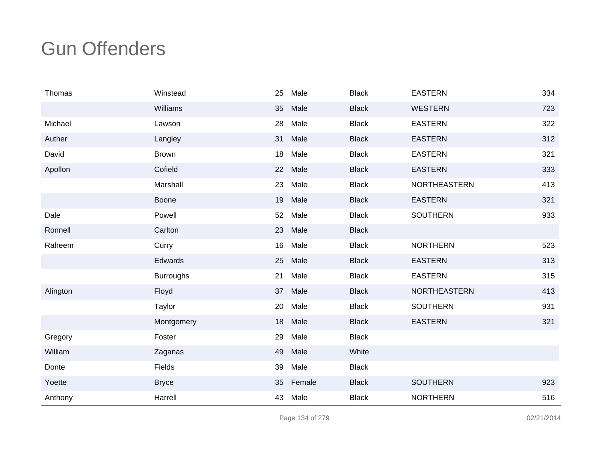| Thomas   | Winstead         | 25 | Male   | <b>Black</b> | <b>EASTERN</b>      | 334 |
|----------|------------------|----|--------|--------------|---------------------|-----|
|          | Williams         | 35 | Male   | <b>Black</b> | <b>WESTERN</b>      | 723 |
| Michael  | Lawson           | 28 | Male   | <b>Black</b> | <b>EASTERN</b>      | 322 |
| Auther   | Langley          | 31 | Male   | <b>Black</b> | <b>EASTERN</b>      | 312 |
| David    | <b>Brown</b>     | 18 | Male   | <b>Black</b> | <b>EASTERN</b>      | 321 |
| Apollon  | Cofield          | 22 | Male   | <b>Black</b> | <b>EASTERN</b>      | 333 |
|          | Marshall         | 23 | Male   | <b>Black</b> | NORTHEASTERN        | 413 |
|          | Boone            | 19 | Male   | <b>Black</b> | <b>EASTERN</b>      | 321 |
| Dale     | Powell           | 52 | Male   | <b>Black</b> | <b>SOUTHERN</b>     | 933 |
| Ronnell  | Carlton          | 23 | Male   | <b>Black</b> |                     |     |
| Raheem   | Curry            | 16 | Male   | <b>Black</b> | <b>NORTHERN</b>     | 523 |
|          | Edwards          | 25 | Male   | <b>Black</b> | <b>EASTERN</b>      | 313 |
|          | <b>Burroughs</b> | 21 | Male   | <b>Black</b> | <b>EASTERN</b>      | 315 |
| Alington | Floyd            | 37 | Male   | <b>Black</b> | <b>NORTHEASTERN</b> | 413 |
|          | Taylor           | 20 | Male   | <b>Black</b> | <b>SOUTHERN</b>     | 931 |
|          | Montgomery       | 18 | Male   | <b>Black</b> | <b>EASTERN</b>      | 321 |
| Gregory  | Foster           | 29 | Male   | <b>Black</b> |                     |     |
| William  | Zaganas          | 49 | Male   | White        |                     |     |
| Donte    | Fields           | 39 | Male   | <b>Black</b> |                     |     |
| Yoette   | <b>Bryce</b>     | 35 | Female | <b>Black</b> | <b>SOUTHERN</b>     | 923 |
| Anthony  | Harrell          | 43 | Male   | <b>Black</b> | <b>NORTHERN</b>     | 516 |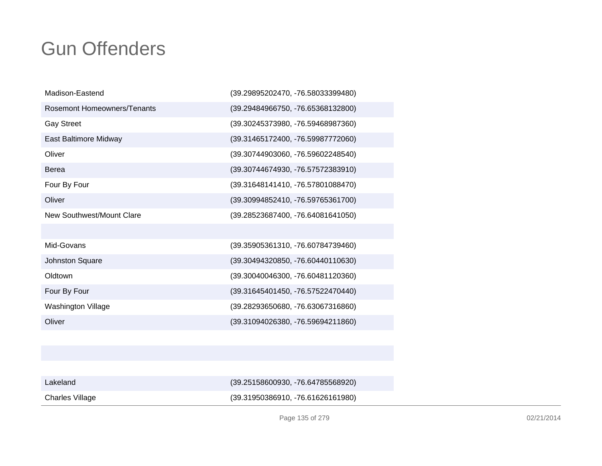| Madison-Eastend                    | (39.29895202470, -76.58033399480) |
|------------------------------------|-----------------------------------|
| <b>Rosemont Homeowners/Tenants</b> | (39.29484966750, -76.65368132800) |
| <b>Gay Street</b>                  | (39.30245373980, -76.59468987360) |
| East Baltimore Midway              | (39.31465172400, -76.59987772060) |
| Oliver                             | (39.30744903060, -76.59602248540) |
| <b>Berea</b>                       | (39.30744674930, -76.57572383910) |
| Four By Four                       | (39.31648141410, -76.57801088470) |
| Oliver                             | (39.30994852410, -76.59765361700) |
| New Southwest/Mount Clare          | (39.28523687400, -76.64081641050) |
|                                    |                                   |
| Mid-Govans                         | (39.35905361310, -76.60784739460) |
| Johnston Square                    | (39.30494320850, -76.60440110630) |
| Oldtown                            | (39.30040046300, -76.60481120360) |
| Four By Four                       | (39.31645401450, -76.57522470440) |
| Washington Village                 | (39.28293650680, -76.63067316860) |
| Oliver                             | (39.31094026380, -76.59694211860) |
|                                    |                                   |

| Lakeland        | $(39.25158600930, -76.64785568920)$ |
|-----------------|-------------------------------------|
| Charles Village | $(39.31950386910, -76.61626161980)$ |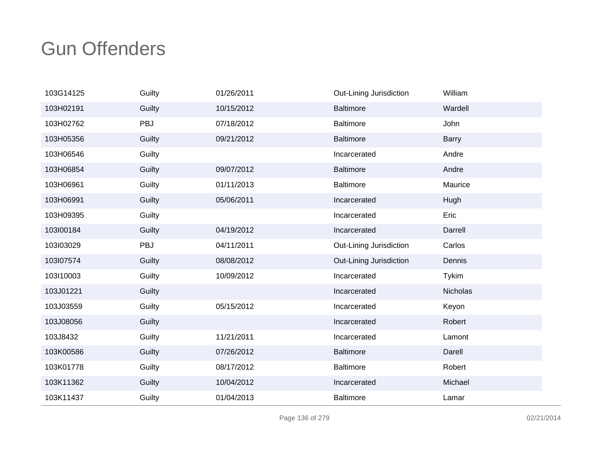| 103G14125 | Guilty | 01/26/2011 | Out-Lining Jurisdiction | William      |
|-----------|--------|------------|-------------------------|--------------|
| 103H02191 | Guilty | 10/15/2012 | <b>Baltimore</b>        | Wardell      |
| 103H02762 | PBJ    | 07/18/2012 | <b>Baltimore</b>        | John         |
| 103H05356 | Guilty | 09/21/2012 | <b>Baltimore</b>        | <b>Barry</b> |
| 103H06546 | Guilty |            | Incarcerated            | Andre        |
| 103H06854 | Guilty | 09/07/2012 | <b>Baltimore</b>        | Andre        |
| 103H06961 | Guilty | 01/11/2013 | <b>Baltimore</b>        | Maurice      |
| 103H06991 | Guilty | 05/06/2011 | Incarcerated            | Hugh         |
| 103H09395 | Guilty |            | Incarcerated            | Eric         |
| 103l00184 | Guilty | 04/19/2012 | Incarcerated            | Darrell      |
| 103l03029 | PBJ    | 04/11/2011 | Out-Lining Jurisdiction | Carlos       |
| 103l07574 | Guilty | 08/08/2012 | Out-Lining Jurisdiction | Dennis       |
| 103I10003 | Guilty | 10/09/2012 | Incarcerated            | <b>Tykim</b> |
| 103J01221 | Guilty |            | Incarcerated            | Nicholas     |
| 103J03559 | Guilty | 05/15/2012 | Incarcerated            | Keyon        |
| 103J08056 | Guilty |            | Incarcerated            | Robert       |
| 103J8432  | Guilty | 11/21/2011 | Incarcerated            | Lamont       |
| 103K00586 | Guilty | 07/26/2012 | <b>Baltimore</b>        | Darell       |
| 103K01778 | Guilty | 08/17/2012 | <b>Baltimore</b>        | Robert       |
| 103K11362 | Guilty | 10/04/2012 | Incarcerated            | Michael      |
| 103K11437 | Guilty | 01/04/2013 | <b>Baltimore</b>        | Lamar        |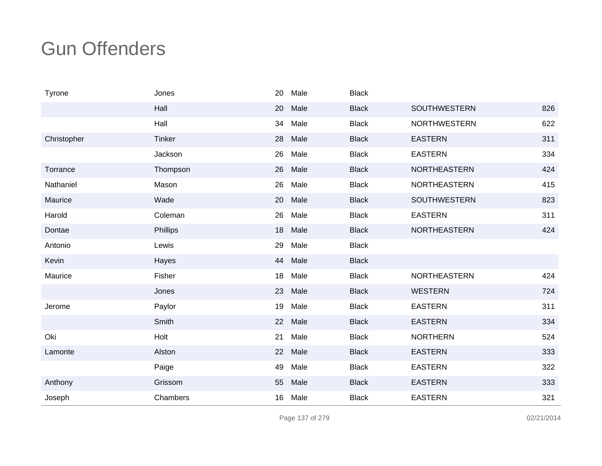| Tyrone      | Jones         | 20 | Male | <b>Black</b> |                     |     |
|-------------|---------------|----|------|--------------|---------------------|-----|
|             | Hall          | 20 | Male | <b>Black</b> | <b>SOUTHWESTERN</b> | 826 |
|             | Hall          | 34 | Male | <b>Black</b> | <b>NORTHWESTERN</b> | 622 |
| Christopher | <b>Tinker</b> | 28 | Male | <b>Black</b> | <b>EASTERN</b>      | 311 |
|             | Jackson       | 26 | Male | <b>Black</b> | <b>EASTERN</b>      | 334 |
| Torrance    | Thompson      | 26 | Male | <b>Black</b> | <b>NORTHEASTERN</b> | 424 |
| Nathaniel   | Mason         | 26 | Male | <b>Black</b> | <b>NORTHEASTERN</b> | 415 |
| Maurice     | Wade          | 20 | Male | <b>Black</b> | <b>SOUTHWESTERN</b> | 823 |
| Harold      | Coleman       | 26 | Male | <b>Black</b> | <b>EASTERN</b>      | 311 |
| Dontae      | Phillips      | 18 | Male | <b>Black</b> | <b>NORTHEASTERN</b> | 424 |
| Antonio     | Lewis         | 29 | Male | <b>Black</b> |                     |     |
| Kevin       | Hayes         | 44 | Male | <b>Black</b> |                     |     |
| Maurice     | Fisher        | 18 | Male | <b>Black</b> | <b>NORTHEASTERN</b> | 424 |
|             | Jones         | 23 | Male | <b>Black</b> | <b>WESTERN</b>      | 724 |
| Jerome      | Paylor        | 19 | Male | <b>Black</b> | <b>EASTERN</b>      | 311 |
|             | Smith         | 22 | Male | <b>Black</b> | <b>EASTERN</b>      | 334 |
| Oki         | Holt          | 21 | Male | <b>Black</b> | <b>NORTHERN</b>     | 524 |
| Lamonte     | Alston        | 22 | Male | <b>Black</b> | <b>EASTERN</b>      | 333 |
|             | Paige         | 49 | Male | <b>Black</b> | <b>EASTERN</b>      | 322 |
| Anthony     | Grissom       | 55 | Male | <b>Black</b> | <b>EASTERN</b>      | 333 |
| Joseph      | Chambers      | 16 | Male | <b>Black</b> | <b>EASTERN</b>      | 321 |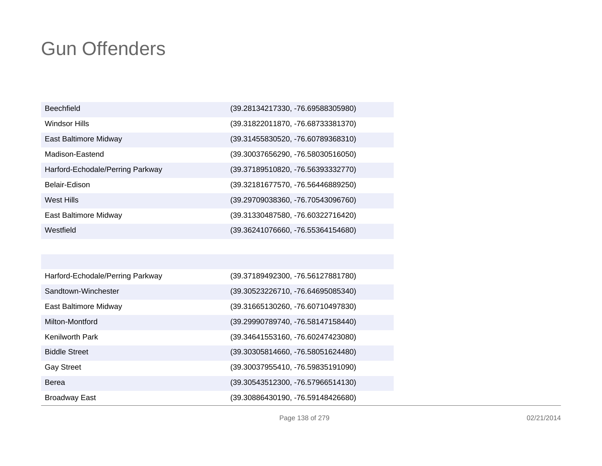| <b>Beechfield</b>                | (39.28134217330, -76.69588305980) |
|----------------------------------|-----------------------------------|
| Windsor Hills                    | (39.31822011870, -76.68733381370) |
| East Baltimore Midway            | (39.31455830520, -76.60789368310) |
| Madison-Eastend                  | (39.30037656290, -76.58030516050) |
| Harford-Echodale/Perring Parkway | (39.37189510820, -76.56393332770) |
| Belair-Edison                    | (39.32181677570, -76.56446889250) |
| West Hills                       | (39.29709038360, -76.70543096760) |
| East Baltimore Midway            | (39.31330487580, -76.60322716420) |
| Westfield                        | (39.36241076660, -76.55364154680) |

| Harford-Echodale/Perring Parkway | (39.37189492300, -76.56127881780) |
|----------------------------------|-----------------------------------|
| Sandtown-Winchester              | (39.30523226710, -76.64695085340) |
| East Baltimore Midway            | (39.31665130260, -76.60710497830) |
| Milton-Montford                  | (39.29990789740, -76.58147158440) |
| <b>Kenilworth Park</b>           | (39.34641553160, -76.60247423080) |
| <b>Biddle Street</b>             | (39.30305814660, -76.58051624480) |
| <b>Gay Street</b>                | (39.30037955410, -76.59835191090) |
| Berea                            | (39.30543512300, -76.57966514130) |
| <b>Broadway East</b>             | (39.30886430190, -76.59148426680) |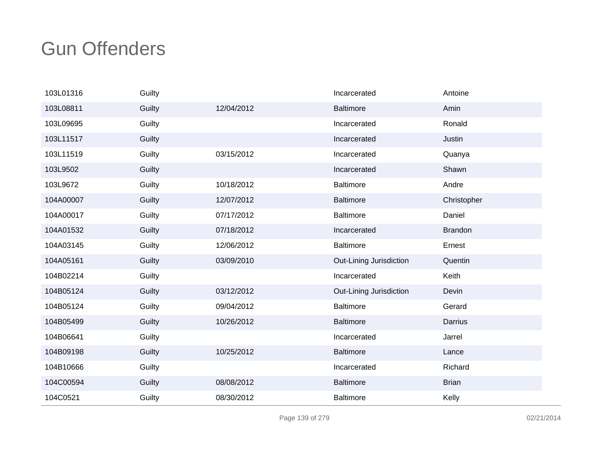| 103L01316 | Guilty |            | Incarcerated            | Antoine        |
|-----------|--------|------------|-------------------------|----------------|
| 103L08811 | Guilty | 12/04/2012 | <b>Baltimore</b>        | Amin           |
| 103L09695 | Guilty |            | Incarcerated            | Ronald         |
| 103L11517 | Guilty |            | Incarcerated            | Justin         |
| 103L11519 | Guilty | 03/15/2012 | Incarcerated            | Quanya         |
| 103L9502  | Guilty |            | Incarcerated            | Shawn          |
| 103L9672  | Guilty | 10/18/2012 | <b>Baltimore</b>        | Andre          |
| 104A00007 | Guilty | 12/07/2012 | <b>Baltimore</b>        | Christopher    |
| 104A00017 | Guilty | 07/17/2012 | <b>Baltimore</b>        | Daniel         |
| 104A01532 | Guilty | 07/18/2012 | Incarcerated            | <b>Brandon</b> |
| 104A03145 | Guilty | 12/06/2012 | <b>Baltimore</b>        | Ernest         |
| 104A05161 | Guilty | 03/09/2010 | Out-Lining Jurisdiction | Quentin        |
| 104B02214 | Guilty |            | Incarcerated            | Keith          |
| 104B05124 | Guilty | 03/12/2012 | Out-Lining Jurisdiction | Devin          |
| 104B05124 | Guilty | 09/04/2012 | <b>Baltimore</b>        | Gerard         |
| 104B05499 | Guilty | 10/26/2012 | <b>Baltimore</b>        | Darrius        |
| 104B06641 | Guilty |            | Incarcerated            | Jarrel         |
| 104B09198 | Guilty | 10/25/2012 | <b>Baltimore</b>        | Lance          |
| 104B10666 | Guilty |            | Incarcerated            | Richard        |
| 104C00594 | Guilty | 08/08/2012 | <b>Baltimore</b>        | <b>Brian</b>   |
| 104C0521  | Guilty | 08/30/2012 | <b>Baltimore</b>        | Kelly          |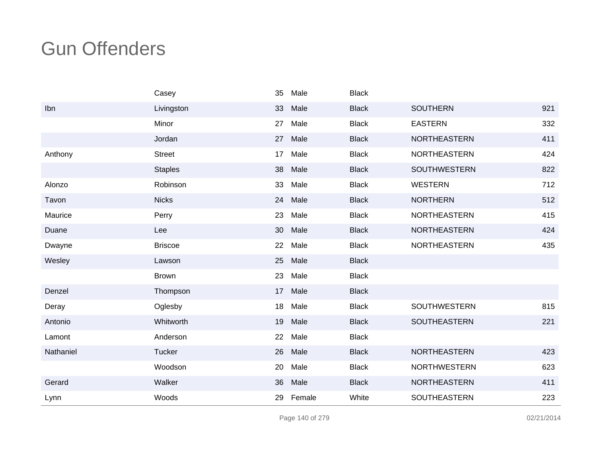|           | Casey          | 35 | Male   | <b>Black</b> |                     |     |
|-----------|----------------|----|--------|--------------|---------------------|-----|
| Ibn       | Livingston     | 33 | Male   | <b>Black</b> | <b>SOUTHERN</b>     | 921 |
|           | Minor          | 27 | Male   | <b>Black</b> | <b>EASTERN</b>      | 332 |
|           | Jordan         | 27 | Male   | <b>Black</b> | NORTHEASTERN        | 411 |
| Anthony   | <b>Street</b>  | 17 | Male   | <b>Black</b> | <b>NORTHEASTERN</b> | 424 |
|           | <b>Staples</b> | 38 | Male   | <b>Black</b> | <b>SOUTHWESTERN</b> | 822 |
| Alonzo    | Robinson       | 33 | Male   | <b>Black</b> | <b>WESTERN</b>      | 712 |
| Tavon     | <b>Nicks</b>   | 24 | Male   | <b>Black</b> | <b>NORTHERN</b>     | 512 |
| Maurice   | Perry          | 23 | Male   | <b>Black</b> | NORTHEASTERN        | 415 |
| Duane     | Lee            | 30 | Male   | <b>Black</b> | <b>NORTHEASTERN</b> | 424 |
| Dwayne    | <b>Briscoe</b> | 22 | Male   | <b>Black</b> | <b>NORTHEASTERN</b> | 435 |
| Wesley    | Lawson         | 25 | Male   | <b>Black</b> |                     |     |
|           | <b>Brown</b>   | 23 | Male   | <b>Black</b> |                     |     |
| Denzel    | Thompson       | 17 | Male   | <b>Black</b> |                     |     |
| Deray     | Oglesby        | 18 | Male   | <b>Black</b> | <b>SOUTHWESTERN</b> | 815 |
| Antonio   | Whitworth      | 19 | Male   | <b>Black</b> | SOUTHEASTERN        | 221 |
| Lamont    | Anderson       | 22 | Male   | <b>Black</b> |                     |     |
| Nathaniel | <b>Tucker</b>  | 26 | Male   | <b>Black</b> | <b>NORTHEASTERN</b> | 423 |
|           | Woodson        | 20 | Male   | <b>Black</b> | <b>NORTHWESTERN</b> | 623 |
| Gerard    | Walker         | 36 | Male   | <b>Black</b> | <b>NORTHEASTERN</b> | 411 |
| Lynn      | Woods          | 29 | Female | White        | SOUTHEASTERN        | 223 |

Page 140 of 279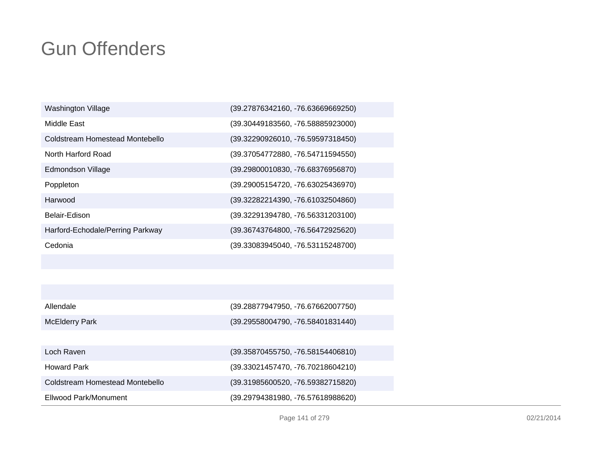| Washington Village               | (39.27876342160, -76.63669669250) |
|----------------------------------|-----------------------------------|
| Middle East                      | (39.30449183560, -76.58885923000) |
| Coldstream Homestead Montebello  | (39.32290926010, -76.59597318450) |
| North Harford Road               | (39.37054772880, -76.54711594550) |
| Edmondson Village                | (39.29800010830, -76.68376956870) |
| Poppleton                        | (39.29005154720, -76.63025436970) |
| Harwood                          | (39.32282214390, -76.61032504860) |
| Belair-Edison                    | (39.32291394780, -76.56331203100) |
| Harford-Echodale/Perring Parkway | (39.36743764800, -76.56472925620) |
| Cedonia                          | (39.33083945040, -76.53115248700) |

| Allendale                       | (39.28877947950, -76.67662007750)   |
|---------------------------------|-------------------------------------|
| McElderry Park                  | (39.29558004790, -76.58401831440)   |
|                                 |                                     |
| Loch Raven                      | $(39.35870455750, -76.58154406810)$ |
| <b>Howard Park</b>              | (39.33021457470, -76.70218604210)   |
| Coldstream Homestead Montebello | (39.31985600520, -76.59382715820)   |
| Ellwood Park/Monument           | (39.29794381980, -76.57618988620)   |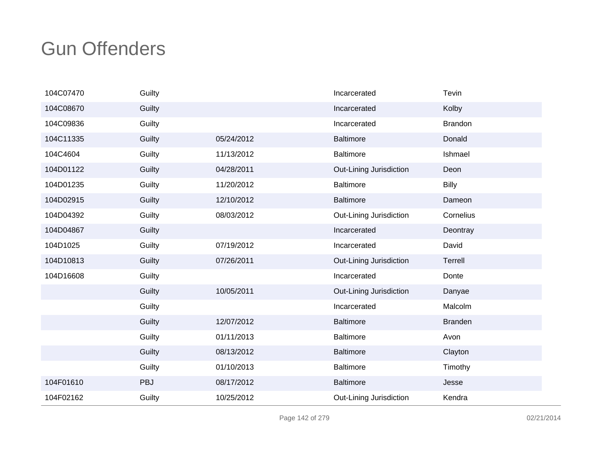| 104C07470 | Guilty     |            | Incarcerated            | Tevin          |
|-----------|------------|------------|-------------------------|----------------|
| 104C08670 | Guilty     |            | Incarcerated            | Kolby          |
| 104C09836 | Guilty     |            | Incarcerated            | <b>Brandon</b> |
| 104C11335 | Guilty     | 05/24/2012 | <b>Baltimore</b>        | Donald         |
| 104C4604  | Guilty     | 11/13/2012 | <b>Baltimore</b>        | Ishmael        |
| 104D01122 | Guilty     | 04/28/2011 | Out-Lining Jurisdiction | Deon           |
| 104D01235 | Guilty     | 11/20/2012 | <b>Baltimore</b>        | <b>Billy</b>   |
| 104D02915 | Guilty     | 12/10/2012 | <b>Baltimore</b>        | Dameon         |
| 104D04392 | Guilty     | 08/03/2012 | Out-Lining Jurisdiction | Cornelius      |
| 104D04867 | Guilty     |            | Incarcerated            | Deontray       |
| 104D1025  | Guilty     | 07/19/2012 | Incarcerated            | David          |
| 104D10813 | Guilty     | 07/26/2011 | Out-Lining Jurisdiction | Terrell        |
| 104D16608 | Guilty     |            | Incarcerated            | Donte          |
|           | Guilty     | 10/05/2011 | Out-Lining Jurisdiction | Danyae         |
|           | Guilty     |            | Incarcerated            | Malcolm        |
|           | Guilty     | 12/07/2012 | <b>Baltimore</b>        | <b>Branden</b> |
|           | Guilty     | 01/11/2013 | <b>Baltimore</b>        | Avon           |
|           | Guilty     | 08/13/2012 | <b>Baltimore</b>        | Clayton        |
|           | Guilty     | 01/10/2013 | <b>Baltimore</b>        | Timothy        |
| 104F01610 | <b>PBJ</b> | 08/17/2012 | <b>Baltimore</b>        | Jesse          |
| 104F02162 | Guilty     | 10/25/2012 | Out-Lining Jurisdiction | Kendra         |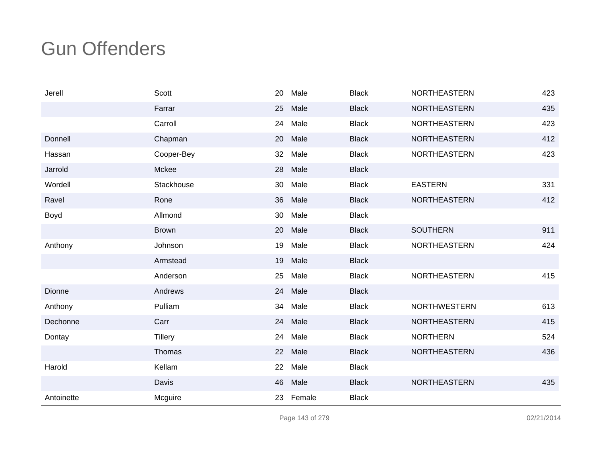| Jerell     | Scott          | 20 | Male   | <b>Black</b> | <b>NORTHEASTERN</b> | 423 |
|------------|----------------|----|--------|--------------|---------------------|-----|
|            | Farrar         | 25 | Male   | <b>Black</b> | <b>NORTHEASTERN</b> | 435 |
|            | Carroll        | 24 | Male   | <b>Black</b> | NORTHEASTERN        | 423 |
| Donnell    | Chapman        | 20 | Male   | <b>Black</b> | <b>NORTHEASTERN</b> | 412 |
| Hassan     | Cooper-Bey     | 32 | Male   | <b>Black</b> | <b>NORTHEASTERN</b> | 423 |
| Jarrold    | Mckee          | 28 | Male   | <b>Black</b> |                     |     |
| Wordell    | Stackhouse     | 30 | Male   | <b>Black</b> | <b>EASTERN</b>      | 331 |
| Ravel      | Rone           | 36 | Male   | <b>Black</b> | <b>NORTHEASTERN</b> | 412 |
| Boyd       | Allmond        | 30 | Male   | <b>Black</b> |                     |     |
|            | <b>Brown</b>   | 20 | Male   | <b>Black</b> | <b>SOUTHERN</b>     | 911 |
| Anthony    | Johnson        | 19 | Male   | <b>Black</b> | <b>NORTHEASTERN</b> | 424 |
|            | Armstead       | 19 | Male   | <b>Black</b> |                     |     |
|            | Anderson       | 25 | Male   | <b>Black</b> | <b>NORTHEASTERN</b> | 415 |
| Dionne     | Andrews        | 24 | Male   | <b>Black</b> |                     |     |
| Anthony    | Pulliam        | 34 | Male   | <b>Black</b> | <b>NORTHWESTERN</b> | 613 |
| Dechonne   | Carr           | 24 | Male   | <b>Black</b> | <b>NORTHEASTERN</b> | 415 |
| Dontay     | <b>Tillery</b> | 24 | Male   | <b>Black</b> | <b>NORTHERN</b>     | 524 |
|            | Thomas         | 22 | Male   | <b>Black</b> | <b>NORTHEASTERN</b> | 436 |
| Harold     | Kellam         | 22 | Male   | <b>Black</b> |                     |     |
|            | Davis          | 46 | Male   | <b>Black</b> | NORTHEASTERN        | 435 |
| Antoinette | Mcguire        | 23 | Female | <b>Black</b> |                     |     |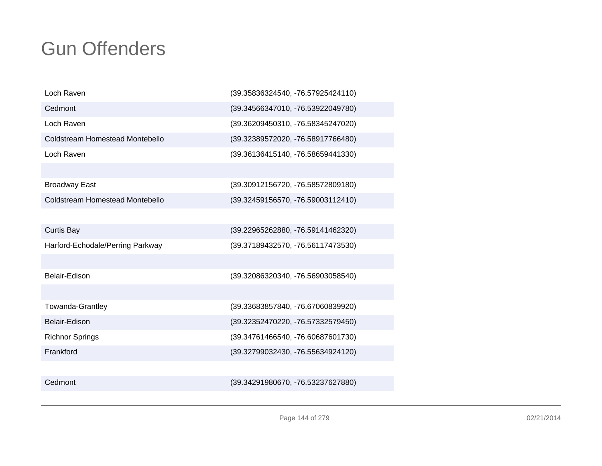| Loch Raven                       | (39.35836324540, -76.57925424110) |
|----------------------------------|-----------------------------------|
| Cedmont                          | (39.34566347010, -76.53922049780) |
| Loch Raven                       | (39.36209450310, -76.58345247020) |
| Coldstream Homestead Montebello  | (39.32389572020, -76.58917766480) |
| Loch Raven                       | (39.36136415140, -76.58659441330) |
|                                  |                                   |
| <b>Broadway East</b>             | (39.30912156720, -76.58572809180) |
| Coldstream Homestead Montebello  | (39.32459156570, -76.59003112410) |
|                                  |                                   |
| <b>Curtis Bay</b>                | (39.22965262880, -76.59141462320) |
| Harford-Echodale/Perring Parkway | (39.37189432570, -76.56117473530) |
|                                  |                                   |
| Belair-Edison                    | (39.32086320340, -76.56903058540) |
|                                  |                                   |
| Towanda-Grantley                 | (39.33683857840, -76.67060839920) |
| Belair-Edison                    | (39.32352470220, -76.57332579450) |
| <b>Richnor Springs</b>           | (39.34761466540, -76.60687601730) |
| Frankford                        | (39.32799032430, -76.55634924120) |
|                                  |                                   |
| Cedmont                          | (39.34291980670, -76.53237627880) |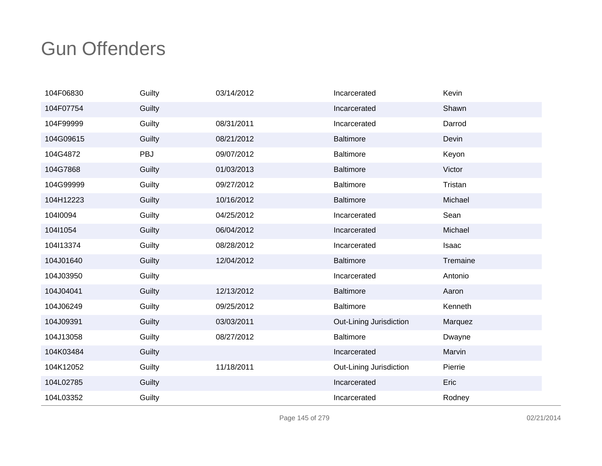| 104F06830 | Guilty | 03/14/2012 | Incarcerated            | Kevin    |
|-----------|--------|------------|-------------------------|----------|
| 104F07754 | Guilty |            | Incarcerated            | Shawn    |
| 104F99999 | Guilty | 08/31/2011 | Incarcerated            | Darrod   |
| 104G09615 | Guilty | 08/21/2012 | <b>Baltimore</b>        | Devin    |
| 104G4872  | PBJ    | 09/07/2012 | <b>Baltimore</b>        | Keyon    |
| 104G7868  | Guilty | 01/03/2013 | <b>Baltimore</b>        | Victor   |
| 104G99999 | Guilty | 09/27/2012 | <b>Baltimore</b>        | Tristan  |
| 104H12223 | Guilty | 10/16/2012 | <b>Baltimore</b>        | Michael  |
| 10410094  | Guilty | 04/25/2012 | Incarcerated            | Sean     |
| 104l1054  | Guilty | 06/04/2012 | Incarcerated            | Michael  |
| 104l13374 | Guilty | 08/28/2012 | Incarcerated            | Isaac    |
| 104J01640 | Guilty | 12/04/2012 | <b>Baltimore</b>        | Tremaine |
| 104J03950 | Guilty |            | Incarcerated            | Antonio  |
| 104J04041 | Guilty | 12/13/2012 | <b>Baltimore</b>        | Aaron    |
| 104J06249 | Guilty | 09/25/2012 | <b>Baltimore</b>        | Kenneth  |
| 104J09391 | Guilty | 03/03/2011 | Out-Lining Jurisdiction | Marquez  |
| 104J13058 | Guilty | 08/27/2012 | <b>Baltimore</b>        | Dwayne   |
| 104K03484 | Guilty |            | Incarcerated            | Marvin   |
| 104K12052 | Guilty | 11/18/2011 | Out-Lining Jurisdiction | Pierrie  |
| 104L02785 | Guilty |            | Incarcerated            | Eric     |
| 104L03352 | Guilty |            | Incarcerated            | Rodney   |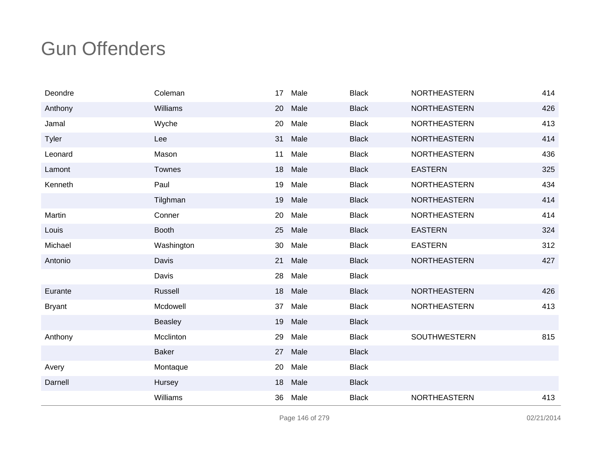| Deondre       | Coleman        | 17 | Male | <b>Black</b> | <b>NORTHEASTERN</b> | 414 |
|---------------|----------------|----|------|--------------|---------------------|-----|
| Anthony       | Williams       | 20 | Male | <b>Black</b> | <b>NORTHEASTERN</b> | 426 |
| Jamal         | Wyche          | 20 | Male | <b>Black</b> | <b>NORTHEASTERN</b> | 413 |
| Tyler         | Lee            | 31 | Male | <b>Black</b> | <b>NORTHEASTERN</b> | 414 |
| Leonard       | Mason          | 11 | Male | <b>Black</b> | NORTHEASTERN        | 436 |
| Lamont        | <b>Townes</b>  | 18 | Male | <b>Black</b> | <b>EASTERN</b>      | 325 |
| Kenneth       | Paul           | 19 | Male | <b>Black</b> | NORTHEASTERN        | 434 |
|               | Tilghman       | 19 | Male | <b>Black</b> | <b>NORTHEASTERN</b> | 414 |
| Martin        | Conner         | 20 | Male | <b>Black</b> | <b>NORTHEASTERN</b> | 414 |
| Louis         | <b>Booth</b>   | 25 | Male | <b>Black</b> | <b>EASTERN</b>      | 324 |
| Michael       | Washington     | 30 | Male | <b>Black</b> | <b>EASTERN</b>      | 312 |
| Antonio       | Davis          | 21 | Male | <b>Black</b> | <b>NORTHEASTERN</b> | 427 |
|               | Davis          | 28 | Male | <b>Black</b> |                     |     |
| Eurante       | Russell        | 18 | Male | <b>Black</b> | <b>NORTHEASTERN</b> | 426 |
| <b>Bryant</b> | Mcdowell       | 37 | Male | <b>Black</b> | <b>NORTHEASTERN</b> | 413 |
|               | <b>Beasley</b> | 19 | Male | <b>Black</b> |                     |     |
| Anthony       | Mcclinton      | 29 | Male | <b>Black</b> | SOUTHWESTERN        | 815 |
|               | <b>Baker</b>   | 27 | Male | <b>Black</b> |                     |     |
| Avery         | Montaque       | 20 | Male | <b>Black</b> |                     |     |
| Darnell       | Hursey         | 18 | Male | <b>Black</b> |                     |     |
|               | Williams       | 36 | Male | <b>Black</b> | NORTHEASTERN        | 413 |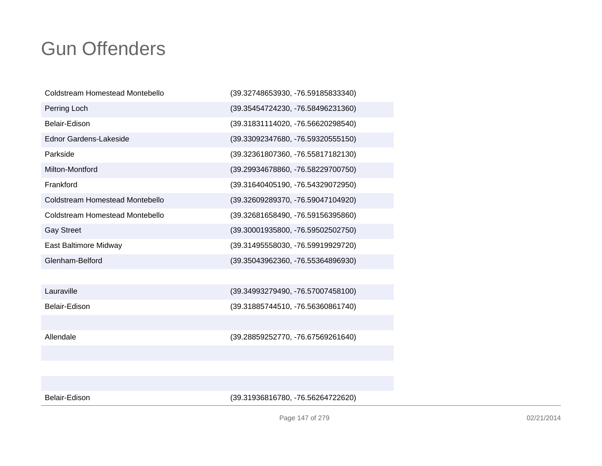| Coldstream Homestead Montebello | (39.32748653930, -76.59185833340) |
|---------------------------------|-----------------------------------|
| Perring Loch                    | (39.35454724230, -76.58496231360) |
| Belair-Edison                   | (39.31831114020, -76.56620298540) |
| Ednor Gardens-Lakeside          | (39.33092347680, -76.59320555150) |
| Parkside                        | (39.32361807360, -76.55817182130) |
| Milton-Montford                 | (39.29934678860, -76.58229700750) |
| Frankford                       | (39.31640405190, -76.54329072950) |
| Coldstream Homestead Montebello | (39.32609289370, -76.59047104920) |
| Coldstream Homestead Montebello | (39.32681658490, -76.59156395860) |
| <b>Gay Street</b>               | (39.30001935800, -76.59502502750) |
| East Baltimore Midway           | (39.31495558030, -76.59919929720) |
| Glenham-Belford                 | (39.35043962360, -76.55364896930) |
|                                 |                                   |
| Lauraville                      | (39.34993279490, -76.57007458100) |
| Belair-Edison                   | (39.31885744510, -76.56360861740) |
|                                 |                                   |
| Allendale                       | (39.28859252770, -76.67569261640) |
|                                 |                                   |

Belair-Edison

(39.31936816780, -76.56264722620)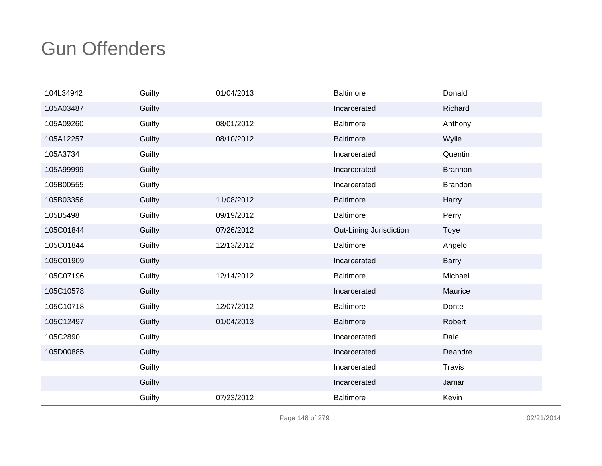| 104L34942 | Guilty | 01/04/2013 | <b>Baltimore</b>        | Donald         |
|-----------|--------|------------|-------------------------|----------------|
| 105A03487 | Guilty |            | Incarcerated            | Richard        |
| 105A09260 | Guilty | 08/01/2012 | <b>Baltimore</b>        | Anthony        |
| 105A12257 | Guilty | 08/10/2012 | <b>Baltimore</b>        | Wylie          |
| 105A3734  | Guilty |            | Incarcerated            | Quentin        |
| 105A99999 | Guilty |            | Incarcerated            | <b>Brannon</b> |
| 105B00555 | Guilty |            | Incarcerated            | <b>Brandon</b> |
| 105B03356 | Guilty | 11/08/2012 | <b>Baltimore</b>        | Harry          |
| 105B5498  | Guilty | 09/19/2012 | <b>Baltimore</b>        | Perry          |
| 105C01844 | Guilty | 07/26/2012 | Out-Lining Jurisdiction | <b>Toye</b>    |
| 105C01844 | Guilty | 12/13/2012 | Baltimore               | Angelo         |
| 105C01909 | Guilty |            | Incarcerated            | <b>Barry</b>   |
| 105C07196 | Guilty | 12/14/2012 | <b>Baltimore</b>        | Michael        |
| 105C10578 | Guilty |            | Incarcerated            | Maurice        |
| 105C10718 | Guilty | 12/07/2012 | <b>Baltimore</b>        | Donte          |
| 105C12497 | Guilty | 01/04/2013 | <b>Baltimore</b>        | Robert         |
| 105C2890  | Guilty |            | Incarcerated            | Dale           |
| 105D00885 | Guilty |            | Incarcerated            | Deandre        |
|           | Guilty |            | Incarcerated            | <b>Travis</b>  |
|           | Guilty |            | Incarcerated            | Jamar          |
|           | Guilty | 07/23/2012 | <b>Baltimore</b>        | Kevin          |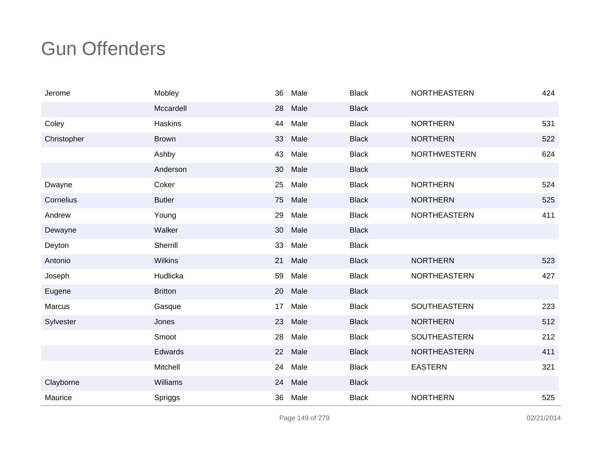| Jerome      | Mobley         | 36 | Male | <b>Black</b> | <b>NORTHEASTERN</b> | 424 |
|-------------|----------------|----|------|--------------|---------------------|-----|
|             | Mccardell      | 28 | Male | <b>Black</b> |                     |     |
| Coley       | Haskins        | 44 | Male | <b>Black</b> | <b>NORTHERN</b>     | 531 |
| Christopher | <b>Brown</b>   | 33 | Male | <b>Black</b> | <b>NORTHERN</b>     | 522 |
|             | Ashby          | 43 | Male | <b>Black</b> | <b>NORTHWESTERN</b> | 624 |
|             | Anderson       | 30 | Male | <b>Black</b> |                     |     |
| Dwayne      | Coker          | 25 | Male | <b>Black</b> | <b>NORTHERN</b>     | 524 |
| Cornelius   | <b>Butler</b>  | 75 | Male | <b>Black</b> | <b>NORTHERN</b>     | 525 |
| Andrew      | Young          | 29 | Male | <b>Black</b> | <b>NORTHEASTERN</b> | 411 |
| Dewayne     | Walker         | 30 | Male | <b>Black</b> |                     |     |
| Deyton      | Sherrill       | 33 | Male | <b>Black</b> |                     |     |
| Antonio     | <b>Wilkins</b> | 21 | Male | <b>Black</b> | <b>NORTHERN</b>     | 523 |
| Joseph      | Hudlicka       | 59 | Male | <b>Black</b> | <b>NORTHEASTERN</b> | 427 |
| Eugene      | <b>Britton</b> | 20 | Male | <b>Black</b> |                     |     |
| Marcus      | Gasque         | 17 | Male | <b>Black</b> | SOUTHEASTERN        | 223 |
| Sylvester   | Jones          | 23 | Male | <b>Black</b> | <b>NORTHERN</b>     | 512 |
|             | Smoot          | 28 | Male | <b>Black</b> | SOUTHEASTERN        | 212 |
|             | Edwards        | 22 | Male | <b>Black</b> | <b>NORTHEASTERN</b> | 411 |
|             | Mitchell       | 24 | Male | <b>Black</b> | <b>EASTERN</b>      | 321 |
| Clayborne   | Williams       | 24 | Male | <b>Black</b> |                     |     |
| Maurice     | Spriggs        | 36 | Male | <b>Black</b> | <b>NORTHERN</b>     | 525 |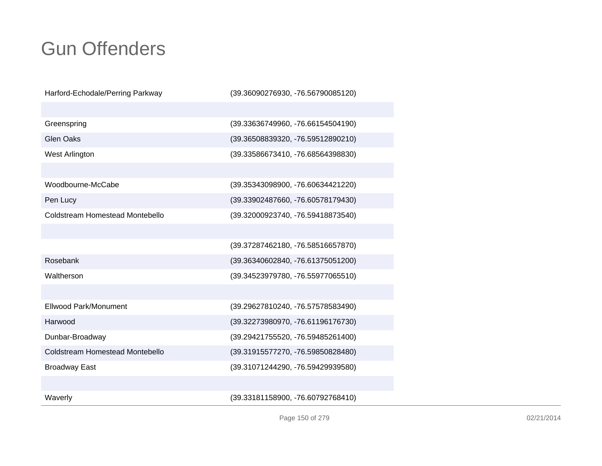| Harford-Echodale/Perring Parkway       | (39.36090276930, -76.56790085120) |
|----------------------------------------|-----------------------------------|
|                                        |                                   |
| Greenspring                            | (39.33636749960, -76.66154504190) |
| <b>Glen Oaks</b>                       | (39.36508839320, -76.59512890210) |
| West Arlington                         | (39.33586673410, -76.68564398830) |
|                                        |                                   |
| Woodbourne-McCabe                      | (39.35343098900, -76.60634421220) |
| Pen Lucy                               | (39.33902487660, -76.60578179430) |
| Coldstream Homestead Montebello        | (39.32000923740, -76.59418873540) |
|                                        |                                   |
|                                        | (39.37287462180, -76.58516657870) |
| Rosebank                               | (39.36340602840, -76.61375051200) |
| Waltherson                             | (39.34523979780, -76.55977065510) |
|                                        |                                   |
| Ellwood Park/Monument                  | (39.29627810240, -76.57578583490) |
| Harwood                                | (39.32273980970, -76.61196176730) |
| Dunbar-Broadway                        | (39.29421755520, -76.59485261400) |
| <b>Coldstream Homestead Montebello</b> | (39.31915577270, -76.59850828480) |
| <b>Broadway East</b>                   | (39.31071244290, -76.59429939580) |
|                                        |                                   |
| Waverly                                | (39.33181158900, -76.60792768410) |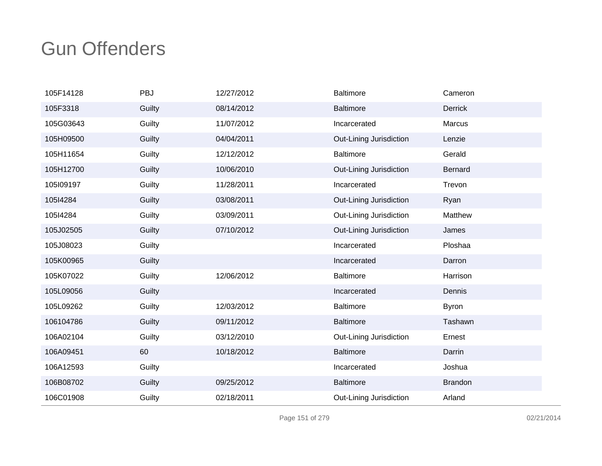| 105F14128 | PBJ    | 12/27/2012 | <b>Baltimore</b>        | Cameron        |
|-----------|--------|------------|-------------------------|----------------|
| 105F3318  | Guilty | 08/14/2012 | <b>Baltimore</b>        | <b>Derrick</b> |
| 105G03643 | Guilty | 11/07/2012 | Incarcerated            | Marcus         |
| 105H09500 | Guilty | 04/04/2011 | Out-Lining Jurisdiction | Lenzie         |
| 105H11654 | Guilty | 12/12/2012 | <b>Baltimore</b>        | Gerald         |
| 105H12700 | Guilty | 10/06/2010 | Out-Lining Jurisdiction | <b>Bernard</b> |
| 105l09197 | Guilty | 11/28/2011 | Incarcerated            | Trevon         |
| 105l4284  | Guilty | 03/08/2011 | Out-Lining Jurisdiction | Ryan           |
| 105l4284  | Guilty | 03/09/2011 | Out-Lining Jurisdiction | Matthew        |
| 105J02505 | Guilty | 07/10/2012 | Out-Lining Jurisdiction | James          |
| 105J08023 | Guilty |            | Incarcerated            | Ploshaa        |
| 105K00965 | Guilty |            | Incarcerated            | Darron         |
| 105K07022 | Guilty | 12/06/2012 | <b>Baltimore</b>        | Harrison       |
| 105L09056 | Guilty |            | Incarcerated            | Dennis         |
| 105L09262 | Guilty | 12/03/2012 | <b>Baltimore</b>        | <b>Byron</b>   |
| 106104786 | Guilty | 09/11/2012 | <b>Baltimore</b>        | Tashawn        |
| 106A02104 | Guilty | 03/12/2010 | Out-Lining Jurisdiction | Ernest         |
| 106A09451 | 60     | 10/18/2012 | <b>Baltimore</b>        | Darrin         |
| 106A12593 | Guilty |            | Incarcerated            | Joshua         |
| 106B08702 | Guilty | 09/25/2012 | <b>Baltimore</b>        | <b>Brandon</b> |
| 106C01908 | Guilty | 02/18/2011 | Out-Lining Jurisdiction | Arland         |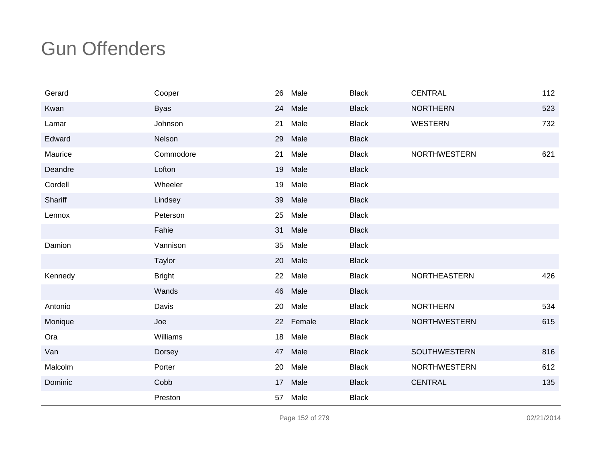| Gerard  | Cooper        | 26 | Male      | <b>Black</b> | <b>CENTRAL</b>      | 112 |
|---------|---------------|----|-----------|--------------|---------------------|-----|
| Kwan    | <b>Byas</b>   | 24 | Male      | <b>Black</b> | <b>NORTHERN</b>     | 523 |
| Lamar   | Johnson       | 21 | Male      | <b>Black</b> | <b>WESTERN</b>      | 732 |
| Edward  | Nelson        | 29 | Male      | <b>Black</b> |                     |     |
| Maurice | Commodore     | 21 | Male      | <b>Black</b> | <b>NORTHWESTERN</b> | 621 |
| Deandre | Lofton        | 19 | Male      | <b>Black</b> |                     |     |
| Cordell | Wheeler       | 19 | Male      | <b>Black</b> |                     |     |
| Shariff | Lindsey       | 39 | Male      | <b>Black</b> |                     |     |
| Lennox  | Peterson      | 25 | Male      | <b>Black</b> |                     |     |
|         | Fahie         | 31 | Male      | <b>Black</b> |                     |     |
| Damion  | Vannison      | 35 | Male      | <b>Black</b> |                     |     |
|         | Taylor        | 20 | Male      | <b>Black</b> |                     |     |
| Kennedy | <b>Bright</b> | 22 | Male      | <b>Black</b> | NORTHEASTERN        | 426 |
|         | Wands         | 46 | Male      | <b>Black</b> |                     |     |
| Antonio | Davis         | 20 | Male      | <b>Black</b> | <b>NORTHERN</b>     | 534 |
| Monique | Joe           |    | 22 Female | <b>Black</b> | <b>NORTHWESTERN</b> | 615 |
| Ora     | Williams      | 18 | Male      | <b>Black</b> |                     |     |
| Van     | Dorsey        | 47 | Male      | <b>Black</b> | <b>SOUTHWESTERN</b> | 816 |
| Malcolm | Porter        | 20 | Male      | <b>Black</b> | <b>NORTHWESTERN</b> | 612 |
| Dominic | Cobb          | 17 | Male      | <b>Black</b> | <b>CENTRAL</b>      | 135 |
|         | Preston       | 57 | Male      | <b>Black</b> |                     |     |

Page 152 of 279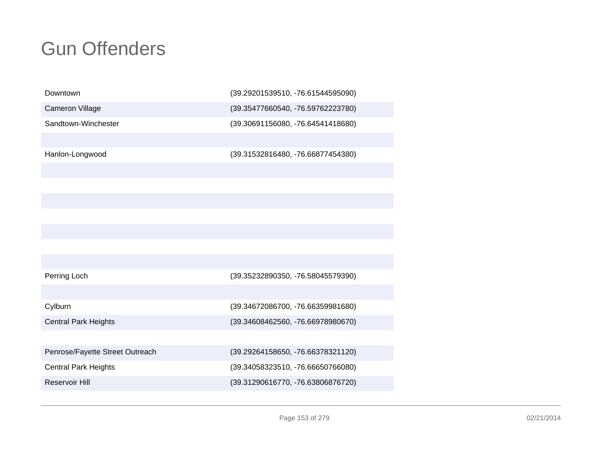| Downtown                        | (39.29201539510, -76.61544595090) |
|---------------------------------|-----------------------------------|
| <b>Cameron Village</b>          | (39.35477660540, -76.59762223780) |
| Sandtown-Winchester             | (39.30691156080, -76.64541418680) |
|                                 |                                   |
| Hanlon-Longwood                 | (39.31532816480, -76.66877454380) |
|                                 |                                   |
|                                 |                                   |
|                                 |                                   |
|                                 |                                   |
|                                 |                                   |
|                                 |                                   |
|                                 |                                   |
| Perring Loch                    | (39.35232890350, -76.58045579390) |
|                                 |                                   |
| Cylburn                         | (39.34672086700, -76.66359981680) |
| <b>Central Park Heights</b>     | (39.34608462560, -76.66978980670) |
|                                 |                                   |
| Penrose/Fayette Street Outreach | (39.29264158650, -76.66378321120) |
| <b>Central Park Heights</b>     | (39.34058323510, -76.66650766080) |
| Reservoir Hill                  | (39.31290616770, -76.63806876720) |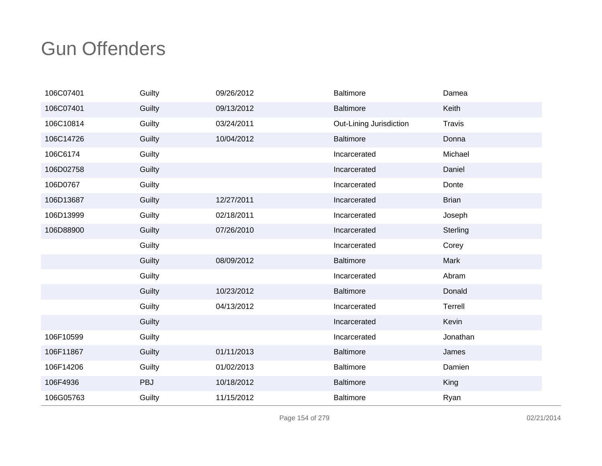| 106C07401 | Guilty | 09/26/2012 | <b>Baltimore</b>        | Damea         |
|-----------|--------|------------|-------------------------|---------------|
| 106C07401 | Guilty | 09/13/2012 | <b>Baltimore</b>        | Keith         |
| 106C10814 | Guilty | 03/24/2011 | Out-Lining Jurisdiction | <b>Travis</b> |
| 106C14726 | Guilty | 10/04/2012 | <b>Baltimore</b>        | Donna         |
| 106C6174  | Guilty |            | Incarcerated            | Michael       |
| 106D02758 | Guilty |            | Incarcerated            | Daniel        |
| 106D0767  | Guilty |            | Incarcerated            | Donte         |
| 106D13687 | Guilty | 12/27/2011 | Incarcerated            | <b>Brian</b>  |
| 106D13999 | Guilty | 02/18/2011 | Incarcerated            | Joseph        |
| 106D88900 | Guilty | 07/26/2010 | Incarcerated            | Sterling      |
|           | Guilty |            | Incarcerated            | Corey         |
|           | Guilty | 08/09/2012 | <b>Baltimore</b>        | Mark          |
|           | Guilty |            | Incarcerated            | Abram         |
|           | Guilty | 10/23/2012 | <b>Baltimore</b>        | Donald        |
|           | Guilty | 04/13/2012 | Incarcerated            | Terrell       |
|           | Guilty |            | Incarcerated            | Kevin         |
| 106F10599 | Guilty |            | Incarcerated            | Jonathan      |
| 106F11867 | Guilty | 01/11/2013 | <b>Baltimore</b>        | James         |
| 106F14206 | Guilty | 01/02/2013 | <b>Baltimore</b>        | Damien        |
| 106F4936  | PBJ    | 10/18/2012 | <b>Baltimore</b>        | King          |
| 106G05763 | Guilty | 11/15/2012 | <b>Baltimore</b>        | Ryan          |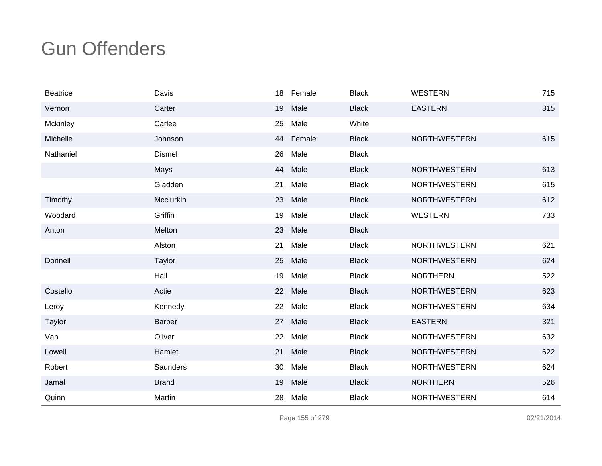| <b>Beatrice</b> | Davis         |    | 18 Female | <b>Black</b> | <b>WESTERN</b>      | 715 |
|-----------------|---------------|----|-----------|--------------|---------------------|-----|
| Vernon          | Carter        | 19 | Male      | <b>Black</b> | <b>EASTERN</b>      | 315 |
| Mckinley        | Carlee        | 25 | Male      | White        |                     |     |
| Michelle        | Johnson       |    | 44 Female | <b>Black</b> | <b>NORTHWESTERN</b> | 615 |
| Nathaniel       | <b>Dismel</b> | 26 | Male      | <b>Black</b> |                     |     |
|                 | Mays          | 44 | Male      | <b>Black</b> | <b>NORTHWESTERN</b> | 613 |
|                 | Gladden       | 21 | Male      | <b>Black</b> | <b>NORTHWESTERN</b> | 615 |
| Timothy         | Mcclurkin     | 23 | Male      | <b>Black</b> | <b>NORTHWESTERN</b> | 612 |
| Woodard         | Griffin       | 19 | Male      | <b>Black</b> | <b>WESTERN</b>      | 733 |
| Anton           | Melton        | 23 | Male      | <b>Black</b> |                     |     |
|                 | Alston        | 21 | Male      | <b>Black</b> | <b>NORTHWESTERN</b> | 621 |
| Donnell         | Taylor        | 25 | Male      | <b>Black</b> | <b>NORTHWESTERN</b> | 624 |
|                 | Hall          | 19 | Male      | <b>Black</b> | <b>NORTHERN</b>     | 522 |
| Costello        | Actie         | 22 | Male      | <b>Black</b> | <b>NORTHWESTERN</b> | 623 |
| Leroy           | Kennedy       | 22 | Male      | <b>Black</b> | <b>NORTHWESTERN</b> | 634 |
| Taylor          | <b>Barber</b> | 27 | Male      | <b>Black</b> | <b>EASTERN</b>      | 321 |
| Van             | Oliver        | 22 | Male      | <b>Black</b> | <b>NORTHWESTERN</b> | 632 |
| Lowell          | Hamlet        | 21 | Male      | <b>Black</b> | <b>NORTHWESTERN</b> | 622 |
| Robert          | Saunders      | 30 | Male      | <b>Black</b> | <b>NORTHWESTERN</b> | 624 |
| Jamal           | <b>Brand</b>  | 19 | Male      | <b>Black</b> | <b>NORTHERN</b>     | 526 |
| Quinn           | Martin        | 28 | Male      | <b>Black</b> | <b>NORTHWESTERN</b> | 614 |

Page 155 of 279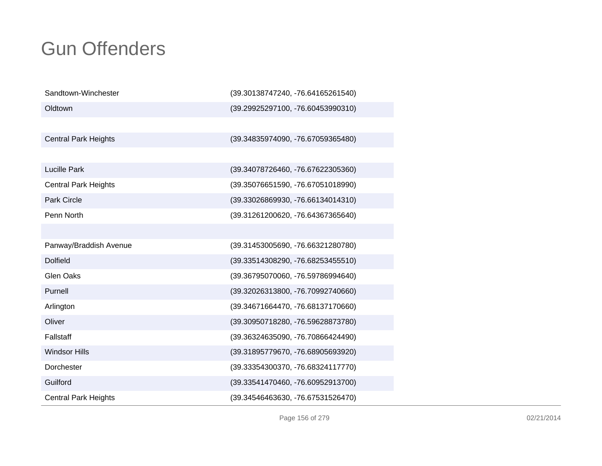| Sandtown-Winchester         | (39.30138747240, -76.64165261540)   |
|-----------------------------|-------------------------------------|
| Oldtown                     | (39.29925297100, -76.60453990310)   |
|                             |                                     |
| <b>Central Park Heights</b> | (39.34835974090, -76.67059365480)   |
|                             |                                     |
| <b>Lucille Park</b>         | (39.34078726460, -76.67622305360)   |
| <b>Central Park Heights</b> | (39.35076651590, -76.67051018990)   |
| <b>Park Circle</b>          | (39.33026869930, -76.66134014310)   |
| Penn North                  | (39.31261200620, -76.64367365640)   |
|                             |                                     |
| Panway/Braddish Avenue      | (39.31453005690, -76.66321280780)   |
| <b>Dolfield</b>             | $(39.33514308290, -76.68253455510)$ |
| <b>Glen Oaks</b>            | (39.36795070060, -76.59786994640)   |
| Purnell                     | (39.32026313800, -76.70992740660)   |
| Arlington                   | (39.34671664470, -76.68137170660)   |
| Oliver                      | (39.30950718280, -76.59628873780)   |
| Fallstaff                   | (39.36324635090, -76.70866424490)   |
| <b>Windsor Hills</b>        | (39.31895779670, -76.68905693920)   |
| Dorchester                  | (39.33354300370, -76.68324117770)   |
| Guilford                    | (39.33541470460, -76.60952913700)   |
| <b>Central Park Heights</b> | (39.34546463630, -76.67531526470)   |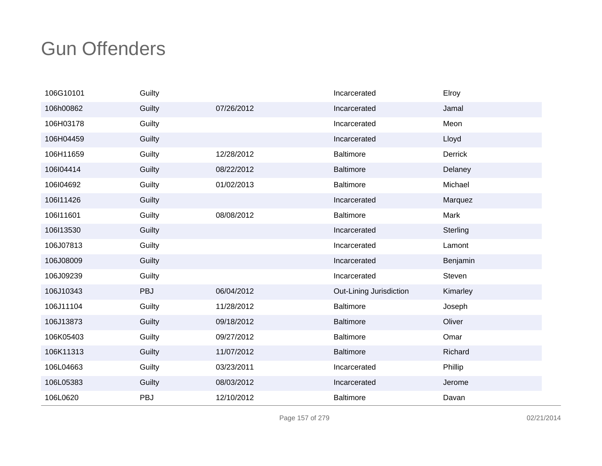| 106G10101 | Guilty |            | Incarcerated            | Elroy    |
|-----------|--------|------------|-------------------------|----------|
| 106h00862 | Guilty | 07/26/2012 | Incarcerated            | Jamal    |
| 106H03178 | Guilty |            | Incarcerated            | Meon     |
| 106H04459 | Guilty |            | Incarcerated            | Lloyd    |
| 106H11659 | Guilty | 12/28/2012 | <b>Baltimore</b>        | Derrick  |
| 106l04414 | Guilty | 08/22/2012 | <b>Baltimore</b>        | Delaney  |
| 106l04692 | Guilty | 01/02/2013 | <b>Baltimore</b>        | Michael  |
| 106l11426 | Guilty |            | Incarcerated            | Marquez  |
| 106l11601 | Guilty | 08/08/2012 | <b>Baltimore</b>        | Mark     |
| 106l13530 | Guilty |            | Incarcerated            | Sterling |
| 106J07813 | Guilty |            | Incarcerated            | Lamont   |
| 106J08009 | Guilty |            | Incarcerated            | Benjamin |
| 106J09239 | Guilty |            | Incarcerated            | Steven   |
| 106J10343 | PBJ    | 06/04/2012 | Out-Lining Jurisdiction | Kimarley |
| 106J11104 | Guilty | 11/28/2012 | <b>Baltimore</b>        | Joseph   |
| 106J13873 | Guilty | 09/18/2012 | Baltimore               | Oliver   |
| 106K05403 | Guilty | 09/27/2012 | <b>Baltimore</b>        | Omar     |
| 106K11313 | Guilty | 11/07/2012 | <b>Baltimore</b>        | Richard  |
| 106L04663 | Guilty | 03/23/2011 | Incarcerated            | Phillip  |
| 106L05383 | Guilty | 08/03/2012 | Incarcerated            | Jerome   |
| 106L0620  | PBJ    | 12/10/2012 | <b>Baltimore</b>        | Davan    |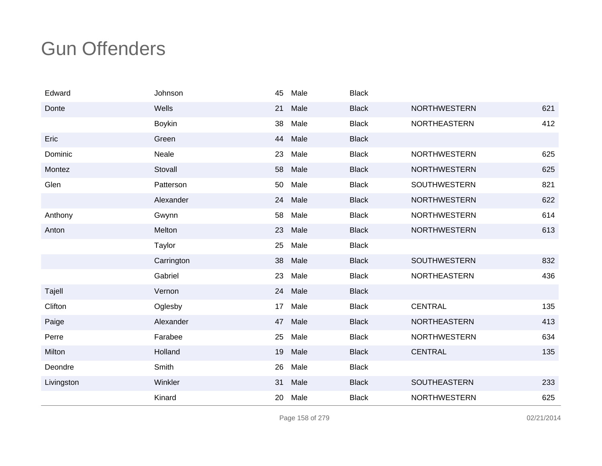| Edward     | Johnson       | 45 | Male | <b>Black</b> |                     |     |
|------------|---------------|----|------|--------------|---------------------|-----|
| Donte      | Wells         | 21 | Male | <b>Black</b> | <b>NORTHWESTERN</b> | 621 |
|            | <b>Boykin</b> | 38 | Male | <b>Black</b> | NORTHEASTERN        | 412 |
| Eric       | Green         | 44 | Male | <b>Black</b> |                     |     |
| Dominic    | Neale         | 23 | Male | <b>Black</b> | <b>NORTHWESTERN</b> | 625 |
| Montez     | Stovall       | 58 | Male | <b>Black</b> | <b>NORTHWESTERN</b> | 625 |
| Glen       | Patterson     | 50 | Male | <b>Black</b> | SOUTHWESTERN        | 821 |
|            | Alexander     | 24 | Male | <b>Black</b> | <b>NORTHWESTERN</b> | 622 |
| Anthony    | Gwynn         | 58 | Male | <b>Black</b> | <b>NORTHWESTERN</b> | 614 |
| Anton      | Melton        | 23 | Male | <b>Black</b> | <b>NORTHWESTERN</b> | 613 |
|            | Taylor        | 25 | Male | <b>Black</b> |                     |     |
|            | Carrington    | 38 | Male | <b>Black</b> | SOUTHWESTERN        | 832 |
|            | Gabriel       | 23 | Male | <b>Black</b> | NORTHEASTERN        | 436 |
| Tajell     | Vernon        | 24 | Male | <b>Black</b> |                     |     |
| Clifton    | Oglesby       | 17 | Male | <b>Black</b> | <b>CENTRAL</b>      | 135 |
| Paige      | Alexander     | 47 | Male | <b>Black</b> | <b>NORTHEASTERN</b> | 413 |
| Perre      | Farabee       | 25 | Male | <b>Black</b> | <b>NORTHWESTERN</b> | 634 |
| Milton     | Holland       | 19 | Male | <b>Black</b> | <b>CENTRAL</b>      | 135 |
| Deondre    | Smith         | 26 | Male | <b>Black</b> |                     |     |
| Livingston | Winkler       | 31 | Male | <b>Black</b> | <b>SOUTHEASTERN</b> | 233 |
|            | Kinard        | 20 | Male | <b>Black</b> | <b>NORTHWESTERN</b> | 625 |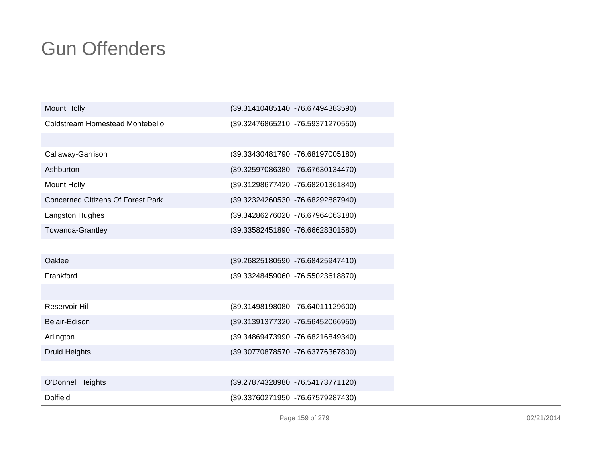| <b>Mount Holly</b>                       | (39.31410485140, -76.67494383590) |
|------------------------------------------|-----------------------------------|
| Coldstream Homestead Montebello          | (39.32476865210, -76.59371270550) |
|                                          |                                   |
| Callaway-Garrison                        | (39.33430481790, -76.68197005180) |
| Ashburton                                | (39.32597086380, -76.67630134470) |
| <b>Mount Holly</b>                       | (39.31298677420, -76.68201361840) |
| <b>Concerned Citizens Of Forest Park</b> | (39.32324260530, -76.68292887940) |
| Langston Hughes                          | (39.34286276020, -76.67964063180) |
| Towanda-Grantley                         | (39.33582451890, -76.66628301580) |
|                                          |                                   |
| Oaklee                                   | (39.26825180590, -76.68425947410) |
| Frankford                                | (39.33248459060, -76.55023618870) |
|                                          |                                   |
| <b>Reservoir Hill</b>                    | (39.31498198080, -76.64011129600) |
| Belair-Edison                            | (39.31391377320, -76.56452066950) |
| Arlington                                | (39.34869473990, -76.68216849340) |
| <b>Druid Heights</b>                     | (39.30770878570, -76.63776367800) |
|                                          |                                   |
| <b>O'Donnell Heights</b>                 | (39.27874328980, -76.54173771120) |
| <b>Dolfield</b>                          | (39.33760271950, -76.67579287430) |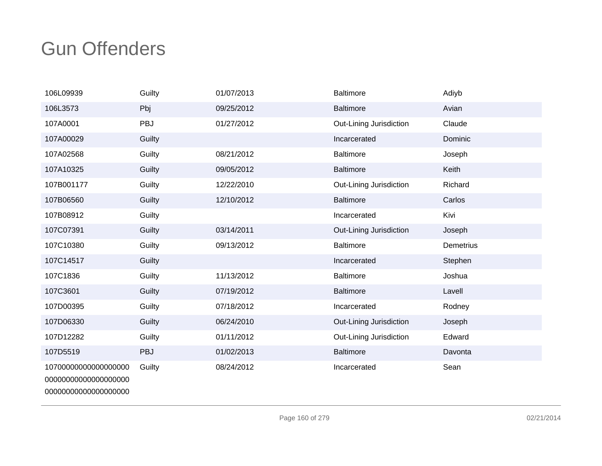| 106L09939                                                            | Guilty | 01/07/2013 | <b>Baltimore</b>        | Adiyb            |
|----------------------------------------------------------------------|--------|------------|-------------------------|------------------|
| 106L3573                                                             | Pbj    | 09/25/2012 | <b>Baltimore</b>        | Avian            |
| 107A0001                                                             | PBJ    | 01/27/2012 | Out-Lining Jurisdiction | Claude           |
| 107A00029                                                            | Guilty |            | Incarcerated            | Dominic          |
| 107A02568                                                            | Guilty | 08/21/2012 | <b>Baltimore</b>        | Joseph           |
| 107A10325                                                            | Guilty | 09/05/2012 | <b>Baltimore</b>        | Keith            |
| 107B001177                                                           | Guilty | 12/22/2010 | Out-Lining Jurisdiction | Richard          |
| 107B06560                                                            | Guilty | 12/10/2012 | <b>Baltimore</b>        | Carlos           |
| 107B08912                                                            | Guilty |            | Incarcerated            | Kivi             |
| 107C07391                                                            | Guilty | 03/14/2011 | Out-Lining Jurisdiction | Joseph           |
| 107C10380                                                            | Guilty | 09/13/2012 | <b>Baltimore</b>        | <b>Demetrius</b> |
| 107C14517                                                            | Guilty |            | Incarcerated            | Stephen          |
| 107C1836                                                             | Guilty | 11/13/2012 | <b>Baltimore</b>        | Joshua           |
| 107C3601                                                             | Guilty | 07/19/2012 | <b>Baltimore</b>        | Lavell           |
| 107D00395                                                            | Guilty | 07/18/2012 | Incarcerated            | Rodney           |
| 107D06330                                                            | Guilty | 06/24/2010 | Out-Lining Jurisdiction | Joseph           |
| 107D12282                                                            | Guilty | 01/11/2012 | Out-Lining Jurisdiction | Edward           |
| 107D5519                                                             | PBJ    | 01/02/2013 | <b>Baltimore</b>        | Davonta          |
| 10700000000000000000<br>00000000000000000000<br>00000000000000000000 | Guilty | 08/24/2012 | Incarcerated            | Sean             |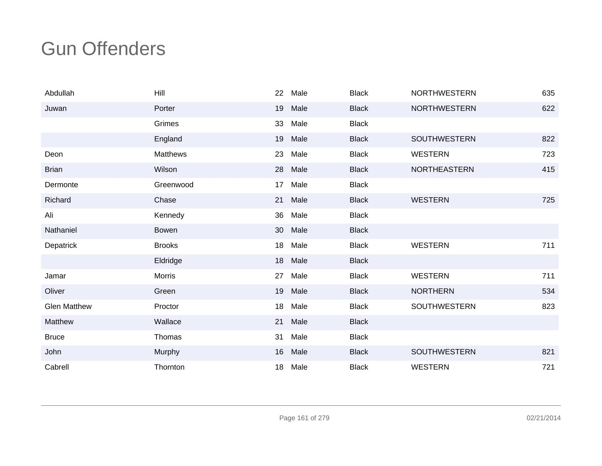| Abdullah            | Hill            | 22 | Male | <b>Black</b> | <b>NORTHWESTERN</b> | 635 |
|---------------------|-----------------|----|------|--------------|---------------------|-----|
| Juwan               | Porter          | 19 | Male | <b>Black</b> | <b>NORTHWESTERN</b> | 622 |
|                     | Grimes          | 33 | Male | <b>Black</b> |                     |     |
|                     | England         | 19 | Male | <b>Black</b> | <b>SOUTHWESTERN</b> | 822 |
| Deon                | <b>Matthews</b> | 23 | Male | <b>Black</b> | <b>WESTERN</b>      | 723 |
| <b>Brian</b>        | Wilson          | 28 | Male | <b>Black</b> | <b>NORTHEASTERN</b> | 415 |
| Dermonte            | Greenwood       | 17 | Male | <b>Black</b> |                     |     |
| Richard             | Chase           | 21 | Male | <b>Black</b> | <b>WESTERN</b>      | 725 |
| Ali                 | Kennedy         | 36 | Male | <b>Black</b> |                     |     |
| Nathaniel           | <b>Bowen</b>    | 30 | Male | <b>Black</b> |                     |     |
| Depatrick           | <b>Brooks</b>   | 18 | Male | <b>Black</b> | <b>WESTERN</b>      | 711 |
|                     | Eldridge        | 18 | Male | <b>Black</b> |                     |     |
| Jamar               | <b>Morris</b>   | 27 | Male | <b>Black</b> | <b>WESTERN</b>      | 711 |
| Oliver              | Green           | 19 | Male | <b>Black</b> | <b>NORTHERN</b>     | 534 |
| <b>Glen Matthew</b> | Proctor         | 18 | Male | <b>Black</b> | <b>SOUTHWESTERN</b> | 823 |
| Matthew             | Wallace         | 21 | Male | <b>Black</b> |                     |     |
| <b>Bruce</b>        | Thomas          | 31 | Male | <b>Black</b> |                     |     |
| John                | Murphy          | 16 | Male | <b>Black</b> | <b>SOUTHWESTERN</b> | 821 |
| Cabrell             | Thornton        | 18 | Male | <b>Black</b> | <b>WESTERN</b>      | 721 |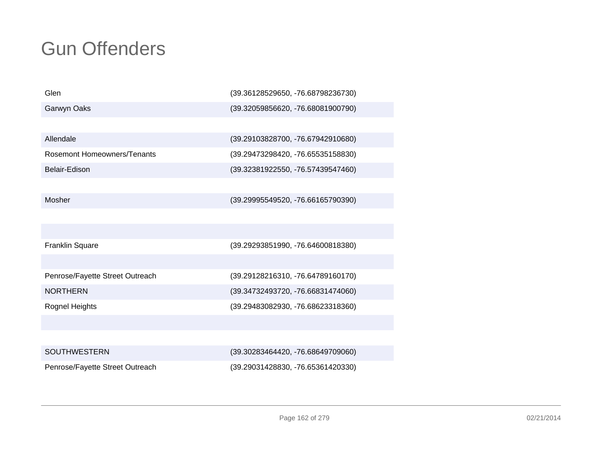| Glen                            | (39.36128529650, -76.68798236730) |
|---------------------------------|-----------------------------------|
| Garwyn Oaks                     | (39.32059856620, -76.68081900790) |
|                                 |                                   |
| Allendale                       | (39.29103828700, -76.67942910680) |
| Rosemont Homeowners/Tenants     | (39.29473298420, -76.65535158830) |
| Belair-Edison                   | (39.32381922550, -76.57439547460) |
|                                 |                                   |
| Mosher                          | (39.29995549520, -76.66165790390) |
|                                 |                                   |
|                                 |                                   |
| <b>Franklin Square</b>          | (39.29293851990, -76.64600818380) |
|                                 |                                   |
| Penrose/Fayette Street Outreach | (39.29128216310, -76.64789160170) |
| <b>NORTHERN</b>                 | (39.34732493720, -76.66831474060) |
| Rognel Heights                  | (39.29483082930, -76.68623318360) |
|                                 |                                   |
|                                 |                                   |
| <b>SOUTHWESTERN</b>             | (39.30283464420, -76.68649709060) |
| Penrose/Fayette Street Outreach | (39.29031428830, -76.65361420330) |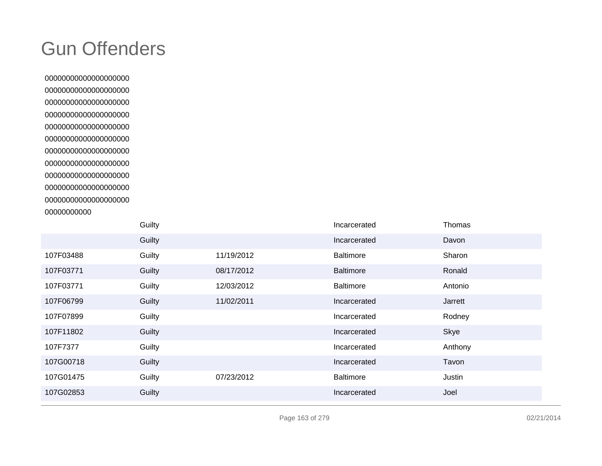| Guilty |            | Incarcerated     | Thomas  |
|--------|------------|------------------|---------|
| Guilty |            | Incarcerated     | Davon   |
| Guilty | 11/19/2012 | <b>Baltimore</b> | Sharon  |
| Guilty | 08/17/2012 | <b>Baltimore</b> | Ronald  |
| Guilty | 12/03/2012 | <b>Baltimore</b> | Antonio |
| Guilty | 11/02/2011 | Incarcerated     | Jarrett |
| Guilty |            | Incarcerated     | Rodney  |
| Guilty |            | Incarcerated     | Skye    |
| Guilty |            | Incarcerated     | Anthony |
| Guilty |            | Incarcerated     | Tavon   |
| Guilty | 07/23/2012 | <b>Baltimore</b> | Justin  |
| Guilty |            | Incarcerated     | Joel    |
|        |            |                  |         |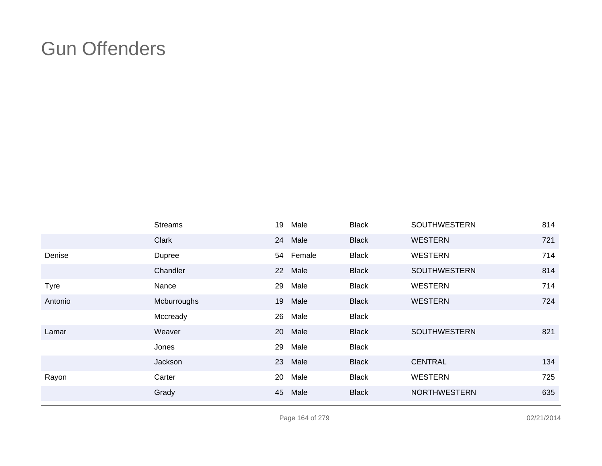|             | <b>Streams</b> | 19 | Male      | <b>Black</b> | <b>SOUTHWESTERN</b> | 814 |
|-------------|----------------|----|-----------|--------------|---------------------|-----|
|             | Clark          |    | 24 Male   | <b>Black</b> | <b>WESTERN</b>      | 721 |
| Denise      | Dupree         |    | 54 Female | <b>Black</b> | <b>WESTERN</b>      | 714 |
|             | Chandler       |    | 22 Male   | <b>Black</b> | <b>SOUTHWESTERN</b> | 814 |
| <b>Tyre</b> | Nance          | 29 | Male      | <b>Black</b> | <b>WESTERN</b>      | 714 |
| Antonio     | Mcburroughs    |    | 19 Male   | <b>Black</b> | <b>WESTERN</b>      | 724 |
|             | Mccready       | 26 | Male      | <b>Black</b> |                     |     |
| Lamar       | Weaver         |    | 20 Male   | <b>Black</b> | <b>SOUTHWESTERN</b> | 821 |
|             | Jones          | 29 | Male      | <b>Black</b> |                     |     |
|             | Jackson        |    | 23 Male   | <b>Black</b> | <b>CENTRAL</b>      | 134 |
| Rayon       | Carter         | 20 | Male      | <b>Black</b> | <b>WESTERN</b>      | 725 |
|             | Grady          | 45 | Male      | <b>Black</b> | <b>NORTHWESTERN</b> | 635 |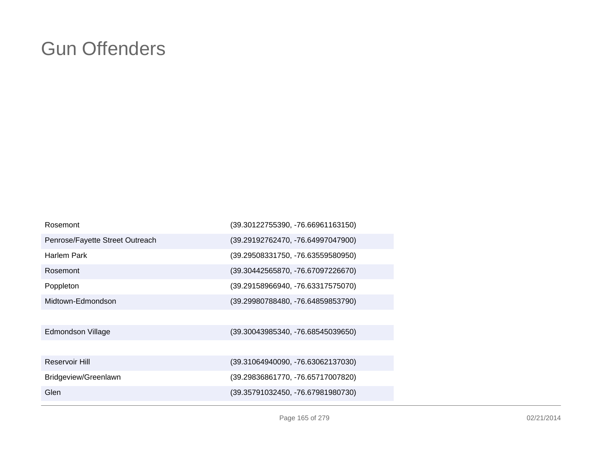| Rosemont                        | (39.30122755390, -76.66961163150) |
|---------------------------------|-----------------------------------|
| Penrose/Fayette Street Outreach | (39.29192762470, -76.64997047900) |
| Harlem Park                     | (39.29508331750, -76.63559580950) |
| Rosemont                        | (39.30442565870, -76.67097226670) |
| Poppleton                       | (39.29158966940, -76.63317575070) |
| Midtown-Edmondson               | (39.29980788480, -76.64859853790) |
|                                 |                                   |
| Edmondson Village               | (39.30043985340, -76.68545039650) |
|                                 |                                   |
| Reservoir Hill                  | (39.31064940090, -76.63062137030) |
| Bridgeview/Greenlawn            | (39.29836861770, -76.65717007820) |
| Glen                            | (39.35791032450, -76.67981980730) |
|                                 |                                   |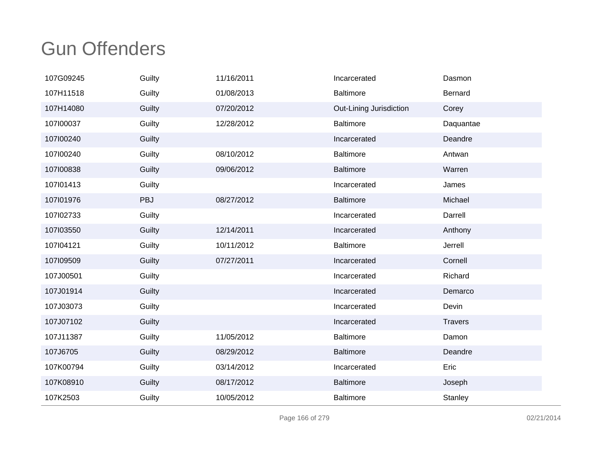| 107G09245 | Guilty | 11/16/2011 | Incarcerated            | Dasmon         |
|-----------|--------|------------|-------------------------|----------------|
| 107H11518 | Guilty | 01/08/2013 | <b>Baltimore</b>        | Bernard        |
| 107H14080 | Guilty | 07/20/2012 | Out-Lining Jurisdiction | Corey          |
| 107100037 | Guilty | 12/28/2012 | <b>Baltimore</b>        | Daquantae      |
| 107100240 | Guilty |            | Incarcerated            | Deandre        |
| 107100240 | Guilty | 08/10/2012 | <b>Baltimore</b>        | Antwan         |
| 107100838 | Guilty | 09/06/2012 | <b>Baltimore</b>        | Warren         |
| 107l01413 | Guilty |            | Incarcerated            | James          |
| 107101976 | PBJ    | 08/27/2012 | <b>Baltimore</b>        | Michael        |
| 107102733 | Guilty |            | Incarcerated            | Darrell        |
| 107103550 | Guilty | 12/14/2011 | Incarcerated            | Anthony        |
| 107104121 | Guilty | 10/11/2012 | <b>Baltimore</b>        | Jerrell        |
| 107109509 | Guilty | 07/27/2011 | Incarcerated            | Cornell        |
| 107J00501 | Guilty |            | Incarcerated            | Richard        |
| 107J01914 | Guilty |            | Incarcerated            | Demarco        |
| 107J03073 | Guilty |            | Incarcerated            | Devin          |
| 107J07102 | Guilty |            | Incarcerated            | <b>Travers</b> |
| 107J11387 | Guilty | 11/05/2012 | <b>Baltimore</b>        | Damon          |
| 107J6705  | Guilty | 08/29/2012 | <b>Baltimore</b>        | Deandre        |
| 107K00794 | Guilty | 03/14/2012 | Incarcerated            | Eric           |
| 107K08910 | Guilty | 08/17/2012 | <b>Baltimore</b>        | Joseph         |
| 107K2503  | Guilty | 10/05/2012 | <b>Baltimore</b>        | Stanley        |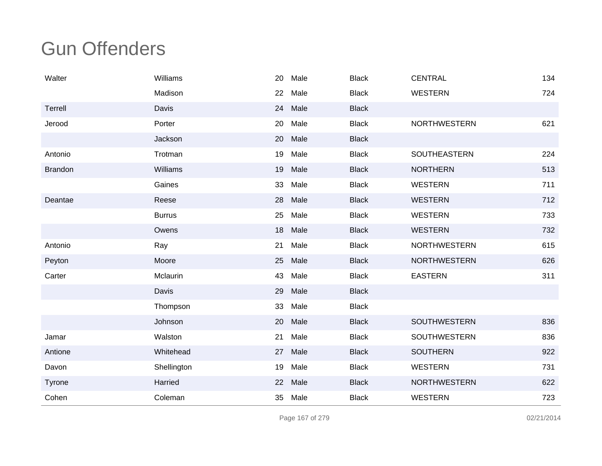| Walter         | Williams      | 20 | Male | <b>Black</b> | <b>CENTRAL</b>      | 134 |
|----------------|---------------|----|------|--------------|---------------------|-----|
|                | Madison       | 22 | Male | <b>Black</b> | <b>WESTERN</b>      | 724 |
| Terrell        | Davis         | 24 | Male | <b>Black</b> |                     |     |
| Jerood         | Porter        | 20 | Male | <b>Black</b> | <b>NORTHWESTERN</b> | 621 |
|                | Jackson       | 20 | Male | <b>Black</b> |                     |     |
| Antonio        | Trotman       | 19 | Male | <b>Black</b> | SOUTHEASTERN        | 224 |
| <b>Brandon</b> | Williams      | 19 | Male | <b>Black</b> | <b>NORTHERN</b>     | 513 |
|                | Gaines        | 33 | Male | <b>Black</b> | <b>WESTERN</b>      | 711 |
| Deantae        | Reese         | 28 | Male | <b>Black</b> | <b>WESTERN</b>      | 712 |
|                | <b>Burrus</b> | 25 | Male | <b>Black</b> | <b>WESTERN</b>      | 733 |
|                | Owens         | 18 | Male | <b>Black</b> | <b>WESTERN</b>      | 732 |
| Antonio        | Ray           | 21 | Male | <b>Black</b> | <b>NORTHWESTERN</b> | 615 |
| Peyton         | Moore         | 25 | Male | <b>Black</b> | <b>NORTHWESTERN</b> | 626 |
| Carter         | Mclaurin      | 43 | Male | <b>Black</b> | <b>EASTERN</b>      | 311 |
|                | Davis         | 29 | Male | <b>Black</b> |                     |     |
|                | Thompson      | 33 | Male | <b>Black</b> |                     |     |
|                | Johnson       | 20 | Male | <b>Black</b> | <b>SOUTHWESTERN</b> | 836 |
| Jamar          | Walston       | 21 | Male | <b>Black</b> | <b>SOUTHWESTERN</b> | 836 |
| Antione        | Whitehead     | 27 | Male | <b>Black</b> | <b>SOUTHERN</b>     | 922 |
| Davon          | Shellington   | 19 | Male | <b>Black</b> | <b>WESTERN</b>      | 731 |
| Tyrone         | Harried       | 22 | Male | <b>Black</b> | <b>NORTHWESTERN</b> | 622 |
| Cohen          | Coleman       | 35 | Male | <b>Black</b> | <b>WESTERN</b>      | 723 |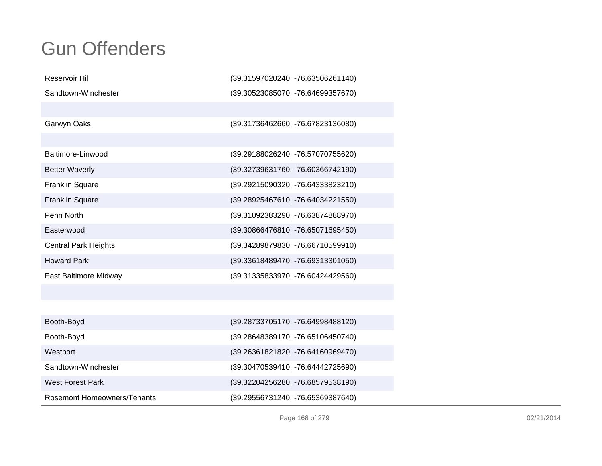| Reservoir Hill                     | (39.31597020240, -76.63506261140) |
|------------------------------------|-----------------------------------|
| Sandtown-Winchester                | (39.30523085070, -76.64699357670) |
|                                    |                                   |
| Garwyn Oaks                        | (39.31736462660, -76.67823136080) |
|                                    |                                   |
| Baltimore-Linwood                  | (39.29188026240, -76.57070755620) |
| <b>Better Waverly</b>              | (39.32739631760, -76.60366742190) |
| Franklin Square                    | (39.29215090320, -76.64333823210) |
| Franklin Square                    | (39.28925467610, -76.64034221550) |
| Penn North                         | (39.31092383290, -76.63874888970) |
| Easterwood                         | (39.30866476810, -76.65071695450) |
| <b>Central Park Heights</b>        | (39.34289879830, -76.66710599910) |
| <b>Howard Park</b>                 | (39.33618489470, -76.69313301050) |
| East Baltimore Midway              | (39.31335833970, -76.60424429560) |
|                                    |                                   |
|                                    |                                   |
| Booth-Boyd                         | (39.28733705170, -76.64998488120) |
| Booth-Boyd                         | (39.28648389170, -76.65106450740) |
| Westport                           | (39.26361821820, -76.64160969470) |
| Sandtown-Winchester                | (39.30470539410, -76.64442725690) |
| <b>West Forest Park</b>            | (39.32204256280, -76.68579538190) |
| <b>Rosemont Homeowners/Tenants</b> | (39.29556731240, -76.65369387640) |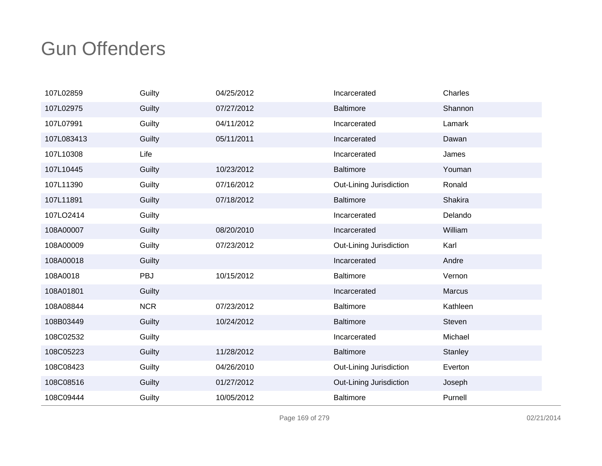| 107L02859  | Guilty     | 04/25/2012 | Incarcerated            | Charles  |
|------------|------------|------------|-------------------------|----------|
| 107L02975  | Guilty     | 07/27/2012 | <b>Baltimore</b>        | Shannon  |
| 107L07991  | Guilty     | 04/11/2012 | Incarcerated            | Lamark   |
| 107L083413 | Guilty     | 05/11/2011 | Incarcerated            | Dawan    |
| 107L10308  | Life       |            | Incarcerated            | James    |
| 107L10445  | Guilty     | 10/23/2012 | <b>Baltimore</b>        | Youman   |
| 107L11390  | Guilty     | 07/16/2012 | Out-Lining Jurisdiction | Ronald   |
| 107L11891  | Guilty     | 07/18/2012 | <b>Baltimore</b>        | Shakira  |
| 107LO2414  | Guilty     |            | Incarcerated            | Delando  |
| 108A00007  | Guilty     | 08/20/2010 | Incarcerated            | William  |
| 108A00009  | Guilty     | 07/23/2012 | Out-Lining Jurisdiction | Karl     |
| 108A00018  | Guilty     |            | Incarcerated            | Andre    |
| 108A0018   | PBJ        | 10/15/2012 | <b>Baltimore</b>        | Vernon   |
| 108A01801  | Guilty     |            | Incarcerated            | Marcus   |
| 108A08844  | <b>NCR</b> | 07/23/2012 | <b>Baltimore</b>        | Kathleen |
| 108B03449  | Guilty     | 10/24/2012 | Baltimore               | Steven   |
| 108C02532  | Guilty     |            | Incarcerated            | Michael  |
| 108C05223  | Guilty     | 11/28/2012 | <b>Baltimore</b>        | Stanley  |
| 108C08423  | Guilty     | 04/26/2010 | Out-Lining Jurisdiction | Everton  |
| 108C08516  | Guilty     | 01/27/2012 | Out-Lining Jurisdiction | Joseph   |
| 108C09444  | Guilty     | 10/05/2012 | <b>Baltimore</b>        | Purnell  |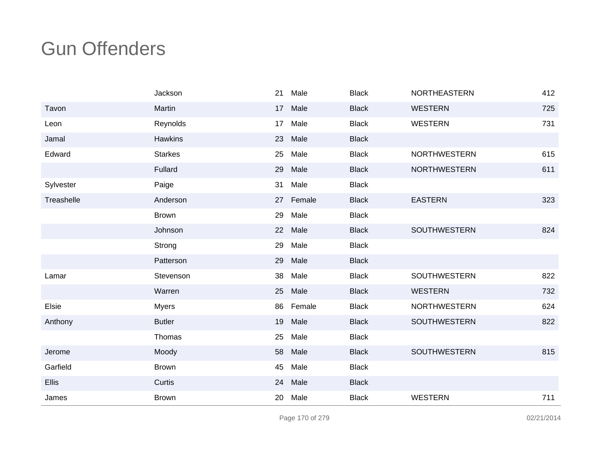|            | Jackson        | 21 | Male   | <b>Black</b> | NORTHEASTERN        | 412 |
|------------|----------------|----|--------|--------------|---------------------|-----|
| Tavon      | Martin         | 17 | Male   | <b>Black</b> | <b>WESTERN</b>      | 725 |
| Leon       | Reynolds       | 17 | Male   | <b>Black</b> | <b>WESTERN</b>      | 731 |
| Jamal      | <b>Hawkins</b> | 23 | Male   | <b>Black</b> |                     |     |
| Edward     | <b>Starkes</b> | 25 | Male   | <b>Black</b> | <b>NORTHWESTERN</b> | 615 |
|            | Fullard        | 29 | Male   | <b>Black</b> | <b>NORTHWESTERN</b> | 611 |
| Sylvester  | Paige          | 31 | Male   | <b>Black</b> |                     |     |
| Treashelle | Anderson       | 27 | Female | <b>Black</b> | <b>EASTERN</b>      | 323 |
|            | <b>Brown</b>   | 29 | Male   | <b>Black</b> |                     |     |
|            | Johnson        | 22 | Male   | <b>Black</b> | <b>SOUTHWESTERN</b> | 824 |
|            | Strong         | 29 | Male   | <b>Black</b> |                     |     |
|            | Patterson      | 29 | Male   | <b>Black</b> |                     |     |
| Lamar      | Stevenson      | 38 | Male   | <b>Black</b> | <b>SOUTHWESTERN</b> | 822 |
|            | Warren         | 25 | Male   | <b>Black</b> | <b>WESTERN</b>      | 732 |
| Elsie      | <b>Myers</b>   | 86 | Female | <b>Black</b> | <b>NORTHWESTERN</b> | 624 |
| Anthony    | <b>Butler</b>  | 19 | Male   | <b>Black</b> | <b>SOUTHWESTERN</b> | 822 |
|            | Thomas         | 25 | Male   | <b>Black</b> |                     |     |
| Jerome     | Moody          | 58 | Male   | <b>Black</b> | SOUTHWESTERN        | 815 |
| Garfield   | <b>Brown</b>   | 45 | Male   | <b>Black</b> |                     |     |
| Ellis      | Curtis         | 24 | Male   | <b>Black</b> |                     |     |
| James      | <b>Brown</b>   | 20 | Male   | <b>Black</b> | <b>WESTERN</b>      | 711 |

Page 170 of 279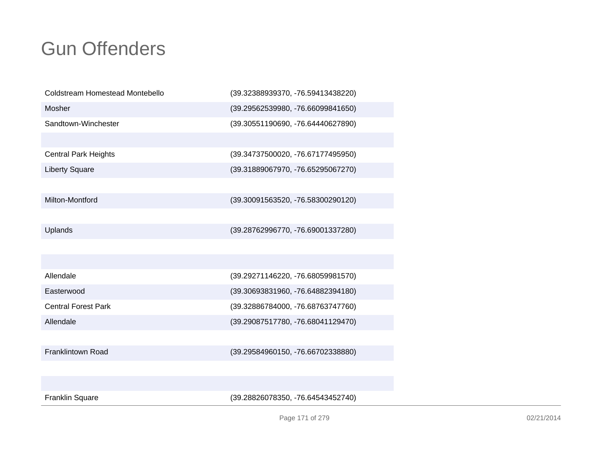| Coldstream Homestead Montebello | (39.32388939370, -76.59413438220) |
|---------------------------------|-----------------------------------|
| Mosher                          | (39.29562539980, -76.66099841650) |
| Sandtown-Winchester             | (39.30551190690, -76.64440627890) |
|                                 |                                   |
| <b>Central Park Heights</b>     | (39.34737500020, -76.67177495950) |
| <b>Liberty Square</b>           | (39.31889067970, -76.65295067270) |
|                                 |                                   |
| Milton-Montford                 | (39.30091563520, -76.58300290120) |
|                                 |                                   |
| Uplands                         | (39.28762996770, -76.69001337280) |
|                                 |                                   |
|                                 |                                   |
| Allendale                       | (39.29271146220, -76.68059981570) |
| Easterwood                      | (39.30693831960, -76.64882394180) |
| <b>Central Forest Park</b>      | (39.32886784000, -76.68763747760) |
| Allendale                       | (39.29087517780, -76.68041129470) |
|                                 |                                   |
| <b>Franklintown Road</b>        | (39.29584960150, -76.66702338880) |
|                                 |                                   |
|                                 |                                   |
| <b>Franklin Square</b>          | (39.28826078350, -76.64543452740) |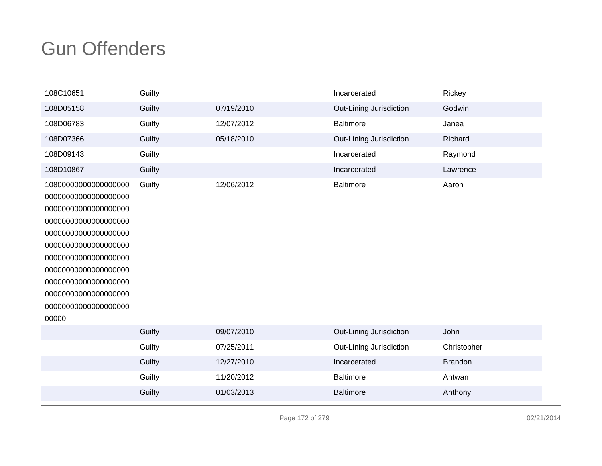| 108C10651                                                                                                                                                                                                                                                                     | Guilty |            | Incarcerated            | Rickey         |
|-------------------------------------------------------------------------------------------------------------------------------------------------------------------------------------------------------------------------------------------------------------------------------|--------|------------|-------------------------|----------------|
| 108D05158                                                                                                                                                                                                                                                                     | Guilty | 07/19/2010 | Out-Lining Jurisdiction | Godwin         |
| 108D06783                                                                                                                                                                                                                                                                     | Guilty | 12/07/2012 | <b>Baltimore</b>        | Janea          |
| 108D07366                                                                                                                                                                                                                                                                     | Guilty | 05/18/2010 | Out-Lining Jurisdiction | Richard        |
| 108D09143                                                                                                                                                                                                                                                                     | Guilty |            | Incarcerated            | Raymond        |
| 108D10867                                                                                                                                                                                                                                                                     | Guilty |            | Incarcerated            | Lawrence       |
| 10800000000000000000<br>00000000000000000000<br>00000000000000000000<br>00000000000000000000<br>00000000000000000000<br>00000000000000000000<br>00000000000000000000<br>00000000000000000000<br>00000000000000000000<br>00000000000000000000<br>00000000000000000000<br>00000 | Guilty | 12/06/2012 | <b>Baltimore</b>        | Aaron          |
|                                                                                                                                                                                                                                                                               | Guilty | 09/07/2010 | Out-Lining Jurisdiction | John           |
|                                                                                                                                                                                                                                                                               | Guilty | 07/25/2011 | Out-Lining Jurisdiction | Christopher    |
|                                                                                                                                                                                                                                                                               | Guilty | 12/27/2010 | Incarcerated            | <b>Brandon</b> |
|                                                                                                                                                                                                                                                                               | Guilty | 11/20/2012 | <b>Baltimore</b>        | Antwan         |
|                                                                                                                                                                                                                                                                               | Guilty | 01/03/2013 | <b>Baltimore</b>        | Anthony        |
|                                                                                                                                                                                                                                                                               |        |            |                         |                |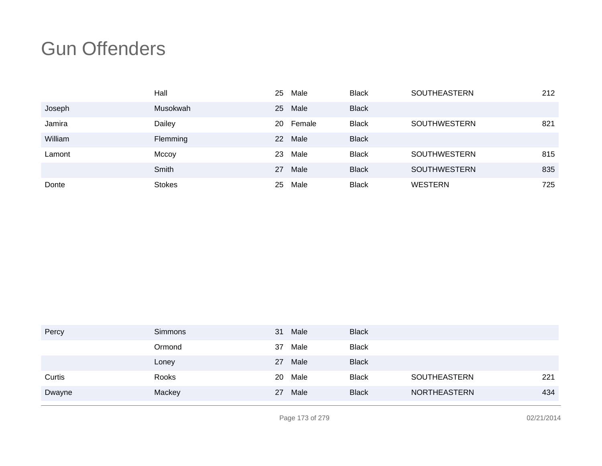|         | Hall          | 25 | Male   | <b>Black</b> | <b>SOUTHEASTERN</b> | 212 |
|---------|---------------|----|--------|--------------|---------------------|-----|
| Joseph  | Musokwah      | 25 | Male   | <b>Black</b> |                     |     |
| Jamira  | Dailey        | 20 | Female | <b>Black</b> | <b>SOUTHWESTERN</b> | 821 |
| William | Flemming      | 22 | Male   | <b>Black</b> |                     |     |
| Lamont  | Mccoy         | 23 | Male   | <b>Black</b> | <b>SOUTHWESTERN</b> | 815 |
|         | Smith         | 27 | Male   | <b>Black</b> | <b>SOUTHWESTERN</b> | 835 |
| Donte   | <b>Stokes</b> | 25 | Male   | <b>Black</b> | <b>WESTERN</b>      | 725 |

| Percy  | Simmons | 31 | Male | <b>Black</b> |                     |     |
|--------|---------|----|------|--------------|---------------------|-----|
|        | Ormond  | 37 | Male | <b>Black</b> |                     |     |
|        | Loney   | 27 | Male | <b>Black</b> |                     |     |
| Curtis | Rooks   | 20 | Male | <b>Black</b> | SOUTHEASTERN        | 221 |
| Dwayne | Mackey  | 27 | Male | <b>Black</b> | <b>NORTHEASTERN</b> | 434 |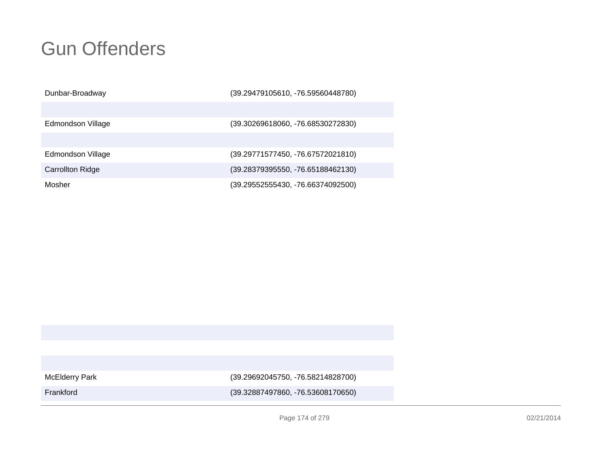| Dunbar-Broadway         | (39.29479105610, -76.59560448780) |
|-------------------------|-----------------------------------|
|                         |                                   |
| Edmondson Village       | (39.30269618060, -76.68530272830) |
|                         |                                   |
| Edmondson Village       | (39.29771577450, -76.67572021810) |
| <b>Carrollton Ridge</b> | (39.28379395550, -76.65188462130) |
| Mosher                  | (39.29552555430, -76.66374092500) |

McElderry Park

(39.29692045750, -76.58214828700)

Frankford

(39.32887497860, -76.53608170650)

Page 174 of 279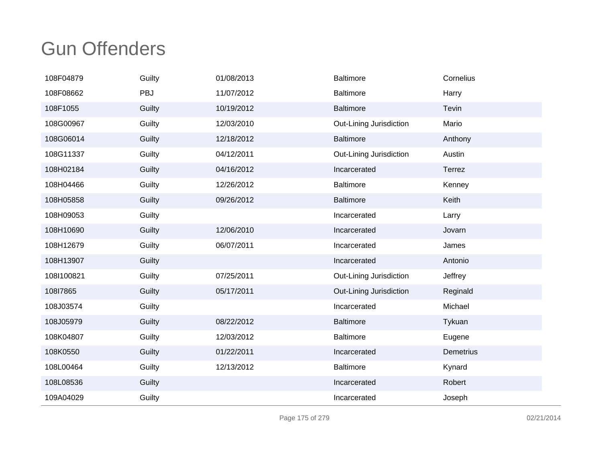| 108F04879  | Guilty | 01/08/2013 | Baltimore               | Cornelius |
|------------|--------|------------|-------------------------|-----------|
| 108F08662  | PBJ    | 11/07/2012 | <b>Baltimore</b>        | Harry     |
| 108F1055   | Guilty | 10/19/2012 | <b>Baltimore</b>        | Tevin     |
| 108G00967  | Guilty | 12/03/2010 | Out-Lining Jurisdiction | Mario     |
| 108G06014  | Guilty | 12/18/2012 | <b>Baltimore</b>        | Anthony   |
| 108G11337  | Guilty | 04/12/2011 | Out-Lining Jurisdiction | Austin    |
| 108H02184  | Guilty | 04/16/2012 | Incarcerated            | Terrez    |
| 108H04466  | Guilty | 12/26/2012 | <b>Baltimore</b>        | Kenney    |
| 108H05858  | Guilty | 09/26/2012 | <b>Baltimore</b>        | Keith     |
| 108H09053  | Guilty |            | Incarcerated            | Larry     |
| 108H10690  | Guilty | 12/06/2010 | Incarcerated            | Jovarn    |
| 108H12679  | Guilty | 06/07/2011 | Incarcerated            | James     |
| 108H13907  | Guilty |            | Incarcerated            | Antonio   |
| 108I100821 | Guilty | 07/25/2011 | Out-Lining Jurisdiction | Jeffrey   |
| 108l7865   | Guilty | 05/17/2011 | Out-Lining Jurisdiction | Reginald  |
| 108J03574  | Guilty |            | Incarcerated            | Michael   |
| 108J05979  | Guilty | 08/22/2012 | <b>Baltimore</b>        | Tykuan    |
| 108K04807  | Guilty | 12/03/2012 | Baltimore               | Eugene    |
| 108K0550   | Guilty | 01/22/2011 | Incarcerated            | Demetrius |
| 108L00464  | Guilty | 12/13/2012 | <b>Baltimore</b>        | Kynard    |
| 108L08536  | Guilty |            | Incarcerated            | Robert    |
| 109A04029  | Guilty |            | Incarcerated            | Joseph    |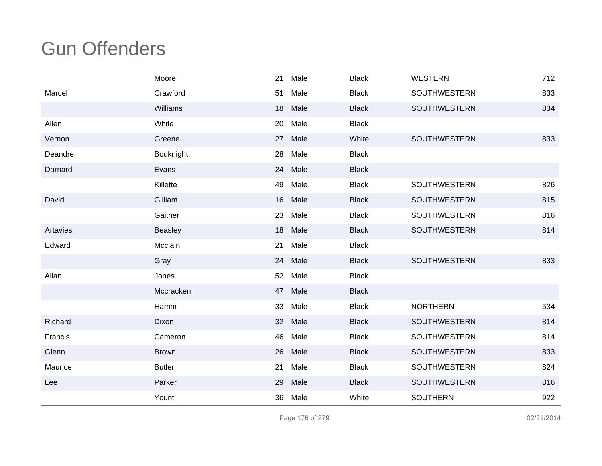|          | Moore         | 21              | Male | <b>Black</b> | <b>WESTERN</b>      | 712 |
|----------|---------------|-----------------|------|--------------|---------------------|-----|
| Marcel   | Crawford      | 51              | Male | <b>Black</b> | <b>SOUTHWESTERN</b> | 833 |
|          | Williams      | 18              | Male | <b>Black</b> | <b>SOUTHWESTERN</b> | 834 |
| Allen    | White         | 20              | Male | <b>Black</b> |                     |     |
| Vernon   | Greene        | 27              | Male | White        | SOUTHWESTERN        | 833 |
| Deandre  | Bouknight     | 28              | Male | <b>Black</b> |                     |     |
| Darnard  | Evans         | 24              | Male | <b>Black</b> |                     |     |
|          | Killette      | 49              | Male | <b>Black</b> | <b>SOUTHWESTERN</b> | 826 |
| David    | Gilliam       | 16              | Male | <b>Black</b> | <b>SOUTHWESTERN</b> | 815 |
|          | Gaither       | 23              | Male | <b>Black</b> | SOUTHWESTERN        | 816 |
| Artavies | Beasley       | 18              | Male | <b>Black</b> | <b>SOUTHWESTERN</b> | 814 |
| Edward   | Mcclain       | 21              | Male | <b>Black</b> |                     |     |
|          | Gray          | 24              | Male | <b>Black</b> | <b>SOUTHWESTERN</b> | 833 |
| Allan    | Jones         | 52              | Male | <b>Black</b> |                     |     |
|          | Mccracken     | 47              | Male | <b>Black</b> |                     |     |
|          | Hamm          | 33              | Male | <b>Black</b> | <b>NORTHERN</b>     | 534 |
| Richard  | Dixon         | 32 <sup>2</sup> | Male | <b>Black</b> | <b>SOUTHWESTERN</b> | 814 |
| Francis  | Cameron       | 46              | Male | <b>Black</b> | SOUTHWESTERN        | 814 |
| Glenn    | <b>Brown</b>  | 26              | Male | <b>Black</b> | SOUTHWESTERN        | 833 |
| Maurice  | <b>Butler</b> | 21              | Male | <b>Black</b> | SOUTHWESTERN        | 824 |
| Lee      | Parker        | 29              | Male | <b>Black</b> | SOUTHWESTERN        | 816 |
|          | Yount         | 36              | Male | White        | <b>SOUTHERN</b>     | 922 |

Page 176 of 279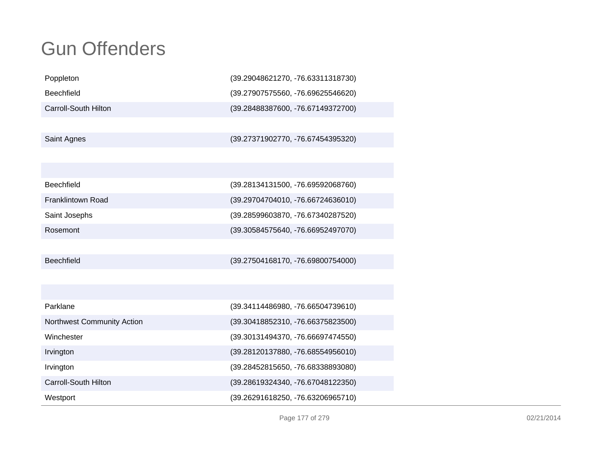| Poppleton                   | (39.29048621270, -76.63311318730) |
|-----------------------------|-----------------------------------|
| Beechfield                  | (39.27907575560, -76.69625546620) |
| Carroll-South Hilton        | (39.28488387600, -76.67149372700) |
|                             |                                   |
| Saint Agnes                 | (39.27371902770, -76.67454395320) |
|                             |                                   |
|                             |                                   |
| <b>Beechfield</b>           | (39.28134131500, -76.69592068760) |
| Franklintown Road           | (39.29704704010, -76.66724636010) |
| Saint Josephs               | (39.28599603870, -76.67340287520) |
| Rosemont                    | (39.30584575640, -76.66952497070) |
|                             |                                   |
| Beechfield                  | (39.27504168170, -76.69800754000) |
|                             |                                   |
|                             |                                   |
| Parklane                    | (39.34114486980, -76.66504739610) |
| Northwest Community Action  | (39.30418852310, -76.66375823500) |
| Winchester                  | (39.30131494370, -76.66697474550) |
| Irvington                   | (39.28120137880, -76.68554956010) |
| Irvington                   | (39.28452815650, -76.68338893080) |
| <b>Carroll-South Hilton</b> | (39.28619324340, -76.67048122350) |
| Westport                    | (39.26291618250, -76.63206965710) |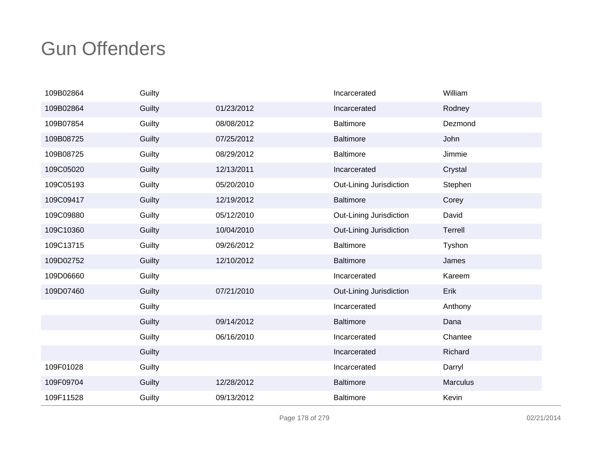| 109B02864 | Guilty |            | Incarcerated            | William  |
|-----------|--------|------------|-------------------------|----------|
| 109B02864 | Guilty | 01/23/2012 | Incarcerated            | Rodney   |
| 109B07854 | Guilty | 08/08/2012 | <b>Baltimore</b>        | Dezmond  |
| 109B08725 | Guilty | 07/25/2012 | <b>Baltimore</b>        | John     |
| 109B08725 | Guilty | 08/29/2012 | <b>Baltimore</b>        | Jimmie   |
| 109C05020 | Guilty | 12/13/2011 | Incarcerated            | Crystal  |
| 109C05193 | Guilty | 05/20/2010 | Out-Lining Jurisdiction | Stephen  |
| 109C09417 | Guilty | 12/19/2012 | <b>Baltimore</b>        | Corey    |
| 109C09880 | Guilty | 05/12/2010 | Out-Lining Jurisdiction | David    |
| 109C10360 | Guilty | 10/04/2010 | Out-Lining Jurisdiction | Terrell  |
| 109C13715 | Guilty | 09/26/2012 | <b>Baltimore</b>        | Tyshon   |
| 109D02752 | Guilty | 12/10/2012 | <b>Baltimore</b>        | James    |
| 109D06660 | Guilty |            | Incarcerated            | Kareem   |
| 109D07460 | Guilty | 07/21/2010 | Out-Lining Jurisdiction | Erik     |
|           | Guilty |            | Incarcerated            | Anthony  |
|           | Guilty | 09/14/2012 | <b>Baltimore</b>        | Dana     |
|           | Guilty | 06/16/2010 | Incarcerated            | Chantee  |
|           | Guilty |            | Incarcerated            | Richard  |
| 109F01028 | Guilty |            | Incarcerated            | Darryl   |
| 109F09704 | Guilty | 12/28/2012 | <b>Baltimore</b>        | Marculus |
| 109F11528 | Guilty | 09/13/2012 | <b>Baltimore</b>        | Kevin    |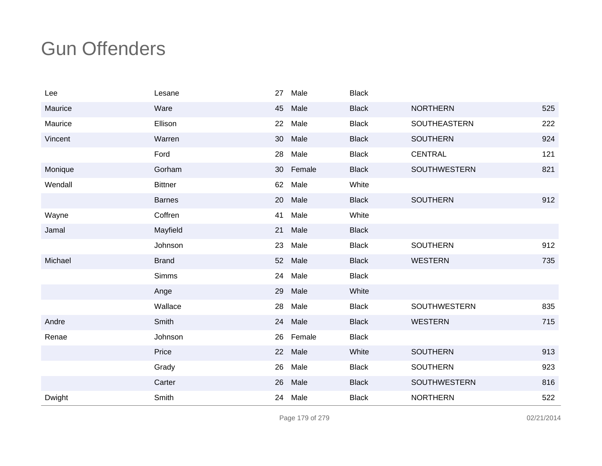| Lee     | Lesane         | 27 | Male   | <b>Black</b> |                     |     |
|---------|----------------|----|--------|--------------|---------------------|-----|
| Maurice | Ware           | 45 | Male   | <b>Black</b> | <b>NORTHERN</b>     | 525 |
| Maurice | Ellison        | 22 | Male   | <b>Black</b> | SOUTHEASTERN        | 222 |
| Vincent | Warren         | 30 | Male   | <b>Black</b> | <b>SOUTHERN</b>     | 924 |
|         | Ford           | 28 | Male   | <b>Black</b> | <b>CENTRAL</b>      | 121 |
| Monique | Gorham         | 30 | Female | <b>Black</b> | SOUTHWESTERN        | 821 |
| Wendall | <b>Bittner</b> | 62 | Male   | White        |                     |     |
|         | <b>Barnes</b>  | 20 | Male   | <b>Black</b> | <b>SOUTHERN</b>     | 912 |
| Wayne   | Coffren        | 41 | Male   | White        |                     |     |
| Jamal   | Mayfield       | 21 | Male   | <b>Black</b> |                     |     |
|         | Johnson        | 23 | Male   | <b>Black</b> | <b>SOUTHERN</b>     | 912 |
| Michael | <b>Brand</b>   | 52 | Male   | <b>Black</b> | <b>WESTERN</b>      | 735 |
|         | <b>Simms</b>   | 24 | Male   | <b>Black</b> |                     |     |
|         | Ange           | 29 | Male   | White        |                     |     |
|         | Wallace        | 28 | Male   | <b>Black</b> | <b>SOUTHWESTERN</b> | 835 |
| Andre   | Smith          | 24 | Male   | <b>Black</b> | <b>WESTERN</b>      | 715 |
| Renae   | Johnson        | 26 | Female | <b>Black</b> |                     |     |
|         | Price          | 22 | Male   | White        | <b>SOUTHERN</b>     | 913 |
|         | Grady          | 26 | Male   | <b>Black</b> | <b>SOUTHERN</b>     | 923 |
|         | Carter         | 26 | Male   | <b>Black</b> | <b>SOUTHWESTERN</b> | 816 |
| Dwight  | Smith          | 24 | Male   | <b>Black</b> | <b>NORTHERN</b>     | 522 |

Page 179 of 279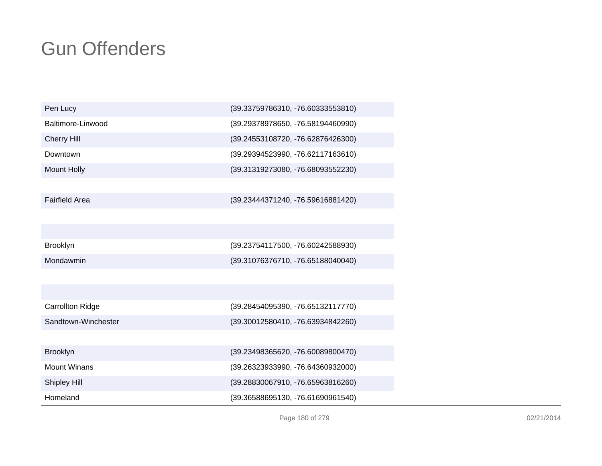| Pen Lucy                | (39.33759786310, -76.60333553810) |
|-------------------------|-----------------------------------|
| Baltimore-Linwood       | (39.29378978650, -76.58194460990) |
| <b>Cherry Hill</b>      | (39.24553108720, -76.62876426300) |
| Downtown                | (39.29394523990, -76.62117163610) |
| <b>Mount Holly</b>      | (39.31319273080, -76.68093552230) |
|                         |                                   |
| <b>Fairfield Area</b>   | (39.23444371240, -76.59616881420) |
|                         |                                   |
|                         |                                   |
| <b>Brooklyn</b>         | (39.23754117500, -76.60242588930) |
| Mondawmin               | (39.31076376710, -76.65188040040) |
|                         |                                   |
|                         |                                   |
| <b>Carrollton Ridge</b> | (39.28454095390, -76.65132117770) |
| Sandtown-Winchester     | (39.30012580410, -76.63934842260) |
|                         |                                   |
| <b>Brooklyn</b>         | (39.23498365620, -76.60089800470) |
| <b>Mount Winans</b>     | (39.26323933990, -76.64360932000) |
| Shipley Hill            | (39.28830067910, -76.65963816260) |
| Homeland                | (39.36588695130, -76.61690961540) |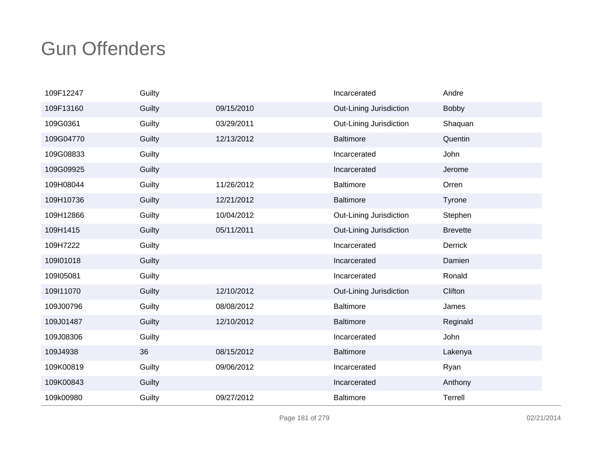| 109F12247 | Guilty |            | Incarcerated            | Andre           |
|-----------|--------|------------|-------------------------|-----------------|
| 109F13160 | Guilty | 09/15/2010 | Out-Lining Jurisdiction | Bobby           |
| 109G0361  | Guilty | 03/29/2011 | Out-Lining Jurisdiction | Shaquan         |
| 109G04770 | Guilty | 12/13/2012 | <b>Baltimore</b>        | Quentin         |
| 109G08833 | Guilty |            | Incarcerated            | John            |
| 109G09925 | Guilty |            | Incarcerated            | Jerome          |
| 109H08044 | Guilty | 11/26/2012 | <b>Baltimore</b>        | Orren           |
| 109H10736 | Guilty | 12/21/2012 | <b>Baltimore</b>        | Tyrone          |
| 109H12866 | Guilty | 10/04/2012 | Out-Lining Jurisdiction | Stephen         |
| 109H1415  | Guilty | 05/11/2011 | Out-Lining Jurisdiction | <b>Brevette</b> |
| 109H7222  | Guilty |            | Incarcerated            | Derrick         |
| 109l01018 | Guilty |            | Incarcerated            | Damien          |
| 109105081 | Guilty |            | Incarcerated            | Ronald          |
| 109111070 | Guilty | 12/10/2012 | Out-Lining Jurisdiction | Clifton         |
| 109J00796 | Guilty | 08/08/2012 | <b>Baltimore</b>        | James           |
| 109J01487 | Guilty | 12/10/2012 | <b>Baltimore</b>        | Reginald        |
| 109J08306 | Guilty |            | Incarcerated            | John            |
| 109J4938  | 36     | 08/15/2012 | <b>Baltimore</b>        | Lakenya         |
| 109K00819 | Guilty | 09/06/2012 | Incarcerated            | Ryan            |
| 109K00843 | Guilty |            | Incarcerated            | Anthony         |
| 109k00980 | Guilty | 09/27/2012 | <b>Baltimore</b>        | Terrell         |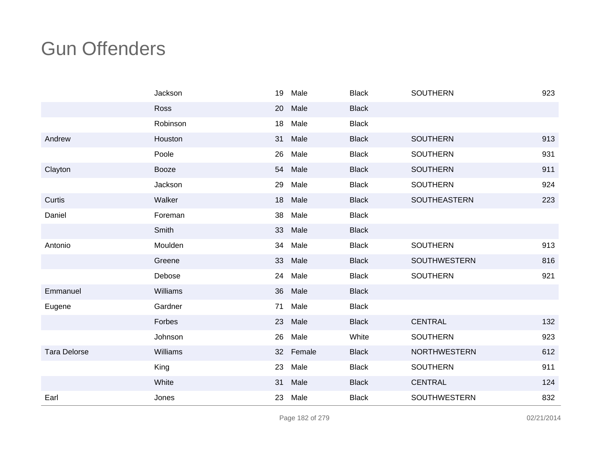|                     | Jackson  | 19              | Male   | <b>Black</b> | <b>SOUTHERN</b>     | 923 |
|---------------------|----------|-----------------|--------|--------------|---------------------|-----|
|                     | Ross     | 20              | Male   | <b>Black</b> |                     |     |
|                     | Robinson | 18              | Male   | <b>Black</b> |                     |     |
| Andrew              | Houston  | 31              | Male   | <b>Black</b> | <b>SOUTHERN</b>     | 913 |
|                     | Poole    | 26              | Male   | <b>Black</b> | <b>SOUTHERN</b>     | 931 |
| Clayton             | Booze    | 54              | Male   | <b>Black</b> | <b>SOUTHERN</b>     | 911 |
|                     | Jackson  | 29              | Male   | <b>Black</b> | <b>SOUTHERN</b>     | 924 |
| Curtis              | Walker   | 18              | Male   | <b>Black</b> | <b>SOUTHEASTERN</b> | 223 |
| Daniel              | Foreman  | 38              | Male   | <b>Black</b> |                     |     |
|                     | Smith    | 33              | Male   | <b>Black</b> |                     |     |
| Antonio             | Moulden  | 34              | Male   | <b>Black</b> | <b>SOUTHERN</b>     | 913 |
|                     | Greene   | 33              | Male   | <b>Black</b> | <b>SOUTHWESTERN</b> | 816 |
|                     | Debose   | 24              | Male   | <b>Black</b> | <b>SOUTHERN</b>     | 921 |
| Emmanuel            | Williams | 36              | Male   | <b>Black</b> |                     |     |
| Eugene              | Gardner  | 71              | Male   | <b>Black</b> |                     |     |
|                     | Forbes   | 23              | Male   | <b>Black</b> | <b>CENTRAL</b>      | 132 |
|                     | Johnson  | 26              | Male   | White        | <b>SOUTHERN</b>     | 923 |
| <b>Tara Delorse</b> | Williams | 32 <sup>2</sup> | Female | <b>Black</b> | <b>NORTHWESTERN</b> | 612 |
|                     | King     | 23              | Male   | <b>Black</b> | <b>SOUTHERN</b>     | 911 |
|                     | White    | 31              | Male   | <b>Black</b> | <b>CENTRAL</b>      | 124 |
| Earl                | Jones    | 23              | Male   | <b>Black</b> | SOUTHWESTERN        | 832 |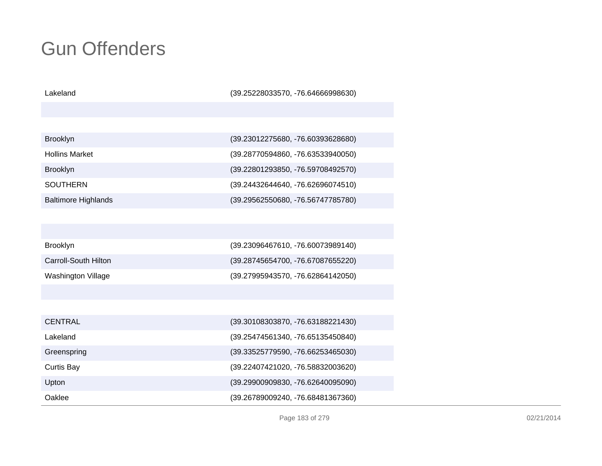| Lakeland                    | (39.25228033570, -76.64666998630) |
|-----------------------------|-----------------------------------|
|                             |                                   |
|                             |                                   |
| <b>Brooklyn</b>             | (39.23012275680, -76.60393628680) |
| <b>Hollins Market</b>       | (39.28770594860, -76.63533940050) |
| <b>Brooklyn</b>             | (39.22801293850, -76.59708492570) |
| <b>SOUTHERN</b>             | (39.24432644640, -76.62696074510) |
| <b>Baltimore Highlands</b>  | (39.29562550680, -76.56747785780) |
|                             |                                   |
|                             |                                   |
| <b>Brooklyn</b>             | (39.23096467610, -76.60073989140) |
| <b>Carroll-South Hilton</b> | (39.28745654700, -76.67087655220) |
| <b>Washington Village</b>   | (39.27995943570, -76.62864142050) |
|                             |                                   |
|                             |                                   |
| <b>CENTRAL</b>              | (39.30108303870, -76.63188221430) |
| Lakeland                    | (39.25474561340, -76.65135450840) |
| Greenspring                 | (39.33525779590, -76.66253465030) |
| Curtis Bay                  | (39.22407421020, -76.58832003620) |
| Upton                       | (39.29900909830, -76.62640095090) |
| Oaklee                      | (39.26789009240, -76.68481367360) |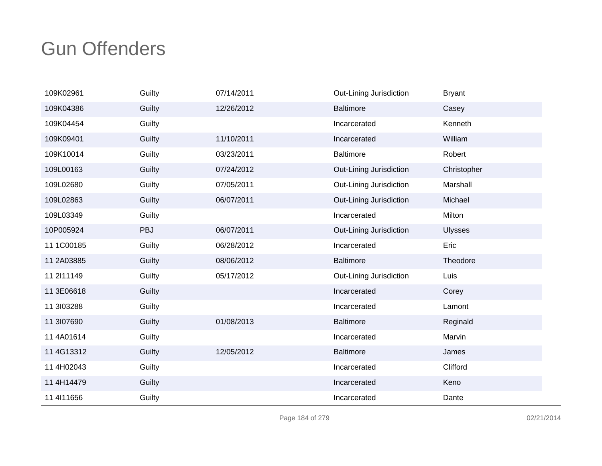| 109K02961    | Guilty     | 07/14/2011 | Out-Lining Jurisdiction | <b>Bryant</b>  |
|--------------|------------|------------|-------------------------|----------------|
| 109K04386    | Guilty     | 12/26/2012 | <b>Baltimore</b>        | Casey          |
| 109K04454    | Guilty     |            | Incarcerated            | Kenneth        |
| 109K09401    | Guilty     | 11/10/2011 | Incarcerated            | William        |
| 109K10014    | Guilty     | 03/23/2011 | <b>Baltimore</b>        | Robert         |
| 109L00163    | Guilty     | 07/24/2012 | Out-Lining Jurisdiction | Christopher    |
| 109L02680    | Guilty     | 07/05/2011 | Out-Lining Jurisdiction | Marshall       |
| 109L02863    | Guilty     | 06/07/2011 | Out-Lining Jurisdiction | Michael        |
| 109L03349    | Guilty     |            | Incarcerated            | Milton         |
| 10P005924    | <b>PBJ</b> | 06/07/2011 | Out-Lining Jurisdiction | <b>Ulysses</b> |
| 11 1C00185   | Guilty     | 06/28/2012 | Incarcerated            | Eric           |
| 11 2A03885   | Guilty     | 08/06/2012 | <b>Baltimore</b>        | Theodore       |
| 11 2111149   | Guilty     | 05/17/2012 | Out-Lining Jurisdiction | Luis           |
| 11 3E06618   | Guilty     |            | Incarcerated            | Corey          |
| 11 3 03 288  | Guilty     |            | Incarcerated            | Lamont         |
| 11 3107690   | Guilty     | 01/08/2013 | <b>Baltimore</b>        | Reginald       |
| 11 4A01614   | Guilty     |            | Incarcerated            | Marvin         |
| 11 4G13312   | Guilty     | 12/05/2012 | <b>Baltimore</b>        | James          |
| 11 4H02043   | Guilty     |            | Incarcerated            | Clifford       |
| 11 4H14479   | Guilty     |            | Incarcerated            | Keno           |
| 11 4 11 1656 | Guilty     |            | Incarcerated            | Dante          |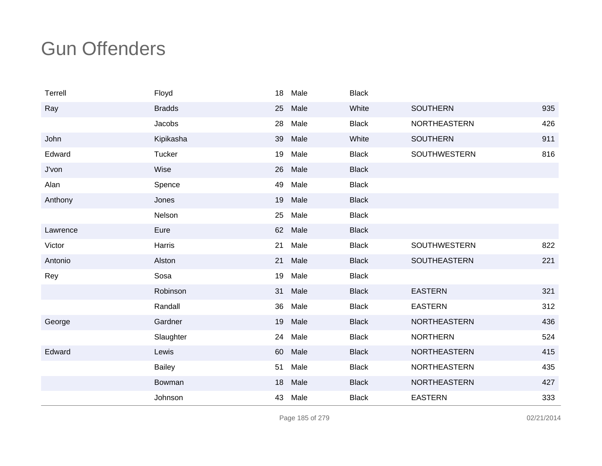| Terrell  | Floyd         | 18 | Male | <b>Black</b> |                     |     |
|----------|---------------|----|------|--------------|---------------------|-----|
| Ray      | <b>Bradds</b> | 25 | Male | White        | <b>SOUTHERN</b>     | 935 |
|          | Jacobs        | 28 | Male | <b>Black</b> | NORTHEASTERN        | 426 |
| John     | Kipikasha     | 39 | Male | White        | <b>SOUTHERN</b>     | 911 |
| Edward   | Tucker        | 19 | Male | <b>Black</b> | <b>SOUTHWESTERN</b> | 816 |
| J'von    | Wise          | 26 | Male | <b>Black</b> |                     |     |
| Alan     | Spence        | 49 | Male | <b>Black</b> |                     |     |
| Anthony  | Jones         | 19 | Male | <b>Black</b> |                     |     |
|          | Nelson        | 25 | Male | <b>Black</b> |                     |     |
| Lawrence | Eure          | 62 | Male | <b>Black</b> |                     |     |
| Victor   | Harris        | 21 | Male | <b>Black</b> | SOUTHWESTERN        | 822 |
| Antonio  | Alston        | 21 | Male | <b>Black</b> | SOUTHEASTERN        | 221 |
| Rey      | Sosa          | 19 | Male | <b>Black</b> |                     |     |
|          | Robinson      | 31 | Male | <b>Black</b> | <b>EASTERN</b>      | 321 |
|          | Randall       | 36 | Male | <b>Black</b> | <b>EASTERN</b>      | 312 |
| George   | Gardner       | 19 | Male | <b>Black</b> | <b>NORTHEASTERN</b> | 436 |
|          | Slaughter     | 24 | Male | <b>Black</b> | <b>NORTHERN</b>     | 524 |
| Edward   | Lewis         | 60 | Male | <b>Black</b> | <b>NORTHEASTERN</b> | 415 |
|          | <b>Bailey</b> | 51 | Male | <b>Black</b> | <b>NORTHEASTERN</b> | 435 |
|          | Bowman        | 18 | Male | <b>Black</b> | <b>NORTHEASTERN</b> | 427 |
|          | Johnson       | 43 | Male | <b>Black</b> | <b>EASTERN</b>      | 333 |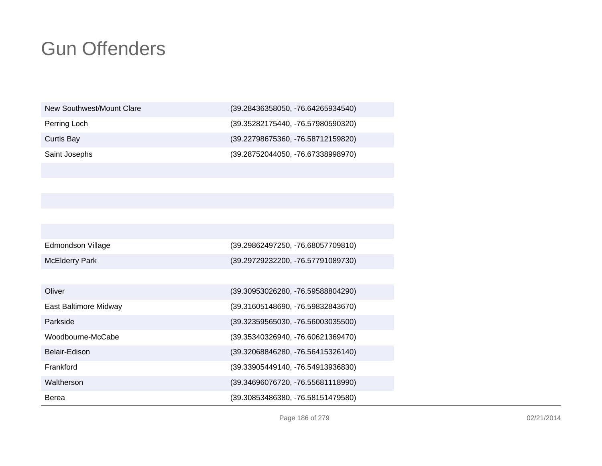| New Southwest/Mount Clare | (39.28436358050, -76.64265934540) |
|---------------------------|-----------------------------------|
| Perring Loch              | (39.35282175440, -76.57980590320) |
| Curtis Bay                | (39.22798675360, -76.58712159820) |
| Saint Josephs             | (39.28752044050, -76.67338998970) |
|                           |                                   |

| Edmondson Village     | (39.29862497250, -76.68057709810)   |
|-----------------------|-------------------------------------|
| <b>McElderry Park</b> | (39.29729232200, -76.57791089730)   |
|                       |                                     |
| Oliver                | (39.30953026280, -76.59588804290)   |
| East Baltimore Midway | (39.31605148690, -76.59832843670)   |
| Parkside              | $(39.32359565030, -76.56003035500)$ |
| Woodbourne-McCabe     | (39.35340326940, -76.60621369470)   |
| Belair-Edison         | (39.32068846280, -76.56415326140)   |
| Frankford             | (39.33905449140, -76.54913936830)   |
| Waltherson            | (39.34696076720, -76.55681118990)   |
| Berea                 | (39.30853486380, -76.58151479580)   |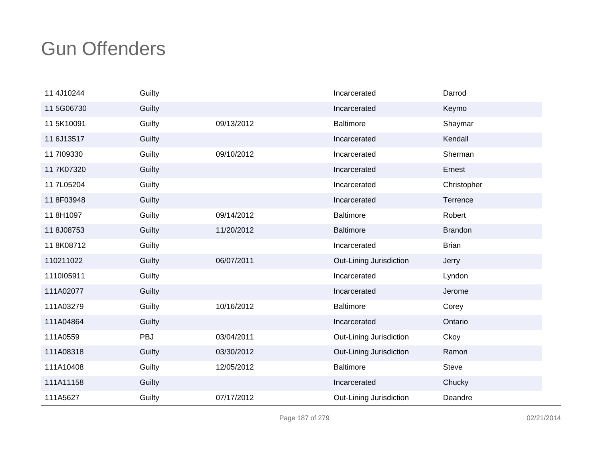| 11 4J10244 | Guilty |            | Incarcerated            | Darrod         |
|------------|--------|------------|-------------------------|----------------|
| 11 5G06730 | Guilty |            | Incarcerated            | Keymo          |
| 11 5K10091 | Guilty | 09/13/2012 | <b>Baltimore</b>        | Shaymar        |
| 11 6J13517 | Guilty |            | Incarcerated            | Kendall        |
| 11 7109330 | Guilty | 09/10/2012 | Incarcerated            | Sherman        |
| 11 7K07320 | Guilty |            | Incarcerated            | Ernest         |
| 11 7L05204 | Guilty |            | Incarcerated            | Christopher    |
| 11 8F03948 | Guilty |            | Incarcerated            | Terrence       |
| 11 8H1097  | Guilty | 09/14/2012 | <b>Baltimore</b>        | Robert         |
| 11 8J08753 | Guilty | 11/20/2012 | <b>Baltimore</b>        | <b>Brandon</b> |
| 118K08712  | Guilty |            | Incarcerated            | <b>Brian</b>   |
| 110211022  | Guilty | 06/07/2011 | Out-Lining Jurisdiction | Jerry          |
| 1110105911 | Guilty |            | Incarcerated            | Lyndon         |
| 111A02077  | Guilty |            | Incarcerated            | Jerome         |
| 111A03279  | Guilty | 10/16/2012 | <b>Baltimore</b>        | Corey          |
| 111A04864  | Guilty |            | Incarcerated            | Ontario        |
| 111A0559   | PBJ    | 03/04/2011 | Out-Lining Jurisdiction | Ckoy           |
| 111A08318  | Guilty | 03/30/2012 | Out-Lining Jurisdiction | Ramon          |
| 111A10408  | Guilty | 12/05/2012 | <b>Baltimore</b>        | <b>Steve</b>   |
| 111A11158  | Guilty |            | Incarcerated            | Chucky         |
| 111A5627   | Guilty | 07/17/2012 | Out-Lining Jurisdiction | Deandre        |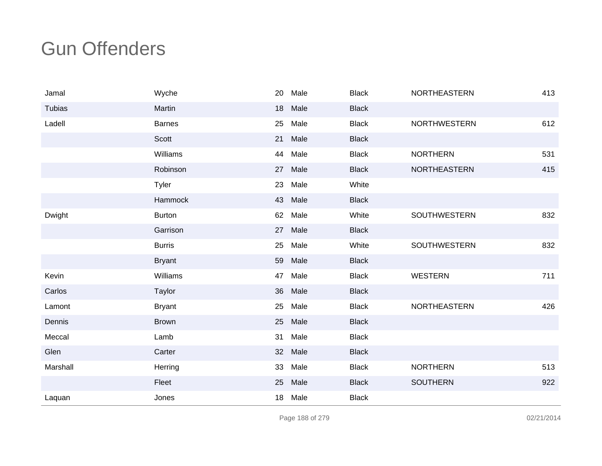| Jamal    | Wyche          | 20 | Male | <b>Black</b> | <b>NORTHEASTERN</b> | 413 |
|----------|----------------|----|------|--------------|---------------------|-----|
| Tubias   | Martin         | 18 | Male | <b>Black</b> |                     |     |
| Ladell   | <b>Barnes</b>  | 25 | Male | <b>Black</b> | <b>NORTHWESTERN</b> | 612 |
|          | Scott          | 21 | Male | <b>Black</b> |                     |     |
|          | Williams       | 44 | Male | <b>Black</b> | <b>NORTHERN</b>     | 531 |
|          | Robinson       | 27 | Male | <b>Black</b> | <b>NORTHEASTERN</b> | 415 |
|          | Tyler          | 23 | Male | White        |                     |     |
|          | <b>Hammock</b> | 43 | Male | <b>Black</b> |                     |     |
| Dwight   | <b>Burton</b>  | 62 | Male | White        | SOUTHWESTERN        | 832 |
|          | Garrison       | 27 | Male | <b>Black</b> |                     |     |
|          | <b>Burris</b>  | 25 | Male | White        | <b>SOUTHWESTERN</b> | 832 |
|          | <b>Bryant</b>  | 59 | Male | <b>Black</b> |                     |     |
| Kevin    | Williams       | 47 | Male | <b>Black</b> | <b>WESTERN</b>      | 711 |
| Carlos   | Taylor         | 36 | Male | <b>Black</b> |                     |     |
| Lamont   | <b>Bryant</b>  | 25 | Male | <b>Black</b> | NORTHEASTERN        | 426 |
| Dennis   | <b>Brown</b>   | 25 | Male | <b>Black</b> |                     |     |
| Meccal   | Lamb           | 31 | Male | <b>Black</b> |                     |     |
| Glen     | Carter         | 32 | Male | <b>Black</b> |                     |     |
| Marshall | Herring        | 33 | Male | <b>Black</b> | <b>NORTHERN</b>     | 513 |
|          | Fleet          | 25 | Male | <b>Black</b> | <b>SOUTHERN</b>     | 922 |
| Laquan   | Jones          | 18 | Male | <b>Black</b> |                     |     |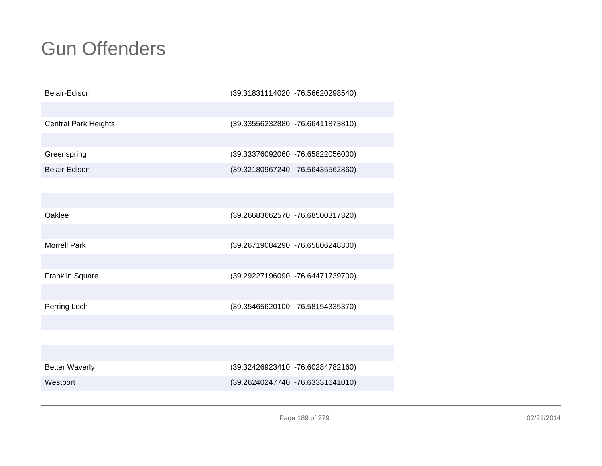| Belair-Edison               | (39.31831114020, -76.56620298540) |
|-----------------------------|-----------------------------------|
|                             |                                   |
| <b>Central Park Heights</b> | (39.33556232880, -76.66411873810) |
|                             |                                   |
| Greenspring                 | (39.33376092060, -76.65822056000) |
| Belair-Edison               | (39.32180967240, -76.56435562860) |
|                             |                                   |
|                             |                                   |
| Oaklee                      | (39.26683662570, -76.68500317320) |
|                             |                                   |
| <b>Morrell Park</b>         | (39.26719084290, -76.65806248300) |
|                             |                                   |
| Franklin Square             | (39.29227196090, -76.64471739700) |
|                             |                                   |
| Perring Loch                | (39.35465620100, -76.58154335370) |
|                             |                                   |
|                             |                                   |
|                             |                                   |
| <b>Better Waverly</b>       | (39.32426923410, -76.60284782160) |
| Westport                    | (39.26240247740, -76.63331641010) |
|                             |                                   |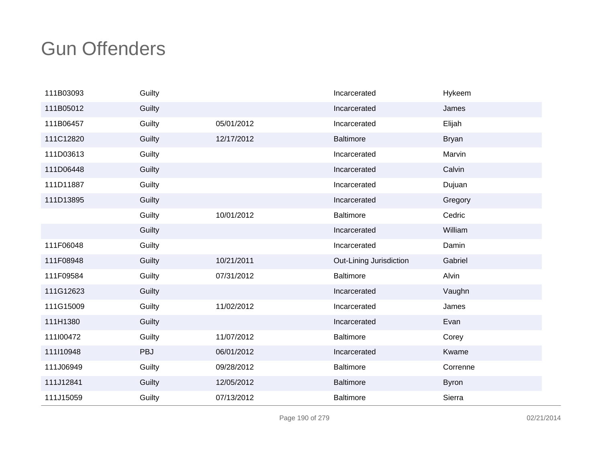| 111B03093 | Guilty |            | Incarcerated            | Hykeem       |
|-----------|--------|------------|-------------------------|--------------|
| 111B05012 | Guilty |            | Incarcerated            | James        |
| 111B06457 | Guilty | 05/01/2012 | Incarcerated            | Elijah       |
| 111C12820 | Guilty | 12/17/2012 | <b>Baltimore</b>        | <b>Bryan</b> |
| 111D03613 | Guilty |            | Incarcerated            | Marvin       |
| 111D06448 | Guilty |            | Incarcerated            | Calvin       |
| 111D11887 | Guilty |            | Incarcerated            | Dujuan       |
| 111D13895 | Guilty |            | Incarcerated            | Gregory      |
|           | Guilty | 10/01/2012 | <b>Baltimore</b>        | Cedric       |
|           | Guilty |            | Incarcerated            | William      |
| 111F06048 | Guilty |            | Incarcerated            | Damin        |
| 111F08948 | Guilty | 10/21/2011 | Out-Lining Jurisdiction | Gabriel      |
| 111F09584 | Guilty | 07/31/2012 | <b>Baltimore</b>        | Alvin        |
| 111G12623 | Guilty |            | Incarcerated            | Vaughn       |
| 111G15009 | Guilty | 11/02/2012 | Incarcerated            | James        |
| 111H1380  | Guilty |            | Incarcerated            | Evan         |
| 111l00472 | Guilty | 11/07/2012 | <b>Baltimore</b>        | Corey        |
| 111110948 | PBJ    | 06/01/2012 | Incarcerated            | Kwame        |
| 111J06949 | Guilty | 09/28/2012 | <b>Baltimore</b>        | Correnne     |
| 111J12841 | Guilty | 12/05/2012 | <b>Baltimore</b>        | <b>Byron</b> |
| 111J15059 | Guilty | 07/13/2012 | <b>Baltimore</b>        | Sierra       |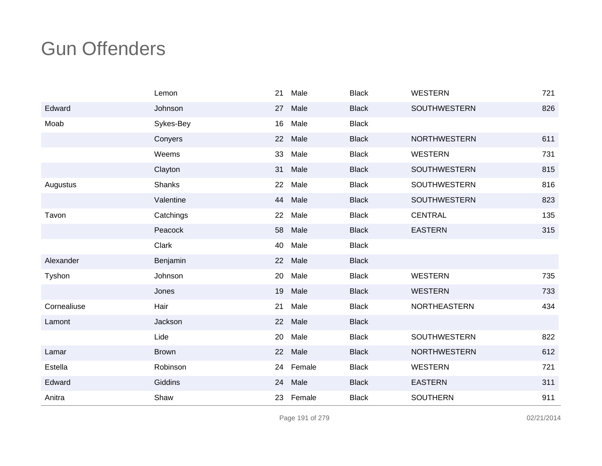|             | Lemon         | 21 | Male   | <b>Black</b> | WESTERN             | 721 |
|-------------|---------------|----|--------|--------------|---------------------|-----|
| Edward      | Johnson       | 27 | Male   | <b>Black</b> | <b>SOUTHWESTERN</b> | 826 |
| Moab        | Sykes-Bey     | 16 | Male   | <b>Black</b> |                     |     |
|             | Conyers       | 22 | Male   | <b>Black</b> | <b>NORTHWESTERN</b> | 611 |
|             | Weems         | 33 | Male   | <b>Black</b> | <b>WESTERN</b>      | 731 |
|             | Clayton       | 31 | Male   | <b>Black</b> | <b>SOUTHWESTERN</b> | 815 |
| Augustus    | <b>Shanks</b> | 22 | Male   | <b>Black</b> | <b>SOUTHWESTERN</b> | 816 |
|             | Valentine     | 44 | Male   | <b>Black</b> | <b>SOUTHWESTERN</b> | 823 |
| Tavon       | Catchings     | 22 | Male   | <b>Black</b> | <b>CENTRAL</b>      | 135 |
|             | Peacock       | 58 | Male   | <b>Black</b> | <b>EASTERN</b>      | 315 |
|             | Clark         | 40 | Male   | <b>Black</b> |                     |     |
| Alexander   | Benjamin      | 22 | Male   | <b>Black</b> |                     |     |
| Tyshon      | Johnson       | 20 | Male   | <b>Black</b> | <b>WESTERN</b>      | 735 |
|             | Jones         | 19 | Male   | <b>Black</b> | <b>WESTERN</b>      | 733 |
| Cornealiuse | Hair          | 21 | Male   | <b>Black</b> | <b>NORTHEASTERN</b> | 434 |
| Lamont      | Jackson       | 22 | Male   | <b>Black</b> |                     |     |
|             | Lide          | 20 | Male   | <b>Black</b> | <b>SOUTHWESTERN</b> | 822 |
| Lamar       | <b>Brown</b>  | 22 | Male   | <b>Black</b> | <b>NORTHWESTERN</b> | 612 |
| Estella     | Robinson      | 24 | Female | <b>Black</b> | <b>WESTERN</b>      | 721 |
| Edward      | Giddins       | 24 | Male   | <b>Black</b> | <b>EASTERN</b>      | 311 |
| Anitra      | Shaw          | 23 | Female | <b>Black</b> | <b>SOUTHERN</b>     | 911 |

Page 191 of 279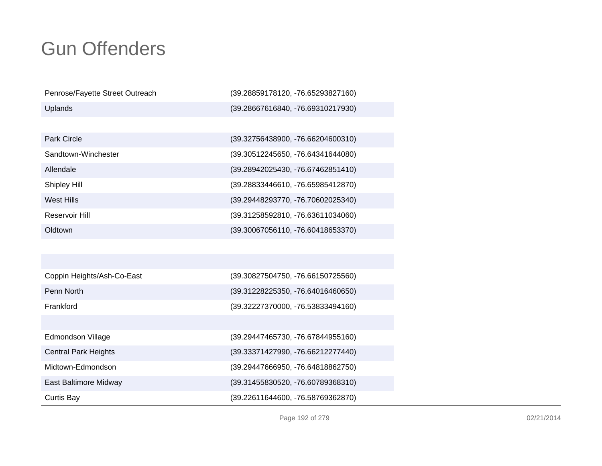| Penrose/Fayette Street Outreach | (39.28859178120, -76.65293827160)   |
|---------------------------------|-------------------------------------|
| Uplands                         | (39.28667616840, -76.69310217930)   |
|                                 |                                     |
| Park Circle                     | (39.32756438900, -76.66204600310)   |
| Sandtown-Winchester             | (39.30512245650, -76.64341644080)   |
| Allendale                       | (39.28942025430, -76.67462851410)   |
| Shipley Hill                    | (39.28833446610, -76.65985412870)   |
| West Hills                      | (39.29448293770, -76.70602025340)   |
| Reservoir Hill                  | (39.31258592810, -76.63611034060)   |
| Oldtown                         | (39.30067056110, -76.60418653370)   |
|                                 |                                     |
|                                 |                                     |
| Coppin Heights/Ash-Co-East      | (39.30827504750, -76.66150725560)   |
| Penn North                      | $(39.31228225350, -76.64016460650)$ |
| Frankford                       | (39.32227370000, -76.53833494160)   |
|                                 |                                     |

| Curtis Bay                  | (39.22611644600, -76.58769362870) |
|-----------------------------|-----------------------------------|
| East Baltimore Midway       | (39.31455830520, -76.60789368310) |
| Midtown-Edmondson           | (39.29447666950, -76.64818862750) |
| <b>Central Park Heights</b> | (39.33371427990, -76.66212277440) |
| Edmondson Village           | (39.29447465730, -76.67844955160) |
|                             |                                   |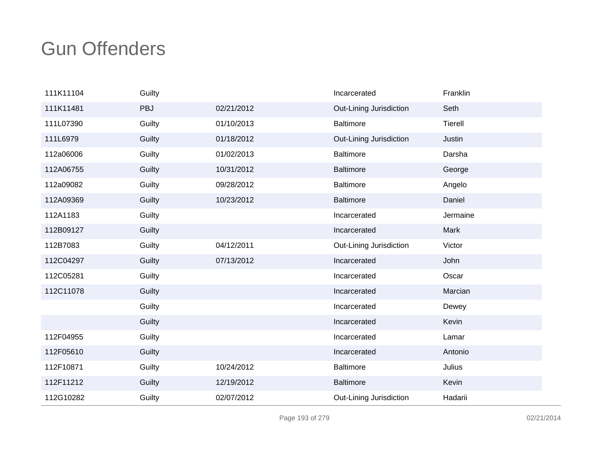| 111K11104 | Guilty |            | Incarcerated            | Franklin |
|-----------|--------|------------|-------------------------|----------|
| 111K11481 | PBJ    | 02/21/2012 | Out-Lining Jurisdiction | Seth     |
| 111L07390 | Guilty | 01/10/2013 | <b>Baltimore</b>        | Tierell  |
| 111L6979  | Guilty | 01/18/2012 | Out-Lining Jurisdiction | Justin   |
| 112a06006 | Guilty | 01/02/2013 | <b>Baltimore</b>        | Darsha   |
| 112A06755 | Guilty | 10/31/2012 | <b>Baltimore</b>        | George   |
| 112a09082 | Guilty | 09/28/2012 | <b>Baltimore</b>        | Angelo   |
| 112A09369 | Guilty | 10/23/2012 | <b>Baltimore</b>        | Daniel   |
| 112A1183  | Guilty |            | Incarcerated            | Jermaine |
| 112B09127 | Guilty |            | Incarcerated            | Mark     |
| 112B7083  | Guilty | 04/12/2011 | Out-Lining Jurisdiction | Victor   |
| 112C04297 | Guilty | 07/13/2012 | Incarcerated            | John     |
| 112C05281 | Guilty |            | Incarcerated            | Oscar    |
| 112C11078 | Guilty |            | Incarcerated            | Marcian  |
|           | Guilty |            | Incarcerated            | Dewey    |
|           | Guilty |            | Incarcerated            | Kevin    |
| 112F04955 | Guilty |            | Incarcerated            | Lamar    |
| 112F05610 | Guilty |            | Incarcerated            | Antonio  |
| 112F10871 | Guilty | 10/24/2012 | <b>Baltimore</b>        | Julius   |
| 112F11212 | Guilty | 12/19/2012 | <b>Baltimore</b>        | Kevin    |
| 112G10282 | Guilty | 02/07/2012 | Out-Lining Jurisdiction | Hadarii  |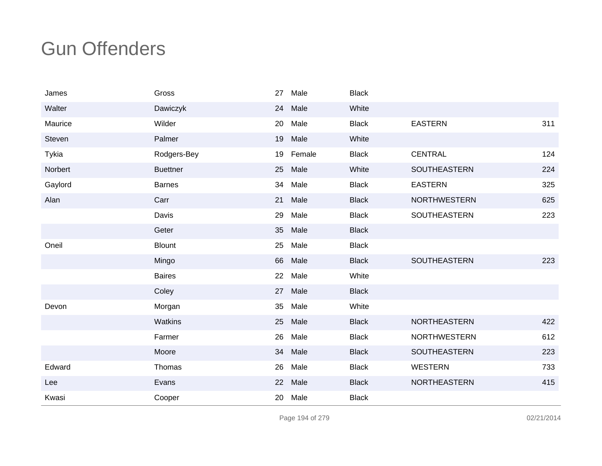| James   | Gross           | 27              | Male   | <b>Black</b> |                     |     |
|---------|-----------------|-----------------|--------|--------------|---------------------|-----|
| Walter  | Dawiczyk        | 24              | Male   | White        |                     |     |
| Maurice | Wilder          | 20              | Male   | <b>Black</b> | <b>EASTERN</b>      | 311 |
| Steven  | Palmer          | 19              | Male   | White        |                     |     |
| Tykia   | Rodgers-Bey     | 19              | Female | <b>Black</b> | <b>CENTRAL</b>      | 124 |
| Norbert | <b>Buettner</b> | 25              | Male   | White        | <b>SOUTHEASTERN</b> | 224 |
| Gaylord | <b>Barnes</b>   | 34              | Male   | <b>Black</b> | <b>EASTERN</b>      | 325 |
| Alan    | Carr            | 21              | Male   | <b>Black</b> | <b>NORTHWESTERN</b> | 625 |
|         | Davis           | 29              | Male   | <b>Black</b> | SOUTHEASTERN        | 223 |
|         | Geter           | 35 <sub>2</sub> | Male   | <b>Black</b> |                     |     |
| Oneil   | <b>Blount</b>   | 25              | Male   | <b>Black</b> |                     |     |
|         | Mingo           | 66              | Male   | <b>Black</b> | <b>SOUTHEASTERN</b> | 223 |
|         | <b>Baires</b>   | 22              | Male   | White        |                     |     |
|         | Coley           | 27              | Male   | <b>Black</b> |                     |     |
| Devon   | Morgan          | 35              | Male   | White        |                     |     |
|         | Watkins         | 25              | Male   | <b>Black</b> | NORTHEASTERN        | 422 |
|         | Farmer          | 26              | Male   | <b>Black</b> | <b>NORTHWESTERN</b> | 612 |
|         | Moore           | 34              | Male   | <b>Black</b> | <b>SOUTHEASTERN</b> | 223 |
| Edward  | Thomas          | 26              | Male   | <b>Black</b> | <b>WESTERN</b>      | 733 |
| Lee     | Evans           | 22              | Male   | <b>Black</b> | <b>NORTHEASTERN</b> | 415 |
| Kwasi   | Cooper          | 20              | Male   | <b>Black</b> |                     |     |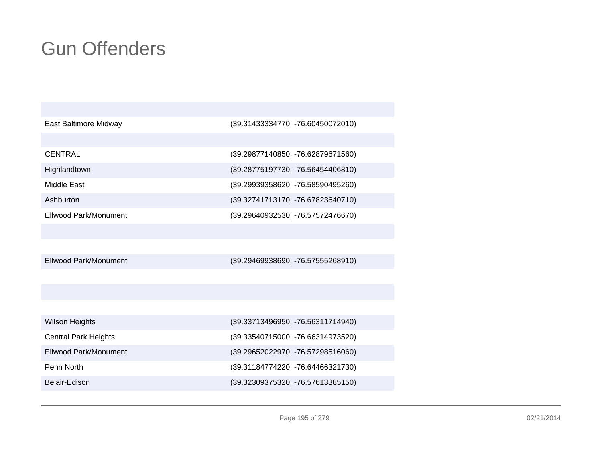| East Baltimore Midway        | (39.31433334770, -76.60450072010) |
|------------------------------|-----------------------------------|
|                              |                                   |
| <b>CENTRAL</b>               | (39.29877140850, -76.62879671560) |
| Highlandtown                 | (39.28775197730, -76.56454406810) |
| Middle East                  | (39.29939358620, -76.58590495260) |
| Ashburton                    | (39.32741713170, -76.67823640710) |
| <b>Ellwood Park/Monument</b> | (39.29640932530, -76.57572476670) |
|                              |                                   |
|                              |                                   |
| <b>Ellwood Park/Monument</b> | (39.29469938690, -76.57555268910) |
|                              |                                   |
|                              |                                   |
|                              |                                   |
| <b>Wilson Heights</b>        | (39.33713496950, -76.56311714940) |
| <b>Central Park Heights</b>  | (39.33540715000, -76.66314973520) |
| Ellwood Park/Monument        | (39.29652022970, -76.57298516060) |
| Penn North                   | (39.31184774220, -76.64466321730) |
| Belair-Edison                | (39.32309375320, -76.57613385150) |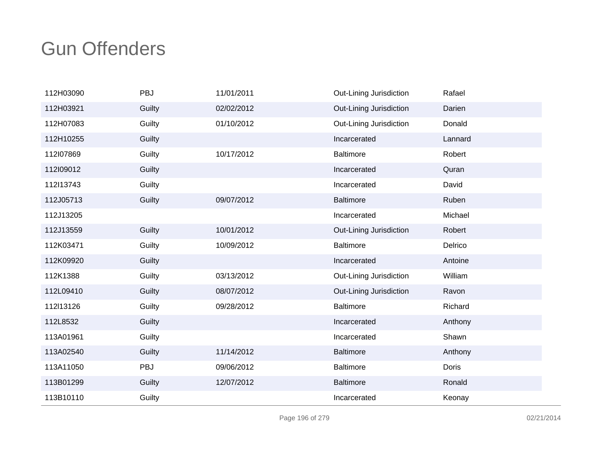| 112H03090 | PBJ    | 11/01/2011 | Out-Lining Jurisdiction | Rafael  |
|-----------|--------|------------|-------------------------|---------|
| 112H03921 | Guilty | 02/02/2012 | Out-Lining Jurisdiction | Darien  |
| 112H07083 | Guilty | 01/10/2012 | Out-Lining Jurisdiction | Donald  |
| 112H10255 | Guilty |            | Incarcerated            | Lannard |
| 112l07869 | Guilty | 10/17/2012 | <b>Baltimore</b>        | Robert  |
| 112109012 | Guilty |            | Incarcerated            | Quran   |
| 112l13743 | Guilty |            | Incarcerated            | David   |
| 112J05713 | Guilty | 09/07/2012 | <b>Baltimore</b>        | Ruben   |
| 112J13205 |        |            | Incarcerated            | Michael |
| 112J13559 | Guilty | 10/01/2012 | Out-Lining Jurisdiction | Robert  |
| 112K03471 | Guilty | 10/09/2012 | <b>Baltimore</b>        | Delrico |
| 112K09920 | Guilty |            | Incarcerated            | Antoine |
| 112K1388  | Guilty | 03/13/2012 | Out-Lining Jurisdiction | William |
| 112L09410 | Guilty | 08/07/2012 | Out-Lining Jurisdiction | Ravon   |
| 112l13126 | Guilty | 09/28/2012 | <b>Baltimore</b>        | Richard |
| 112L8532  | Guilty |            | Incarcerated            | Anthony |
| 113A01961 | Guilty |            | Incarcerated            | Shawn   |
| 113A02540 | Guilty | 11/14/2012 | <b>Baltimore</b>        | Anthony |
| 113A11050 | PBJ    | 09/06/2012 | <b>Baltimore</b>        | Doris   |
| 113B01299 | Guilty | 12/07/2012 | <b>Baltimore</b>        | Ronald  |
| 113B10110 | Guilty |            | Incarcerated            | Keonay  |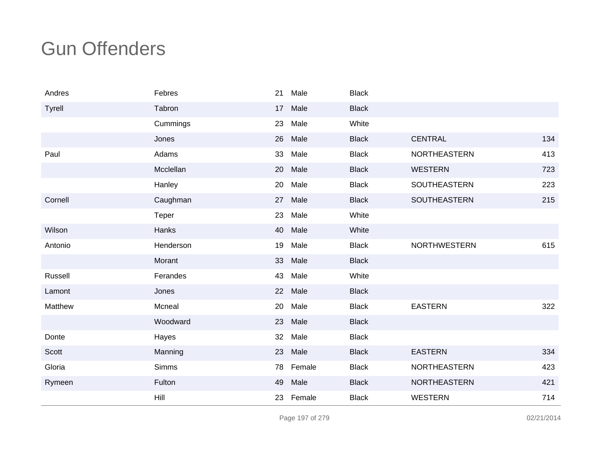| Andres  | Febres    | 21 | Male   | <b>Black</b> |                     |     |
|---------|-----------|----|--------|--------------|---------------------|-----|
| Tyrell  | Tabron    | 17 | Male   | <b>Black</b> |                     |     |
|         | Cummings  | 23 | Male   | White        |                     |     |
|         | Jones     | 26 | Male   | <b>Black</b> | <b>CENTRAL</b>      | 134 |
| Paul    | Adams     | 33 | Male   | <b>Black</b> | <b>NORTHEASTERN</b> | 413 |
|         | Mcclellan | 20 | Male   | <b>Black</b> | <b>WESTERN</b>      | 723 |
|         | Hanley    | 20 | Male   | <b>Black</b> | SOUTHEASTERN        | 223 |
| Cornell | Caughman  | 27 | Male   | <b>Black</b> | <b>SOUTHEASTERN</b> | 215 |
|         | Teper     | 23 | Male   | White        |                     |     |
| Wilson  | Hanks     | 40 | Male   | White        |                     |     |
| Antonio | Henderson | 19 | Male   | <b>Black</b> | <b>NORTHWESTERN</b> | 615 |
|         | Morant    | 33 | Male   | <b>Black</b> |                     |     |
| Russell | Ferandes  | 43 | Male   | White        |                     |     |
| Lamont  | Jones     | 22 | Male   | <b>Black</b> |                     |     |
| Matthew | Mcneal    | 20 | Male   | <b>Black</b> | <b>EASTERN</b>      | 322 |
|         | Woodward  | 23 | Male   | <b>Black</b> |                     |     |
| Donte   | Hayes     | 32 | Male   | <b>Black</b> |                     |     |
| Scott   | Manning   | 23 | Male   | <b>Black</b> | <b>EASTERN</b>      | 334 |
| Gloria  | Simms     | 78 | Female | <b>Black</b> | <b>NORTHEASTERN</b> | 423 |
| Rymeen  | Fulton    | 49 | Male   | <b>Black</b> | <b>NORTHEASTERN</b> | 421 |
|         | Hill      | 23 | Female | <b>Black</b> | <b>WESTERN</b>      | 714 |

Page 197 of 279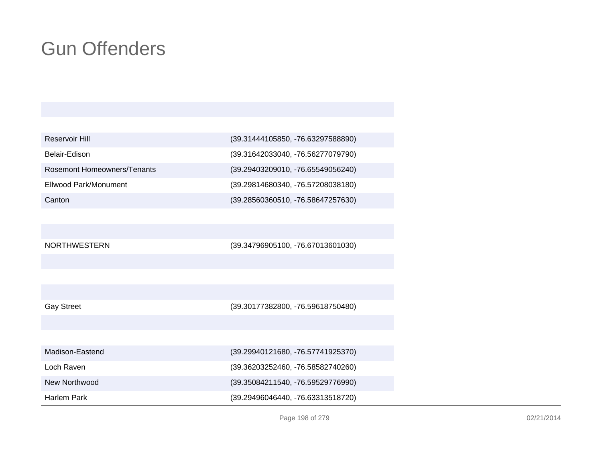| Reservoir Hill                     | (39.31444105850, -76.63297588890) |
|------------------------------------|-----------------------------------|
| Belair-Edison                      | (39.31642033040, -76.56277079790) |
| <b>Rosemont Homeowners/Tenants</b> | (39.29403209010, -76.65549056240) |
| Ellwood Park/Monument              | (39.29814680340, -76.57208038180) |
| Canton                             | (39.28560360510, -76.58647257630) |

NORTHWESTERN

(39.34796905100, -76.67013601030)

(39.30177382800, -76.59618750480)

(39.29940121680, -76.57741925370)

(39.36203252460, -76.58582740260)

(39.35084211540, -76.59529776990)

(39.29496046440, -76.63313518720)

| Loch Raven |  |
|------------|--|

Madison-Eastend

New Northwood

Harlem Park

Page 198 of 279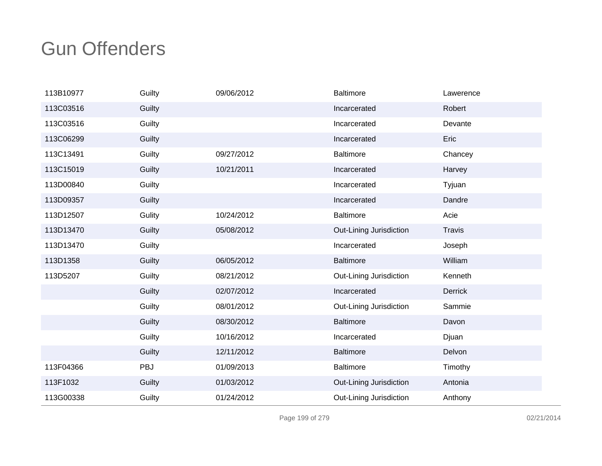| 113B10977 | Guilty | 09/06/2012 | <b>Baltimore</b>        | Lawerence     |
|-----------|--------|------------|-------------------------|---------------|
| 113C03516 | Guilty |            | Incarcerated            | Robert        |
| 113C03516 | Guilty |            | Incarcerated            | Devante       |
| 113C06299 | Guilty |            | Incarcerated            | Eric          |
| 113C13491 | Guilty | 09/27/2012 | <b>Baltimore</b>        | Chancey       |
| 113C15019 | Guilty | 10/21/2011 | Incarcerated            | Harvey        |
| 113D00840 | Guilty |            | Incarcerated            | Tyjuan        |
| 113D09357 | Guilty |            | Incarcerated            | Dandre        |
| 113D12507 | Gulity | 10/24/2012 | <b>Baltimore</b>        | Acie          |
| 113D13470 | Guilty | 05/08/2012 | Out-Lining Jurisdiction | <b>Travis</b> |
| 113D13470 | Guilty |            | Incarcerated            | Joseph        |
| 113D1358  | Guilty | 06/05/2012 | <b>Baltimore</b>        | William       |
| 113D5207  | Guilty | 08/21/2012 | Out-Lining Jurisdiction | Kenneth       |
|           | Guilty | 02/07/2012 | Incarcerated            | Derrick       |
|           | Guilty | 08/01/2012 | Out-Lining Jurisdiction | Sammie        |
|           | Guilty | 08/30/2012 | <b>Baltimore</b>        | Davon         |
|           | Guilty | 10/16/2012 | Incarcerated            | Djuan         |
|           | Guilty | 12/11/2012 | <b>Baltimore</b>        | Delvon        |
| 113F04366 | PBJ    | 01/09/2013 | <b>Baltimore</b>        | Timothy       |
| 113F1032  | Guilty | 01/03/2012 | Out-Lining Jurisdiction | Antonia       |
| 113G00338 | Guilty | 01/24/2012 | Out-Lining Jurisdiction | Anthony       |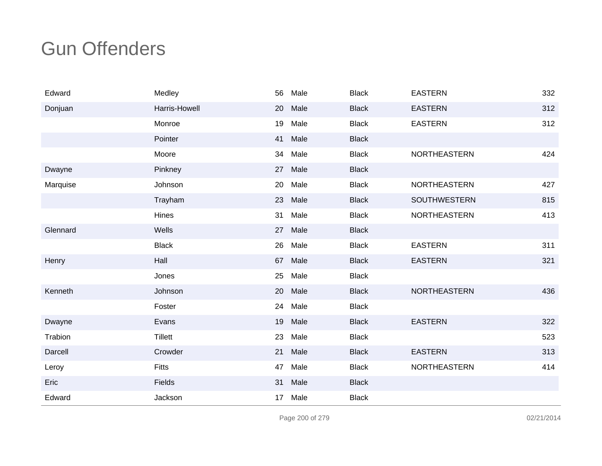| Edward   | Medley         | 56              | Male    | <b>Black</b> | <b>EASTERN</b>      | 332 |
|----------|----------------|-----------------|---------|--------------|---------------------|-----|
| Donjuan  | Harris-Howell  | 20              | Male    | <b>Black</b> | <b>EASTERN</b>      | 312 |
|          | Monroe         | 19              | Male    | <b>Black</b> | <b>EASTERN</b>      | 312 |
|          | Pointer        | 41              | Male    | <b>Black</b> |                     |     |
|          | Moore          | 34              | Male    | <b>Black</b> | NORTHEASTERN        | 424 |
| Dwayne   | Pinkney        | 27              | Male    | <b>Black</b> |                     |     |
| Marquise | Johnson        | 20              | Male    | <b>Black</b> | NORTHEASTERN        | 427 |
|          | Trayham        | 23              | Male    | <b>Black</b> | SOUTHWESTERN        | 815 |
|          | Hines          | 31              | Male    | <b>Black</b> | <b>NORTHEASTERN</b> | 413 |
| Glennard | Wells          |                 | 27 Male | <b>Black</b> |                     |     |
|          | <b>Black</b>   | 26              | Male    | <b>Black</b> | <b>EASTERN</b>      | 311 |
| Henry    | Hall           | 67              | Male    | <b>Black</b> | <b>EASTERN</b>      | 321 |
|          | Jones          | 25              | Male    | <b>Black</b> |                     |     |
| Kenneth  | Johnson        | 20              | Male    | <b>Black</b> | NORTHEASTERN        | 436 |
|          | Foster         | 24              | Male    | <b>Black</b> |                     |     |
| Dwayne   | Evans          | 19              | Male    | <b>Black</b> | <b>EASTERN</b>      | 322 |
| Trabion  | <b>Tillett</b> | 23              | Male    | <b>Black</b> |                     | 523 |
| Darcell  | Crowder        | 21              | Male    | <b>Black</b> | <b>EASTERN</b>      | 313 |
| Leroy    | <b>Fitts</b>   | 47              | Male    | <b>Black</b> | <b>NORTHEASTERN</b> | 414 |
| Eric     | Fields         | 31              | Male    | <b>Black</b> |                     |     |
| Edward   | Jackson        | 17 <sub>1</sub> | Male    | <b>Black</b> |                     |     |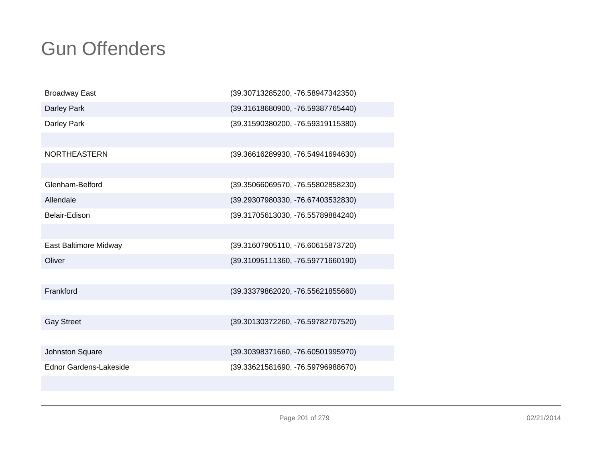| <b>Broadway East</b>          | (39.30713285200, -76.58947342350) |
|-------------------------------|-----------------------------------|
| Darley Park                   | (39.31618680900, -76.59387765440) |
| Darley Park                   | (39.31590380200, -76.59319115380) |
|                               |                                   |
| <b>NORTHEASTERN</b>           | (39.36616289930, -76.54941694630) |
|                               |                                   |
| Glenham-Belford               | (39.35066069570, -76.55802858230) |
| Allendale                     | (39.29307980330, -76.67403532830) |
| Belair-Edison                 | (39.31705613030, -76.55789884240) |
|                               |                                   |
| East Baltimore Midway         | (39.31607905110, -76.60615873720) |
| Oliver                        | (39.31095111360, -76.59771660190) |
|                               |                                   |
| Frankford                     | (39.33379862020, -76.55621855660) |
|                               |                                   |
| <b>Gay Street</b>             | (39.30130372260, -76.59782707520) |
|                               |                                   |
| Johnston Square               | (39.30398371660, -76.60501995970) |
| <b>Ednor Gardens-Lakeside</b> | (39.33621581690, -76.59796988670) |
|                               |                                   |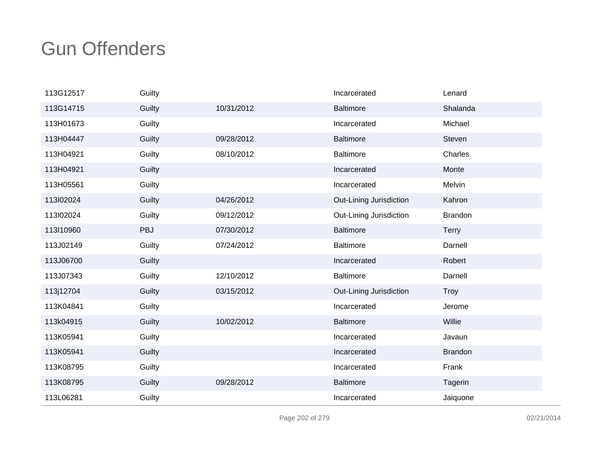| 113G12517 | Guilty |            | Incarcerated            | Lenard         |
|-----------|--------|------------|-------------------------|----------------|
| 113G14715 | Guilty | 10/31/2012 | <b>Baltimore</b>        | Shalanda       |
| 113H01673 | Guilty |            | Incarcerated            | Michael        |
| 113H04447 | Guilty | 09/28/2012 | <b>Baltimore</b>        | Steven         |
| 113H04921 | Guilty | 08/10/2012 | <b>Baltimore</b>        | Charles        |
| 113H04921 | Guilty |            | Incarcerated            | Monte          |
| 113H05561 | Guilty |            | Incarcerated            | Melvin         |
| 113l02024 | Guilty | 04/26/2012 | Out-Lining Jurisdiction | Kahron         |
| 113l02024 | Guilty | 09/12/2012 | Out-Lining Jurisdiction | <b>Brandon</b> |
| 113l10960 | PBJ    | 07/30/2012 | <b>Baltimore</b>        | <b>Terry</b>   |
| 113J02149 | Guilty | 07/24/2012 | <b>Baltimore</b>        | Darnell        |
| 113J06700 | Guilty |            | Incarcerated            | Robert         |
| 113J07343 | Guilty | 12/10/2012 | <b>Baltimore</b>        | Darnell        |
| 113j12704 | Guilty | 03/15/2012 | Out-Lining Jurisdiction | Troy           |
| 113K04841 | Guilty |            | Incarcerated            | Jerome         |
| 113k04915 | Guilty | 10/02/2012 | <b>Baltimore</b>        | Willie         |
| 113K05941 | Guilty |            | Incarcerated            | Javaun         |
| 113K05941 | Guilty |            | Incarcerated            | <b>Brandon</b> |
| 113K08795 | Guilty |            | Incarcerated            | Frank          |
| 113K08795 | Guilty | 09/28/2012 | <b>Baltimore</b>        | Tagerin        |
| 113L06281 | Guilty |            | Incarcerated            | Jaiquone       |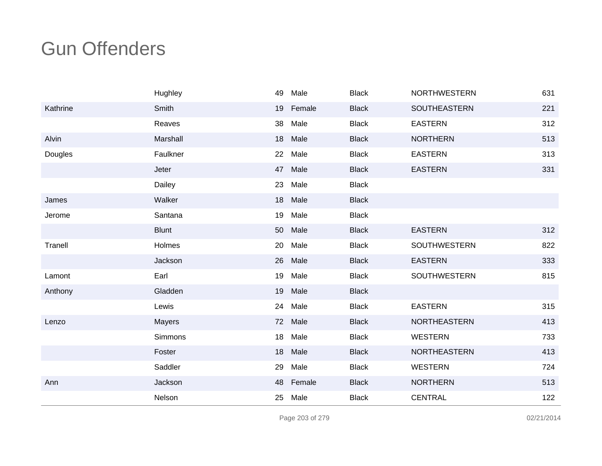|          | Hughley       | 49 | Male   | <b>Black</b> | NORTHWESTERN        | 631 |
|----------|---------------|----|--------|--------------|---------------------|-----|
| Kathrine | Smith         | 19 | Female | <b>Black</b> | SOUTHEASTERN        | 221 |
|          | Reaves        | 38 | Male   | <b>Black</b> | <b>EASTERN</b>      | 312 |
| Alvin    | Marshall      | 18 | Male   | <b>Black</b> | <b>NORTHERN</b>     | 513 |
| Dougles  | Faulkner      | 22 | Male   | <b>Black</b> | <b>EASTERN</b>      | 313 |
|          | Jeter         | 47 | Male   | <b>Black</b> | <b>EASTERN</b>      | 331 |
|          | Dailey        | 23 | Male   | <b>Black</b> |                     |     |
| James    | Walker        | 18 | Male   | <b>Black</b> |                     |     |
| Jerome   | Santana       | 19 | Male   | <b>Black</b> |                     |     |
|          | <b>Blunt</b>  | 50 | Male   | <b>Black</b> | <b>EASTERN</b>      | 312 |
| Tranell  | Holmes        | 20 | Male   | <b>Black</b> | <b>SOUTHWESTERN</b> | 822 |
|          | Jackson       | 26 | Male   | <b>Black</b> | <b>EASTERN</b>      | 333 |
| Lamont   | Earl          | 19 | Male   | <b>Black</b> | <b>SOUTHWESTERN</b> | 815 |
| Anthony  | Gladden       | 19 | Male   | <b>Black</b> |                     |     |
|          | Lewis         | 24 | Male   | <b>Black</b> | <b>EASTERN</b>      | 315 |
| Lenzo    | <b>Mayers</b> | 72 | Male   | <b>Black</b> | <b>NORTHEASTERN</b> | 413 |
|          | Simmons       | 18 | Male   | <b>Black</b> | <b>WESTERN</b>      | 733 |
|          | Foster        | 18 | Male   | <b>Black</b> | NORTHEASTERN        | 413 |
|          | Saddler       | 29 | Male   | <b>Black</b> | <b>WESTERN</b>      | 724 |
| Ann      | Jackson       | 48 | Female | <b>Black</b> | <b>NORTHERN</b>     | 513 |
|          | Nelson        | 25 | Male   | <b>Black</b> | <b>CENTRAL</b>      | 122 |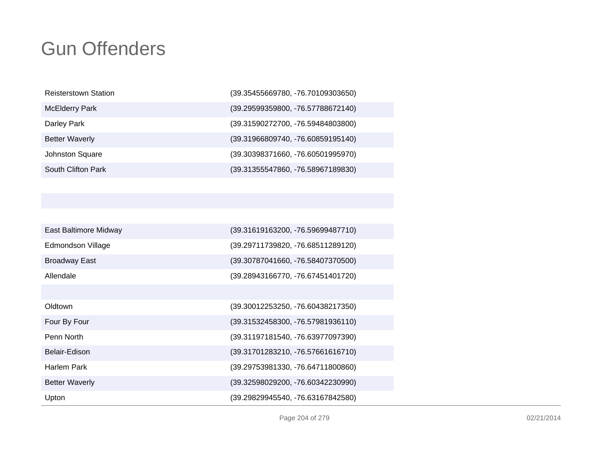| <b>Reisterstown Station</b> | (39.35455669780, -76.70109303650) |
|-----------------------------|-----------------------------------|
| <b>McElderry Park</b>       | (39.29599359800, -76.57788672140) |
| Darley Park                 | (39.31590272700, -76.59484803800) |
| <b>Better Waverly</b>       | (39.31966809740, -76.60859195140) |
| Johnston Square             | (39.30398371660, -76.60501995970) |
| South Clifton Park          | (39.31355547860, -76.58967189830) |

| East Baltimore Midway | (39.31619163200, -76.59699487710) |
|-----------------------|-----------------------------------|
| Edmondson Village     | (39.29711739820, -76.68511289120) |
| <b>Broadway East</b>  | (39.30787041660, -76.58407370500) |
| Allendale             | (39.28943166770, -76.67451401720) |
|                       |                                   |
| Oldtown               | (39.30012253250, -76.60438217350) |
| Four By Four          | (39.31532458300, -76.57981936110) |
| Penn North            | (39.31197181540, -76.63977097390) |
| Belair-Edison         | (39.31701283210, -76.57661616710) |
| <b>Harlem Park</b>    | (39.29753981330, -76.64711800860) |
| <b>Better Waverly</b> | (39.32598029200, -76.60342230990) |
| Upton                 | (39.29829945540, -76.63167842580) |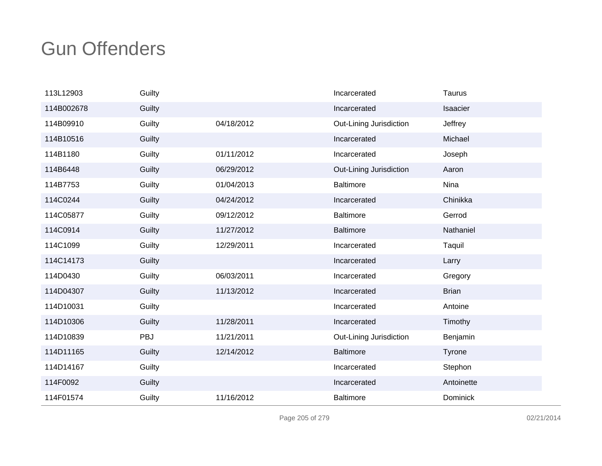| 113L12903  | Guilty |            | Incarcerated            | <b>Taurus</b> |
|------------|--------|------------|-------------------------|---------------|
| 114B002678 | Guilty |            | Incarcerated            | Isaacier      |
| 114B09910  | Guilty | 04/18/2012 | Out-Lining Jurisdiction | Jeffrey       |
| 114B10516  | Guilty |            | Incarcerated            | Michael       |
| 114B1180   | Guilty | 01/11/2012 | Incarcerated            | Joseph        |
| 114B6448   | Guilty | 06/29/2012 | Out-Lining Jurisdiction | Aaron         |
| 114B7753   | Guilty | 01/04/2013 | <b>Baltimore</b>        | Nina          |
| 114C0244   | Guilty | 04/24/2012 | Incarcerated            | Chinikka      |
| 114C05877  | Guilty | 09/12/2012 | <b>Baltimore</b>        | Gerrod        |
| 114C0914   | Guilty | 11/27/2012 | <b>Baltimore</b>        | Nathaniel     |
| 114C1099   | Guilty | 12/29/2011 | Incarcerated            | Taquil        |
| 114C14173  | Guilty |            | Incarcerated            | Larry         |
| 114D0430   | Guilty | 06/03/2011 | Incarcerated            | Gregory       |
| 114D04307  | Guilty | 11/13/2012 | Incarcerated            | <b>Brian</b>  |
| 114D10031  | Guilty |            | Incarcerated            | Antoine       |
| 114D10306  | Guilty | 11/28/2011 | Incarcerated            | Timothy       |
| 114D10839  | PBJ    | 11/21/2011 | Out-Lining Jurisdiction | Benjamin      |
| 114D11165  | Guilty | 12/14/2012 | <b>Baltimore</b>        | Tyrone        |
| 114D14167  | Guilty |            | Incarcerated            | Stephon       |
| 114F0092   | Guilty |            | Incarcerated            | Antoinette    |
| 114F01574  | Guilty | 11/16/2012 | <b>Baltimore</b>        | Dominick      |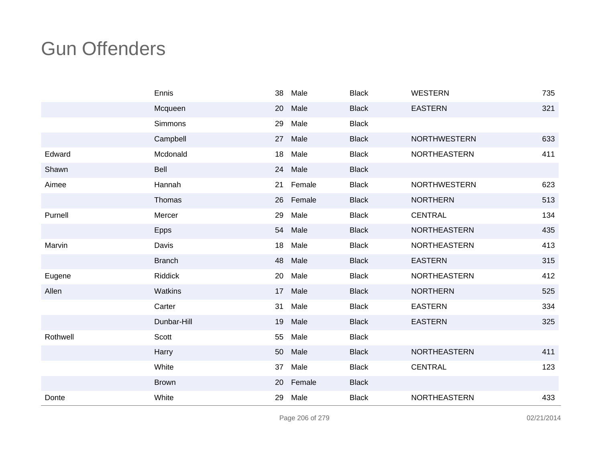|          | Ennis          | 38 | Male      | <b>Black</b> | <b>WESTERN</b>      | 735 |
|----------|----------------|----|-----------|--------------|---------------------|-----|
|          | Mcqueen        | 20 | Male      | <b>Black</b> | <b>EASTERN</b>      | 321 |
|          | Simmons        | 29 | Male      | <b>Black</b> |                     |     |
|          | Campbell       | 27 | Male      | <b>Black</b> | <b>NORTHWESTERN</b> | 633 |
| Edward   | Mcdonald       | 18 | Male      | <b>Black</b> | <b>NORTHEASTERN</b> | 411 |
| Shawn    | Bell           | 24 | Male      | <b>Black</b> |                     |     |
| Aimee    | Hannah         | 21 | Female    | <b>Black</b> | <b>NORTHWESTERN</b> | 623 |
|          | Thomas         |    | 26 Female | <b>Black</b> | <b>NORTHERN</b>     | 513 |
| Purnell  | Mercer         | 29 | Male      | <b>Black</b> | <b>CENTRAL</b>      | 134 |
|          | Epps           | 54 | Male      | <b>Black</b> | <b>NORTHEASTERN</b> | 435 |
| Marvin   | Davis          | 18 | Male      | <b>Black</b> | <b>NORTHEASTERN</b> | 413 |
|          | <b>Branch</b>  | 48 | Male      | <b>Black</b> | <b>EASTERN</b>      | 315 |
| Eugene   | <b>Riddick</b> | 20 | Male      | <b>Black</b> | NORTHEASTERN        | 412 |
| Allen    | Watkins        | 17 | Male      | <b>Black</b> | <b>NORTHERN</b>     | 525 |
|          | Carter         | 31 | Male      | <b>Black</b> | <b>EASTERN</b>      | 334 |
|          | Dunbar-Hill    | 19 | Male      | <b>Black</b> | <b>EASTERN</b>      | 325 |
| Rothwell | Scott          | 55 | Male      | <b>Black</b> |                     |     |
|          | Harry          | 50 | Male      | <b>Black</b> | <b>NORTHEASTERN</b> | 411 |
|          | White          | 37 | Male      | <b>Black</b> | <b>CENTRAL</b>      | 123 |
|          | <b>Brown</b>   | 20 | Female    | <b>Black</b> |                     |     |
| Donte    | White          | 29 | Male      | <b>Black</b> | NORTHEASTERN        | 433 |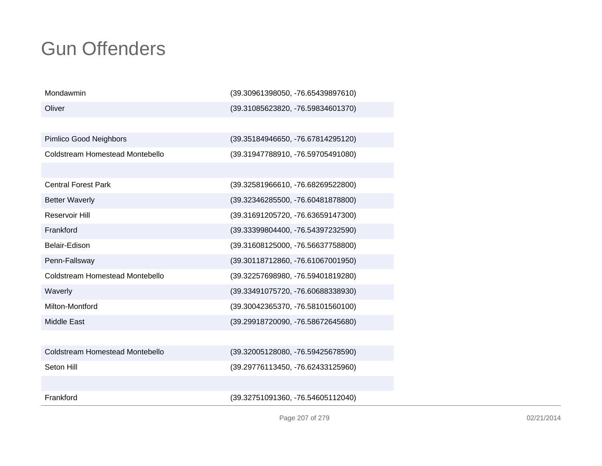| Mondawmin                       | (39.30961398050, -76.65439897610) |
|---------------------------------|-----------------------------------|
| Oliver                          | (39.31085623820, -76.59834601370) |
|                                 |                                   |
| Pimlico Good Neighbors          | (39.35184946650, -76.67814295120) |
| Coldstream Homestead Montebello | (39.31947788910, -76.59705491080) |
|                                 |                                   |
| <b>Central Forest Park</b>      | (39.32581966610, -76.68269522800) |
| <b>Better Waverly</b>           | (39.32346285500, -76.60481878800) |
| Reservoir Hill                  | (39.31691205720, -76.63659147300) |
| Frankford                       | (39.33399804400, -76.54397232590) |
| Belair-Edison                   | (39.31608125000, -76.56637758800) |
| Penn-Fallsway                   | (39.30118712860, -76.61067001950) |
| Coldstream Homestead Montebello | (39.32257698980, -76.59401819280) |
| Waverly                         | (39.33491075720, -76.60688338930) |
| Milton-Montford                 | (39.30042365370, -76.58101560100) |
| <b>Middle East</b>              | (39.29918720090, -76.58672645680) |
|                                 |                                   |
| Coldstream Homestead Montebello | (39.32005128080, -76.59425678590) |
| Seton Hill                      | (39.29776113450, -76.62433125960) |
|                                 |                                   |
| Frankford                       | (39.32751091360, -76.54605112040) |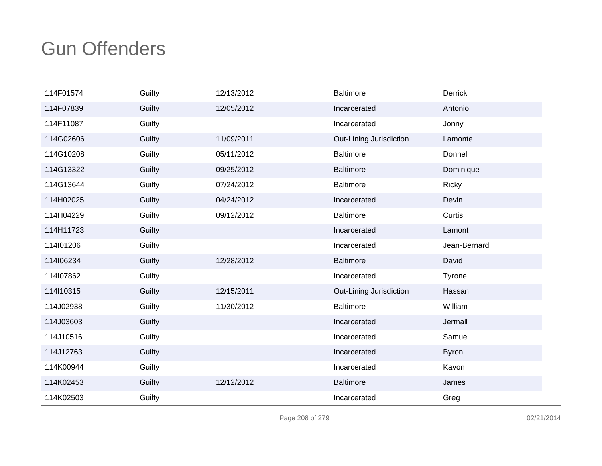| 114F01574 | Guilty | 12/13/2012 | <b>Baltimore</b>        | <b>Derrick</b> |
|-----------|--------|------------|-------------------------|----------------|
| 114F07839 | Guilty | 12/05/2012 | Incarcerated            | Antonio        |
| 114F11087 | Guilty |            | Incarcerated            | Jonny          |
| 114G02606 | Guilty | 11/09/2011 | Out-Lining Jurisdiction | Lamonte        |
| 114G10208 | Guilty | 05/11/2012 | <b>Baltimore</b>        | Donnell        |
| 114G13322 | Guilty | 09/25/2012 | <b>Baltimore</b>        | Dominique      |
| 114G13644 | Guilty | 07/24/2012 | <b>Baltimore</b>        | Ricky          |
| 114H02025 | Guilty | 04/24/2012 | Incarcerated            | Devin          |
| 114H04229 | Guilty | 09/12/2012 | <b>Baltimore</b>        | Curtis         |
| 114H11723 | Guilty |            | Incarcerated            | Lamont         |
| 114l01206 | Guilty |            | Incarcerated            | Jean-Bernard   |
| 114l06234 | Guilty | 12/28/2012 | <b>Baltimore</b>        | David          |
| 114l07862 | Guilty |            | Incarcerated            | Tyrone         |
| 114l10315 | Guilty | 12/15/2011 | Out-Lining Jurisdiction | Hassan         |
| 114J02938 | Guilty | 11/30/2012 | <b>Baltimore</b>        | William        |
| 114J03603 | Guilty |            | Incarcerated            | Jermall        |
| 114J10516 | Guilty |            | Incarcerated            | Samuel         |
| 114J12763 | Guilty |            | Incarcerated            | <b>Byron</b>   |
| 114K00944 | Guilty |            | Incarcerated            | Kavon          |
| 114K02453 | Guilty | 12/12/2012 | <b>Baltimore</b>        | James          |
| 114K02503 | Guilty |            | Incarcerated            | Greg           |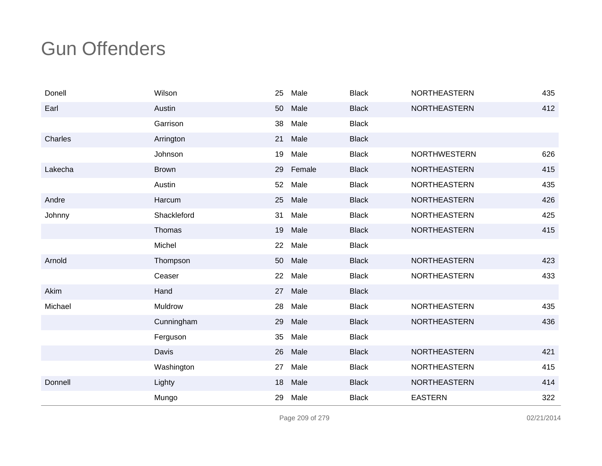| Donell  | Wilson       | 25 | Male   | <b>Black</b> | <b>NORTHEASTERN</b> | 435 |
|---------|--------------|----|--------|--------------|---------------------|-----|
| Earl    | Austin       | 50 | Male   | <b>Black</b> | <b>NORTHEASTERN</b> | 412 |
|         | Garrison     | 38 | Male   | <b>Black</b> |                     |     |
| Charles | Arrington    | 21 | Male   | <b>Black</b> |                     |     |
|         | Johnson      | 19 | Male   | <b>Black</b> | <b>NORTHWESTERN</b> | 626 |
| Lakecha | <b>Brown</b> | 29 | Female | <b>Black</b> | NORTHEASTERN        | 415 |
|         | Austin       | 52 | Male   | <b>Black</b> | <b>NORTHEASTERN</b> | 435 |
| Andre   | Harcum       | 25 | Male   | <b>Black</b> | <b>NORTHEASTERN</b> | 426 |
| Johnny  | Shackleford  | 31 | Male   | <b>Black</b> | <b>NORTHEASTERN</b> | 425 |
|         | Thomas       | 19 | Male   | <b>Black</b> | <b>NORTHEASTERN</b> | 415 |
|         | Michel       | 22 | Male   | <b>Black</b> |                     |     |
| Arnold  | Thompson     | 50 | Male   | <b>Black</b> | <b>NORTHEASTERN</b> | 423 |
|         | Ceaser       | 22 | Male   | <b>Black</b> | <b>NORTHEASTERN</b> | 433 |
| Akim    | Hand         | 27 | Male   | <b>Black</b> |                     |     |
| Michael | Muldrow      | 28 | Male   | <b>Black</b> | NORTHEASTERN        | 435 |
|         | Cunningham   | 29 | Male   | <b>Black</b> | <b>NORTHEASTERN</b> | 436 |
|         | Ferguson     | 35 | Male   | <b>Black</b> |                     |     |
|         | Davis        | 26 | Male   | <b>Black</b> | NORTHEASTERN        | 421 |
|         | Washington   | 27 | Male   | <b>Black</b> | <b>NORTHEASTERN</b> | 415 |
| Donnell | Lighty       | 18 | Male   | <b>Black</b> | NORTHEASTERN        | 414 |
|         | Mungo        | 29 | Male   | <b>Black</b> | <b>EASTERN</b>      | 322 |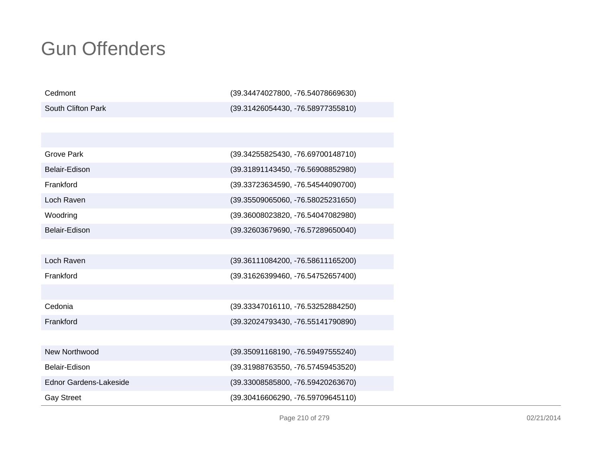| Cedmont                | (39.34474027800, -76.54078669630) |
|------------------------|-----------------------------------|
| South Clifton Park     | (39.31426054430, -76.58977355810) |
|                        |                                   |
|                        |                                   |
| Grove Park             | (39.34255825430, -76.69700148710) |
| Belair-Edison          | (39.31891143450, -76.56908852980) |
| Frankford              | (39.33723634590, -76.54544090700) |
| Loch Raven             | (39.35509065060, -76.58025231650) |
| Woodring               | (39.36008023820, -76.54047082980) |
| Belair-Edison          | (39.32603679690, -76.57289650040) |
|                        |                                   |
| Loch Raven             | (39.36111084200, -76.58611165200) |
| Frankford              | (39.31626399460, -76.54752657400) |
|                        |                                   |
| Cedonia                | (39.33347016110, -76.53252884250) |
| Frankford              | (39.32024793430, -76.55141790890) |
|                        |                                   |
| New Northwood          | (39.35091168190, -76.59497555240) |
| Belair-Edison          | (39.31988763550, -76.57459453520) |
| Ednor Gardens-Lakeside | (39.33008585800, -76.59420263670) |
| <b>Gay Street</b>      | (39.30416606290, -76.59709645110) |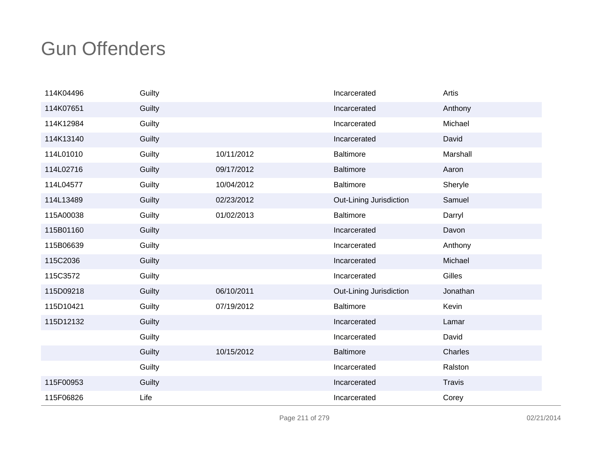| 114K04496 | Guilty |            | Incarcerated            | Artis    |
|-----------|--------|------------|-------------------------|----------|
| 114K07651 | Guilty |            | Incarcerated            | Anthony  |
| 114K12984 | Guilty |            | Incarcerated            | Michael  |
| 114K13140 | Guilty |            | Incarcerated            | David    |
| 114L01010 | Guilty | 10/11/2012 | <b>Baltimore</b>        | Marshall |
| 114L02716 | Guilty | 09/17/2012 | <b>Baltimore</b>        | Aaron    |
| 114L04577 | Guilty | 10/04/2012 | <b>Baltimore</b>        | Sheryle  |
| 114L13489 | Guilty | 02/23/2012 | Out-Lining Jurisdiction | Samuel   |
| 115A00038 | Guilty | 01/02/2013 | <b>Baltimore</b>        | Darryl   |
| 115B01160 | Guilty |            | Incarcerated            | Davon    |
| 115B06639 | Guilty |            | Incarcerated            | Anthony  |
| 115C2036  | Guilty |            | Incarcerated            | Michael  |
| 115C3572  | Guilty |            | Incarcerated            | Gilles   |
| 115D09218 | Guilty | 06/10/2011 | Out-Lining Jurisdiction | Jonathan |
| 115D10421 | Guilty | 07/19/2012 | <b>Baltimore</b>        | Kevin    |
| 115D12132 | Guilty |            | Incarcerated            | Lamar    |
|           | Guilty |            | Incarcerated            | David    |
|           | Guilty | 10/15/2012 | <b>Baltimore</b>        | Charles  |
|           | Guilty |            | Incarcerated            | Ralston  |
| 115F00953 | Guilty |            | Incarcerated            | Travis   |
| 115F06826 | Life   |            | Incarcerated            | Corey    |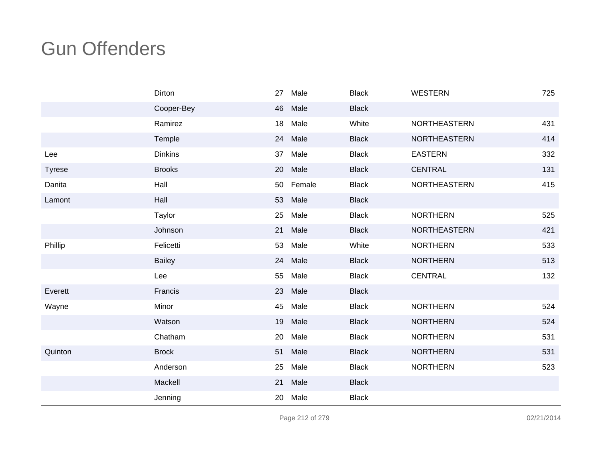|               | Dirton         | 27 | Male   | <b>Black</b> | <b>WESTERN</b>      | 725 |
|---------------|----------------|----|--------|--------------|---------------------|-----|
|               | Cooper-Bey     | 46 | Male   | <b>Black</b> |                     |     |
|               | Ramirez        | 18 | Male   | White        | NORTHEASTERN        | 431 |
|               | Temple         | 24 | Male   | <b>Black</b> | <b>NORTHEASTERN</b> | 414 |
| Lee           | <b>Dinkins</b> | 37 | Male   | <b>Black</b> | <b>EASTERN</b>      | 332 |
| <b>Tyrese</b> | <b>Brooks</b>  | 20 | Male   | <b>Black</b> | <b>CENTRAL</b>      | 131 |
| Danita        | Hall           | 50 | Female | <b>Black</b> | NORTHEASTERN        | 415 |
| Lamont        | Hall           | 53 | Male   | <b>Black</b> |                     |     |
|               | Taylor         | 25 | Male   | <b>Black</b> | <b>NORTHERN</b>     | 525 |
|               | Johnson        | 21 | Male   | <b>Black</b> | NORTHEASTERN        | 421 |
| Phillip       | Felicetti      | 53 | Male   | White        | <b>NORTHERN</b>     | 533 |
|               | <b>Bailey</b>  | 24 | Male   | <b>Black</b> | <b>NORTHERN</b>     | 513 |
|               | Lee            | 55 | Male   | <b>Black</b> | <b>CENTRAL</b>      | 132 |
| Everett       | Francis        | 23 | Male   | <b>Black</b> |                     |     |
| Wayne         | Minor          | 45 | Male   | <b>Black</b> | <b>NORTHERN</b>     | 524 |
|               | Watson         | 19 | Male   | <b>Black</b> | <b>NORTHERN</b>     | 524 |
|               | Chatham        | 20 | Male   | <b>Black</b> | <b>NORTHERN</b>     | 531 |
| Quinton       | <b>Brock</b>   | 51 | Male   | <b>Black</b> | <b>NORTHERN</b>     | 531 |
|               | Anderson       | 25 | Male   | <b>Black</b> | <b>NORTHERN</b>     | 523 |
|               | Mackell        | 21 | Male   | <b>Black</b> |                     |     |
|               | Jenning        | 20 | Male   | <b>Black</b> |                     |     |

Page 212 of 279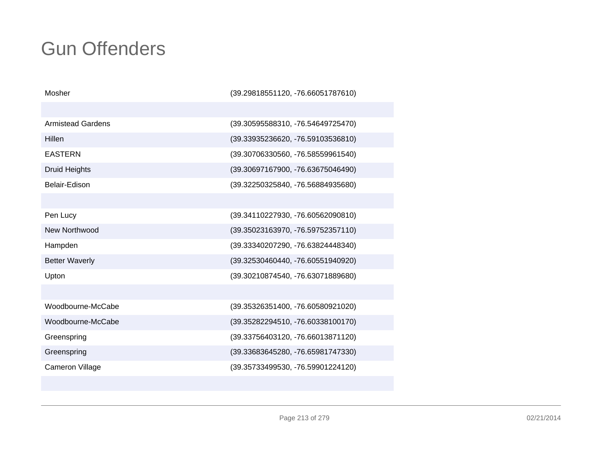| Mosher                   | (39.29818551120, -76.66051787610) |
|--------------------------|-----------------------------------|
|                          |                                   |
| <b>Armistead Gardens</b> | (39.30595588310, -76.54649725470) |
| <b>Hillen</b>            | (39.33935236620, -76.59103536810) |
| <b>EASTERN</b>           | (39.30706330560, -76.58559961540) |
| <b>Druid Heights</b>     | (39.30697167900, -76.63675046490) |
| Belair-Edison            | (39.32250325840, -76.56884935680) |
|                          |                                   |
| Pen Lucy                 | (39.34110227930, -76.60562090810) |
| New Northwood            | (39.35023163970, -76.59752357110) |
| Hampden                  | (39.33340207290, -76.63824448340) |
| <b>Better Waverly</b>    | (39.32530460440, -76.60551940920) |
| Upton                    | (39.30210874540, -76.63071889680) |
|                          |                                   |
| Woodbourne-McCabe        | (39.35326351400, -76.60580921020) |
| Woodbourne-McCabe        | (39.35282294510, -76.60338100170) |
| Greenspring              | (39.33756403120, -76.66013871120) |
| Greenspring              | (39.33683645280, -76.65981747330) |
| Cameron Village          | (39.35733499530, -76.59901224120) |
|                          |                                   |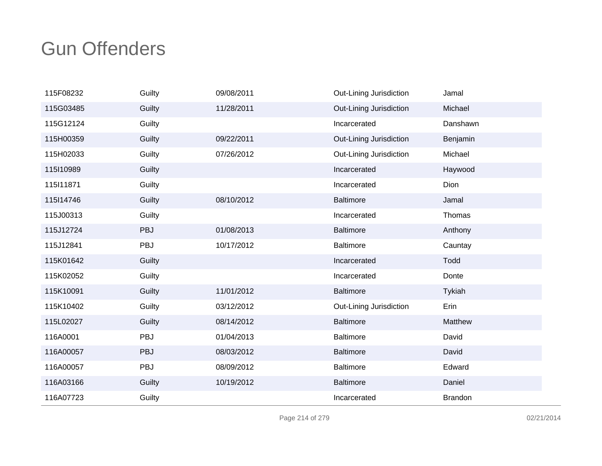| 115F08232 | Guilty     | 09/08/2011 | Out-Lining Jurisdiction | Jamal          |
|-----------|------------|------------|-------------------------|----------------|
| 115G03485 | Guilty     | 11/28/2011 | Out-Lining Jurisdiction | Michael        |
| 115G12124 | Guilty     |            | Incarcerated            | Danshawn       |
| 115H00359 | Guilty     | 09/22/2011 | Out-Lining Jurisdiction | Benjamin       |
| 115H02033 | Guilty     | 07/26/2012 | Out-Lining Jurisdiction | Michael        |
| 115110989 | Guilty     |            | Incarcerated            | Haywood        |
| 115 11871 | Guilty     |            | Incarcerated            | Dion           |
| 115l14746 | Guilty     | 08/10/2012 | <b>Baltimore</b>        | Jamal          |
| 115J00313 | Guilty     |            | Incarcerated            | Thomas         |
| 115J12724 | <b>PBJ</b> | 01/08/2013 | <b>Baltimore</b>        | Anthony        |
| 115J12841 | <b>PBJ</b> | 10/17/2012 | <b>Baltimore</b>        | Cauntay        |
| 115K01642 | Guilty     |            | Incarcerated            | Todd           |
| 115K02052 | Guilty     |            | Incarcerated            | Donte          |
| 115K10091 | Guilty     | 11/01/2012 | <b>Baltimore</b>        | Tykiah         |
| 115K10402 | Guilty     | 03/12/2012 | Out-Lining Jurisdiction | Erin           |
| 115L02027 | Guilty     | 08/14/2012 | <b>Baltimore</b>        | Matthew        |
| 116A0001  | PBJ        | 01/04/2013 | <b>Baltimore</b>        | David          |
| 116A00057 | PBJ        | 08/03/2012 | <b>Baltimore</b>        | David          |
| 116A00057 | PBJ        | 08/09/2012 | <b>Baltimore</b>        | Edward         |
| 116A03166 | Guilty     | 10/19/2012 | <b>Baltimore</b>        | Daniel         |
| 116A07723 | Guilty     |            | Incarcerated            | <b>Brandon</b> |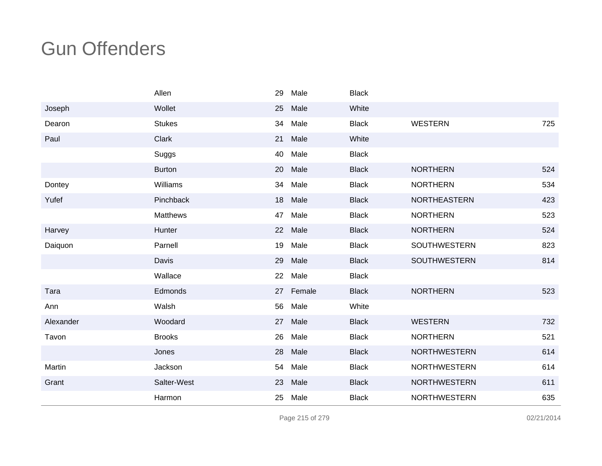|           | Allen         | 29 | Male      | <b>Black</b> |                     |     |
|-----------|---------------|----|-----------|--------------|---------------------|-----|
| Joseph    | Wollet        | 25 | Male      | White        |                     |     |
| Dearon    | <b>Stukes</b> | 34 | Male      | <b>Black</b> | <b>WESTERN</b>      | 725 |
| Paul      | Clark         | 21 | Male      | White        |                     |     |
|           | Suggs         | 40 | Male      | <b>Black</b> |                     |     |
|           | <b>Burton</b> | 20 | Male      | <b>Black</b> | <b>NORTHERN</b>     | 524 |
| Dontey    | Williams      | 34 | Male      | <b>Black</b> | <b>NORTHERN</b>     | 534 |
| Yufef     | Pinchback     | 18 | Male      | <b>Black</b> | <b>NORTHEASTERN</b> | 423 |
|           | Matthews      | 47 | Male      | <b>Black</b> | <b>NORTHERN</b>     | 523 |
| Harvey    | Hunter        | 22 | Male      | <b>Black</b> | <b>NORTHERN</b>     | 524 |
| Daiquon   | Parnell       | 19 | Male      | <b>Black</b> | SOUTHWESTERN        | 823 |
|           | Davis         | 29 | Male      | <b>Black</b> | <b>SOUTHWESTERN</b> | 814 |
|           | Wallace       | 22 | Male      | <b>Black</b> |                     |     |
| Tara      | Edmonds       |    | 27 Female | <b>Black</b> | <b>NORTHERN</b>     | 523 |
| Ann       | Walsh         | 56 | Male      | White        |                     |     |
| Alexander | Woodard       | 27 | Male      | <b>Black</b> | <b>WESTERN</b>      | 732 |
| Tavon     | <b>Brooks</b> | 26 | Male      | <b>Black</b> | <b>NORTHERN</b>     | 521 |
|           | Jones         | 28 | Male      | <b>Black</b> | <b>NORTHWESTERN</b> | 614 |
| Martin    | Jackson       | 54 | Male      | <b>Black</b> | <b>NORTHWESTERN</b> | 614 |
| Grant     | Salter-West   | 23 | Male      | <b>Black</b> | <b>NORTHWESTERN</b> | 611 |
|           | Harmon        | 25 | Male      | <b>Black</b> | <b>NORTHWESTERN</b> | 635 |

Page 215 of 279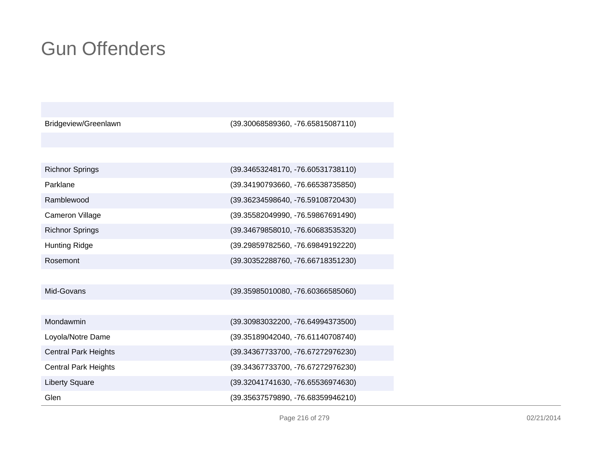| Bridgeview/Greenlawn        | (39.30068589360, -76.65815087110) |
|-----------------------------|-----------------------------------|
|                             |                                   |
|                             |                                   |
| <b>Richnor Springs</b>      | (39.34653248170, -76.60531738110) |
| Parklane                    | (39.34190793660, -76.66538735850) |
| Ramblewood                  | (39.36234598640, -76.59108720430) |
| <b>Cameron Village</b>      | (39.35582049990, -76.59867691490) |
| <b>Richnor Springs</b>      | (39.34679858010, -76.60683535320) |
| <b>Hunting Ridge</b>        | (39.29859782560, -76.69849192220) |
| Rosemont                    | (39.30352288760, -76.66718351230) |
|                             |                                   |
| Mid-Govans                  | (39.35985010080, -76.60366585060) |
|                             |                                   |
| Mondawmin                   | (39.30983032200, -76.64994373500) |
| Loyola/Notre Dame           | (39.35189042040, -76.61140708740) |
| <b>Central Park Heights</b> | (39.34367733700, -76.67272976230) |
| <b>Central Park Heights</b> | (39.34367733700, -76.67272976230) |
| <b>Liberty Square</b>       | (39.32041741630, -76.65536974630) |
| Glen                        | (39.35637579890, -76.68359946210) |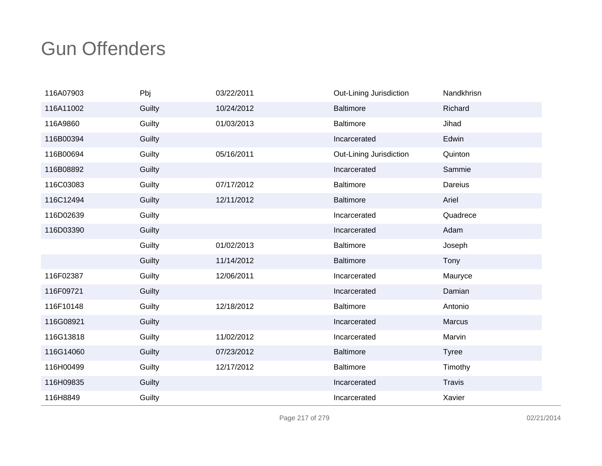| 116A07903 | Pbj    | 03/22/2011 | Out-Lining Jurisdiction | Nandkhrisn    |
|-----------|--------|------------|-------------------------|---------------|
| 116A11002 | Guilty | 10/24/2012 | <b>Baltimore</b>        | Richard       |
| 116A9860  | Guilty | 01/03/2013 | <b>Baltimore</b>        | Jihad         |
| 116B00394 | Guilty |            | Incarcerated            | Edwin         |
| 116B00694 | Guilty | 05/16/2011 | Out-Lining Jurisdiction | Quinton       |
| 116B08892 | Guilty |            | Incarcerated            | Sammie        |
| 116C03083 | Guilty | 07/17/2012 | <b>Baltimore</b>        | Dareius       |
| 116C12494 | Guilty | 12/11/2012 | <b>Baltimore</b>        | Ariel         |
| 116D02639 | Guilty |            | Incarcerated            | Quadrece      |
| 116D03390 | Guilty |            | Incarcerated            | Adam          |
|           | Guilty | 01/02/2013 | <b>Baltimore</b>        | Joseph        |
|           | Guilty | 11/14/2012 | <b>Baltimore</b>        | Tony          |
| 116F02387 | Guilty | 12/06/2011 | Incarcerated            | Mauryce       |
| 116F09721 | Guilty |            | Incarcerated            | Damian        |
| 116F10148 | Guilty | 12/18/2012 | Baltimore               | Antonio       |
| 116G08921 | Guilty |            | Incarcerated            | <b>Marcus</b> |
| 116G13818 | Guilty | 11/02/2012 | Incarcerated            | Marvin        |
| 116G14060 | Guilty | 07/23/2012 | <b>Baltimore</b>        | <b>Tyree</b>  |
| 116H00499 | Guilty | 12/17/2012 | <b>Baltimore</b>        | Timothy       |
| 116H09835 | Guilty |            | Incarcerated            | <b>Travis</b> |
| 116H8849  | Guilty |            | Incarcerated            | Xavier        |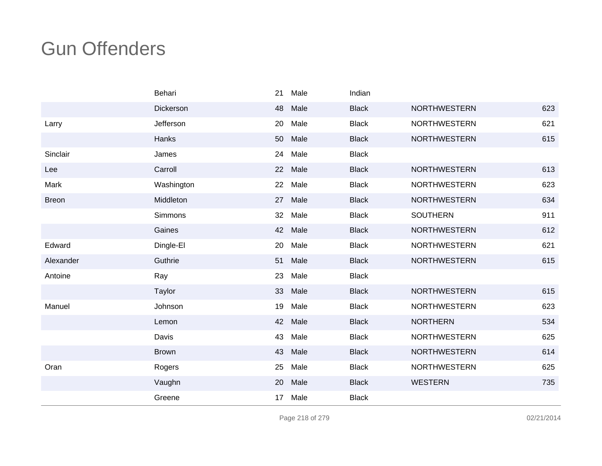|              | Behari       | 21 | Male | Indian       |                     |     |
|--------------|--------------|----|------|--------------|---------------------|-----|
|              | Dickerson    | 48 | Male | <b>Black</b> | <b>NORTHWESTERN</b> | 623 |
| Larry        | Jefferson    | 20 | Male | <b>Black</b> | <b>NORTHWESTERN</b> | 621 |
|              | Hanks        | 50 | Male | <b>Black</b> | <b>NORTHWESTERN</b> | 615 |
| Sinclair     | James        | 24 | Male | <b>Black</b> |                     |     |
| Lee          | Carroll      | 22 | Male | <b>Black</b> | <b>NORTHWESTERN</b> | 613 |
| Mark         | Washington   | 22 | Male | <b>Black</b> | <b>NORTHWESTERN</b> | 623 |
| <b>Breon</b> | Middleton    | 27 | Male | <b>Black</b> | <b>NORTHWESTERN</b> | 634 |
|              | Simmons      | 32 | Male | <b>Black</b> | <b>SOUTHERN</b>     | 911 |
|              | Gaines       | 42 | Male | <b>Black</b> | <b>NORTHWESTERN</b> | 612 |
| Edward       | Dingle-El    | 20 | Male | <b>Black</b> | <b>NORTHWESTERN</b> | 621 |
| Alexander    | Guthrie      | 51 | Male | <b>Black</b> | <b>NORTHWESTERN</b> | 615 |
| Antoine      | Ray          | 23 | Male | <b>Black</b> |                     |     |
|              | Taylor       | 33 | Male | <b>Black</b> | <b>NORTHWESTERN</b> | 615 |
| Manuel       | Johnson      | 19 | Male | <b>Black</b> | <b>NORTHWESTERN</b> | 623 |
|              | Lemon        | 42 | Male | <b>Black</b> | <b>NORTHERN</b>     | 534 |
|              | Davis        | 43 | Male | <b>Black</b> | <b>NORTHWESTERN</b> | 625 |
|              | <b>Brown</b> | 43 | Male | <b>Black</b> | <b>NORTHWESTERN</b> | 614 |
| Oran         | Rogers       | 25 | Male | <b>Black</b> | <b>NORTHWESTERN</b> | 625 |
|              | Vaughn       | 20 | Male | <b>Black</b> | <b>WESTERN</b>      | 735 |
|              | Greene       | 17 | Male | <b>Black</b> |                     |     |

Page 218 of 279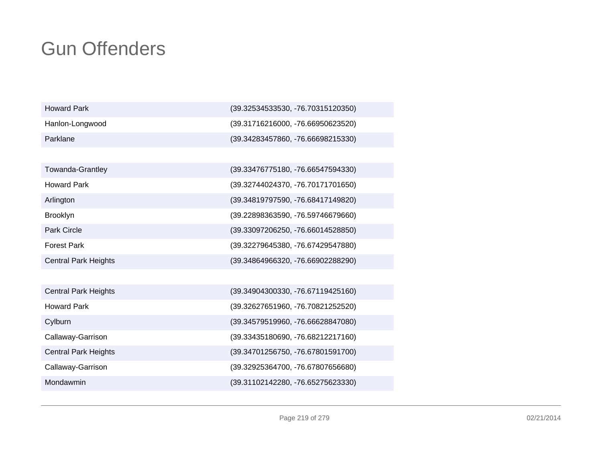| <b>Howard Park</b> | $(39.32534533530, -76.70315120350)$ |
|--------------------|-------------------------------------|
| Hanlon-Longwood    | $(39.31716216000, -76.66950623520)$ |
| Parklane           | $(39.34283457860, -76.66698215330)$ |

| Towanda-Grantley     | (39.33476775180, -76.66547594330) |
|----------------------|-----------------------------------|
|                      |                                   |
| Howard Park          | (39.32744024370, -76.70171701650) |
| Arlington            | (39.34819797590, -76.68417149820) |
| Brooklyn             | (39.22898363590, -76.59746679660) |
| Park Circle          | (39.33097206250, -76.66014528850) |
| Forest Park          | (39.32279645380, -76.67429547880) |
| Central Park Heights | (39.34864966320, -76.66902288290) |
|                      |                                   |

| <b>Central Park Heights</b> | (39.34904300330, -76.67119425160) |
|-----------------------------|-----------------------------------|
| <b>Howard Park</b>          | (39.32627651960, -76.70821252520) |
| Cylburn                     | (39.34579519960, -76.66628847080) |
| Callaway-Garrison           | (39.33435180690, -76.68212217160) |
| <b>Central Park Heights</b> | (39.34701256750, -76.67801591700) |
| Callaway-Garrison           | (39.32925364700, -76.67807656680) |
| Mondawmin                   | (39.31102142280, -76.65275623330) |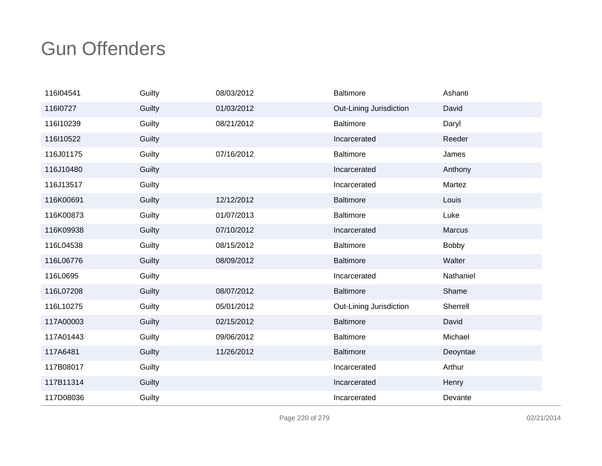| 116l04541 | Guilty | 08/03/2012 | <b>Baltimore</b>        | Ashanti      |
|-----------|--------|------------|-------------------------|--------------|
| 11610727  | Guilty | 01/03/2012 | Out-Lining Jurisdiction | David        |
| 116l10239 | Guilty | 08/21/2012 | <b>Baltimore</b>        | Daryl        |
| 116l10522 | Guilty |            | Incarcerated            | Reeder       |
| 116J01175 | Guilty | 07/16/2012 | <b>Baltimore</b>        | James        |
| 116J10480 | Guilty |            | Incarcerated            | Anthony      |
| 116J13517 | Guilty |            | Incarcerated            | Martez       |
| 116K00691 | Guilty | 12/12/2012 | <b>Baltimore</b>        | Louis        |
| 116K00873 | Guilty | 01/07/2013 | <b>Baltimore</b>        | Luke         |
| 116K09938 | Guilty | 07/10/2012 | Incarcerated            | Marcus       |
| 116L04538 | Guilty | 08/15/2012 | <b>Baltimore</b>        | <b>Bobby</b> |
| 116L06776 | Guilty | 08/09/2012 | <b>Baltimore</b>        | Walter       |
| 116L0695  | Guilty |            | Incarcerated            | Nathaniel    |
| 116L07208 | Guilty | 08/07/2012 | <b>Baltimore</b>        | Shame        |
| 116L10275 | Guilty | 05/01/2012 | Out-Lining Jurisdiction | Sherrell     |
| 117A00003 | Guilty | 02/15/2012 | <b>Baltimore</b>        | David        |
| 117A01443 | Guilty | 09/06/2012 | <b>Baltimore</b>        | Michael      |
| 117A6481  | Guilty | 11/26/2012 | <b>Baltimore</b>        | Deoyntae     |
| 117B08017 | Guilty |            | Incarcerated            | Arthur       |
| 117B11314 | Guilty |            | Incarcerated            | Henry        |
| 117D08036 | Guilty |            | Incarcerated            | Devante      |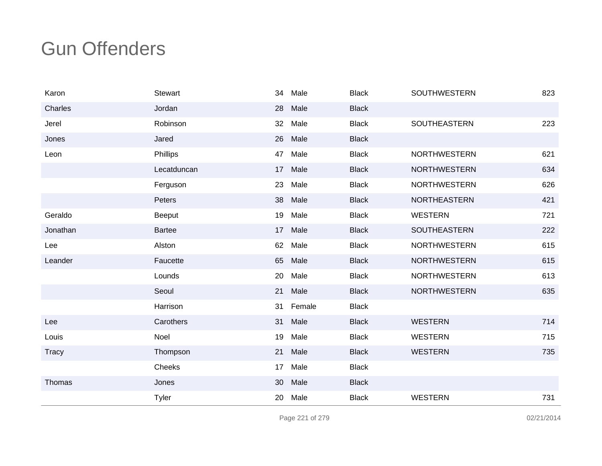| Karon        | <b>Stewart</b> | 34              | Male    | <b>Black</b> | <b>SOUTHWESTERN</b> | 823 |
|--------------|----------------|-----------------|---------|--------------|---------------------|-----|
| Charles      | Jordan         | 28              | Male    | <b>Black</b> |                     |     |
| Jerel        | Robinson       | 32              | Male    | <b>Black</b> | <b>SOUTHEASTERN</b> | 223 |
| Jones        | Jared          | 26              | Male    | <b>Black</b> |                     |     |
| Leon         | Phillips       | 47              | Male    | <b>Black</b> | <b>NORTHWESTERN</b> | 621 |
|              | Lecatduncan    | 17              | Male    | <b>Black</b> | <b>NORTHWESTERN</b> | 634 |
|              | Ferguson       | 23              | Male    | <b>Black</b> | <b>NORTHWESTERN</b> | 626 |
|              | Peters         | 38              | Male    | <b>Black</b> | <b>NORTHEASTERN</b> | 421 |
| Geraldo      | Beeput         | 19              | Male    | <b>Black</b> | <b>WESTERN</b>      | 721 |
| Jonathan     | <b>Bartee</b>  |                 | 17 Male | <b>Black</b> | SOUTHEASTERN        | 222 |
| Lee          | Alston         | 62              | Male    | <b>Black</b> | <b>NORTHWESTERN</b> | 615 |
| Leander      | Faucette       | 65              | Male    | <b>Black</b> | <b>NORTHWESTERN</b> | 615 |
|              | Lounds         | 20              | Male    | <b>Black</b> | <b>NORTHWESTERN</b> | 613 |
|              | Seoul          | 21              | Male    | <b>Black</b> | <b>NORTHWESTERN</b> | 635 |
|              | Harrison       | 31              | Female  | <b>Black</b> |                     |     |
| Lee          | Carothers      | 31              | Male    | <b>Black</b> | <b>WESTERN</b>      | 714 |
| Louis        | Noel           | 19              | Male    | <b>Black</b> | <b>WESTERN</b>      | 715 |
| <b>Tracy</b> | Thompson       | 21              | Male    | <b>Black</b> | <b>WESTERN</b>      | 735 |
|              | Cheeks         | 17 <sup>2</sup> | Male    | <b>Black</b> |                     |     |
| Thomas       | Jones          | 30              | Male    | <b>Black</b> |                     |     |
|              | <b>Tyler</b>   | 20              | Male    | <b>Black</b> | <b>WESTERN</b>      | 731 |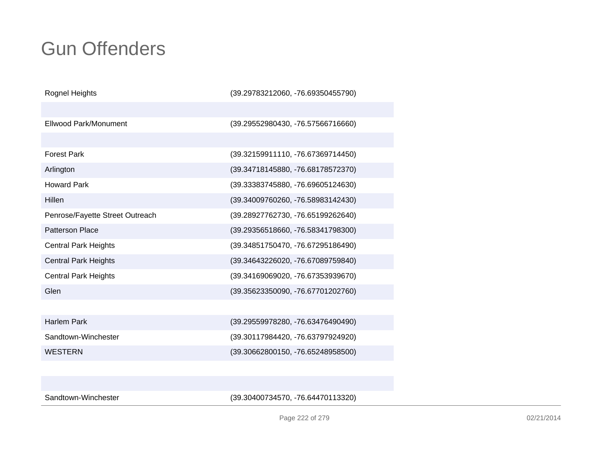| Rognel Heights                  | (39.29783212060, -76.69350455790) |
|---------------------------------|-----------------------------------|
|                                 |                                   |
| Ellwood Park/Monument           | (39.29552980430, -76.57566716660) |
|                                 |                                   |
| <b>Forest Park</b>              | (39.32159911110, -76.67369714450) |
| Arlington                       | (39.34718145880, -76.68178572370) |
| <b>Howard Park</b>              | (39.33383745880, -76.69605124630) |
| Hillen                          | (39.34009760260, -76.58983142430) |
| Penrose/Fayette Street Outreach | (39.28927762730, -76.65199262640) |
| <b>Patterson Place</b>          | (39.29356518660, -76.58341798300) |
| <b>Central Park Heights</b>     | (39.34851750470, -76.67295186490) |
| <b>Central Park Heights</b>     | (39.34643226020, -76.67089759840) |
| <b>Central Park Heights</b>     | (39.34169069020, -76.67353939670) |
| Glen                            | (39.35623350090, -76.67701202760) |
|                                 |                                   |
| <b>Harlem Park</b>              | (39.29559978280, -76.63476490490) |
| Sandtown-Winchester             | (39.30117984420, -76.63797924920) |
| <b>WESTERN</b>                  | (39.30662800150, -76.65248958500) |
|                                 |                                   |

Sandtown-Winchester

(39.30400734570, -76.64470113320)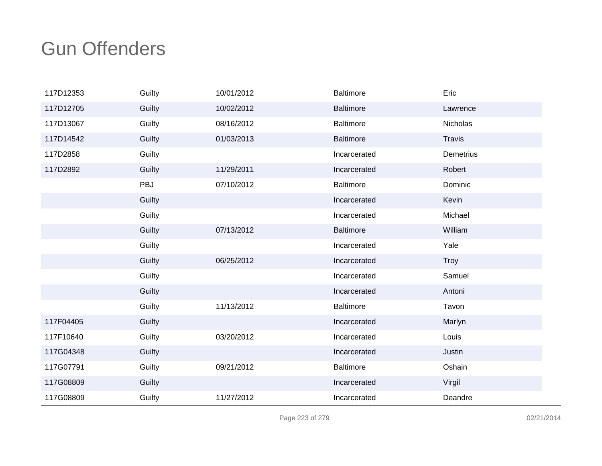| 117D12353 | Guilty | 10/01/2012 | <b>Baltimore</b> | Eric          |
|-----------|--------|------------|------------------|---------------|
| 117D12705 | Guilty | 10/02/2012 | <b>Baltimore</b> | Lawrence      |
| 117D13067 | Guilty | 08/16/2012 | <b>Baltimore</b> | Nicholas      |
| 117D14542 | Guilty | 01/03/2013 | <b>Baltimore</b> | <b>Travis</b> |
| 117D2858  | Guilty |            | Incarcerated     | Demetrius     |
| 117D2892  | Guilty | 11/29/2011 | Incarcerated     | Robert        |
|           | PBJ    | 07/10/2012 | <b>Baltimore</b> | Dominic       |
|           | Guilty |            | Incarcerated     | Kevin         |
|           | Guilty |            | Incarcerated     | Michael       |
|           | Guilty | 07/13/2012 | <b>Baltimore</b> | William       |
|           | Guilty |            | Incarcerated     | Yale          |
|           | Guilty | 06/25/2012 | Incarcerated     | <b>Troy</b>   |
|           | Guilty |            | Incarcerated     | Samuel        |
|           | Guilty |            | Incarcerated     | Antoni        |
|           | Guilty | 11/13/2012 | <b>Baltimore</b> | Tavon         |
| 117F04405 | Guilty |            | Incarcerated     | Marlyn        |
| 117F10640 | Guilty | 03/20/2012 | Incarcerated     | Louis         |
| 117G04348 | Guilty |            | Incarcerated     | Justin        |
| 117G07791 | Guilty | 09/21/2012 | <b>Baltimore</b> | Oshain        |
| 117G08809 | Guilty |            | Incarcerated     | Virgil        |
| 117G08809 | Guilty | 11/27/2012 | Incarcerated     | Deandre       |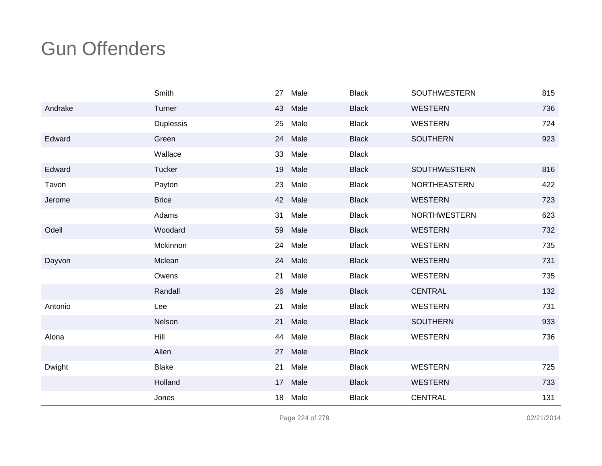|         | Smith         | 27 | Male | <b>Black</b> | <b>SOUTHWESTERN</b> | 815 |
|---------|---------------|----|------|--------------|---------------------|-----|
| Andrake | Turner        | 43 | Male | <b>Black</b> | <b>WESTERN</b>      | 736 |
|         | Duplessis     | 25 | Male | <b>Black</b> | <b>WESTERN</b>      | 724 |
| Edward  | Green         | 24 | Male | <b>Black</b> | <b>SOUTHERN</b>     | 923 |
|         | Wallace       | 33 | Male | <b>Black</b> |                     |     |
| Edward  | <b>Tucker</b> | 19 | Male | <b>Black</b> | <b>SOUTHWESTERN</b> | 816 |
| Tavon   | Payton        | 23 | Male | <b>Black</b> | NORTHEASTERN        | 422 |
| Jerome  | <b>Brice</b>  | 42 | Male | <b>Black</b> | <b>WESTERN</b>      | 723 |
|         | Adams         | 31 | Male | <b>Black</b> | <b>NORTHWESTERN</b> | 623 |
| Odell   | Woodard       | 59 | Male | <b>Black</b> | <b>WESTERN</b>      | 732 |
|         | Mckinnon      | 24 | Male | <b>Black</b> | <b>WESTERN</b>      | 735 |
| Dayvon  | Mclean        | 24 | Male | <b>Black</b> | <b>WESTERN</b>      | 731 |
|         | Owens         | 21 | Male | <b>Black</b> | <b>WESTERN</b>      | 735 |
|         | Randall       | 26 | Male | <b>Black</b> | <b>CENTRAL</b>      | 132 |
| Antonio | Lee           | 21 | Male | <b>Black</b> | <b>WESTERN</b>      | 731 |
|         | Nelson        | 21 | Male | <b>Black</b> | <b>SOUTHERN</b>     | 933 |
| Alona   | Hill          | 44 | Male | <b>Black</b> | <b>WESTERN</b>      | 736 |
|         | Allen         | 27 | Male | <b>Black</b> |                     |     |
| Dwight  | <b>Blake</b>  | 21 | Male | <b>Black</b> | <b>WESTERN</b>      | 725 |
|         | Holland       | 17 | Male | <b>Black</b> | <b>WESTERN</b>      | 733 |
|         | Jones         | 18 | Male | <b>Black</b> | <b>CENTRAL</b>      | 131 |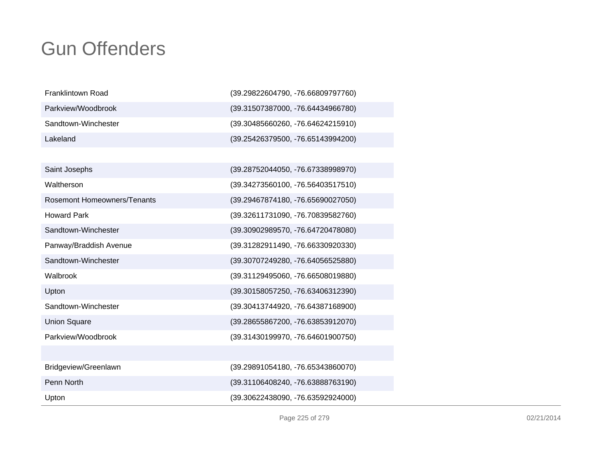| Franklintown Road   | (39.29822604790, -76.66809797760)   |
|---------------------|-------------------------------------|
| Parkview/Woodbrook  | (39.31507387000, -76.64434966780)   |
| Sandtown-Winchester | $(39.30485660260, -76.64624215910)$ |
| Lakeland            | (39.25426379500, -76.65143994200)   |

| Saint Josephs               | (39.28752044050, -76.67338998970) |
|-----------------------------|-----------------------------------|
| Waltherson                  | (39.34273560100, -76.56403517510) |
| Rosemont Homeowners/Tenants | (39.29467874180, -76.65690027050) |
| <b>Howard Park</b>          | (39.32611731090, -76.70839582760) |
| Sandtown-Winchester         | (39.30902989570, -76.64720478080) |
| Panway/Braddish Avenue      | (39.31282911490, -76.66330920330) |
| Sandtown-Winchester         | (39.30707249280, -76.64056525880) |
| Walbrook                    | (39.31129495060, -76.66508019880) |
| Upton                       | (39.30158057250, -76.63406312390) |
| Sandtown-Winchester         | (39.30413744920, -76.64387168900) |
| <b>Union Square</b>         | (39.28655867200, -76.63853912070) |
| Parkview/Woodbrook          | (39.31430199970, -76.64601900750) |
|                             |                                   |
| Bridgeview/Greenlawn        | (39.29891054180, -76.65343860070) |
| Penn North                  | (39.31106408240, -76.63888763190) |
| Upton                       | (39.30622438090, -76.63592924000) |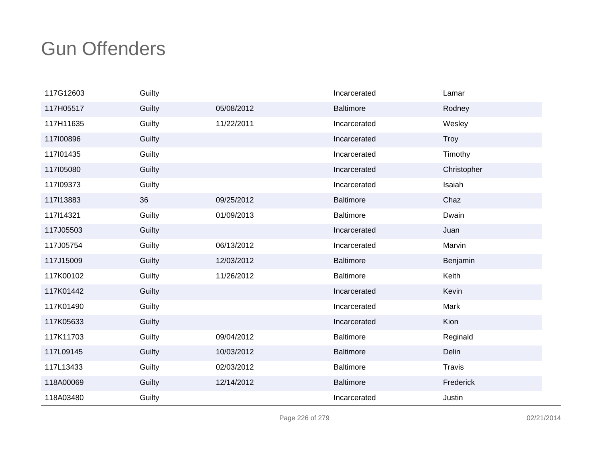| 117G12603 | Guilty |            | Incarcerated     | Lamar         |
|-----------|--------|------------|------------------|---------------|
| 117H05517 | Guilty | 05/08/2012 | <b>Baltimore</b> | Rodney        |
| 117H11635 | Guilty | 11/22/2011 | Incarcerated     | Wesley        |
| 117100896 | Guilty |            | Incarcerated     | Troy          |
| 117l01435 | Guilty |            | Incarcerated     | Timothy       |
| 117105080 | Guilty |            | Incarcerated     | Christopher   |
| 117109373 | Guilty |            | Incarcerated     | Isaiah        |
| 117113883 | 36     | 09/25/2012 | <b>Baltimore</b> | Chaz          |
| 117114321 | Guilty | 01/09/2013 | <b>Baltimore</b> | Dwain         |
| 117J05503 | Guilty |            | Incarcerated     | Juan          |
| 117J05754 | Guilty | 06/13/2012 | Incarcerated     | Marvin        |
| 117J15009 | Guilty | 12/03/2012 | <b>Baltimore</b> | Benjamin      |
| 117K00102 | Guilty | 11/26/2012 | <b>Baltimore</b> | Keith         |
| 117K01442 | Guilty |            | Incarcerated     | Kevin         |
| 117K01490 | Guilty |            | Incarcerated     | Mark          |
| 117K05633 | Guilty |            | Incarcerated     | Kion          |
| 117K11703 | Guilty | 09/04/2012 | <b>Baltimore</b> | Reginald      |
| 117L09145 | Guilty | 10/03/2012 | <b>Baltimore</b> | Delin         |
| 117L13433 | Guilty | 02/03/2012 | <b>Baltimore</b> | <b>Travis</b> |
| 118A00069 | Guilty | 12/14/2012 | <b>Baltimore</b> | Frederick     |
| 118A03480 | Guilty |            | Incarcerated     | Justin        |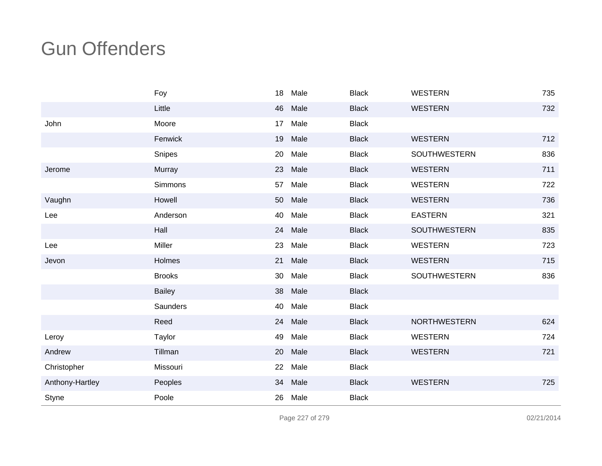|                 | Foy             | 18 | Male | <b>Black</b> | <b>WESTERN</b>      | 735 |
|-----------------|-----------------|----|------|--------------|---------------------|-----|
|                 | Little          | 46 | Male | <b>Black</b> | <b>WESTERN</b>      | 732 |
| John            | Moore           | 17 | Male | <b>Black</b> |                     |     |
|                 | Fenwick         | 19 | Male | <b>Black</b> | <b>WESTERN</b>      | 712 |
|                 | Snipes          | 20 | Male | <b>Black</b> | <b>SOUTHWESTERN</b> | 836 |
| Jerome          | Murray          | 23 | Male | <b>Black</b> | <b>WESTERN</b>      | 711 |
|                 | Simmons         | 57 | Male | <b>Black</b> | <b>WESTERN</b>      | 722 |
| Vaughn          | Howell          | 50 | Male | <b>Black</b> | <b>WESTERN</b>      | 736 |
| Lee             | Anderson        | 40 | Male | <b>Black</b> | <b>EASTERN</b>      | 321 |
|                 | Hall            | 24 | Male | <b>Black</b> | <b>SOUTHWESTERN</b> | 835 |
| Lee             | Miller          | 23 | Male | <b>Black</b> | <b>WESTERN</b>      | 723 |
| Jevon           | Holmes          | 21 | Male | <b>Black</b> | <b>WESTERN</b>      | 715 |
|                 | <b>Brooks</b>   | 30 | Male | <b>Black</b> | SOUTHWESTERN        | 836 |
|                 | <b>Bailey</b>   | 38 | Male | <b>Black</b> |                     |     |
|                 | <b>Saunders</b> | 40 | Male | <b>Black</b> |                     |     |
|                 | Reed            | 24 | Male | <b>Black</b> | <b>NORTHWESTERN</b> | 624 |
| Leroy           | Taylor          | 49 | Male | <b>Black</b> | <b>WESTERN</b>      | 724 |
| Andrew          | Tillman         | 20 | Male | <b>Black</b> | <b>WESTERN</b>      | 721 |
| Christopher     | Missouri        | 22 | Male | <b>Black</b> |                     |     |
| Anthony-Hartley | Peoples         | 34 | Male | <b>Black</b> | <b>WESTERN</b>      | 725 |
| Styne           | Poole           | 26 | Male | <b>Black</b> |                     |     |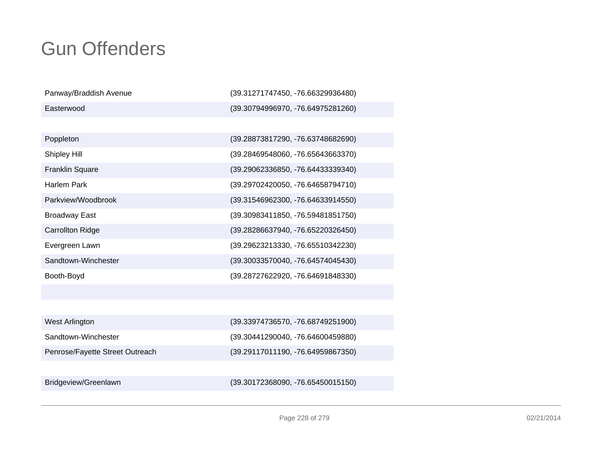| Panway/Braddish Avenue          | (39.31271747450, -76.66329936480) |
|---------------------------------|-----------------------------------|
| Easterwood                      | (39.30794996970, -76.64975281260) |
|                                 |                                   |
| Poppleton                       | (39.28873817290, -76.63748682690) |
| Shipley Hill                    | (39.28469548060, -76.65643663370) |
| <b>Franklin Square</b>          | (39.29062336850, -76.64433339340) |
| <b>Harlem Park</b>              | (39.29702420050, -76.64658794710) |
| Parkview/Woodbrook              | (39.31546962300, -76.64633914550) |
| <b>Broadway East</b>            | (39.30983411850, -76.59481851750) |
| <b>Carrollton Ridge</b>         | (39.28286637940, -76.65220326450) |
| Evergreen Lawn                  | (39.29623213330, -76.65510342230) |
| Sandtown-Winchester             | (39.30033570040, -76.64574045430) |
| Booth-Boyd                      | (39.28727622920, -76.64691848330) |
|                                 |                                   |
|                                 |                                   |
| West Arlington                  | (39.33974736570, -76.68749251900) |
| Sandtown-Winchester             | (39.30441290040, -76.64600459880) |
| Penrose/Fayette Street Outreach | (39.29117011190, -76.64959867350) |
|                                 |                                   |
| Bridgeview/Greenlawn            | (39.30172368090, -76.65450015150) |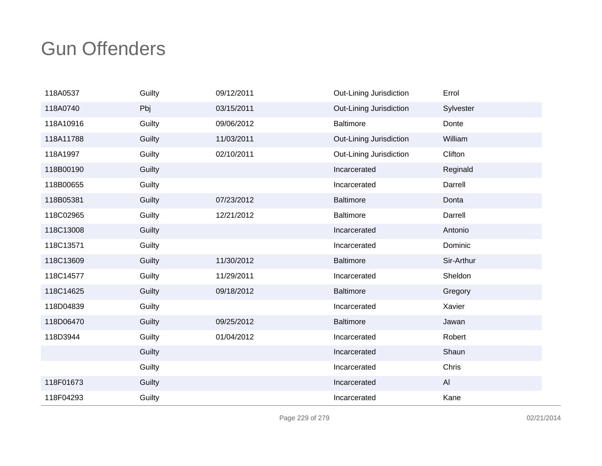| 118A0537  | Guilty | 09/12/2011 | Out-Lining Jurisdiction | Errol      |
|-----------|--------|------------|-------------------------|------------|
| 118A0740  | Pbj    | 03/15/2011 | Out-Lining Jurisdiction | Sylvester  |
| 118A10916 | Guilty | 09/06/2012 | <b>Baltimore</b>        | Donte      |
| 118A11788 | Guilty | 11/03/2011 | Out-Lining Jurisdiction | William    |
| 118A1997  | Guilty | 02/10/2011 | Out-Lining Jurisdiction | Clifton    |
| 118B00190 | Guilty |            | Incarcerated            | Reginald   |
| 118B00655 | Guilty |            | Incarcerated            | Darrell    |
| 118B05381 | Guilty | 07/23/2012 | <b>Baltimore</b>        | Donta      |
| 118C02965 | Guilty | 12/21/2012 | <b>Baltimore</b>        | Darrell    |
| 118C13008 | Guilty |            | Incarcerated            | Antonio    |
| 118C13571 | Guilty |            | Incarcerated            | Dominic    |
| 118C13609 | Guilty | 11/30/2012 | <b>Baltimore</b>        | Sir-Arthur |
| 118C14577 | Guilty | 11/29/2011 | Incarcerated            | Sheldon    |
| 118C14625 | Guilty | 09/18/2012 | <b>Baltimore</b>        | Gregory    |
| 118D04839 | Guilty |            | Incarcerated            | Xavier     |
| 118D06470 | Guilty | 09/25/2012 | <b>Baltimore</b>        | Jawan      |
| 118D3944  | Guilty | 01/04/2012 | Incarcerated            | Robert     |
|           | Guilty |            | Incarcerated            | Shaun      |
|           | Guilty |            | Incarcerated            | Chris      |
| 118F01673 | Guilty |            | Incarcerated            | AI         |
| 118F04293 | Guilty |            | Incarcerated            | Kane       |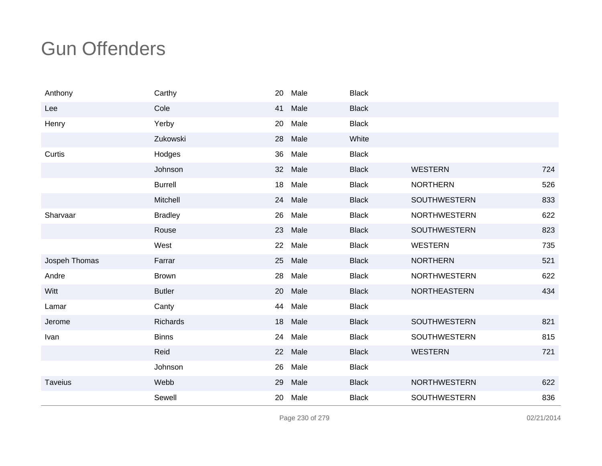| Anthony        | Carthy         | 20 | Male | <b>Black</b> |                     |     |
|----------------|----------------|----|------|--------------|---------------------|-----|
| Lee            | Cole           | 41 | Male | <b>Black</b> |                     |     |
| Henry          | Yerby          | 20 | Male | <b>Black</b> |                     |     |
|                | Zukowski       | 28 | Male | White        |                     |     |
| Curtis         | Hodges         | 36 | Male | <b>Black</b> |                     |     |
|                | Johnson        | 32 | Male | <b>Black</b> | <b>WESTERN</b>      | 724 |
|                | <b>Burrell</b> | 18 | Male | <b>Black</b> | <b>NORTHERN</b>     | 526 |
|                | Mitchell       | 24 | Male | <b>Black</b> | SOUTHWESTERN        | 833 |
| Sharvaar       | <b>Bradley</b> | 26 | Male | <b>Black</b> | <b>NORTHWESTERN</b> | 622 |
|                | Rouse          | 23 | Male | <b>Black</b> | <b>SOUTHWESTERN</b> | 823 |
|                | West           | 22 | Male | <b>Black</b> | <b>WESTERN</b>      | 735 |
| Jospeh Thomas  | Farrar         | 25 | Male | <b>Black</b> | <b>NORTHERN</b>     | 521 |
| Andre          | <b>Brown</b>   | 28 | Male | <b>Black</b> | <b>NORTHWESTERN</b> | 622 |
| Witt           | <b>Butler</b>  | 20 | Male | <b>Black</b> | <b>NORTHEASTERN</b> | 434 |
| Lamar          | Canty          | 44 | Male | <b>Black</b> |                     |     |
| Jerome         | Richards       | 18 | Male | <b>Black</b> | <b>SOUTHWESTERN</b> | 821 |
| Ivan           | <b>Binns</b>   | 24 | Male | <b>Black</b> | SOUTHWESTERN        | 815 |
|                | Reid           | 22 | Male | <b>Black</b> | <b>WESTERN</b>      | 721 |
|                | Johnson        | 26 | Male | <b>Black</b> |                     |     |
| <b>Taveius</b> | Webb           | 29 | Male | <b>Black</b> | <b>NORTHWESTERN</b> | 622 |
|                | Sewell         | 20 | Male | <b>Black</b> | SOUTHWESTERN        | 836 |

Page 230 of 279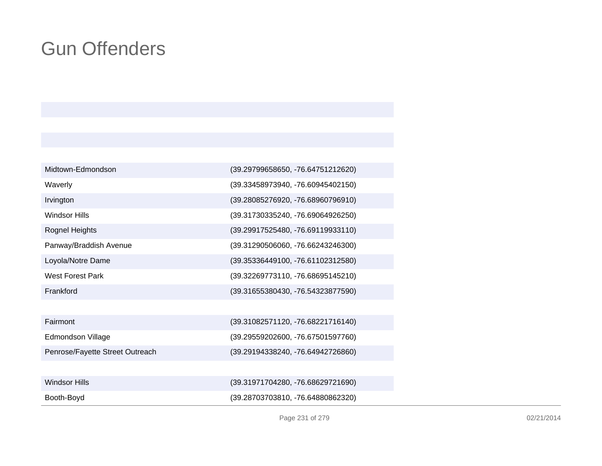| Midtown-Edmondson               | (39.29799658650, -76.64751212620) |
|---------------------------------|-----------------------------------|
| Waverly                         | (39.33458973940, -76.60945402150) |
| Irvington                       | (39.28085276920, -76.68960796910) |
| <b>Windsor Hills</b>            | (39.31730335240, -76.69064926250) |
| Rognel Heights                  | (39.29917525480, -76.69119933110) |
| Panway/Braddish Avenue          | (39.31290506060, -76.66243246300) |
| Loyola/Notre Dame               | (39.35336449100, -76.61102312580) |
| <b>West Forest Park</b>         | (39.32269773110, -76.68695145210) |
| Frankford                       | (39.31655380430, -76.54323877590) |
|                                 |                                   |
| Fairmont                        | (39.31082571120, -76.68221716140) |
| Edmondson Village               | (39.29559202600, -76.67501597760) |
| Penrose/Fayette Street Outreach | (39.29194338240, -76.64942726860) |
|                                 |                                   |
| <b>Windsor Hills</b>            | (39.31971704280, -76.68629721690) |
| Booth-Boyd                      | (39.28703703810, -76.64880862320) |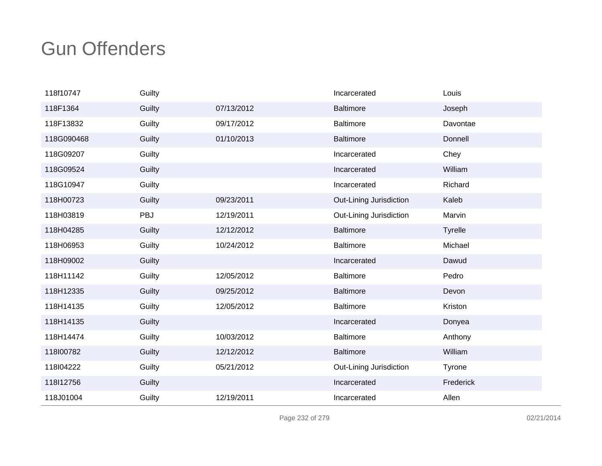| 118f10747  | Guilty |            | Incarcerated            | Louis          |
|------------|--------|------------|-------------------------|----------------|
| 118F1364   | Guilty | 07/13/2012 | Baltimore               | Joseph         |
| 118F13832  | Guilty | 09/17/2012 | <b>Baltimore</b>        | Davontae       |
| 118G090468 | Guilty | 01/10/2013 | <b>Baltimore</b>        | Donnell        |
| 118G09207  | Guilty |            | Incarcerated            | Chey           |
| 118G09524  | Guilty |            | Incarcerated            | William        |
| 118G10947  | Guilty |            | Incarcerated            | Richard        |
| 118H00723  | Guilty | 09/23/2011 | Out-Lining Jurisdiction | Kaleb          |
| 118H03819  | PBJ    | 12/19/2011 | Out-Lining Jurisdiction | Marvin         |
| 118H04285  | Guilty | 12/12/2012 | <b>Baltimore</b>        | <b>Tyrelle</b> |
| 118H06953  | Guilty | 10/24/2012 | <b>Baltimore</b>        | Michael        |
| 118H09002  | Guilty |            | Incarcerated            | Dawud          |
| 118H11142  | Guilty | 12/05/2012 | <b>Baltimore</b>        | Pedro          |
| 118H12335  | Guilty | 09/25/2012 | <b>Baltimore</b>        | Devon          |
| 118H14135  | Guilty | 12/05/2012 | <b>Baltimore</b>        | Kriston        |
| 118H14135  | Guilty |            | Incarcerated            | Donyea         |
| 118H14474  | Guilty | 10/03/2012 | Baltimore               | Anthony        |
| 118100782  | Guilty | 12/12/2012 | <b>Baltimore</b>        | William        |
| 118l04222  | Guilty | 05/21/2012 | Out-Lining Jurisdiction | Tyrone         |
| 118l12756  | Guilty |            | Incarcerated            | Frederick      |
| 118J01004  | Guilty | 12/19/2011 | Incarcerated            | Allen          |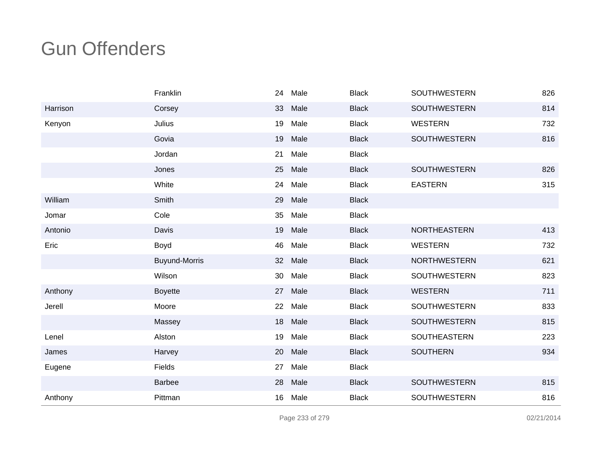|          | Franklin             | 24 | Male | <b>Black</b> | <b>SOUTHWESTERN</b> | 826 |
|----------|----------------------|----|------|--------------|---------------------|-----|
| Harrison | Corsey               | 33 | Male | <b>Black</b> | <b>SOUTHWESTERN</b> | 814 |
| Kenyon   | Julius               | 19 | Male | <b>Black</b> | <b>WESTERN</b>      | 732 |
|          | Govia                | 19 | Male | <b>Black</b> | <b>SOUTHWESTERN</b> | 816 |
|          | Jordan               | 21 | Male | <b>Black</b> |                     |     |
|          | Jones                | 25 | Male | <b>Black</b> | <b>SOUTHWESTERN</b> | 826 |
|          | White                | 24 | Male | <b>Black</b> | <b>EASTERN</b>      | 315 |
| William  | Smith                | 29 | Male | <b>Black</b> |                     |     |
| Jomar    | Cole                 | 35 | Male | <b>Black</b> |                     |     |
| Antonio  | Davis                | 19 | Male | <b>Black</b> | <b>NORTHEASTERN</b> | 413 |
| Eric     | Boyd                 | 46 | Male | <b>Black</b> | <b>WESTERN</b>      | 732 |
|          | <b>Buyund-Morris</b> | 32 | Male | <b>Black</b> | <b>NORTHWESTERN</b> | 621 |
|          | Wilson               | 30 | Male | <b>Black</b> | <b>SOUTHWESTERN</b> | 823 |
| Anthony  | <b>Boyette</b>       | 27 | Male | <b>Black</b> | <b>WESTERN</b>      | 711 |
| Jerell   | Moore                | 22 | Male | <b>Black</b> | <b>SOUTHWESTERN</b> | 833 |
|          | Massey               | 18 | Male | <b>Black</b> | <b>SOUTHWESTERN</b> | 815 |
| Lenel    | Alston               | 19 | Male | <b>Black</b> | <b>SOUTHEASTERN</b> | 223 |
| James    | Harvey               | 20 | Male | <b>Black</b> | <b>SOUTHERN</b>     | 934 |
| Eugene   | Fields               | 27 | Male | <b>Black</b> |                     |     |
|          | <b>Barbee</b>        | 28 | Male | <b>Black</b> | <b>SOUTHWESTERN</b> | 815 |
| Anthony  | Pittman              | 16 | Male | <b>Black</b> | <b>SOUTHWESTERN</b> | 816 |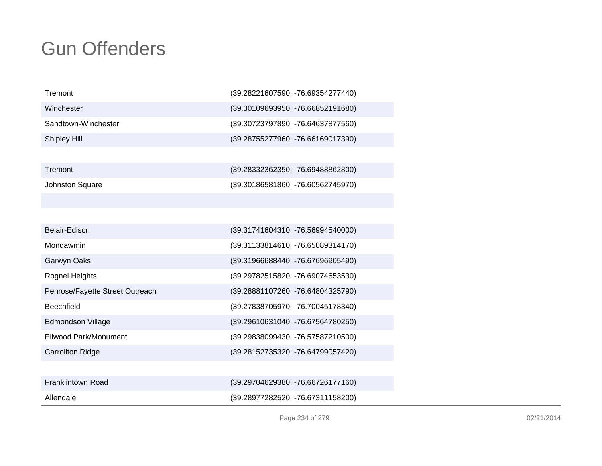| Tremont                         | (39.28221607590, -76.69354277440) |
|---------------------------------|-----------------------------------|
| Winchester                      | (39.30109693950, -76.66852191680) |
| Sandtown-Winchester             | (39.30723797890, -76.64637877560) |
| Shipley Hill                    | (39.28755277960, -76.66169017390) |
|                                 |                                   |
| Tremont                         | (39.28332362350, -76.69488862800) |
| Johnston Square                 | (39.30186581860, -76.60562745970) |
|                                 |                                   |
|                                 |                                   |
| Belair-Edison                   | (39.31741604310, -76.56994540000) |
| Mondawmin                       | (39.31133814610, -76.65089314170) |
| Garwyn Oaks                     | (39.31966688440, -76.67696905490) |
| <b>Rognel Heights</b>           | (39.29782515820, -76.69074653530) |
| Penrose/Fayette Street Outreach | (39.28881107260, -76.64804325790) |
| Beechfield                      | (39.27838705970, -76.70045178340) |
| Edmondson Village               | (39.29610631040, -76.67564780250) |
| <b>Ellwood Park/Monument</b>    | (39.29838099430, -76.57587210500) |
| <b>Carrollton Ridge</b>         | (39.28152735320, -76.64799057420) |
|                                 |                                   |
| Franklintown Road               | (39.29704629380, -76.66726177160) |
| Allendale                       | (39.28977282520, -76.67311158200) |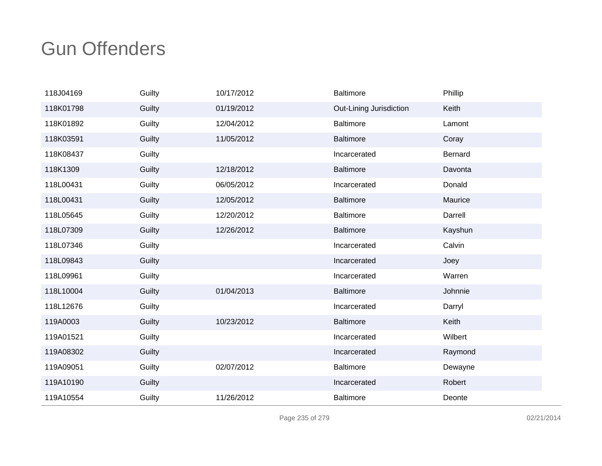| 118J04169 | Guilty | 10/17/2012 | <b>Baltimore</b>        | Phillip |
|-----------|--------|------------|-------------------------|---------|
| 118K01798 | Guilty | 01/19/2012 | Out-Lining Jurisdiction | Keith   |
| 118K01892 | Guilty | 12/04/2012 | <b>Baltimore</b>        | Lamont  |
| 118K03591 | Guilty | 11/05/2012 | <b>Baltimore</b>        | Coray   |
| 118K08437 | Guilty |            | Incarcerated            | Bernard |
| 118K1309  | Guilty | 12/18/2012 | <b>Baltimore</b>        | Davonta |
| 118L00431 | Guilty | 06/05/2012 | Incarcerated            | Donald  |
| 118L00431 | Guilty | 12/05/2012 | <b>Baltimore</b>        | Maurice |
| 118L05645 | Guilty | 12/20/2012 | <b>Baltimore</b>        | Darrell |
| 118L07309 | Guilty | 12/26/2012 | <b>Baltimore</b>        | Kayshun |
| 118L07346 | Guilty |            | Incarcerated            | Calvin  |
| 118L09843 | Guilty |            | Incarcerated            | Joey    |
| 118L09961 | Guilty |            | Incarcerated            | Warren  |
| 118L10004 | Guilty | 01/04/2013 | <b>Baltimore</b>        | Johnnie |
| 118L12676 | Guilty |            | Incarcerated            | Darryl  |
| 119A0003  | Guilty | 10/23/2012 | <b>Baltimore</b>        | Keith   |
| 119A01521 | Guilty |            | Incarcerated            | Wilbert |
| 119A08302 | Guilty |            | Incarcerated            | Raymond |
| 119A09051 | Guilty | 02/07/2012 | <b>Baltimore</b>        | Dewayne |
| 119A10190 | Guilty |            | Incarcerated            | Robert  |
| 119A10554 | Guilty | 11/26/2012 | <b>Baltimore</b>        | Deonte  |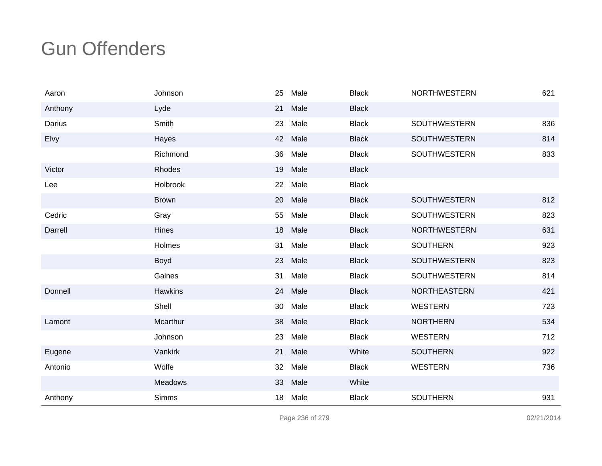| Aaron   | Johnson        | 25 | Male | <b>Black</b> | <b>NORTHWESTERN</b> | 621 |
|---------|----------------|----|------|--------------|---------------------|-----|
| Anthony | Lyde           | 21 | Male | <b>Black</b> |                     |     |
| Darius  | Smith          | 23 | Male | <b>Black</b> | SOUTHWESTERN        | 836 |
| Elvy    | Hayes          | 42 | Male | <b>Black</b> | <b>SOUTHWESTERN</b> | 814 |
|         | Richmond       | 36 | Male | <b>Black</b> | <b>SOUTHWESTERN</b> | 833 |
| Victor  | Rhodes         | 19 | Male | <b>Black</b> |                     |     |
| Lee     | Holbrook       | 22 | Male | <b>Black</b> |                     |     |
|         | <b>Brown</b>   | 20 | Male | <b>Black</b> | <b>SOUTHWESTERN</b> | 812 |
| Cedric  | Gray           | 55 | Male | <b>Black</b> | <b>SOUTHWESTERN</b> | 823 |
| Darrell | <b>Hines</b>   | 18 | Male | <b>Black</b> | <b>NORTHWESTERN</b> | 631 |
|         | Holmes         | 31 | Male | <b>Black</b> | <b>SOUTHERN</b>     | 923 |
|         | Boyd           | 23 | Male | <b>Black</b> | <b>SOUTHWESTERN</b> | 823 |
|         | Gaines         | 31 | Male | <b>Black</b> | <b>SOUTHWESTERN</b> | 814 |
| Donnell | <b>Hawkins</b> | 24 | Male | <b>Black</b> | NORTHEASTERN        | 421 |
|         | Shell          | 30 | Male | <b>Black</b> | <b>WESTERN</b>      | 723 |
| Lamont  | Mcarthur       | 38 | Male | <b>Black</b> | <b>NORTHERN</b>     | 534 |
|         | Johnson        | 23 | Male | <b>Black</b> | <b>WESTERN</b>      | 712 |
| Eugene  | Vankirk        | 21 | Male | White        | <b>SOUTHERN</b>     | 922 |
| Antonio | Wolfe          | 32 | Male | <b>Black</b> | <b>WESTERN</b>      | 736 |
|         | Meadows        | 33 | Male | White        |                     |     |
| Anthony | <b>Simms</b>   | 18 | Male | <b>Black</b> | <b>SOUTHERN</b>     | 931 |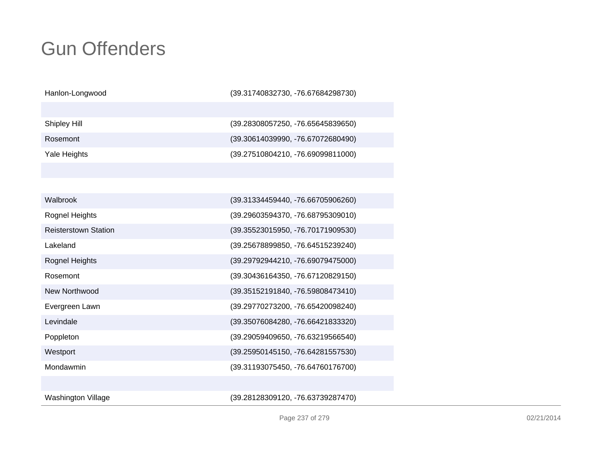Hanlon-Longwood

(39.31740832730, -76.67684298730)

Shipley Hill

Rosemont

Yale Heights

 (39.28308057250, -76.65645839650) (39.30614039990, -76.67072680490)(39.27510804210, -76.69099811000)

| Walbrook                    | (39.31334459440, -76.66705906260) |
|-----------------------------|-----------------------------------|
| Rognel Heights              | (39.29603594370, -76.68795309010) |
| <b>Reisterstown Station</b> | (39.35523015950, -76.70171909530) |
| Lakeland                    | (39.25678899850, -76.64515239240) |
| Rognel Heights              | (39.29792944210, -76.69079475000) |
| Rosemont                    | (39.30436164350, -76.67120829150) |
| New Northwood               | (39.35152191840, -76.59808473410) |
| Evergreen Lawn              | (39.29770273200, -76.65420098240) |
| Levindale                   | (39.35076084280, -76.66421833320) |
| Poppleton                   | (39.29059409650, -76.63219566540) |
| Westport                    | (39.25950145150, -76.64281557530) |
| Mondawmin                   | (39.31193075450, -76.64760176700) |
|                             |                                   |
| Washington Village          | (39.28128309120, -76.63739287470) |

(39.28128309120, -76.63739287470)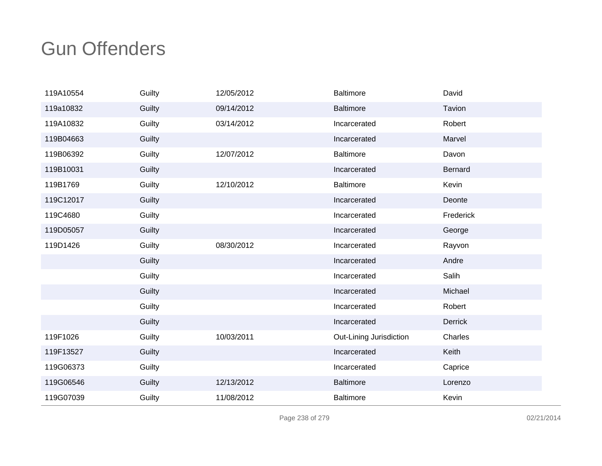| 119A10554 | Guilty | 12/05/2012 | <b>Baltimore</b>        | David          |
|-----------|--------|------------|-------------------------|----------------|
| 119a10832 | Guilty | 09/14/2012 | <b>Baltimore</b>        | Tavion         |
| 119A10832 | Guilty | 03/14/2012 | Incarcerated            | Robert         |
| 119B04663 | Guilty |            | Incarcerated            | Marvel         |
| 119B06392 | Guilty | 12/07/2012 | <b>Baltimore</b>        | Davon          |
| 119B10031 | Guilty |            | Incarcerated            | Bernard        |
| 119B1769  | Guilty | 12/10/2012 | <b>Baltimore</b>        | Kevin          |
| 119C12017 | Guilty |            | Incarcerated            | Deonte         |
| 119C4680  | Guilty |            | Incarcerated            | Frederick      |
| 119D05057 | Guilty |            | Incarcerated            | George         |
| 119D1426  | Guilty | 08/30/2012 | Incarcerated            | Rayvon         |
|           | Guilty |            | Incarcerated            | Andre          |
|           | Guilty |            | Incarcerated            | Salih          |
|           | Guilty |            | Incarcerated            | Michael        |
|           | Guilty |            | Incarcerated            | Robert         |
|           | Guilty |            | Incarcerated            | <b>Derrick</b> |
| 119F1026  | Guilty | 10/03/2011 | Out-Lining Jurisdiction | Charles        |
| 119F13527 | Guilty |            | Incarcerated            | Keith          |
| 119G06373 | Guilty |            | Incarcerated            | Caprice        |
| 119G06546 | Guilty | 12/13/2012 | <b>Baltimore</b>        | Lorenzo        |
| 119G07039 | Guilty | 11/08/2012 | <b>Baltimore</b>        | Kevin          |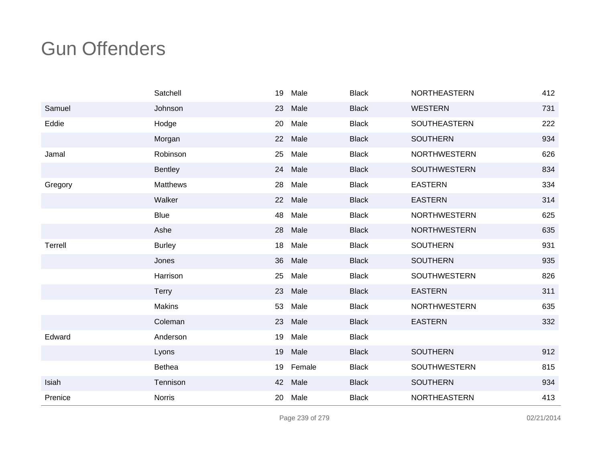|         | Satchell        | 19 | Male    | <b>Black</b> | <b>NORTHEASTERN</b> | 412 |
|---------|-----------------|----|---------|--------------|---------------------|-----|
| Samuel  | Johnson         | 23 | Male    | <b>Black</b> | <b>WESTERN</b>      | 731 |
| Eddie   | Hodge           | 20 | Male    | <b>Black</b> | SOUTHEASTERN        | 222 |
|         | Morgan          | 22 | Male    | <b>Black</b> | <b>SOUTHERN</b>     | 934 |
| Jamal   | Robinson        | 25 | Male    | <b>Black</b> | <b>NORTHWESTERN</b> | 626 |
|         | <b>Bentley</b>  | 24 | Male    | <b>Black</b> | <b>SOUTHWESTERN</b> | 834 |
| Gregory | <b>Matthews</b> | 28 | Male    | <b>Black</b> | <b>EASTERN</b>      | 334 |
|         | Walker          | 22 | Male    | <b>Black</b> | <b>EASTERN</b>      | 314 |
|         | <b>Blue</b>     | 48 | Male    | <b>Black</b> | <b>NORTHWESTERN</b> | 625 |
|         | Ashe            |    | 28 Male | <b>Black</b> | <b>NORTHWESTERN</b> | 635 |
| Terrell | <b>Burley</b>   | 18 | Male    | <b>Black</b> | <b>SOUTHERN</b>     | 931 |
|         | Jones           | 36 | Male    | <b>Black</b> | <b>SOUTHERN</b>     | 935 |
|         | Harrison        | 25 | Male    | <b>Black</b> | <b>SOUTHWESTERN</b> | 826 |
|         | <b>Terry</b>    | 23 | Male    | <b>Black</b> | <b>EASTERN</b>      | 311 |
|         | <b>Makins</b>   | 53 | Male    | <b>Black</b> | <b>NORTHWESTERN</b> | 635 |
|         | Coleman         | 23 | Male    | <b>Black</b> | <b>EASTERN</b>      | 332 |
| Edward  | Anderson        | 19 | Male    | <b>Black</b> |                     |     |
|         | Lyons           | 19 | Male    | <b>Black</b> | <b>SOUTHERN</b>     | 912 |
|         | Bethea          | 19 | Female  | <b>Black</b> | <b>SOUTHWESTERN</b> | 815 |
| Isiah   | Tennison        | 42 | Male    | <b>Black</b> | <b>SOUTHERN</b>     | 934 |
| Prenice | <b>Norris</b>   | 20 | Male    | <b>Black</b> | <b>NORTHEASTERN</b> | 413 |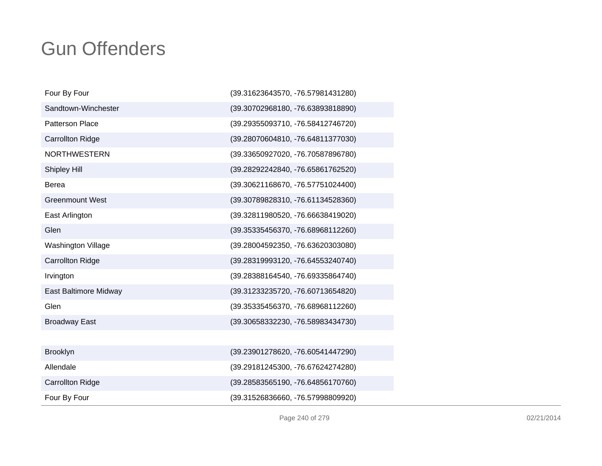| Four By Four            | (39.31623643570, -76.57981431280) |
|-------------------------|-----------------------------------|
| Sandtown-Winchester     | (39.30702968180, -76.63893818890) |
| <b>Patterson Place</b>  | (39.29355093710, -76.58412746720) |
| <b>Carrollton Ridge</b> | (39.28070604810, -76.64811377030) |
| <b>NORTHWESTERN</b>     | (39.33650927020, -76.70587896780) |
| Shipley Hill            | (39.28292242840, -76.65861762520) |
| Berea                   | (39.30621168670, -76.57751024400) |
| <b>Greenmount West</b>  | (39.30789828310, -76.61134528360) |
| East Arlington          | (39.32811980520, -76.66638419020) |
| Glen                    | (39.35335456370, -76.68968112260) |
| Washington Village      | (39.28004592350, -76.63620303080) |
| <b>Carrollton Ridge</b> | (39.28319993120, -76.64553240740) |
| Irvington               | (39.28388164540, -76.69335864740) |
| East Baltimore Midway   | (39.31233235720, -76.60713654820) |
| Glen                    | (39.35335456370, -76.68968112260) |
| <b>Broadway East</b>    | (39.30658332230, -76.58983434730) |
|                         |                                   |
| <b>Brooklyn</b>         | (39.23901278620, -76.60541447290) |
| Allendale               | (39.29181245300, -76.67624274280) |
| <b>Carrollton Ridge</b> | (39.28583565190, -76.64856170760) |
| Four By Four            | (39.31526836660, -76.57998809920) |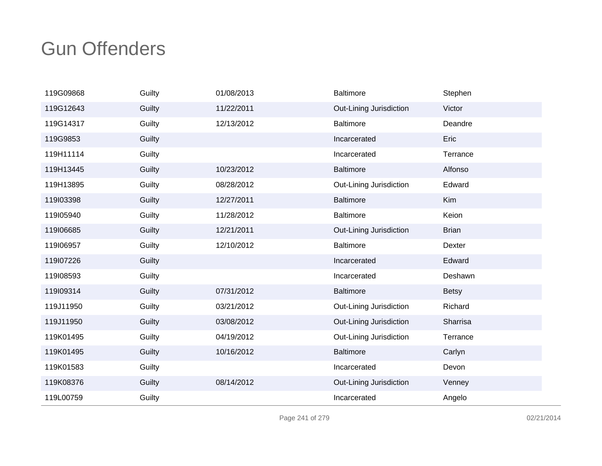| 119G09868 | Guilty | 01/08/2013 | Baltimore               | Stephen      |
|-----------|--------|------------|-------------------------|--------------|
| 119G12643 | Guilty | 11/22/2011 | Out-Lining Jurisdiction | Victor       |
| 119G14317 | Guilty | 12/13/2012 | <b>Baltimore</b>        | Deandre      |
| 119G9853  | Guilty |            | Incarcerated            | Eric         |
| 119H11114 | Guilty |            | Incarcerated            | Terrance     |
| 119H13445 | Guilty | 10/23/2012 | <b>Baltimore</b>        | Alfonso      |
| 119H13895 | Guilty | 08/28/2012 | Out-Lining Jurisdiction | Edward       |
| 119103398 | Guilty | 12/27/2011 | <b>Baltimore</b>        | Kim          |
| 119105940 | Guilty | 11/28/2012 | <b>Baltimore</b>        | Keion        |
| 119106685 | Guilty | 12/21/2011 | Out-Lining Jurisdiction | <b>Brian</b> |
| 119106957 | Guilty | 12/10/2012 | <b>Baltimore</b>        | Dexter       |
| 119l07226 | Guilty |            | Incarcerated            | Edward       |
| 119108593 | Guilty |            | Incarcerated            | Deshawn      |
| 119l09314 | Guilty | 07/31/2012 | <b>Baltimore</b>        | <b>Betsy</b> |
| 119J11950 | Guilty | 03/21/2012 | Out-Lining Jurisdiction | Richard      |
| 119J11950 | Guilty | 03/08/2012 | Out-Lining Jurisdiction | Sharrisa     |
| 119K01495 | Guilty | 04/19/2012 | Out-Lining Jurisdiction | Terrance     |
| 119K01495 | Guilty | 10/16/2012 | <b>Baltimore</b>        | Carlyn       |
| 119K01583 | Guilty |            | Incarcerated            | Devon        |
| 119K08376 | Guilty | 08/14/2012 | Out-Lining Jurisdiction | Venney       |
| 119L00759 | Guilty |            | Incarcerated            | Angelo       |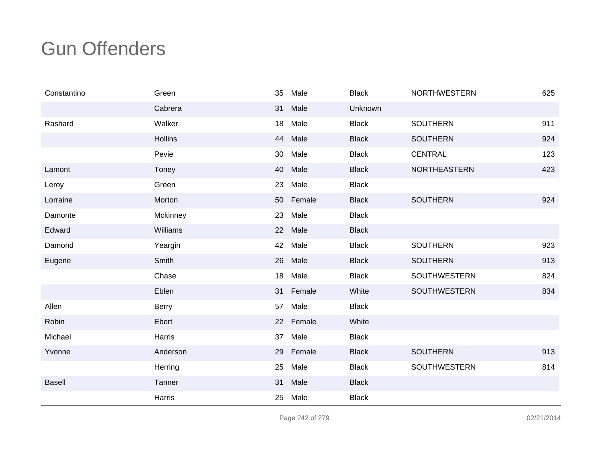| Constantino   | Green        | 35 | Male   | <b>Black</b> | <b>NORTHWESTERN</b> | 625 |
|---------------|--------------|----|--------|--------------|---------------------|-----|
|               | Cabrera      | 31 | Male   | Unknown      |                     |     |
| Rashard       | Walker       | 18 | Male   | <b>Black</b> | <b>SOUTHERN</b>     | 911 |
|               | Hollins      | 44 | Male   | <b>Black</b> | <b>SOUTHERN</b>     | 924 |
|               | Pevie        | 30 | Male   | <b>Black</b> | <b>CENTRAL</b>      | 123 |
| Lamont        | Toney        | 40 | Male   | <b>Black</b> | NORTHEASTERN        | 423 |
| Leroy         | Green        | 23 | Male   | <b>Black</b> |                     |     |
| Lorraine      | Morton       | 50 | Female | <b>Black</b> | <b>SOUTHERN</b>     | 924 |
| Damonte       | Mckinney     | 23 | Male   | <b>Black</b> |                     |     |
| Edward        | Williams     | 22 | Male   | <b>Black</b> |                     |     |
| Damond        | Yeargin      | 42 | Male   | <b>Black</b> | <b>SOUTHERN</b>     | 923 |
| Eugene        | Smith        | 26 | Male   | <b>Black</b> | <b>SOUTHERN</b>     | 913 |
|               | Chase        | 18 | Male   | <b>Black</b> | <b>SOUTHWESTERN</b> | 824 |
|               | Eblen        | 31 | Female | White        | SOUTHWESTERN        | 834 |
| Allen         | <b>Berry</b> | 57 | Male   | <b>Black</b> |                     |     |
| Robin         | Ebert        | 22 | Female | White        |                     |     |
| Michael       | Harris       | 37 | Male   | <b>Black</b> |                     |     |
| Yvonne        | Anderson     | 29 | Female | <b>Black</b> | <b>SOUTHERN</b>     | 913 |
|               | Herring      | 25 | Male   | <b>Black</b> | <b>SOUTHWESTERN</b> | 814 |
| <b>Basell</b> | Tanner       | 31 | Male   | <b>Black</b> |                     |     |
|               | Harris       | 25 | Male   | <b>Black</b> |                     |     |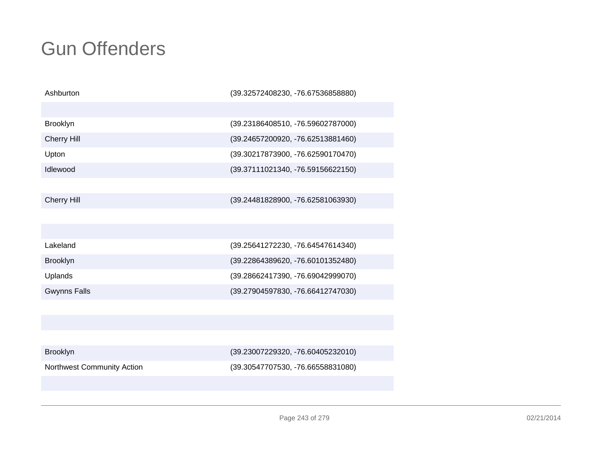| Ashburton                  | (39.32572408230, -76.67536858880) |
|----------------------------|-----------------------------------|
|                            |                                   |
| Brooklyn                   | (39.23186408510, -76.59602787000) |
| <b>Cherry Hill</b>         | (39.24657200920, -76.62513881460) |
| Upton                      | (39.30217873900, -76.62590170470) |
| Idlewood                   | (39.37111021340, -76.59156622150) |
|                            |                                   |
| <b>Cherry Hill</b>         | (39.24481828900, -76.62581063930) |
|                            |                                   |
|                            |                                   |
| Lakeland                   | (39.25641272230, -76.64547614340) |
| Brooklyn                   | (39.22864389620, -76.60101352480) |
| Uplands                    | (39.28662417390, -76.69042999070) |
| <b>Gwynns Falls</b>        | (39.27904597830, -76.66412747030) |
|                            |                                   |
|                            |                                   |
|                            |                                   |
| Brooklyn                   | (39.23007229320, -76.60405232010) |
| Northwest Community Action | (39.30547707530, -76.66558831080) |
|                            |                                   |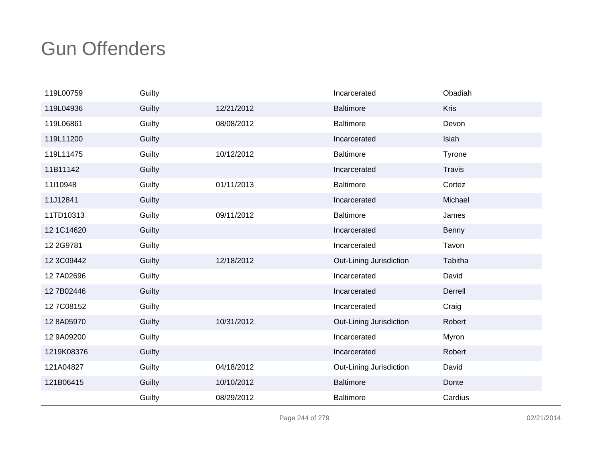| 119L00759  | Guilty |            | Incarcerated            | Obadiah       |
|------------|--------|------------|-------------------------|---------------|
| 119L04936  | Guilty | 12/21/2012 | <b>Baltimore</b>        | <b>Kris</b>   |
| 119L06861  | Guilty | 08/08/2012 | <b>Baltimore</b>        | Devon         |
| 119L11200  | Guilty |            | Incarcerated            | Isiah         |
| 119L11475  | Guilty | 10/12/2012 | <b>Baltimore</b>        | Tyrone        |
| 11B11142   | Guilty |            | Incarcerated            | <b>Travis</b> |
| 11I10948   | Guilty | 01/11/2013 | <b>Baltimore</b>        | Cortez        |
| 11J12841   | Guilty |            | Incarcerated            | Michael       |
| 11TD10313  | Guilty | 09/11/2012 | <b>Baltimore</b>        | James         |
| 12 1C14620 | Guilty |            | Incarcerated            | Benny         |
| 12 2G9781  | Guilty |            | Incarcerated            | Tavon         |
| 12 3C09442 | Guilty | 12/18/2012 | Out-Lining Jurisdiction | Tabitha       |
| 12 7A02696 | Guilty |            | Incarcerated            | David         |
| 12 7B02446 | Guilty |            | Incarcerated            | Derrell       |
| 127C08152  | Guilty |            | Incarcerated            | Craig         |
| 12 8A05970 | Guilty | 10/31/2012 | Out-Lining Jurisdiction | Robert        |
| 12 9A09200 | Guilty |            | Incarcerated            | Myron         |
| 1219K08376 | Guilty |            | Incarcerated            | Robert        |
| 121A04827  | Guilty | 04/18/2012 | Out-Lining Jurisdiction | David         |
| 121B06415  | Guilty | 10/10/2012 | <b>Baltimore</b>        | Donte         |
|            | Guilty | 08/29/2012 | <b>Baltimore</b>        | Cardius       |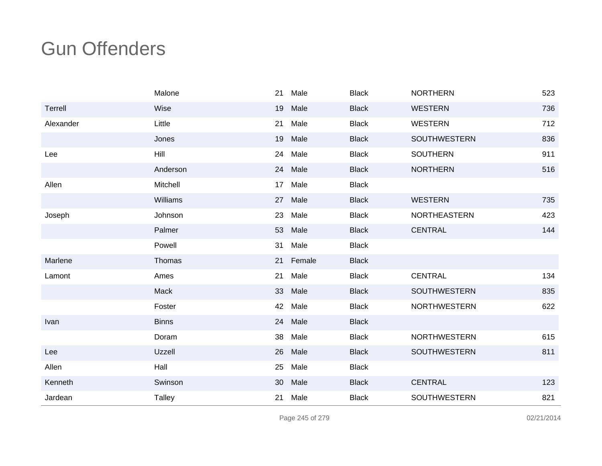|           | Malone        | 21              | Male      | <b>Black</b> | <b>NORTHERN</b>     | 523 |
|-----------|---------------|-----------------|-----------|--------------|---------------------|-----|
| Terrell   | Wise          | 19              | Male      | <b>Black</b> | <b>WESTERN</b>      | 736 |
| Alexander | Little        | 21              | Male      | <b>Black</b> | <b>WESTERN</b>      | 712 |
|           | Jones         | 19              | Male      | <b>Black</b> | <b>SOUTHWESTERN</b> | 836 |
| Lee       | Hill          | 24              | Male      | <b>Black</b> | <b>SOUTHERN</b>     | 911 |
|           | Anderson      |                 | 24 Male   | <b>Black</b> | <b>NORTHERN</b>     | 516 |
| Allen     | Mitchell      | 17 <sub>2</sub> | Male      | <b>Black</b> |                     |     |
|           | Williams      |                 | 27 Male   | <b>Black</b> | <b>WESTERN</b>      | 735 |
| Joseph    | Johnson       | 23              | Male      | <b>Black</b> | <b>NORTHEASTERN</b> | 423 |
|           | Palmer        |                 | 53 Male   | <b>Black</b> | <b>CENTRAL</b>      | 144 |
|           | Powell        | 31              | Male      | <b>Black</b> |                     |     |
| Marlene   | Thomas        |                 | 21 Female | <b>Black</b> |                     |     |
| Lamont    | Ames          | 21              | Male      | <b>Black</b> | <b>CENTRAL</b>      | 134 |
|           | Mack          | 33              | Male      | <b>Black</b> | SOUTHWESTERN        | 835 |
|           | Foster        | 42              | Male      | <b>Black</b> | <b>NORTHWESTERN</b> | 622 |
| Ivan      | <b>Binns</b>  | 24              | Male      | <b>Black</b> |                     |     |
|           | Doram         | 38              | Male      | <b>Black</b> | <b>NORTHWESTERN</b> | 615 |
| Lee       | Uzzell        | 26              | Male      | <b>Black</b> | SOUTHWESTERN        | 811 |
| Allen     | Hall          | 25              | Male      | <b>Black</b> |                     |     |
| Kenneth   | Swinson       | 30              | Male      | <b>Black</b> | <b>CENTRAL</b>      | 123 |
| Jardean   | <b>Talley</b> | 21              | Male      | <b>Black</b> | <b>SOUTHWESTERN</b> | 821 |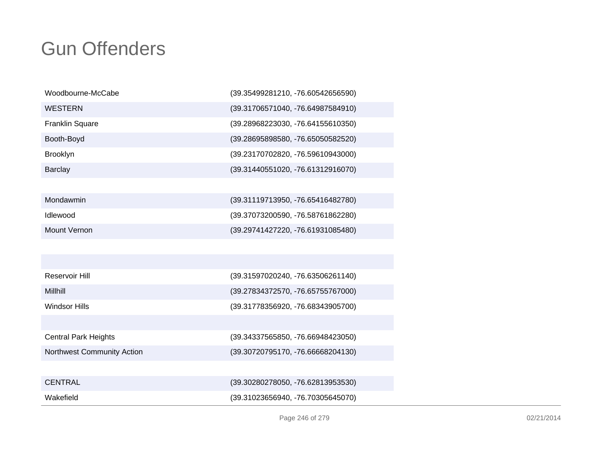| Woodbourne-McCabe      | (39.35499281210, -76.60542656590) |
|------------------------|-----------------------------------|
| <b>WESTERN</b>         | (39.31706571040, -76.64987584910) |
| <b>Franklin Square</b> | (39.28968223030, -76.64155610350) |
| Booth-Boyd             | (39.28695898580, -76.65050582520) |
| <b>Brooklyn</b>        | (39.23170702820, -76.59610943000) |
| <b>Barclay</b>         | (39.31440551020, -76.61312916070) |
|                        |                                   |
| Mondawmin              | (39.31119713950, -76.65416482780) |
| <b>Idlewood</b>        | (39.37073200590, -76.58761862280) |
| Mount Vernon           | (39.29741427220, -76.61931085480) |
|                        |                                   |
|                        |                                   |

| Reservoir Hill                    | (39.31597020240, -76.63506261140) |
|-----------------------------------|-----------------------------------|
| Millhill                          | (39.27834372570, -76.65755767000) |
| Windsor Hills                     | (39.31778356920, -76.68343905700) |
|                                   |                                   |
| <b>Central Park Heights</b>       | (39.34337565850, -76.66948423050) |
| <b>Northwest Community Action</b> | (39.30720795170, -76.66668204130) |
|                                   |                                   |
| <b>CENTRAL</b>                    | (39.30280278050, -76.62813953530) |
| Wakefield                         | (39.31023656940, -76.70305645070) |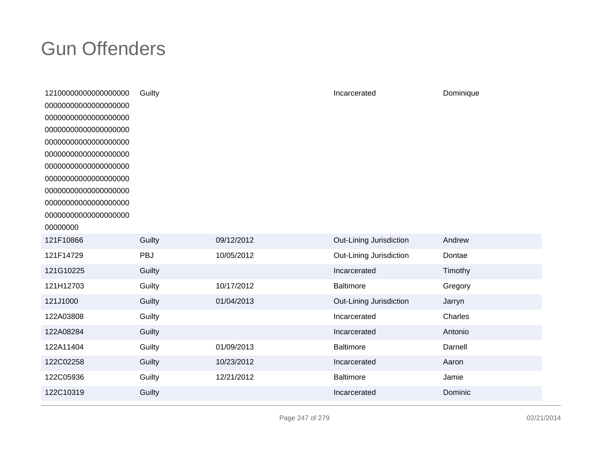| 12100000000000000000 | Guilty     |            | Incarcerated            | Dominique |
|----------------------|------------|------------|-------------------------|-----------|
| 00000000000000000000 |            |            |                         |           |
| 00000000000000000000 |            |            |                         |           |
| 00000000000000000000 |            |            |                         |           |
| 00000000000000000000 |            |            |                         |           |
| 00000000000000000000 |            |            |                         |           |
| 00000000000000000000 |            |            |                         |           |
| 00000000000000000000 |            |            |                         |           |
| 00000000000000000000 |            |            |                         |           |
| 00000000000000000000 |            |            |                         |           |
| 00000000000000000000 |            |            |                         |           |
| 00000000             |            |            |                         |           |
| 121F10866            | Guilty     | 09/12/2012 | Out-Lining Jurisdiction | Andrew    |
| 121F14729            | <b>PBJ</b> | 10/05/2012 | Out-Lining Jurisdiction | Dontae    |
| 121G10225            | Guilty     |            | Incarcerated            | Timothy   |
| 121H12703            | Guilty     | 10/17/2012 | <b>Baltimore</b>        | Gregory   |
| 121J1000             | Guilty     | 01/04/2013 | Out-Lining Jurisdiction | Jarryn    |
| 122A03808            | Guilty     |            | Incarcerated            | Charles   |
| 122A08284            | Guilty     |            | Incarcerated            | Antonio   |
| 122A11404            | Guilty     | 01/09/2013 | <b>Baltimore</b>        | Darnell   |
| 122C02258            | Guilty     | 10/23/2012 | Incarcerated            | Aaron     |
| 122C05936            | Guilty     | 12/21/2012 | Baltimore               | Jamie     |
| 122C10319            | Guilty     |            | Incarcerated            | Dominic   |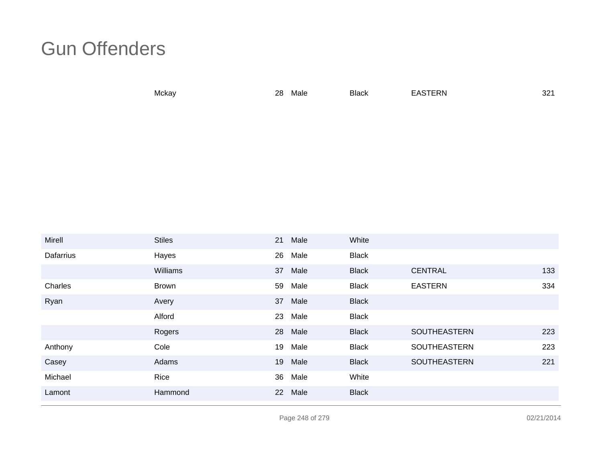Mckayy 28 28 Male Black EASTERN

N 321

| Mirell    | <b>Stiles</b> | 21 | Male | White        |                     |     |
|-----------|---------------|----|------|--------------|---------------------|-----|
| Dafarrius | Hayes         | 26 | Male | <b>Black</b> |                     |     |
|           | Williams      | 37 | Male | <b>Black</b> | <b>CENTRAL</b>      | 133 |
| Charles   | <b>Brown</b>  | 59 | Male | <b>Black</b> | <b>EASTERN</b>      | 334 |
| Ryan      | Avery         | 37 | Male | <b>Black</b> |                     |     |
|           | Alford        | 23 | Male | <b>Black</b> |                     |     |
|           | Rogers        | 28 | Male | <b>Black</b> | <b>SOUTHEASTERN</b> | 223 |
| Anthony   | Cole          | 19 | Male | <b>Black</b> | SOUTHEASTERN        | 223 |
| Casey     | Adams         | 19 | Male | <b>Black</b> | SOUTHEASTERN        | 221 |
| Michael   | Rice          | 36 | Male | White        |                     |     |
| Lamont    | Hammond       | 22 | Male | <b>Black</b> |                     |     |

Page 248 of 279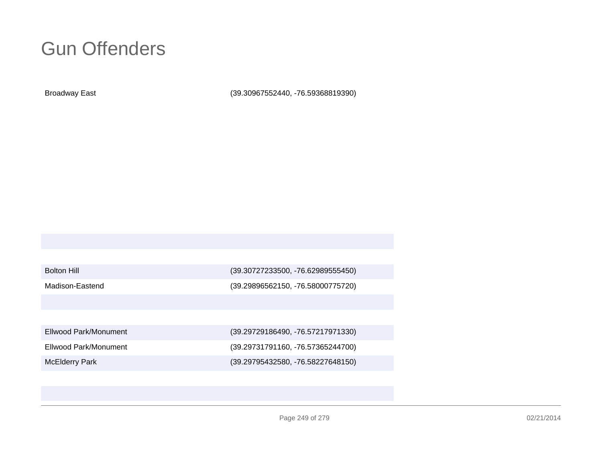Broadway East

(39.30967552440, -76.59368819390)

| <b>Bolton Hill</b> |  |
|--------------------|--|
|--------------------|--|

(39.30727233500, -76.62989555450)

Madison-Eastend

(39.29896562150, -76.58000775720)

Ellwood Park/Monument

Ellwood Park/Monument

McElderry Park

 (39.29729186490, -76.57217971330) (39.29731791160, -76.57365244700)(39.29795432580, -76.58227648150)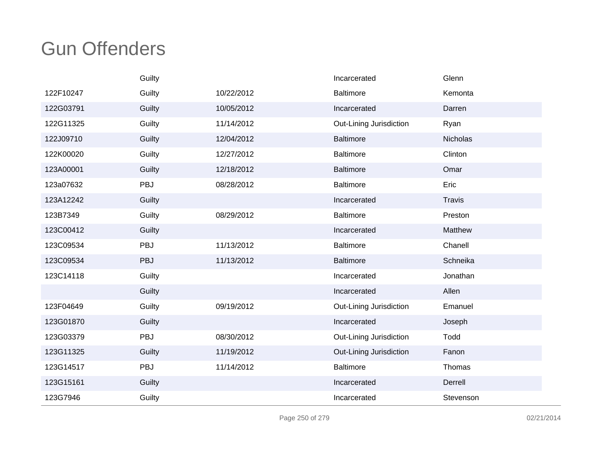|           | Guilty |            | Incarcerated            | Glenn           |
|-----------|--------|------------|-------------------------|-----------------|
| 122F10247 | Guilty | 10/22/2012 | <b>Baltimore</b>        | Kemonta         |
| 122G03791 | Guilty | 10/05/2012 | Incarcerated            | Darren          |
| 122G11325 | Guilty | 11/14/2012 | Out-Lining Jurisdiction | Ryan            |
| 122J09710 | Guilty | 12/04/2012 | <b>Baltimore</b>        | <b>Nicholas</b> |
| 122K00020 | Guilty | 12/27/2012 | <b>Baltimore</b>        | Clinton         |
| 123A00001 | Guilty | 12/18/2012 | <b>Baltimore</b>        | Omar            |
| 123a07632 | PBJ    | 08/28/2012 | <b>Baltimore</b>        | Eric            |
| 123A12242 | Guilty |            | Incarcerated            | <b>Travis</b>   |
| 123B7349  | Guilty | 08/29/2012 | <b>Baltimore</b>        | Preston         |
| 123C00412 | Guilty |            | Incarcerated            | Matthew         |
| 123C09534 | PBJ    | 11/13/2012 | <b>Baltimore</b>        | Chanell         |
| 123C09534 | PBJ    | 11/13/2012 | <b>Baltimore</b>        | Schneika        |
| 123C14118 | Guilty |            | Incarcerated            | Jonathan        |
|           | Guilty |            | Incarcerated            | Allen           |
| 123F04649 | Guilty | 09/19/2012 | Out-Lining Jurisdiction | Emanuel         |
| 123G01870 | Guilty |            | Incarcerated            | Joseph          |
| 123G03379 | PBJ    | 08/30/2012 | Out-Lining Jurisdiction | Todd            |
| 123G11325 | Guilty | 11/19/2012 | Out-Lining Jurisdiction | Fanon           |
| 123G14517 | PBJ    | 11/14/2012 | <b>Baltimore</b>        | Thomas          |
| 123G15161 | Guilty |            | Incarcerated            | Derrell         |
| 123G7946  | Guilty |            | Incarcerated            | Stevenson       |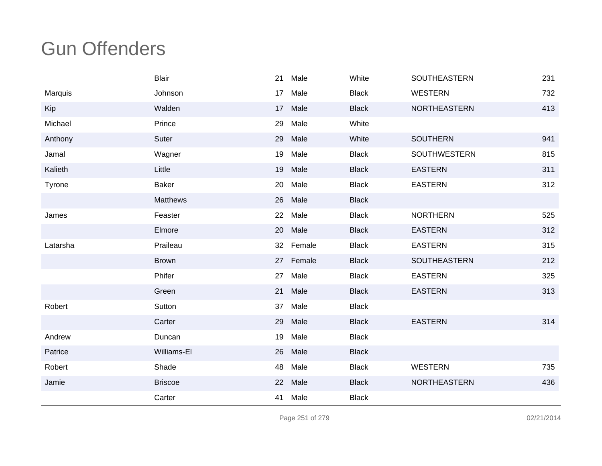|          | <b>Blair</b>    | 21 | Male      | White        | SOUTHEASTERN        | 231 |
|----------|-----------------|----|-----------|--------------|---------------------|-----|
| Marquis  | Johnson         | 17 | Male      | <b>Black</b> | <b>WESTERN</b>      | 732 |
| Kip      | Walden          | 17 | Male      | <b>Black</b> | <b>NORTHEASTERN</b> | 413 |
| Michael  | Prince          | 29 | Male      | White        |                     |     |
| Anthony  | Suter           | 29 | Male      | White        | <b>SOUTHERN</b>     | 941 |
| Jamal    | Wagner          | 19 | Male      | <b>Black</b> | <b>SOUTHWESTERN</b> | 815 |
| Kalieth  | Little          | 19 | Male      | <b>Black</b> | <b>EASTERN</b>      | 311 |
| Tyrone   | <b>Baker</b>    | 20 | Male      | <b>Black</b> | <b>EASTERN</b>      | 312 |
|          | <b>Matthews</b> | 26 | Male      | <b>Black</b> |                     |     |
| James    | Feaster         | 22 | Male      | <b>Black</b> | <b>NORTHERN</b>     | 525 |
|          | Elmore          | 20 | Male      | <b>Black</b> | <b>EASTERN</b>      | 312 |
| Latarsha | Praileau        |    | 32 Female | <b>Black</b> | <b>EASTERN</b>      | 315 |
|          | <b>Brown</b>    | 27 | Female    | <b>Black</b> | <b>SOUTHEASTERN</b> | 212 |
|          | Phifer          | 27 | Male      | <b>Black</b> | <b>EASTERN</b>      | 325 |
|          | Green           | 21 | Male      | <b>Black</b> | <b>EASTERN</b>      | 313 |
| Robert   | Sutton          | 37 | Male      | <b>Black</b> |                     |     |
|          | Carter          | 29 | Male      | <b>Black</b> | <b>EASTERN</b>      | 314 |
| Andrew   | Duncan          | 19 | Male      | <b>Black</b> |                     |     |
| Patrice  | Williams-El     | 26 | Male      | <b>Black</b> |                     |     |
| Robert   | Shade           | 48 | Male      | <b>Black</b> | <b>WESTERN</b>      | 735 |
| Jamie    | <b>Briscoe</b>  |    | 22 Male   | <b>Black</b> | <b>NORTHEASTERN</b> | 436 |
|          | Carter          | 41 | Male      | <b>Black</b> |                     |     |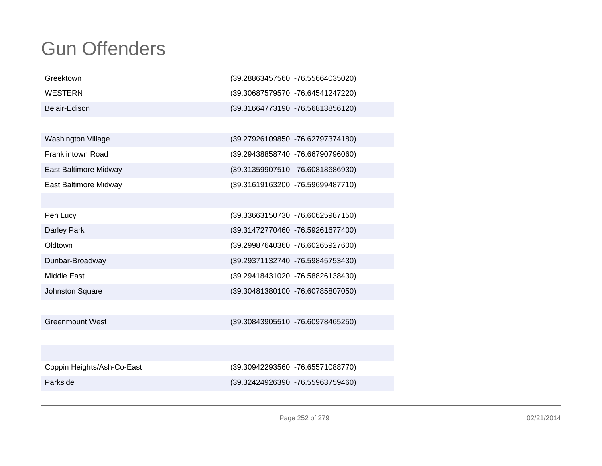| Greektown                  | (39.28863457560, -76.55664035020) |
|----------------------------|-----------------------------------|
| <b>WESTERN</b>             | (39.30687579570, -76.64541247220) |
| Belair-Edison              | (39.31664773190, -76.56813856120) |
|                            |                                   |
| Washington Village         | (39.27926109850, -76.62797374180) |
| <b>Franklintown Road</b>   | (39.29438858740, -76.66790796060) |
| East Baltimore Midway      | (39.31359907510, -76.60818686930) |
| East Baltimore Midway      | (39.31619163200, -76.59699487710) |
|                            |                                   |
| Pen Lucy                   | (39.33663150730, -76.60625987150) |
| Darley Park                | (39.31472770460, -76.59261677400) |
| Oldtown                    | (39.29987640360, -76.60265927600) |
| Dunbar-Broadway            | (39.29371132740, -76.59845753430) |
| <b>Middle East</b>         | (39.29418431020, -76.58826138430) |
| Johnston Square            | (39.30481380100, -76.60785807050) |
|                            |                                   |
| <b>Greenmount West</b>     | (39.30843905510, -76.60978465250) |
|                            |                                   |
|                            |                                   |
| Coppin Heights/Ash-Co-East | (39.30942293560, -76.65571088770) |
| Parkside                   | (39.32424926390, -76.55963759460) |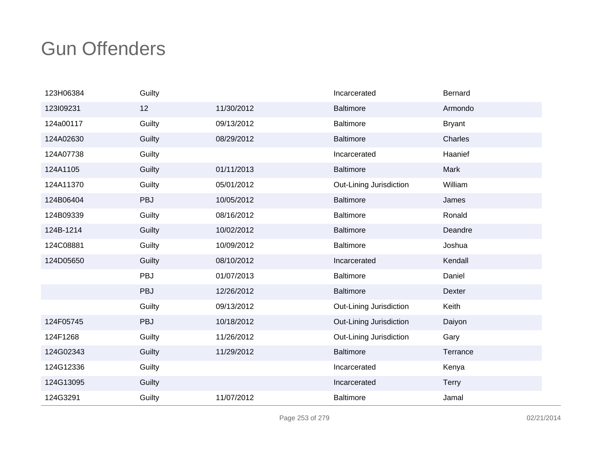| 123H06384 | Guilty     |            | Incarcerated            | Bernard       |
|-----------|------------|------------|-------------------------|---------------|
| 123109231 | 12         | 11/30/2012 | <b>Baltimore</b>        | Armondo       |
| 124a00117 | Guilty     | 09/13/2012 | Baltimore               | <b>Bryant</b> |
| 124A02630 | Guilty     | 08/29/2012 | <b>Baltimore</b>        | Charles       |
| 124A07738 | Guilty     |            | Incarcerated            | Haanief       |
| 124A1105  | Guilty     | 01/11/2013 | <b>Baltimore</b>        | Mark          |
| 124A11370 | Guilty     | 05/01/2012 | Out-Lining Jurisdiction | William       |
| 124B06404 | PBJ        | 10/05/2012 | <b>Baltimore</b>        | James         |
| 124B09339 | Guilty     | 08/16/2012 | <b>Baltimore</b>        | Ronald        |
| 124B-1214 | Guilty     | 10/02/2012 | <b>Baltimore</b>        | Deandre       |
| 124C08881 | Guilty     | 10/09/2012 | <b>Baltimore</b>        | Joshua        |
| 124D05650 | Guilty     | 08/10/2012 | Incarcerated            | Kendall       |
|           | <b>PBJ</b> | 01/07/2013 | <b>Baltimore</b>        | Daniel        |
|           | PBJ        | 12/26/2012 | <b>Baltimore</b>        | Dexter        |
|           | Guilty     | 09/13/2012 | Out-Lining Jurisdiction | Keith         |
| 124F05745 | PBJ        | 10/18/2012 | Out-Lining Jurisdiction | Daiyon        |
| 124F1268  | Guilty     | 11/26/2012 | Out-Lining Jurisdiction | Gary          |
| 124G02343 | Guilty     | 11/29/2012 | <b>Baltimore</b>        | Terrance      |
| 124G12336 | Guilty     |            | Incarcerated            | Kenya         |
| 124G13095 | Guilty     |            | Incarcerated            | <b>Terry</b>  |
| 124G3291  | Guilty     | 11/07/2012 | <b>Baltimore</b>        | Jamal         |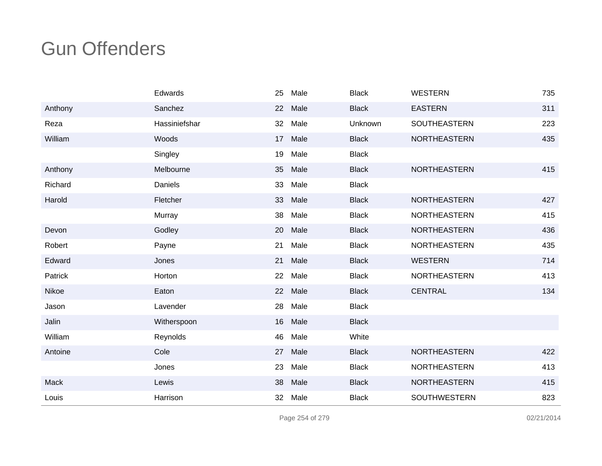|         | Edwards       | 25 | Male | <b>Black</b> | <b>WESTERN</b>      | 735 |
|---------|---------------|----|------|--------------|---------------------|-----|
| Anthony | Sanchez       | 22 | Male | <b>Black</b> | <b>EASTERN</b>      | 311 |
| Reza    | Hassiniefshar | 32 | Male | Unknown      | SOUTHEASTERN        | 223 |
| William | Woods         | 17 | Male | <b>Black</b> | <b>NORTHEASTERN</b> | 435 |
|         | Singley       | 19 | Male | <b>Black</b> |                     |     |
| Anthony | Melbourne     | 35 | Male | <b>Black</b> | <b>NORTHEASTERN</b> | 415 |
| Richard | Daniels       | 33 | Male | <b>Black</b> |                     |     |
| Harold  | Fletcher      | 33 | Male | <b>Black</b> | <b>NORTHEASTERN</b> | 427 |
|         | Murray        | 38 | Male | <b>Black</b> | <b>NORTHEASTERN</b> | 415 |
| Devon   | Godley        | 20 | Male | <b>Black</b> | <b>NORTHEASTERN</b> | 436 |
| Robert  | Payne         | 21 | Male | <b>Black</b> | <b>NORTHEASTERN</b> | 435 |
| Edward  | Jones         | 21 | Male | <b>Black</b> | <b>WESTERN</b>      | 714 |
| Patrick | Horton        | 22 | Male | <b>Black</b> | <b>NORTHEASTERN</b> | 413 |
| Nikoe   | Eaton         | 22 | Male | <b>Black</b> | <b>CENTRAL</b>      | 134 |
| Jason   | Lavender      | 28 | Male | <b>Black</b> |                     |     |
| Jalin   | Witherspoon   | 16 | Male | <b>Black</b> |                     |     |
| William | Reynolds      | 46 | Male | White        |                     |     |
| Antoine | Cole          | 27 | Male | <b>Black</b> | <b>NORTHEASTERN</b> | 422 |
|         | Jones         | 23 | Male | <b>Black</b> | <b>NORTHEASTERN</b> | 413 |
| Mack    | Lewis         | 38 | Male | <b>Black</b> | NORTHEASTERN        | 415 |
| Louis   | Harrison      | 32 | Male | <b>Black</b> | <b>SOUTHWESTERN</b> | 823 |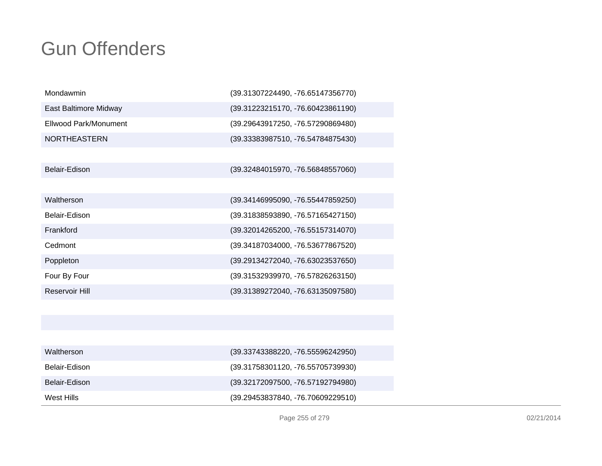| Mondawmin             | (39.31307224490, -76.65147356770) |
|-----------------------|-----------------------------------|
| East Baltimore Midway | (39.31223215170, -76.60423861190) |
| Ellwood Park/Monument | (39.29643917250, -76.57290869480) |
| <b>NORTHEASTERN</b>   | (39.33383987510, -76.54784875430) |
|                       |                                   |
| Belair-Edison         | (39.32484015970, -76.56848557060) |
|                       |                                   |
| Waltherson            | (39.34146995090, -76.55447859250) |
| Belair-Edison         | (39.31838593890, -76.57165427150) |
| Frankford             | (39.32014265200, -76.55157314070) |
| Cedmont               | (39.34187034000, -76.53677867520) |
| Poppleton             | (39.29134272040, -76.63023537650) |
| Four By Four          | (39.31532939970, -76.57826263150) |
| <b>Reservoir Hill</b> | (39.31389272040, -76.63135097580) |
|                       |                                   |
|                       |                                   |
|                       |                                   |
| Waltherson            | (39.33743388220, -76.55596242950) |

| West Hills    | (39.29453837840, -76.70609229510) |
|---------------|-----------------------------------|
| Belair-Edison | (39.32172097500, -76.57192794980) |
| Belair-Edison | (39.31758301120, -76.55705739930) |
| Waltherson    | (39.33743388220, -76.55596242950) |
|               |                                   |

Page 255 of 279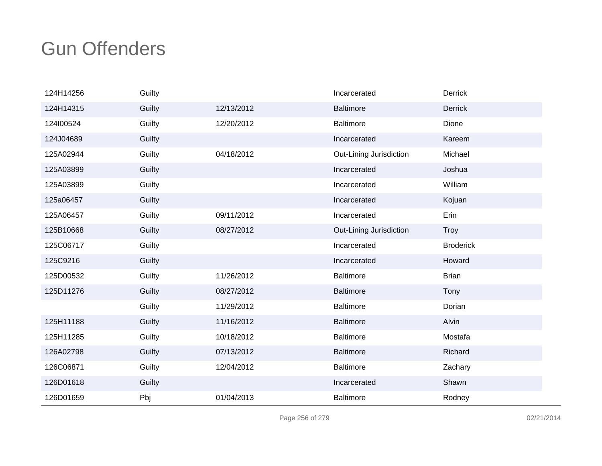| 124H14256 | Guilty |            | Incarcerated            | Derrick          |
|-----------|--------|------------|-------------------------|------------------|
| 124H14315 | Guilty | 12/13/2012 | <b>Baltimore</b>        | <b>Derrick</b>   |
| 124100524 | Guilty | 12/20/2012 | <b>Baltimore</b>        | Dione            |
| 124J04689 | Guilty |            | Incarcerated            | Kareem           |
| 125A02944 | Guilty | 04/18/2012 | Out-Lining Jurisdiction | Michael          |
| 125A03899 | Guilty |            | Incarcerated            | Joshua           |
| 125A03899 | Guilty |            | Incarcerated            | William          |
| 125a06457 | Guilty |            | Incarcerated            | Kojuan           |
| 125A06457 | Guilty | 09/11/2012 | Incarcerated            | Erin             |
| 125B10668 | Guilty | 08/27/2012 | Out-Lining Jurisdiction | <b>Troy</b>      |
| 125C06717 | Guilty |            | Incarcerated            | <b>Broderick</b> |
| 125C9216  | Guilty |            | Incarcerated            | Howard           |
| 125D00532 | Guilty | 11/26/2012 | <b>Baltimore</b>        | <b>Brian</b>     |
| 125D11276 | Guilty | 08/27/2012 | <b>Baltimore</b>        | Tony             |
|           | Guilty | 11/29/2012 | <b>Baltimore</b>        | Dorian           |
| 125H11188 | Guilty | 11/16/2012 | <b>Baltimore</b>        | Alvin            |
| 125H11285 | Guilty | 10/18/2012 | <b>Baltimore</b>        | Mostafa          |
| 126A02798 | Guilty | 07/13/2012 | <b>Baltimore</b>        | Richard          |
| 126C06871 | Guilty | 12/04/2012 | <b>Baltimore</b>        | Zachary          |
| 126D01618 | Guilty |            | Incarcerated            | Shawn            |
| 126D01659 | Pbj    | 01/04/2013 | <b>Baltimore</b>        | Rodney           |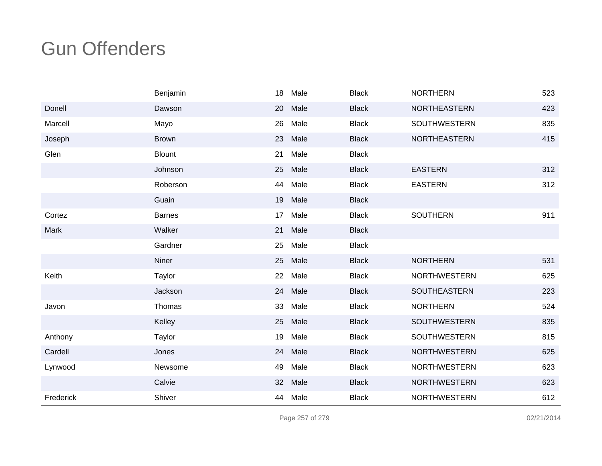|           | Benjamin      | 18 | Male | <b>Black</b> | <b>NORTHERN</b>     | 523 |
|-----------|---------------|----|------|--------------|---------------------|-----|
| Donell    | Dawson        | 20 | Male | <b>Black</b> | NORTHEASTERN        | 423 |
| Marcell   | Mayo          | 26 | Male | <b>Black</b> | <b>SOUTHWESTERN</b> | 835 |
| Joseph    | <b>Brown</b>  | 23 | Male | <b>Black</b> | <b>NORTHEASTERN</b> | 415 |
| Glen      | <b>Blount</b> | 21 | Male | <b>Black</b> |                     |     |
|           | Johnson       | 25 | Male | <b>Black</b> | <b>EASTERN</b>      | 312 |
|           | Roberson      | 44 | Male | <b>Black</b> | <b>EASTERN</b>      | 312 |
|           | Guain         | 19 | Male | <b>Black</b> |                     |     |
| Cortez    | <b>Barnes</b> | 17 | Male | <b>Black</b> | <b>SOUTHERN</b>     | 911 |
| Mark      | Walker        | 21 | Male | <b>Black</b> |                     |     |
|           | Gardner       | 25 | Male | <b>Black</b> |                     |     |
|           | Niner         | 25 | Male | <b>Black</b> | <b>NORTHERN</b>     | 531 |
| Keith     | Taylor        | 22 | Male | <b>Black</b> | <b>NORTHWESTERN</b> | 625 |
|           | Jackson       | 24 | Male | <b>Black</b> | <b>SOUTHEASTERN</b> | 223 |
| Javon     | Thomas        | 33 | Male | <b>Black</b> | <b>NORTHERN</b>     | 524 |
|           | Kelley        | 25 | Male | <b>Black</b> | <b>SOUTHWESTERN</b> | 835 |
| Anthony   | Taylor        | 19 | Male | <b>Black</b> | <b>SOUTHWESTERN</b> | 815 |
| Cardell   | Jones         | 24 | Male | <b>Black</b> | <b>NORTHWESTERN</b> | 625 |
| Lynwood   | Newsome       | 49 | Male | <b>Black</b> | <b>NORTHWESTERN</b> | 623 |
|           | Calvie        | 32 | Male | <b>Black</b> | <b>NORTHWESTERN</b> | 623 |
| Frederick | Shiver        | 44 | Male | <b>Black</b> | <b>NORTHWESTERN</b> | 612 |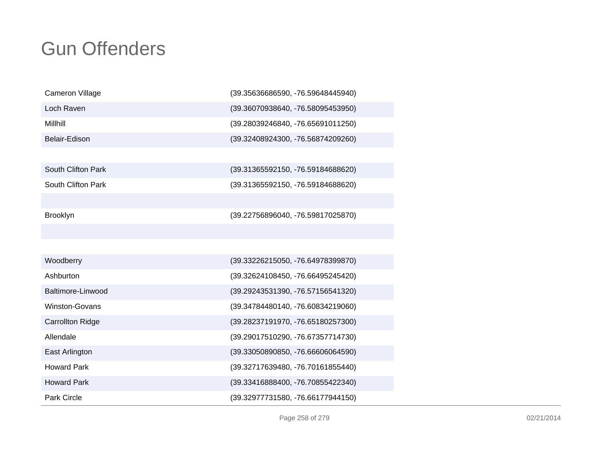| <b>Cameron Village</b>  | (39.35636686590, -76.59648445940) |
|-------------------------|-----------------------------------|
| Loch Raven              | (39.36070938640, -76.58095453950) |
| Millhill                | (39.28039246840, -76.65691011250) |
| Belair-Edison           | (39.32408924300, -76.56874209260) |
|                         |                                   |
| South Clifton Park      | (39.31365592150, -76.59184688620) |
| South Clifton Park      | (39.31365592150, -76.59184688620) |
|                         |                                   |
| <b>Brooklyn</b>         | (39.22756896040, -76.59817025870) |
|                         |                                   |
|                         |                                   |
| Woodberry               | (39.33226215050, -76.64978399870) |
| Ashburton               | (39.32624108450, -76.66495245420) |
| Baltimore-Linwood       | (39.29243531390, -76.57156541320) |
| Winston-Govans          | (39.34784480140, -76.60834219060) |
| <b>Carrollton Ridge</b> | (39.28237191970, -76.65180257300) |
| Allendale               | (39.29017510290, -76.67357714730) |
| East Arlington          | (39.33050890850, -76.66606064590) |
| <b>Howard Park</b>      | (39.32717639480, -76.70161855440) |
| <b>Howard Park</b>      | (39.33416888400, -76.70855422340) |
| <b>Park Circle</b>      | (39.32977731580, -76.66177944150) |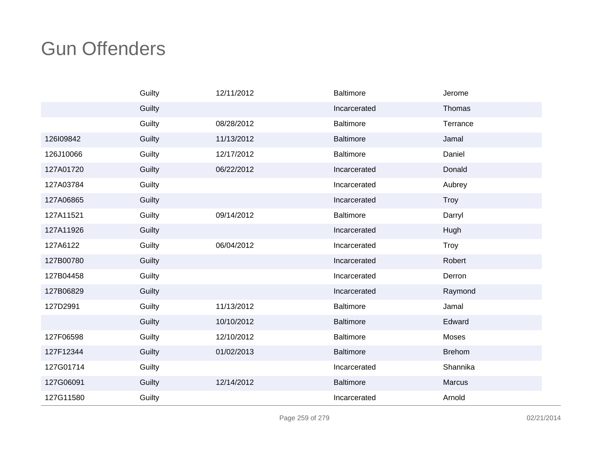|           | Guilty | 12/11/2012 | <b>Baltimore</b> | Jerome        |
|-----------|--------|------------|------------------|---------------|
|           | Guilty |            | Incarcerated     | Thomas        |
|           | Guilty | 08/28/2012 | <b>Baltimore</b> | Terrance      |
| 126109842 | Guilty | 11/13/2012 | <b>Baltimore</b> | Jamal         |
| 126J10066 | Guilty | 12/17/2012 | Baltimore        | Daniel        |
| 127A01720 | Guilty | 06/22/2012 | Incarcerated     | Donald        |
| 127A03784 | Guilty |            | Incarcerated     | Aubrey        |
| 127A06865 | Guilty |            | Incarcerated     | Troy          |
| 127A11521 | Guilty | 09/14/2012 | <b>Baltimore</b> | Darryl        |
| 127A11926 | Guilty |            | Incarcerated     | Hugh          |
| 127A6122  | Guilty | 06/04/2012 | Incarcerated     | <b>Troy</b>   |
| 127B00780 | Guilty |            | Incarcerated     | Robert        |
| 127B04458 | Guilty |            | Incarcerated     | Derron        |
| 127B06829 | Guilty |            | Incarcerated     | Raymond       |
| 127D2991  | Guilty | 11/13/2012 | Baltimore        | Jamal         |
|           | Guilty | 10/10/2012 | <b>Baltimore</b> | Edward        |
| 127F06598 | Guilty | 12/10/2012 | <b>Baltimore</b> | Moses         |
| 127F12344 | Guilty | 01/02/2013 | <b>Baltimore</b> | <b>Brehom</b> |
| 127G01714 | Guilty |            | Incarcerated     | Shannika      |
| 127G06091 | Guilty | 12/14/2012 | <b>Baltimore</b> | Marcus        |
| 127G11580 | Guilty |            | Incarcerated     | Arnold        |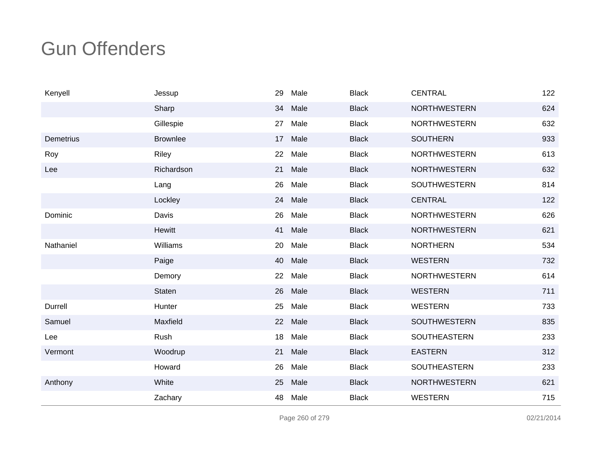| Kenyell          | Jessup          | 29 | Male | <b>Black</b> | <b>CENTRAL</b>      | 122 |
|------------------|-----------------|----|------|--------------|---------------------|-----|
|                  | Sharp           | 34 | Male | <b>Black</b> | <b>NORTHWESTERN</b> | 624 |
|                  | Gillespie       | 27 | Male | <b>Black</b> | <b>NORTHWESTERN</b> | 632 |
| <b>Demetrius</b> | <b>Brownlee</b> | 17 | Male | <b>Black</b> | <b>SOUTHERN</b>     | 933 |
| Roy              | Riley           | 22 | Male | <b>Black</b> | <b>NORTHWESTERN</b> | 613 |
| Lee              | Richardson      | 21 | Male | <b>Black</b> | <b>NORTHWESTERN</b> | 632 |
|                  | Lang            | 26 | Male | <b>Black</b> | <b>SOUTHWESTERN</b> | 814 |
|                  | Lockley         | 24 | Male | <b>Black</b> | <b>CENTRAL</b>      | 122 |
| Dominic          | Davis           | 26 | Male | <b>Black</b> | <b>NORTHWESTERN</b> | 626 |
|                  | Hewitt          | 41 | Male | <b>Black</b> | <b>NORTHWESTERN</b> | 621 |
| Nathaniel        | Williams        | 20 | Male | <b>Black</b> | <b>NORTHERN</b>     | 534 |
|                  | Paige           | 40 | Male | <b>Black</b> | <b>WESTERN</b>      | 732 |
|                  | Demory          | 22 | Male | <b>Black</b> | <b>NORTHWESTERN</b> | 614 |
|                  | <b>Staten</b>   | 26 | Male | <b>Black</b> | <b>WESTERN</b>      | 711 |
| Durrell          | Hunter          | 25 | Male | <b>Black</b> | <b>WESTERN</b>      | 733 |
| Samuel           | Maxfield        | 22 | Male | <b>Black</b> | <b>SOUTHWESTERN</b> | 835 |
| Lee              | Rush            | 18 | Male | <b>Black</b> | <b>SOUTHEASTERN</b> | 233 |
| Vermont          | Woodrup         | 21 | Male | <b>Black</b> | <b>EASTERN</b>      | 312 |
|                  | Howard          | 26 | Male | <b>Black</b> | SOUTHEASTERN        | 233 |
| Anthony          | White           | 25 | Male | <b>Black</b> | <b>NORTHWESTERN</b> | 621 |
|                  | Zachary         | 48 | Male | <b>Black</b> | <b>WESTERN</b>      | 715 |

Page 260 of 279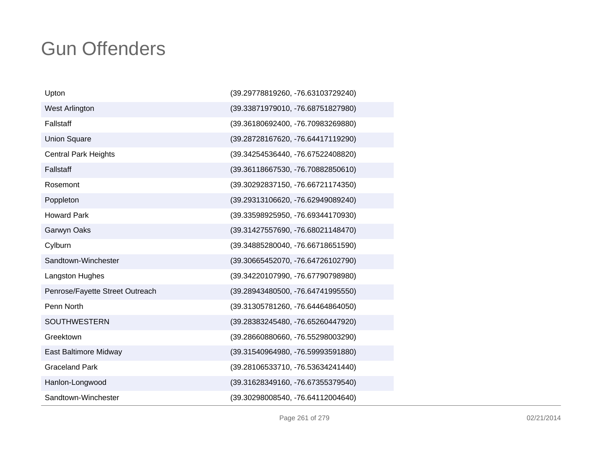| Upton                           | (39.29778819260, -76.63103729240) |
|---------------------------------|-----------------------------------|
| West Arlington                  | (39.33871979010, -76.68751827980) |
| Fallstaff                       | (39.36180692400, -76.70983269880) |
| <b>Union Square</b>             | (39.28728167620, -76.64417119290) |
| <b>Central Park Heights</b>     | (39.34254536440, -76.67522408820) |
| Fallstaff                       | (39.36118667530, -76.70882850610) |
| Rosemont                        | (39.30292837150, -76.66721174350) |
| Poppleton                       | (39.29313106620, -76.62949089240) |
| <b>Howard Park</b>              | (39.33598925950, -76.69344170930) |
| Garwyn Oaks                     | (39.31427557690, -76.68021148470) |
| Cylburn                         | (39.34885280040, -76.66718651590) |
| Sandtown-Winchester             | (39.30665452070, -76.64726102790) |
| Langston Hughes                 | (39.34220107990, -76.67790798980) |
| Penrose/Fayette Street Outreach | (39.28943480500, -76.64741995550) |
| Penn North                      | (39.31305781260, -76.64464864050) |
| <b>SOUTHWESTERN</b>             | (39.28383245480, -76.65260447920) |
| Greektown                       | (39.28660880660, -76.55298003290) |
| East Baltimore Midway           | (39.31540964980, -76.59993591880) |
| <b>Graceland Park</b>           | (39.28106533710, -76.53634241440) |
| Hanlon-Longwood                 | (39.31628349160, -76.67355379540) |
| Sandtown-Winchester             | (39.30298008540, -76.64112004640) |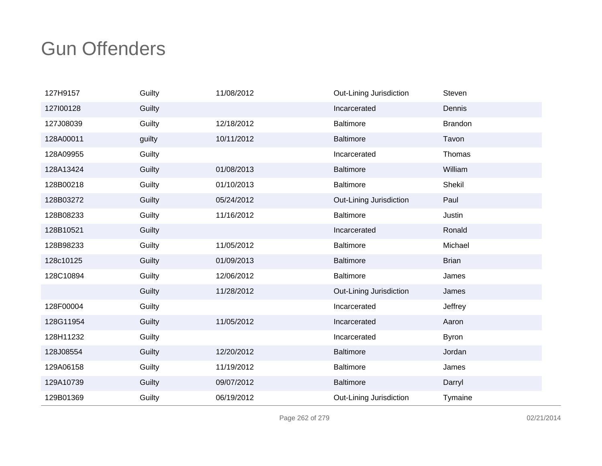| 127H9157  | Guilty | 11/08/2012 | Out-Lining Jurisdiction | Steven         |
|-----------|--------|------------|-------------------------|----------------|
| 127100128 | Guilty |            | Incarcerated            | Dennis         |
| 127J08039 | Guilty | 12/18/2012 | <b>Baltimore</b>        | <b>Brandon</b> |
| 128A00011 | guilty | 10/11/2012 | <b>Baltimore</b>        | Tavon          |
| 128A09955 | Guilty |            | Incarcerated            | Thomas         |
| 128A13424 | Guilty | 01/08/2013 | <b>Baltimore</b>        | William        |
| 128B00218 | Guilty | 01/10/2013 | <b>Baltimore</b>        | Shekil         |
| 128B03272 | Guilty | 05/24/2012 | Out-Lining Jurisdiction | Paul           |
| 128B08233 | Guilty | 11/16/2012 | <b>Baltimore</b>        | Justin         |
| 128B10521 | Guilty |            | Incarcerated            | Ronald         |
| 128B98233 | Guilty | 11/05/2012 | <b>Baltimore</b>        | Michael        |
| 128c10125 | Guilty | 01/09/2013 | <b>Baltimore</b>        | <b>Brian</b>   |
| 128C10894 | Guilty | 12/06/2012 | <b>Baltimore</b>        | James          |
|           | Guilty | 11/28/2012 | Out-Lining Jurisdiction | James          |
| 128F00004 | Guilty |            | Incarcerated            | Jeffrey        |
| 128G11954 | Guilty | 11/05/2012 | Incarcerated            | Aaron          |
| 128H11232 | Guilty |            | Incarcerated            | <b>Byron</b>   |
| 128J08554 | Guilty | 12/20/2012 | <b>Baltimore</b>        | Jordan         |
| 129A06158 | Guilty | 11/19/2012 | <b>Baltimore</b>        | James          |
| 129A10739 | Guilty | 09/07/2012 | <b>Baltimore</b>        | Darryl         |
| 129B01369 | Guilty | 06/19/2012 | Out-Lining Jurisdiction | Tymaine        |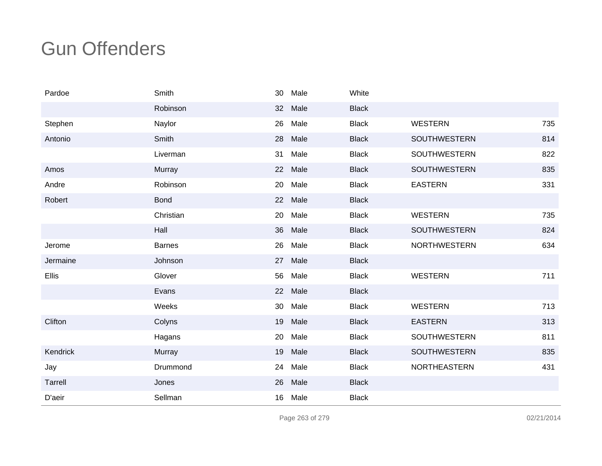| Pardoe   | Smith         | 30 | Male | White        |                     |     |
|----------|---------------|----|------|--------------|---------------------|-----|
|          | Robinson      | 32 | Male | <b>Black</b> |                     |     |
| Stephen  | Naylor        | 26 | Male | <b>Black</b> | <b>WESTERN</b>      | 735 |
| Antonio  | Smith         | 28 | Male | <b>Black</b> | SOUTHWESTERN        | 814 |
|          | Liverman      | 31 | Male | <b>Black</b> | <b>SOUTHWESTERN</b> | 822 |
| Amos     | Murray        | 22 | Male | <b>Black</b> | <b>SOUTHWESTERN</b> | 835 |
| Andre    | Robinson      | 20 | Male | <b>Black</b> | <b>EASTERN</b>      | 331 |
| Robert   | <b>Bond</b>   | 22 | Male | <b>Black</b> |                     |     |
|          | Christian     | 20 | Male | <b>Black</b> | <b>WESTERN</b>      | 735 |
|          | Hall          | 36 | Male | <b>Black</b> | <b>SOUTHWESTERN</b> | 824 |
| Jerome   | <b>Barnes</b> | 26 | Male | <b>Black</b> | <b>NORTHWESTERN</b> | 634 |
| Jermaine | Johnson       | 27 | Male | <b>Black</b> |                     |     |
| Ellis    | Glover        | 56 | Male | <b>Black</b> | <b>WESTERN</b>      | 711 |
|          | Evans         | 22 | Male | <b>Black</b> |                     |     |
|          | Weeks         | 30 | Male | <b>Black</b> | <b>WESTERN</b>      | 713 |
| Clifton  | Colyns        | 19 | Male | <b>Black</b> | <b>EASTERN</b>      | 313 |
|          | Hagans        | 20 | Male | <b>Black</b> | <b>SOUTHWESTERN</b> | 811 |
| Kendrick | Murray        | 19 | Male | <b>Black</b> | <b>SOUTHWESTERN</b> | 835 |
| Jay      | Drummond      | 24 | Male | <b>Black</b> | <b>NORTHEASTERN</b> | 431 |
| Tarrell  | Jones         | 26 | Male | <b>Black</b> |                     |     |
| D'aeir   | Sellman       | 16 | Male | <b>Black</b> |                     |     |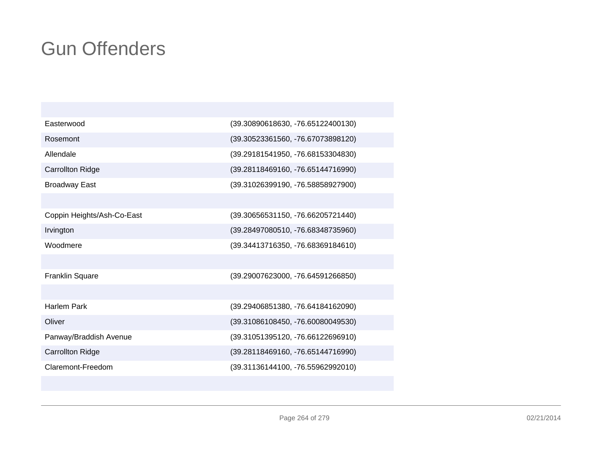| (39.30890618630, -76.65122400130) |
|-----------------------------------|
| (39.30523361560, -76.67073898120) |
| (39.29181541950, -76.68153304830) |
| (39.28118469160, -76.65144716990) |
| (39.31026399190, -76.58858927900) |
|                                   |
| (39.30656531150, -76.66205721440) |
| (39.28497080510, -76.68348735960) |
| (39.34413716350, -76.68369184610) |
|                                   |
| (39.29007623000, -76.64591266850) |
|                                   |
| (39.29406851380, -76.64184162090) |
| (39.31086108450, -76.60080049530) |
| (39.31051395120, -76.66122696910) |
| (39.28118469160, -76.65144716990) |
| (39.31136144100, -76.55962992010) |
|                                   |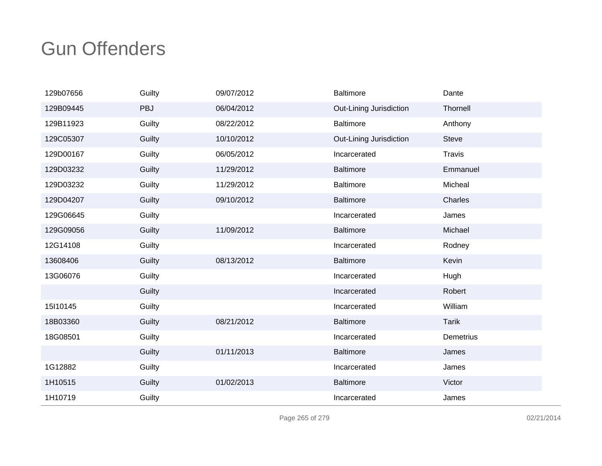| 129b07656 | Guilty | 09/07/2012 | <b>Baltimore</b>        | Dante         |
|-----------|--------|------------|-------------------------|---------------|
| 129B09445 | PBJ    | 06/04/2012 | Out-Lining Jurisdiction | Thornell      |
| 129B11923 | Guilty | 08/22/2012 | <b>Baltimore</b>        | Anthony       |
| 129C05307 | Guilty | 10/10/2012 | Out-Lining Jurisdiction | <b>Steve</b>  |
| 129D00167 | Guilty | 06/05/2012 | Incarcerated            | <b>Travis</b> |
| 129D03232 | Guilty | 11/29/2012 | <b>Baltimore</b>        | Emmanuel      |
| 129D03232 | Guilty | 11/29/2012 | <b>Baltimore</b>        | Micheal       |
| 129D04207 | Guilty | 09/10/2012 | <b>Baltimore</b>        | Charles       |
| 129G06645 | Guilty |            | Incarcerated            | James         |
| 129G09056 | Guilty | 11/09/2012 | <b>Baltimore</b>        | Michael       |
| 12G14108  | Guilty |            | Incarcerated            | Rodney        |
| 13608406  | Guilty | 08/13/2012 | <b>Baltimore</b>        | Kevin         |
| 13G06076  | Guilty |            | Incarcerated            | Hugh          |
|           | Guilty |            | Incarcerated            | Robert        |
| 15 10145  | Guilty |            | Incarcerated            | William       |
| 18B03360  | Guilty | 08/21/2012 | <b>Baltimore</b>        | <b>Tarik</b>  |
| 18G08501  | Guilty |            | Incarcerated            | Demetrius     |
|           | Guilty | 01/11/2013 | <b>Baltimore</b>        | James         |
| 1G12882   | Guilty |            | Incarcerated            | James         |
| 1H10515   | Guilty | 01/02/2013 | <b>Baltimore</b>        | Victor        |
| 1H10719   | Guilty |            | Incarcerated            | James         |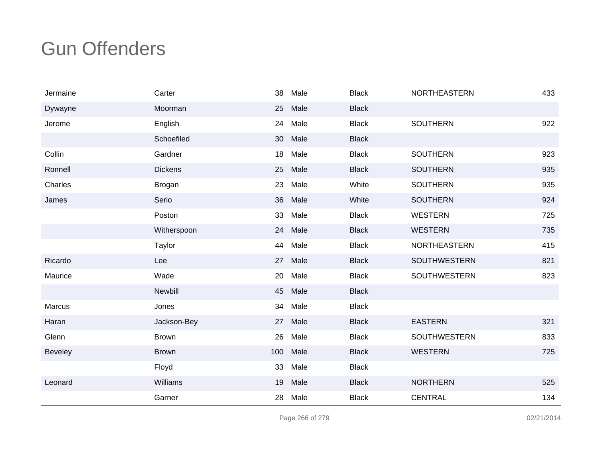| Jermaine       | Carter         | 38  | Male | <b>Black</b> | <b>NORTHEASTERN</b> | 433 |
|----------------|----------------|-----|------|--------------|---------------------|-----|
| Dywayne        | Moorman        | 25  | Male | <b>Black</b> |                     |     |
| Jerome         | English        | 24  | Male | <b>Black</b> | <b>SOUTHERN</b>     | 922 |
|                | Schoefiled     | 30  | Male | <b>Black</b> |                     |     |
| Collin         | Gardner        | 18  | Male | <b>Black</b> | <b>SOUTHERN</b>     | 923 |
| Ronnell        | <b>Dickens</b> | 25  | Male | <b>Black</b> | <b>SOUTHERN</b>     | 935 |
| Charles        | Brogan         | 23  | Male | White        | <b>SOUTHERN</b>     | 935 |
| James          | Serio          | 36  | Male | White        | <b>SOUTHERN</b>     | 924 |
|                | Poston         | 33  | Male | <b>Black</b> | <b>WESTERN</b>      | 725 |
|                | Witherspoon    | 24  | Male | <b>Black</b> | <b>WESTERN</b>      | 735 |
|                | Taylor         | 44  | Male | <b>Black</b> | <b>NORTHEASTERN</b> | 415 |
| Ricardo        | Lee            | 27  | Male | <b>Black</b> | <b>SOUTHWESTERN</b> | 821 |
| Maurice        | Wade           | 20  | Male | <b>Black</b> | <b>SOUTHWESTERN</b> | 823 |
|                | Newbill        | 45  | Male | <b>Black</b> |                     |     |
| Marcus         | Jones          | 34  | Male | <b>Black</b> |                     |     |
| Haran          | Jackson-Bey    | 27  | Male | <b>Black</b> | <b>EASTERN</b>      | 321 |
| Glenn          | <b>Brown</b>   | 26  | Male | <b>Black</b> | <b>SOUTHWESTERN</b> | 833 |
| <b>Beveley</b> | <b>Brown</b>   | 100 | Male | <b>Black</b> | <b>WESTERN</b>      | 725 |
|                | Floyd          | 33  | Male | <b>Black</b> |                     |     |
| Leonard        | Williams       | 19  | Male | <b>Black</b> | <b>NORTHERN</b>     | 525 |
|                | Garner         | 28  | Male | <b>Black</b> | <b>CENTRAL</b>      | 134 |

Page 266 of 279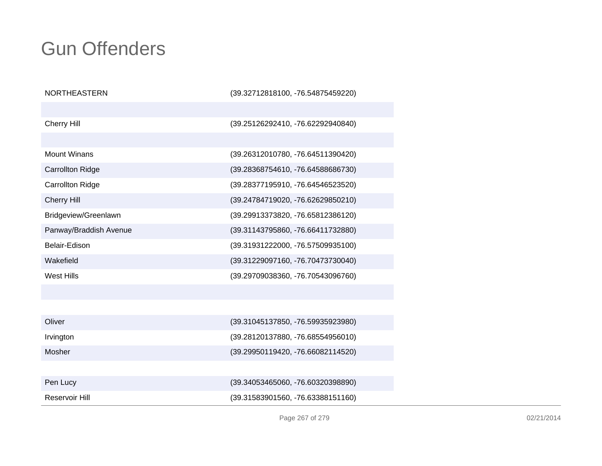| <b>NORTHEASTERN</b>     | (39.32712818100, -76.54875459220) |
|-------------------------|-----------------------------------|
|                         |                                   |
| <b>Cherry Hill</b>      | (39.25126292410, -76.62292940840) |
|                         |                                   |
| <b>Mount Winans</b>     | (39.26312010780, -76.64511390420) |
| <b>Carrollton Ridge</b> | (39.28368754610, -76.64588686730) |
| <b>Carrollton Ridge</b> | (39.28377195910, -76.64546523520) |
| <b>Cherry Hill</b>      | (39.24784719020, -76.62629850210) |
| Bridgeview/Greenlawn    | (39.29913373820, -76.65812386120) |
| Panway/Braddish Avenue  | (39.31143795860, -76.66411732880) |
| Belair-Edison           | (39.31931222000, -76.57509935100) |
| Wakefield               | (39.31229097160, -76.70473730040) |
| <b>West Hills</b>       | (39.29709038360, -76.70543096760) |
|                         |                                   |
|                         |                                   |
| Oliver                  | (39.31045137850, -76.59935923980) |
| Irvington               | (39.28120137880, -76.68554956010) |
| Mosher                  | (39.29950119420, -76.66082114520) |
|                         |                                   |
| Pen Lucy                | (39.34053465060, -76.60320398890) |
| Reservoir Hill          | (39.31583901560, -76.63388151160) |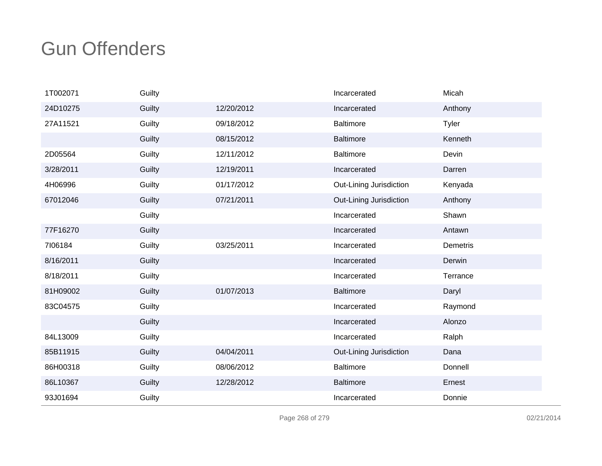| 1T002071  | Guilty |            | Incarcerated            | Micah        |
|-----------|--------|------------|-------------------------|--------------|
| 24D10275  | Guilty | 12/20/2012 | Incarcerated            | Anthony      |
| 27A11521  | Guilty | 09/18/2012 | <b>Baltimore</b>        | <b>Tyler</b> |
|           | Guilty | 08/15/2012 | <b>Baltimore</b>        | Kenneth      |
| 2D05564   | Guilty | 12/11/2012 | <b>Baltimore</b>        | Devin        |
| 3/28/2011 | Guilty | 12/19/2011 | Incarcerated            | Darren       |
| 4H06996   | Guilty | 01/17/2012 | Out-Lining Jurisdiction | Kenyada      |
| 67012046  | Guilty | 07/21/2011 | Out-Lining Jurisdiction | Anthony      |
|           | Guilty |            | Incarcerated            | Shawn        |
| 77F16270  | Guilty |            | Incarcerated            | Antawn       |
| 7106184   | Guilty | 03/25/2011 | Incarcerated            | Demetris     |
| 8/16/2011 | Guilty |            | Incarcerated            | Derwin       |
| 8/18/2011 | Guilty |            | Incarcerated            | Terrance     |
| 81H09002  | Guilty | 01/07/2013 | <b>Baltimore</b>        | Daryl        |
| 83C04575  | Guilty |            | Incarcerated            | Raymond      |
|           | Guilty |            | Incarcerated            | Alonzo       |
| 84L13009  | Guilty |            | Incarcerated            | Ralph        |
| 85B11915  | Guilty | 04/04/2011 | Out-Lining Jurisdiction | Dana         |
| 86H00318  | Guilty | 08/06/2012 | <b>Baltimore</b>        | Donnell      |
| 86L10367  | Guilty | 12/28/2012 | <b>Baltimore</b>        | Ernest       |
| 93J01694  | Guilty |            | Incarcerated            | Donnie       |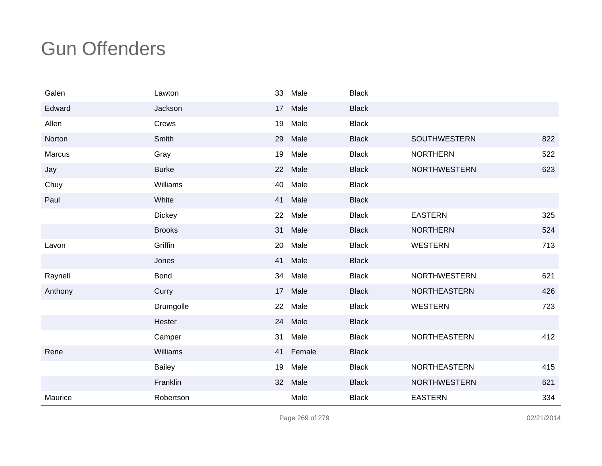| Galen   | Lawton        | 33 | Male   | <b>Black</b> |                     |     |
|---------|---------------|----|--------|--------------|---------------------|-----|
| Edward  | Jackson       | 17 | Male   | <b>Black</b> |                     |     |
| Allen   | Crews         | 19 | Male   | <b>Black</b> |                     |     |
| Norton  | Smith         | 29 | Male   | <b>Black</b> | <b>SOUTHWESTERN</b> | 822 |
| Marcus  | Gray          | 19 | Male   | <b>Black</b> | <b>NORTHERN</b>     | 522 |
| Jay     | <b>Burke</b>  | 22 | Male   | <b>Black</b> | <b>NORTHWESTERN</b> | 623 |
| Chuy    | Williams      | 40 | Male   | <b>Black</b> |                     |     |
| Paul    | White         | 41 | Male   | <b>Black</b> |                     |     |
|         | <b>Dickey</b> | 22 | Male   | <b>Black</b> | <b>EASTERN</b>      | 325 |
|         | <b>Brooks</b> | 31 | Male   | <b>Black</b> | <b>NORTHERN</b>     | 524 |
| Lavon   | Griffin       | 20 | Male   | <b>Black</b> | <b>WESTERN</b>      | 713 |
|         | Jones         | 41 | Male   | <b>Black</b> |                     |     |
| Raynell | <b>Bond</b>   | 34 | Male   | <b>Black</b> | <b>NORTHWESTERN</b> | 621 |
| Anthony | Curry         | 17 | Male   | <b>Black</b> | <b>NORTHEASTERN</b> | 426 |
|         | Drumgolle     | 22 | Male   | <b>Black</b> | <b>WESTERN</b>      | 723 |
|         | Hester        | 24 | Male   | <b>Black</b> |                     |     |
|         | Camper        | 31 | Male   | <b>Black</b> | NORTHEASTERN        | 412 |
| Rene    | Williams      | 41 | Female | <b>Black</b> |                     |     |
|         | <b>Bailey</b> | 19 | Male   | <b>Black</b> | <b>NORTHEASTERN</b> | 415 |
|         | Franklin      | 32 | Male   | <b>Black</b> | <b>NORTHWESTERN</b> | 621 |
| Maurice | Robertson     |    | Male   | <b>Black</b> | <b>EASTERN</b>      | 334 |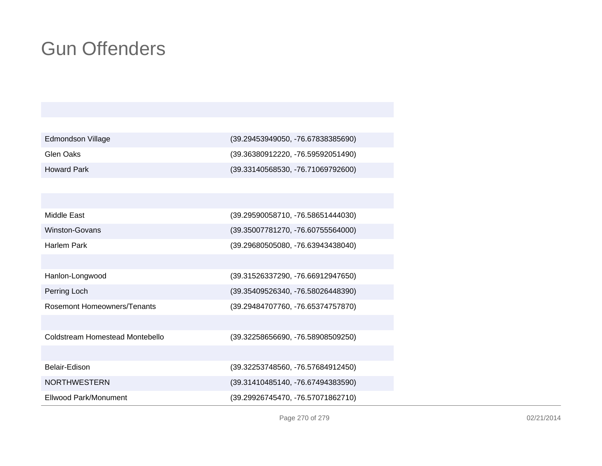| Edmondson Village  | $(39.29453949050, -76.67838385690)$ |
|--------------------|-------------------------------------|
| Glen Oaks          | (39.36380912220, -76.59592051490)   |
| <b>Howard Park</b> | (39.33140568530, -76.71069792600)   |

| Middle East                     | (39.29590058710, -76.58651444030) |
|---------------------------------|-----------------------------------|
| Winston-Govans                  | (39.35007781270, -76.60755564000) |
| Harlem Park                     | (39.29680505080, -76.63943438040) |
|                                 |                                   |
| Hanlon-Longwood                 | (39.31526337290, -76.66912947650) |
| Perring Loch                    | (39.35409526340, -76.58026448390) |
| Rosemont Homeowners/Tenants     | (39.29484707760, -76.65374757870) |
|                                 |                                   |
| Coldstream Homestead Montebello | (39.32258656690, -76.58908509250) |
|                                 |                                   |
| Belair-Edison                   | (39.32253748560, -76.57684912450) |
| <b>NORTHWESTERN</b>             | (39.31410485140, -76.67494383590) |
| Ellwood Park/Monument           | (39.29926745470, -76.57071862710) |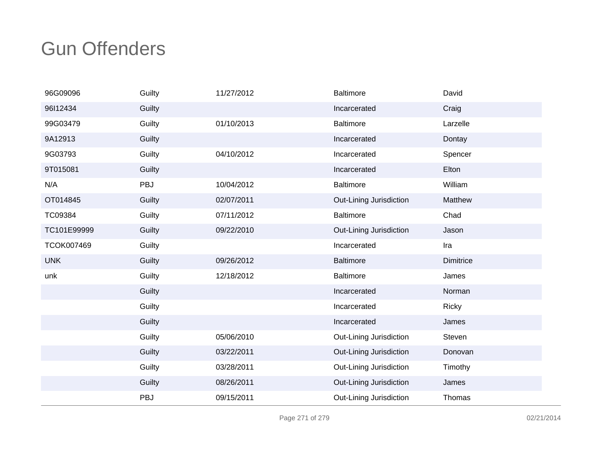| 96G09096    | Guilty | 11/27/2012 | <b>Baltimore</b>        | David     |
|-------------|--------|------------|-------------------------|-----------|
| 96l12434    | Guilty |            | Incarcerated            | Craig     |
| 99G03479    | Guilty | 01/10/2013 | <b>Baltimore</b>        | Larzelle  |
| 9A12913     | Guilty |            | Incarcerated            | Dontay    |
| 9G03793     | Guilty | 04/10/2012 | Incarcerated            | Spencer   |
| 9T015081    | Guilty |            | Incarcerated            | Elton     |
| N/A         | PBJ    | 10/04/2012 | <b>Baltimore</b>        | William   |
| OT014845    | Guilty | 02/07/2011 | Out-Lining Jurisdiction | Matthew   |
| TC09384     | Guilty | 07/11/2012 | <b>Baltimore</b>        | Chad      |
| TC101E99999 | Guilty | 09/22/2010 | Out-Lining Jurisdiction | Jason     |
| TCOK007469  | Guilty |            | Incarcerated            | Ira       |
| <b>UNK</b>  | Guilty | 09/26/2012 | <b>Baltimore</b>        | Dimitrice |
| unk         | Guilty | 12/18/2012 | <b>Baltimore</b>        | James     |
|             | Guilty |            | Incarcerated            | Norman    |
|             | Guilty |            | Incarcerated            | Ricky     |
|             | Guilty |            | Incarcerated            | James     |
|             | Guilty | 05/06/2010 | Out-Lining Jurisdiction | Steven    |
|             | Guilty | 03/22/2011 | Out-Lining Jurisdiction | Donovan   |
|             | Guilty | 03/28/2011 | Out-Lining Jurisdiction | Timothy   |
|             | Guilty | 08/26/2011 | Out-Lining Jurisdiction | James     |
|             | PBJ    | 09/15/2011 | Out-Lining Jurisdiction | Thomas    |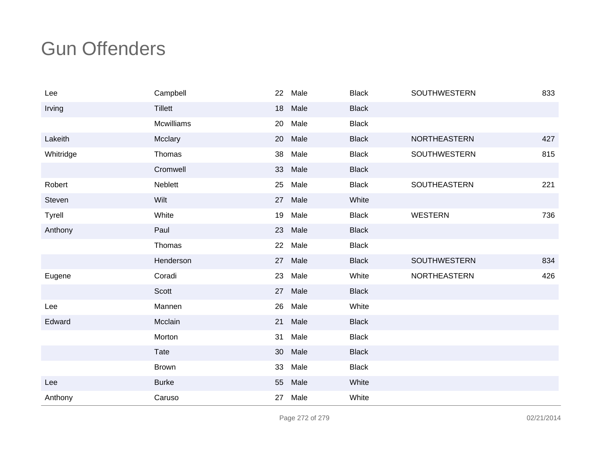| Lee           | Campbell          | 22 | Male    | <b>Black</b> | <b>SOUTHWESTERN</b> | 833 |
|---------------|-------------------|----|---------|--------------|---------------------|-----|
| Irving        | <b>Tillett</b>    | 18 | Male    | <b>Black</b> |                     |     |
|               | <b>Mcwilliams</b> | 20 | Male    | <b>Black</b> |                     |     |
| Lakeith       | Mcclary           | 20 | Male    | <b>Black</b> | <b>NORTHEASTERN</b> | 427 |
| Whitridge     | Thomas            | 38 | Male    | <b>Black</b> | SOUTHWESTERN        | 815 |
|               | Cromwell          | 33 | Male    | <b>Black</b> |                     |     |
| Robert        | Neblett           | 25 | Male    | <b>Black</b> | SOUTHEASTERN        | 221 |
| Steven        | Wilt              |    | 27 Male | White        |                     |     |
| <b>Tyrell</b> | White             | 19 | Male    | <b>Black</b> | <b>WESTERN</b>      | 736 |
| Anthony       | Paul              |    | 23 Male | <b>Black</b> |                     |     |
|               | Thomas            | 22 | Male    | <b>Black</b> |                     |     |
|               | Henderson         | 27 | Male    | <b>Black</b> | <b>SOUTHWESTERN</b> | 834 |
| Eugene        | Coradi            | 23 | Male    | White        | <b>NORTHEASTERN</b> | 426 |
|               | Scott             | 27 | Male    | <b>Black</b> |                     |     |
| Lee           | Mannen            | 26 | Male    | White        |                     |     |
| Edward        | Mcclain           | 21 | Male    | <b>Black</b> |                     |     |
|               | Morton            | 31 | Male    | <b>Black</b> |                     |     |
|               | Tate              | 30 | Male    | <b>Black</b> |                     |     |
|               | <b>Brown</b>      | 33 | Male    | <b>Black</b> |                     |     |
| Lee           | <b>Burke</b>      | 55 | Male    | White        |                     |     |
| Anthony       | Caruso            | 27 | Male    | White        |                     |     |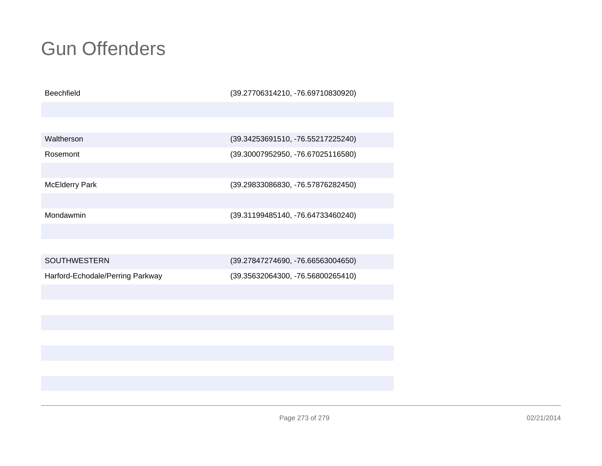| <b>Beechfield</b>                | (39.27706314210, -76.69710830920) |
|----------------------------------|-----------------------------------|
|                                  |                                   |
|                                  |                                   |
| Waltherson                       | (39.34253691510, -76.55217225240) |
| Rosemont                         | (39.30007952950, -76.67025116580) |
|                                  |                                   |
| McElderry Park                   | (39.29833086830, -76.57876282450) |
|                                  |                                   |
| Mondawmin                        | (39.31199485140, -76.64733460240) |
|                                  |                                   |
|                                  |                                   |
| <b>SOUTHWESTERN</b>              | (39.27847274690, -76.66563004650) |
| Harford-Echodale/Perring Parkway | (39.35632064300, -76.56800265410) |
|                                  |                                   |
|                                  |                                   |
|                                  |                                   |
|                                  |                                   |
|                                  |                                   |
|                                  |                                   |
|                                  |                                   |
|                                  |                                   |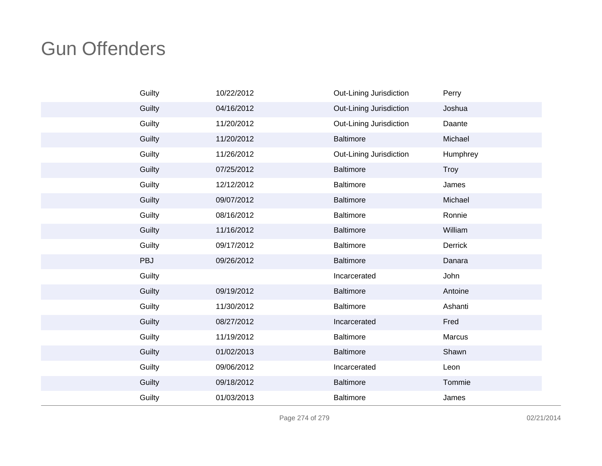| Guilty | 10/22/2012 | Out-Lining Jurisdiction | Perry       |
|--------|------------|-------------------------|-------------|
| Guilty | 04/16/2012 | Out-Lining Jurisdiction | Joshua      |
| Guilty | 11/20/2012 | Out-Lining Jurisdiction | Daante      |
| Guilty | 11/20/2012 | <b>Baltimore</b>        | Michael     |
| Guilty | 11/26/2012 | Out-Lining Jurisdiction | Humphrey    |
| Guilty | 07/25/2012 | <b>Baltimore</b>        | <b>Troy</b> |
| Guilty | 12/12/2012 | <b>Baltimore</b>        | James       |
| Guilty | 09/07/2012 | <b>Baltimore</b>        | Michael     |
| Guilty | 08/16/2012 | <b>Baltimore</b>        | Ronnie      |
| Guilty | 11/16/2012 | Baltimore               | William     |
| Guilty | 09/17/2012 | <b>Baltimore</b>        | Derrick     |
| PBJ    | 09/26/2012 | <b>Baltimore</b>        | Danara      |
| Guilty |            | Incarcerated            | John        |
| Guilty | 09/19/2012 | Baltimore               | Antoine     |
| Guilty | 11/30/2012 | Baltimore               | Ashanti     |
| Guilty | 08/27/2012 | Incarcerated            | Fred        |
| Guilty | 11/19/2012 | <b>Baltimore</b>        | Marcus      |
| Guilty | 01/02/2013 | <b>Baltimore</b>        | Shawn       |
| Guilty | 09/06/2012 | Incarcerated            | Leon        |
| Guilty | 09/18/2012 | Baltimore               | Tommie      |
| Guilty | 01/03/2013 | Baltimore               | James       |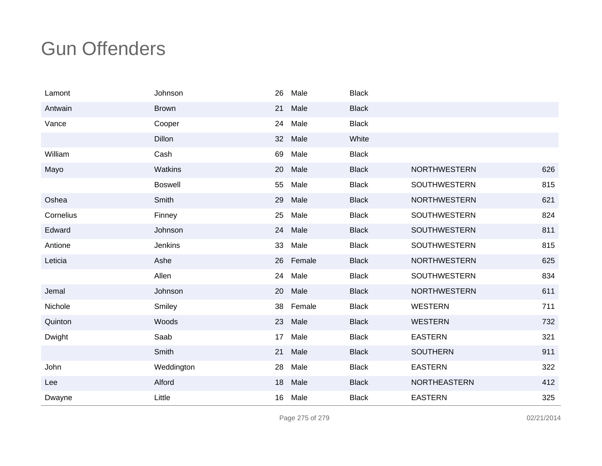| Lamont    | Johnson        | 26 | Male   | <b>Black</b> |                     |     |
|-----------|----------------|----|--------|--------------|---------------------|-----|
| Antwain   | <b>Brown</b>   | 21 | Male   | <b>Black</b> |                     |     |
| Vance     | Cooper         | 24 | Male   | <b>Black</b> |                     |     |
|           | <b>Dillon</b>  | 32 | Male   | White        |                     |     |
| William   | Cash           | 69 | Male   | <b>Black</b> |                     |     |
| Mayo      | Watkins        | 20 | Male   | <b>Black</b> | <b>NORTHWESTERN</b> | 626 |
|           | <b>Boswell</b> | 55 | Male   | <b>Black</b> | SOUTHWESTERN        | 815 |
| Oshea     | Smith          | 29 | Male   | <b>Black</b> | <b>NORTHWESTERN</b> | 621 |
| Cornelius | Finney         | 25 | Male   | <b>Black</b> | SOUTHWESTERN        | 824 |
| Edward    | Johnson        | 24 | Male   | <b>Black</b> | <b>SOUTHWESTERN</b> | 811 |
| Antione   | <b>Jenkins</b> | 33 | Male   | <b>Black</b> | SOUTHWESTERN        | 815 |
| Leticia   | Ashe           | 26 | Female | <b>Black</b> | <b>NORTHWESTERN</b> | 625 |
|           | Allen          | 24 | Male   | <b>Black</b> | <b>SOUTHWESTERN</b> | 834 |
| Jemal     | Johnson        | 20 | Male   | <b>Black</b> | <b>NORTHWESTERN</b> | 611 |
| Nichole   | Smiley         | 38 | Female | <b>Black</b> | <b>WESTERN</b>      | 711 |
| Quinton   | Woods          | 23 | Male   | <b>Black</b> | <b>WESTERN</b>      | 732 |
| Dwight    | Saab           | 17 | Male   | <b>Black</b> | <b>EASTERN</b>      | 321 |
|           | Smith          | 21 | Male   | <b>Black</b> | <b>SOUTHERN</b>     | 911 |
| John      | Weddington     | 28 | Male   | <b>Black</b> | <b>EASTERN</b>      | 322 |
| Lee       | Alford         | 18 | Male   | <b>Black</b> | <b>NORTHEASTERN</b> | 412 |
| Dwayne    | Little         | 16 | Male   | <b>Black</b> | <b>EASTERN</b>      | 325 |

Page 275 of 279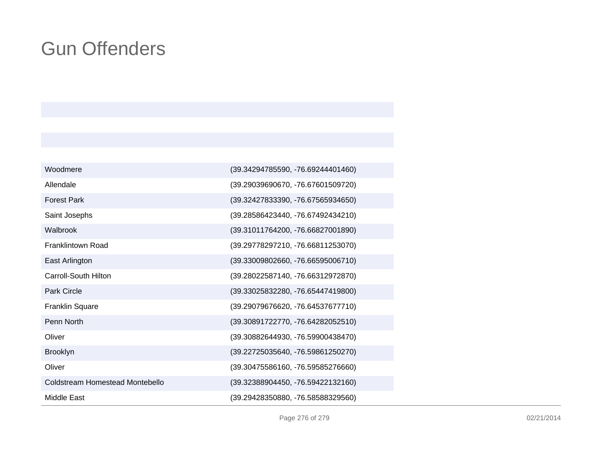| Woodmere                        | (39.34294785590, -76.69244401460) |
|---------------------------------|-----------------------------------|
| Allendale                       | (39.29039690670, -76.67601509720) |
| <b>Forest Park</b>              | (39.32427833390, -76.67565934650) |
| Saint Josephs                   | (39.28586423440, -76.67492434210) |
| Walbrook                        | (39.31011764200, -76.66827001890) |
| <b>Franklintown Road</b>        | (39.29778297210, -76.66811253070) |
| East Arlington                  | (39.33009802660, -76.66595006710) |
| Carroll-South Hilton            | (39.28022587140, -76.66312972870) |
| <b>Park Circle</b>              | (39.33025832280, -76.65447419800) |
| <b>Franklin Square</b>          | (39.29079676620, -76.64537677710) |
| Penn North                      | (39.30891722770, -76.64282052510) |
| Oliver                          | (39.30882644930, -76.59900438470) |
| <b>Brooklyn</b>                 | (39.22725035640, -76.59861250270) |
| Oliver                          | (39.30475586160, -76.59585276660) |
| Coldstream Homestead Montebello | (39.32388904450, -76.59422132160) |
| Middle East                     | (39.29428350880, -76.58588329560) |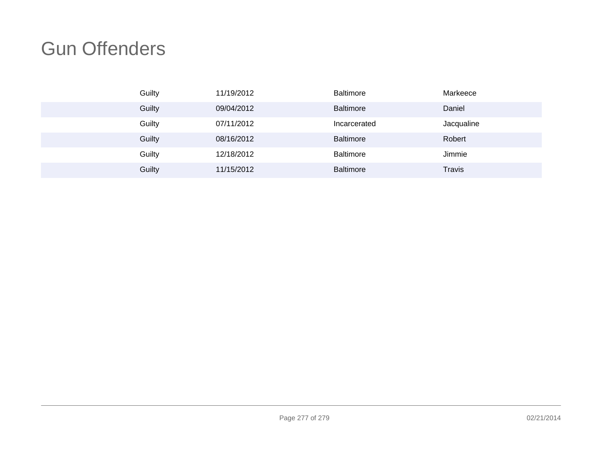| Guilty | 11/19/2012 | Baltimore        | Markeece      |
|--------|------------|------------------|---------------|
| Guilty | 09/04/2012 | <b>Baltimore</b> | Daniel        |
| Guilty | 07/11/2012 | Incarcerated     | Jacqualine    |
| Guilty | 08/16/2012 | <b>Baltimore</b> | Robert        |
| Guilty | 12/18/2012 | Baltimore        | Jimmie        |
| Guilty | 11/15/2012 | <b>Baltimore</b> | <b>Travis</b> |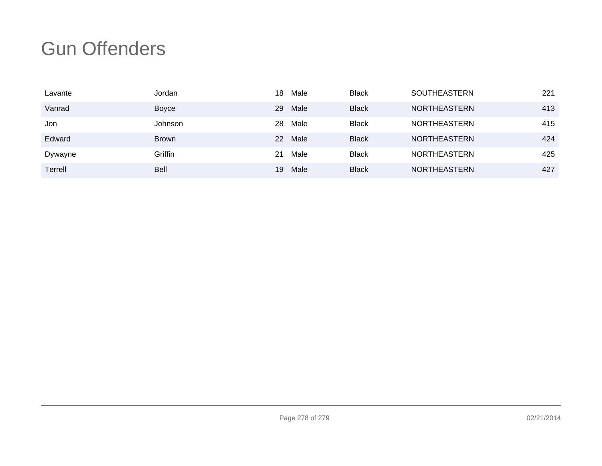| Lavante | Jordan      | 18 | Male | <b>Black</b> | <b>SOUTHEASTERN</b> | 221 |
|---------|-------------|----|------|--------------|---------------------|-----|
| Vanrad  | Boyce       | 29 | Male | <b>Black</b> | <b>NORTHEASTERN</b> | 413 |
| Jon     | Johnson     | 28 | Male | <b>Black</b> | <b>NORTHEASTERN</b> | 415 |
| Edward  | Brown       | 22 | Male | <b>Black</b> | <b>NORTHEASTERN</b> | 424 |
| Dywayne | Griffin     | 21 | Male | <b>Black</b> | <b>NORTHEASTERN</b> | 425 |
| Terrell | <b>Bell</b> | 19 | Male | <b>Black</b> | <b>NORTHEASTERN</b> | 427 |